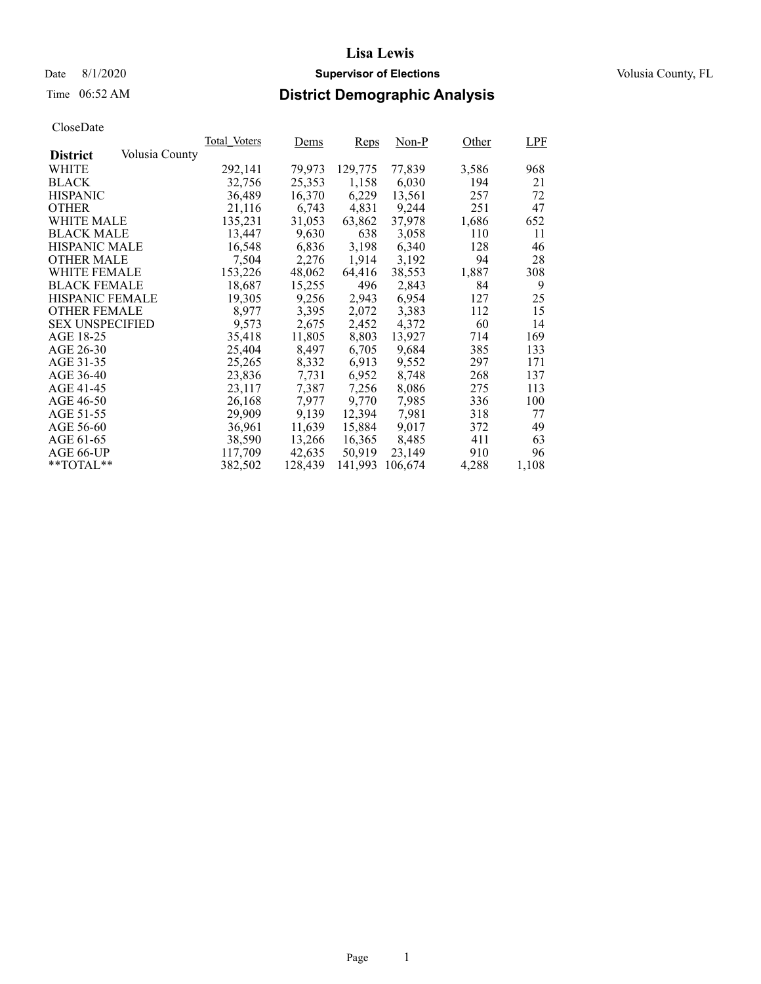Date 8/1/2020 **Supervisor of Elections Supervisor of Elections** Volusia County, FL

## Time 06:52 AM **District Demographic Analysis**

|                        |                | Total Voters | Dems    | Reps    | $Non-P$ | Other | <b>LPF</b> |
|------------------------|----------------|--------------|---------|---------|---------|-------|------------|
| <b>District</b>        | Volusia County |              |         |         |         |       |            |
| WHITE                  |                | 292,141      | 79,973  | 129,775 | 77,839  | 3,586 | 968        |
| <b>BLACK</b>           |                | 32,756       | 25,353  | 1,158   | 6,030   | 194   | 21         |
| <b>HISPANIC</b>        |                | 36,489       | 16,370  | 6,229   | 13,561  | 257   | 72         |
| <b>OTHER</b>           |                | 21,116       | 6,743   | 4,831   | 9,244   | 251   | 47         |
| WHITE MALE             |                | 135.231      | 31,053  | 63,862  | 37,978  | 1,686 | 652        |
| <b>BLACK MALE</b>      |                | 13,447       | 9,630   | 638     | 3,058   | 110   | 11         |
| <b>HISPANIC MALE</b>   |                | 16,548       | 6,836   | 3,198   | 6,340   | 128   | 46         |
| <b>OTHER MALE</b>      |                | 7,504        | 2,276   | 1,914   | 3,192   | 94    | 28         |
| <b>WHITE FEMALE</b>    |                | 153,226      | 48,062  | 64,416  | 38,553  | 1,887 | 308        |
| <b>BLACK FEMALE</b>    |                | 18,687       | 15,255  | 496     | 2,843   | 84    | 9          |
| <b>HISPANIC FEMALE</b> |                | 19,305       | 9,256   | 2,943   | 6,954   | 127   | 25         |
| <b>OTHER FEMALE</b>    |                | 8.977        | 3,395   | 2,072   | 3,383   | 112   | 15         |
| <b>SEX UNSPECIFIED</b> |                | 9,573        | 2,675   | 2,452   | 4,372   | 60    | 14         |
| AGE 18-25              |                | 35,418       | 11,805  | 8,803   | 13,927  | 714   | 169        |
| AGE 26-30              |                | 25,404       | 8,497   | 6,705   | 9,684   | 385   | 133        |
| AGE 31-35              |                | 25,265       | 8,332   | 6,913   | 9.552   | 297   | 171        |
| AGE 36-40              |                | 23,836       | 7.731   | 6,952   | 8,748   | 268   | 137        |
| AGE 41-45              |                | 23,117       | 7,387   | 7,256   | 8,086   | 275   | 113        |
| AGE 46-50              |                | 26,168       | 7,977   | 9,770   | 7,985   | 336   | 100        |
| AGE 51-55              |                | 29,909       | 9,139   | 12,394  | 7,981   | 318   | 77         |
| AGE 56-60              |                | 36,961       | 11,639  | 15,884  | 9.017   | 372   | 49         |
| AGE 61-65              |                | 38,590       | 13,266  | 16,365  | 8,485   | 411   | 63         |
| AGE 66-UP              |                | 117,709      | 42,635  | 50,919  | 23,149  | 910   | 96         |
| $*$ TOTAL $*$          |                | 382,502      | 128,439 | 141,993 | 106.674 | 4,288 | 1,108      |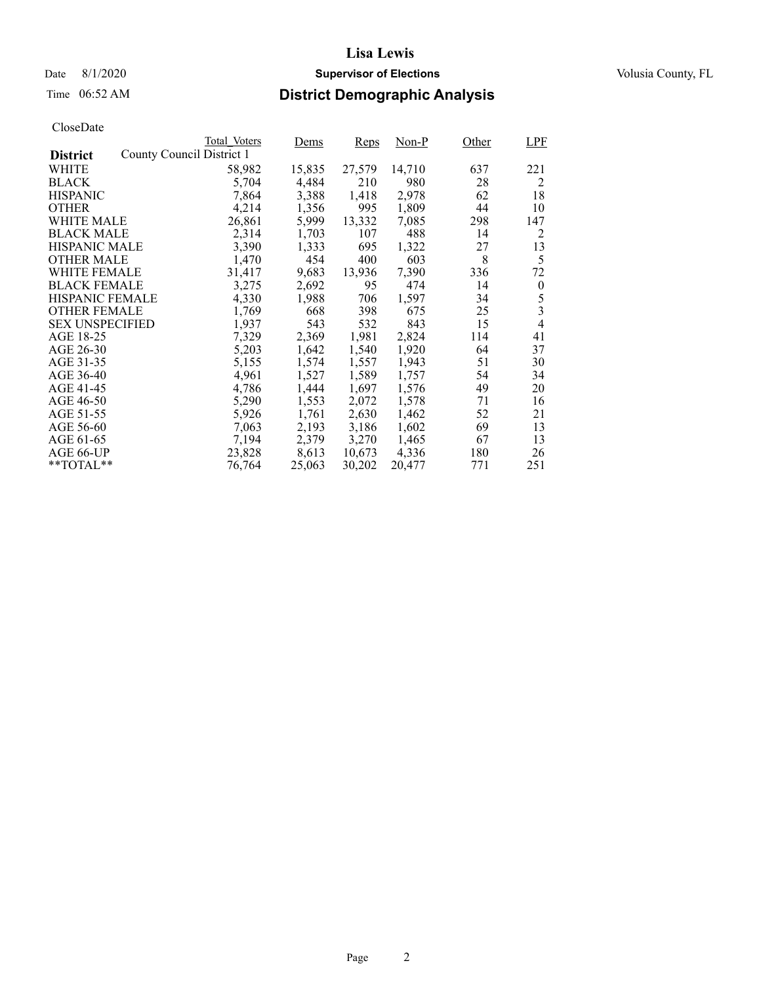## Date 8/1/2020 **Supervisor of Elections Supervisor of Elections** Volusia County, FL

## Time 06:52 AM **District Demographic Analysis**

|                        |                           | Total Voters | Dems   | Reps   | Non-P  | Other | <b>LPF</b>       |
|------------------------|---------------------------|--------------|--------|--------|--------|-------|------------------|
| <b>District</b>        | County Council District 1 |              |        |        |        |       |                  |
| WHITE                  |                           | 58,982       | 15,835 | 27,579 | 14,710 | 637   | 221              |
| <b>BLACK</b>           |                           | 5,704        | 4,484  | 210    | 980    | 28    | 2                |
| <b>HISPANIC</b>        |                           | 7,864        | 3,388  | 1,418  | 2,978  | 62    | 18               |
| <b>OTHER</b>           |                           | 4,214        | 1,356  | 995    | 1,809  | 44    | 10               |
| WHITE MALE             |                           | 26,861       | 5,999  | 13,332 | 7,085  | 298   | 147              |
| <b>BLACK MALE</b>      |                           | 2,314        | 1,703  | 107    | 488    | 14    | 2                |
| <b>HISPANIC MALE</b>   |                           | 3,390        | 1,333  | 695    | 1,322  | 27    | 13               |
| <b>OTHER MALE</b>      |                           | 1,470        | 454    | 400    | 603    | 8     | 5                |
| <b>WHITE FEMALE</b>    |                           | 31,417       | 9,683  | 13,936 | 7,390  | 336   | 72               |
| <b>BLACK FEMALE</b>    |                           | 3,275        | 2,692  | 95     | 474    | 14    | $\boldsymbol{0}$ |
| <b>HISPANIC FEMALE</b> |                           | 4,330        | 1,988  | 706    | 1,597  | 34    | 5                |
| <b>OTHER FEMALE</b>    |                           | 1,769        | 668    | 398    | 675    | 25    | 3                |
| <b>SEX UNSPECIFIED</b> |                           | 1,937        | 543    | 532    | 843    | 15    | $\overline{4}$   |
| AGE 18-25              |                           | 7,329        | 2,369  | 1,981  | 2,824  | 114   | 41               |
| AGE 26-30              |                           | 5,203        | 1,642  | 1,540  | 1,920  | 64    | 37               |
| AGE 31-35              |                           | 5,155        | 1,574  | 1,557  | 1,943  | 51    | 30               |
| AGE 36-40              |                           | 4,961        | 1,527  | 1,589  | 1,757  | 54    | 34               |
| AGE 41-45              |                           | 4,786        | 1,444  | 1,697  | 1,576  | 49    | 20               |
| AGE 46-50              |                           | 5,290        | 1,553  | 2,072  | 1,578  | 71    | 16               |
| AGE 51-55              |                           | 5,926        | 1,761  | 2,630  | 1,462  | 52    | 21               |
| AGE 56-60              |                           | 7,063        | 2,193  | 3,186  | 1,602  | 69    | 13               |
| AGE 61-65              |                           | 7,194        | 2,379  | 3,270  | 1,465  | 67    | 13               |
| AGE 66-UP              |                           | 23,828       | 8,613  | 10,673 | 4,336  | 180   | 26               |
| $*$ $TOTAL**$          |                           | 76,764       | 25,063 | 30,202 | 20,477 | 771   | 251              |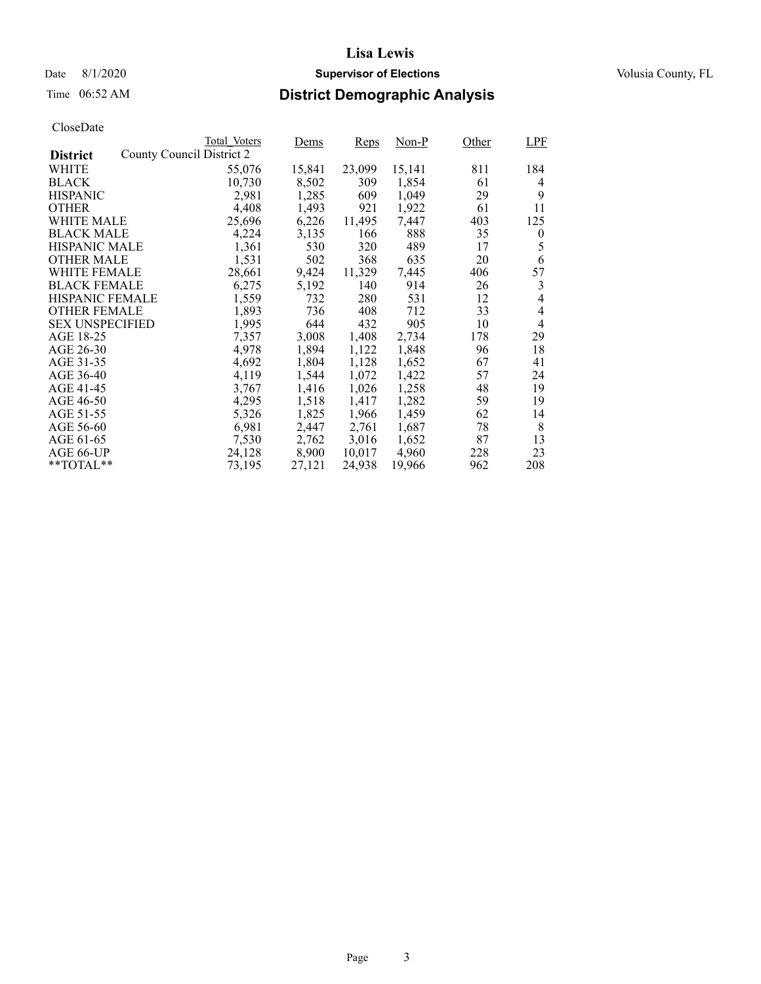## Date 8/1/2020 **Supervisor of Elections Supervisor of Elections** Volusia County, FL

## Time 06:52 AM **District Demographic Analysis**

|                        |                           | Total Voters | Dems   | <b>Reps</b> | Non-P  | Other | <b>LPF</b>     |
|------------------------|---------------------------|--------------|--------|-------------|--------|-------|----------------|
| <b>District</b>        | County Council District 2 |              |        |             |        |       |                |
| WHITE                  |                           | 55,076       | 15,841 | 23,099      | 15,141 | 811   | 184            |
| <b>BLACK</b>           |                           | 10,730       | 8,502  | 309         | 1,854  | 61    | 4              |
| <b>HISPANIC</b>        |                           | 2,981        | 1,285  | 609         | 1,049  | 29    | 9              |
| <b>OTHER</b>           |                           | 4,408        | 1,493  | 921         | 1,922  | 61    | 11             |
| WHITE MALE             |                           | 25,696       | 6,226  | 11,495      | 7,447  | 403   | 125            |
| <b>BLACK MALE</b>      |                           | 4,224        | 3,135  | 166         | 888    | 35    | $\overline{0}$ |
| <b>HISPANIC MALE</b>   |                           | 1,361        | 530    | 320         | 489    | 17    | 5              |
| OTHER MALE             |                           | 1,531        | 502    | 368         | 635    | 20    | 6              |
| <b>WHITE FEMALE</b>    |                           | 28,661       | 9,424  | 11,329      | 7,445  | 406   | 57             |
| <b>BLACK FEMALE</b>    |                           | 6,275        | 5,192  | 140         | 914    | 26    | 3              |
| HISPANIC FEMALE        |                           | 1,559        | 732    | 280         | 531    | 12    | $\overline{4}$ |
| <b>OTHER FEMALE</b>    |                           | 1,893        | 736    | 408         | 712    | 33    | $\overline{4}$ |
| <b>SEX UNSPECIFIED</b> |                           | 1,995        | 644    | 432         | 905    | 10    | $\overline{4}$ |
| AGE 18-25              |                           | 7,357        | 3,008  | 1,408       | 2,734  | 178   | 29             |
| AGE 26-30              |                           | 4,978        | 1,894  | 1,122       | 1,848  | 96    | 18             |
| AGE 31-35              |                           | 4,692        | 1,804  | 1,128       | 1,652  | 67    | 41             |
| AGE 36-40              |                           | 4,119        | 1,544  | 1,072       | 1,422  | 57    | 24             |
| AGE 41-45              |                           | 3,767        | 1,416  | 1,026       | 1,258  | 48    | 19             |
| AGE 46-50              |                           | 4,295        | 1,518  | 1,417       | 1,282  | 59    | 19             |
| AGE 51-55              |                           | 5,326        | 1,825  | 1,966       | 1,459  | 62    | 14             |
| AGE 56-60              |                           | 6,981        | 2,447  | 2,761       | 1,687  | 78    | 8              |
| AGE 61-65              |                           | 7,530        | 2,762  | 3,016       | 1,652  | 87    | 13             |
| AGE 66-UP              |                           | 24,128       | 8,900  | 10,017      | 4,960  | 228   | 23             |
| $*$ TOTAL $*$          |                           | 73,195       | 27,121 | 24,938      | 19,966 | 962   | 208            |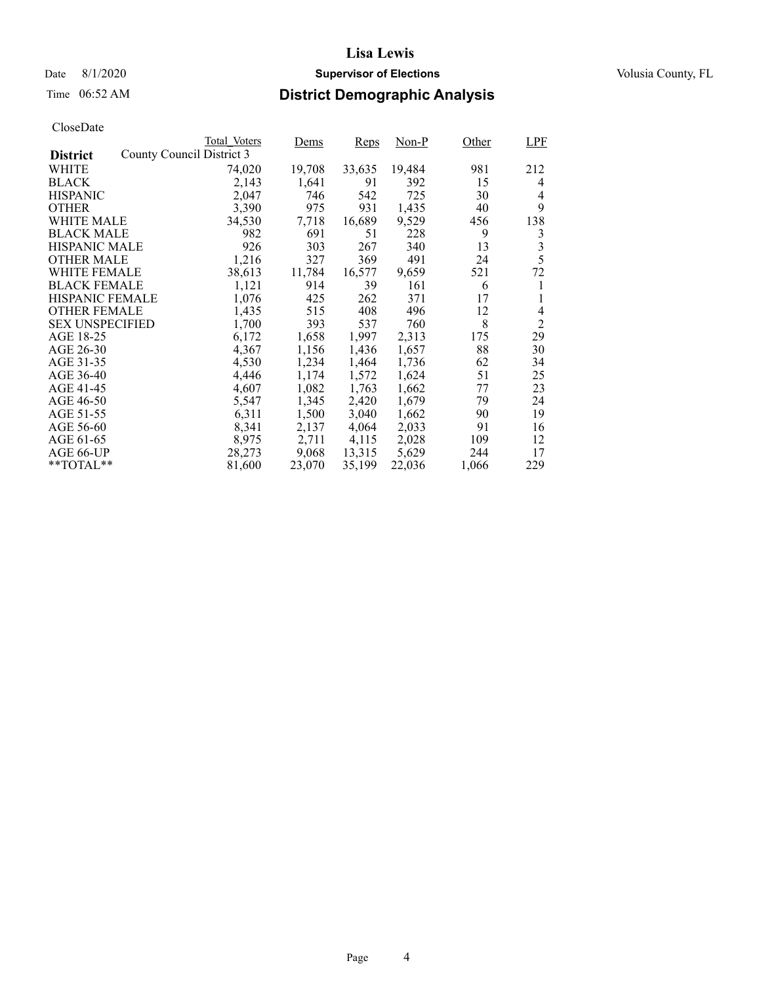## Date 8/1/2020 **Supervisor of Elections Supervisor of Elections** Volusia County, FL

# Time 06:52 AM **District Demographic Analysis**

|                        |                           | Total Voters | <u>Dems</u> | Reps   | Non-P  | Other | <b>LPF</b>     |
|------------------------|---------------------------|--------------|-------------|--------|--------|-------|----------------|
| <b>District</b>        | County Council District 3 |              |             |        |        |       |                |
| WHITE                  |                           | 74,020       | 19,708      | 33,635 | 19,484 | 981   | 212            |
| <b>BLACK</b>           |                           | 2,143        | 1,641       | 91     | 392    | 15    | 4              |
| <b>HISPANIC</b>        |                           | 2,047        | 746         | 542    | 725    | 30    | 4              |
| <b>OTHER</b>           |                           | 3,390        | 975         | 931    | 1,435  | 40    | 9              |
| WHITE MALE             |                           | 34,530       | 7,718       | 16,689 | 9,529  | 456   | 138            |
| <b>BLACK MALE</b>      |                           | 982          | 691         | 51     | 228    | 9     | 3              |
| <b>HISPANIC MALE</b>   |                           | 926          | 303         | 267    | 340    | 13    | 3              |
| <b>OTHER MALE</b>      |                           | 1,216        | 327         | 369    | 491    | 24    | 5              |
| <b>WHITE FEMALE</b>    |                           | 38,613       | 11,784      | 16,577 | 9,659  | 521   | 72             |
| <b>BLACK FEMALE</b>    |                           | 1,121        | 914         | 39     | 161    | 6     | 1              |
| HISPANIC FEMALE        |                           | 1,076        | 425         | 262    | 371    | 17    |                |
| <b>OTHER FEMALE</b>    |                           | 1,435        | 515         | 408    | 496    | 12    | 4              |
| <b>SEX UNSPECIFIED</b> |                           | 1,700        | 393         | 537    | 760    | 8     | $\overline{2}$ |
| AGE 18-25              |                           | 6,172        | 1,658       | 1,997  | 2,313  | 175   | 29             |
| AGE 26-30              |                           | 4,367        | 1,156       | 1,436  | 1,657  | 88    | 30             |
| AGE 31-35              |                           | 4,530        | 1,234       | 1,464  | 1,736  | 62    | 34             |
| AGE 36-40              |                           | 4,446        | 1,174       | 1,572  | 1,624  | 51    | 25             |
| AGE 41-45              |                           | 4,607        | 1,082       | 1,763  | 1,662  | 77    | 23             |
| AGE 46-50              |                           | 5,547        | 1,345       | 2,420  | 1,679  | 79    | 24             |
| AGE 51-55              |                           | 6,311        | 1,500       | 3,040  | 1,662  | 90    | 19             |
| AGE 56-60              |                           | 8,341        | 2,137       | 4,064  | 2,033  | 91    | 16             |
| AGE 61-65              |                           | 8,975        | 2,711       | 4,115  | 2,028  | 109   | 12             |
| AGE 66-UP              |                           | 28,273       | 9,068       | 13,315 | 5,629  | 244   | 17             |
| $*$ $TOTAL**$          |                           | 81,600       | 23,070      | 35,199 | 22,036 | 1,066 | 229            |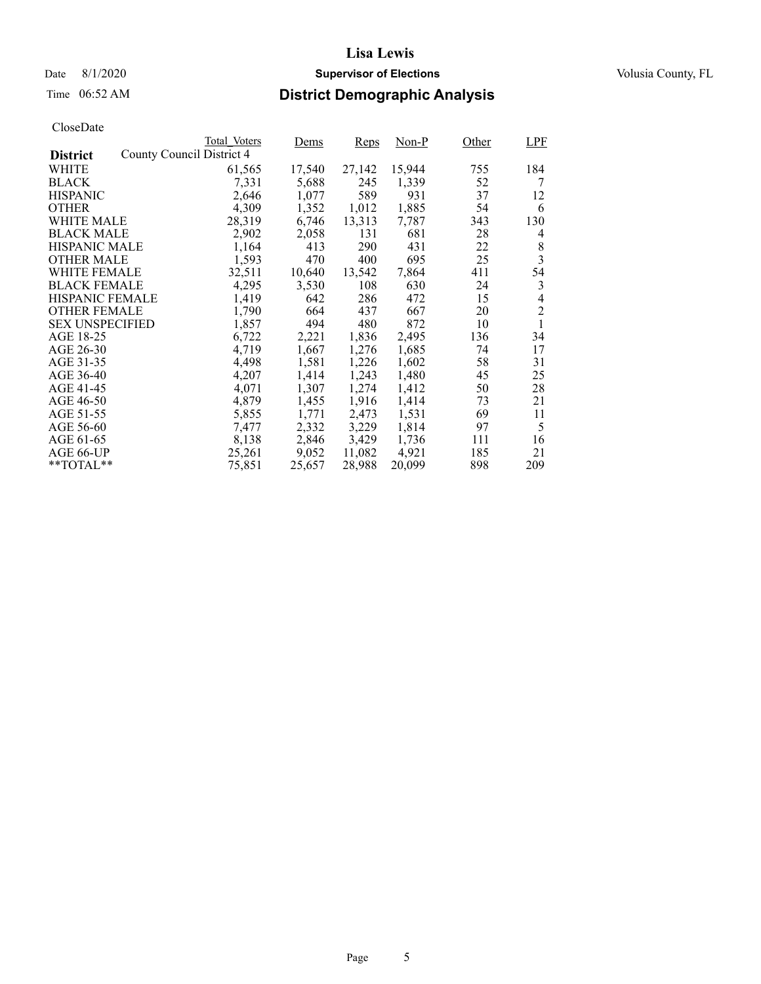## Date 8/1/2020 **Supervisor of Elections Supervisor of Elections** Volusia County, FL

## Time 06:52 AM **District Demographic Analysis**

|                        |                           | Total Voters | Dems   | Reps   | Non-P  | Other | <b>LPF</b>     |
|------------------------|---------------------------|--------------|--------|--------|--------|-------|----------------|
| <b>District</b>        | County Council District 4 |              |        |        |        |       |                |
| WHITE                  |                           | 61,565       | 17,540 | 27,142 | 15,944 | 755   | 184            |
| <b>BLACK</b>           |                           | 7,331        | 5,688  | 245    | 1,339  | 52    | 7              |
| <b>HISPANIC</b>        |                           | 2,646        | 1,077  | 589    | 931    | 37    | 12             |
| <b>OTHER</b>           |                           | 4,309        | 1,352  | 1,012  | 1,885  | 54    | 6              |
| WHITE MALE             |                           | 28,319       | 6,746  | 13,313 | 7,787  | 343   | 130            |
| <b>BLACK MALE</b>      |                           | 2,902        | 2,058  | 131    | 681    | 28    | 4              |
| <b>HISPANIC MALE</b>   |                           | 1,164        | 413    | 290    | 431    | 22    | 8              |
| <b>OTHER MALE</b>      |                           | 1,593        | 470    | 400    | 695    | 25    | 3              |
| WHITE FEMALE           |                           | 32,511       | 10,640 | 13,542 | 7,864  | 411   | 54             |
| <b>BLACK FEMALE</b>    |                           | 4,295        | 3,530  | 108    | 630    | 24    | 3              |
| <b>HISPANIC FEMALE</b> |                           | 1,419        | 642    | 286    | 472    | 15    | 4              |
| <b>OTHER FEMALE</b>    |                           | 1,790        | 664    | 437    | 667    | 20    | $\overline{2}$ |
| <b>SEX UNSPECIFIED</b> |                           | 1,857        | 494    | 480    | 872    | 10    | 1              |
| AGE 18-25              |                           | 6,722        | 2,221  | 1,836  | 2,495  | 136   | 34             |
| AGE 26-30              |                           | 4,719        | 1,667  | 1,276  | 1,685  | 74    | 17             |
| AGE 31-35              |                           | 4,498        | 1,581  | 1,226  | 1,602  | 58    | 31             |
| AGE 36-40              |                           | 4,207        | 1,414  | 1,243  | 1,480  | 45    | 25             |
| AGE 41-45              |                           | 4,071        | 1,307  | 1,274  | 1,412  | 50    | 28             |
| AGE 46-50              |                           | 4,879        | 1,455  | 1,916  | 1,414  | 73    | 21             |
| AGE 51-55              |                           | 5,855        | 1,771  | 2,473  | 1,531  | 69    | 11             |
| AGE 56-60              |                           | 7,477        | 2,332  | 3,229  | 1,814  | 97    | 5              |
| AGE 61-65              |                           | 8,138        | 2,846  | 3,429  | 1,736  | 111   | 16             |
| AGE 66-UP              |                           | 25,261       | 9,052  | 11,082 | 4,921  | 185   | 21             |
| $*$ $TOTAL**$          |                           | 75,851       | 25,657 | 28,988 | 20,099 | 898   | 209            |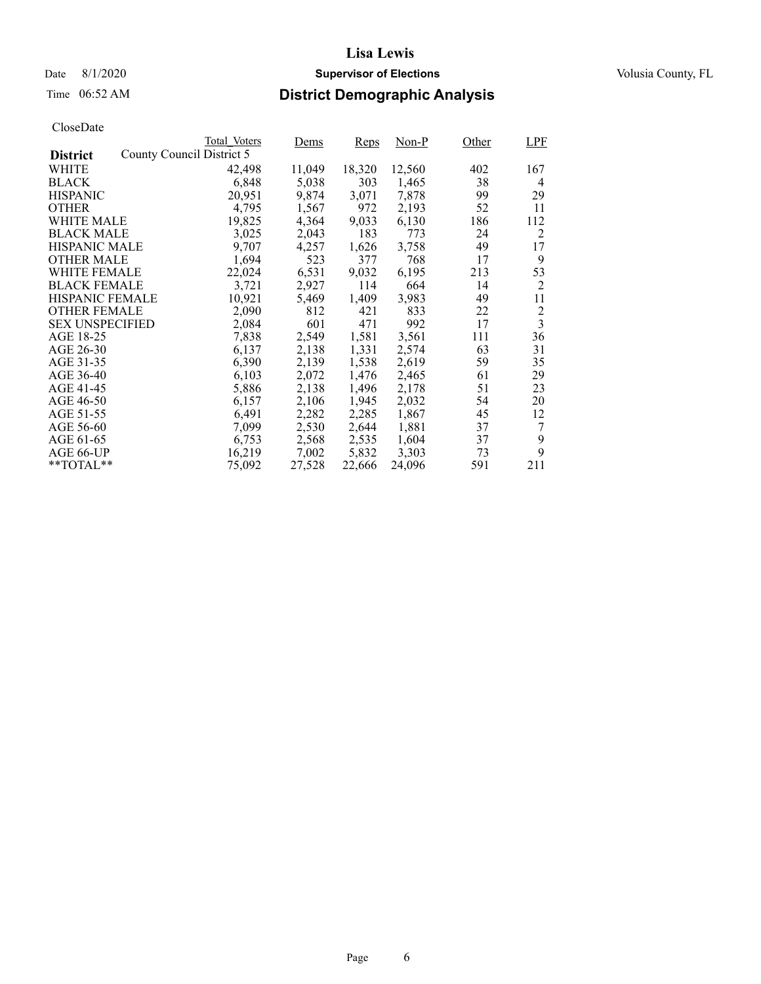## Date 8/1/2020 **Supervisor of Elections Supervisor of Elections** Volusia County, FL

## Time 06:52 AM **District Demographic Analysis**

|                        |                           | Total Voters | <u>Dems</u> | Reps   | $Non-P$ | Other | <b>LPF</b>              |
|------------------------|---------------------------|--------------|-------------|--------|---------|-------|-------------------------|
| <b>District</b>        | County Council District 5 |              |             |        |         |       |                         |
| WHITE                  |                           | 42,498       | 11,049      | 18,320 | 12,560  | 402   | 167                     |
| <b>BLACK</b>           |                           | 6,848        | 5,038       | 303    | 1,465   | 38    | 4                       |
| <b>HISPANIC</b>        |                           | 20,951       | 9,874       | 3,071  | 7,878   | 99    | 29                      |
| <b>OTHER</b>           |                           | 4,795        | 1,567       | 972    | 2,193   | 52    | 11                      |
| WHITE MALE             |                           | 19,825       | 4,364       | 9,033  | 6,130   | 186   | 112                     |
| <b>BLACK MALE</b>      |                           | 3,025        | 2,043       | 183    | 773     | 24    | 2                       |
| <b>HISPANIC MALE</b>   |                           | 9,707        | 4,257       | 1,626  | 3,758   | 49    | 17                      |
| <b>OTHER MALE</b>      |                           | 1,694        | 523         | 377    | 768     | 17    | 9                       |
| <b>WHITE FEMALE</b>    |                           | 22,024       | 6,531       | 9,032  | 6,195   | 213   | 53                      |
| <b>BLACK FEMALE</b>    |                           | 3,721        | 2,927       | 114    | 664     | 14    | 2                       |
| HISPANIC FEMALE        |                           | 10,921       | 5,469       | 1,409  | 3,983   | 49    | 11                      |
| <b>OTHER FEMALE</b>    |                           | 2,090        | 812         | 421    | 833     | 22    | $\overline{2}$          |
| <b>SEX UNSPECIFIED</b> |                           | 2,084        | 601         | 471    | 992     | 17    | $\overline{\mathbf{3}}$ |
| AGE 18-25              |                           | 7,838        | 2,549       | 1,581  | 3,561   | 111   | 36                      |
| AGE 26-30              |                           | 6,137        | 2,138       | 1,331  | 2,574   | 63    | 31                      |
| AGE 31-35              |                           | 6,390        | 2,139       | 1,538  | 2,619   | 59    | 35                      |
| AGE 36-40              |                           | 6,103        | 2,072       | 1,476  | 2,465   | 61    | 29                      |
| AGE 41-45              |                           | 5,886        | 2,138       | 1,496  | 2,178   | 51    | 23                      |
| AGE 46-50              |                           | 6,157        | 2,106       | 1,945  | 2,032   | 54    | 20                      |
| AGE 51-55              |                           | 6,491        | 2,282       | 2,285  | 1,867   | 45    | 12                      |
| AGE 56-60              |                           | 7,099        | 2,530       | 2,644  | 1,881   | 37    | 7                       |
| AGE 61-65              |                           | 6,753        | 2,568       | 2,535  | 1,604   | 37    | 9                       |
| AGE 66-UP              |                           | 16,219       | 7,002       | 5,832  | 3,303   | 73    | 9                       |
| $*$ $TOTAL**$          |                           | 75,092       | 27,528      | 22,666 | 24,096  | 591   | 211                     |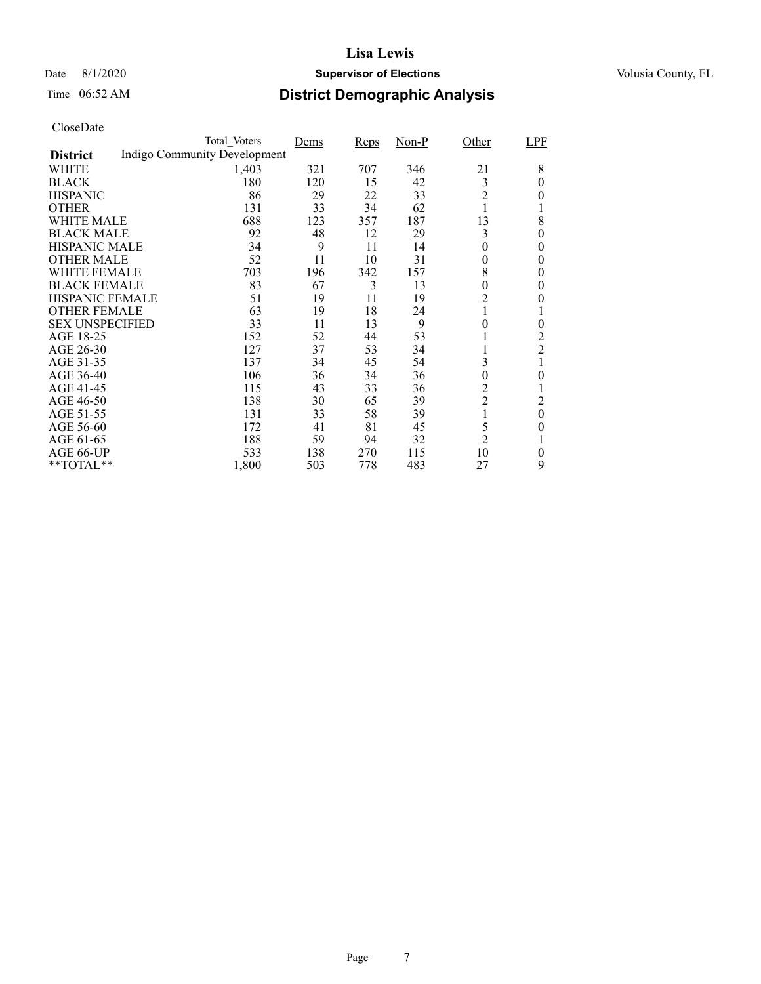## Date 8/1/2020 **Supervisor of Elections Supervisor of Elections** Volusia County, FL

## Time 06:52 AM **District Demographic Analysis**

|                        | Total Voters                 | Dems | <b>Reps</b> | $Non-P$ | Other            | LPF            |
|------------------------|------------------------------|------|-------------|---------|------------------|----------------|
| <b>District</b>        | Indigo Community Development |      |             |         |                  |                |
| WHITE                  | 1,403                        | 321  | 707         | 346     | 21               | 8              |
| <b>BLACK</b>           | 180                          | 120  | 15          | 42      | 3                | 0              |
| <b>HISPANIC</b>        | 86                           | 29   | 22          | 33      | $\overline{2}$   | 0              |
| <b>OTHER</b>           | 131                          | 33   | 34          | 62      |                  |                |
| WHITE MALE             | 688                          | 123  | 357         | 187     | 13               | 8              |
| <b>BLACK MALE</b>      | 92                           | 48   | 12          | 29      | 3                | 0              |
| <b>HISPANIC MALE</b>   | 34                           | 9    | 11          | 14      | 0                | 0              |
| <b>OTHER MALE</b>      | 52                           | 11   | 10          | 31      | 0                | 0              |
| <b>WHITE FEMALE</b>    | 703                          | 196  | 342         | 157     | 8                | 0              |
| <b>BLACK FEMALE</b>    | 83                           | 67   | 3           | 13      | 0                | 0              |
| <b>HISPANIC FEMALE</b> | 51                           | 19   | 11          | 19      | $\overline{c}$   | 0              |
| <b>OTHER FEMALE</b>    | 63                           | 19   | 18          | 24      |                  | 1              |
| <b>SEX UNSPECIFIED</b> | 33                           | 11   | 13          | 9       | 0                | $\theta$       |
| AGE 18-25              | 152                          | 52   | 44          | 53      |                  | 2              |
| AGE 26-30              | 127                          | 37   | 53          | 34      |                  | $\overline{2}$ |
| AGE 31-35              | 137                          | 34   | 45          | 54      | 3                | 1              |
| AGE 36-40              | 106                          | 36   | 34          | 36      | $\boldsymbol{0}$ | 0              |
| AGE 41-45              | 115                          | 43   | 33          | 36      | $\overline{c}$   |                |
| AGE 46-50              | 138                          | 30   | 65          | 39      | $\overline{c}$   | 2              |
| AGE 51-55              | 131                          | 33   | 58          | 39      |                  | $\theta$       |
| AGE 56-60              | 172                          | 41   | 81          | 45      | 5                | 0              |
| AGE 61-65              | 188                          | 59   | 94          | 32      | $\overline{2}$   |                |
| AGE 66-UP              | 533                          | 138  | 270         | 115     | 10               | 0              |
| **TOTAL**              | 1,800                        | 503  | 778         | 483     | 27               | 9              |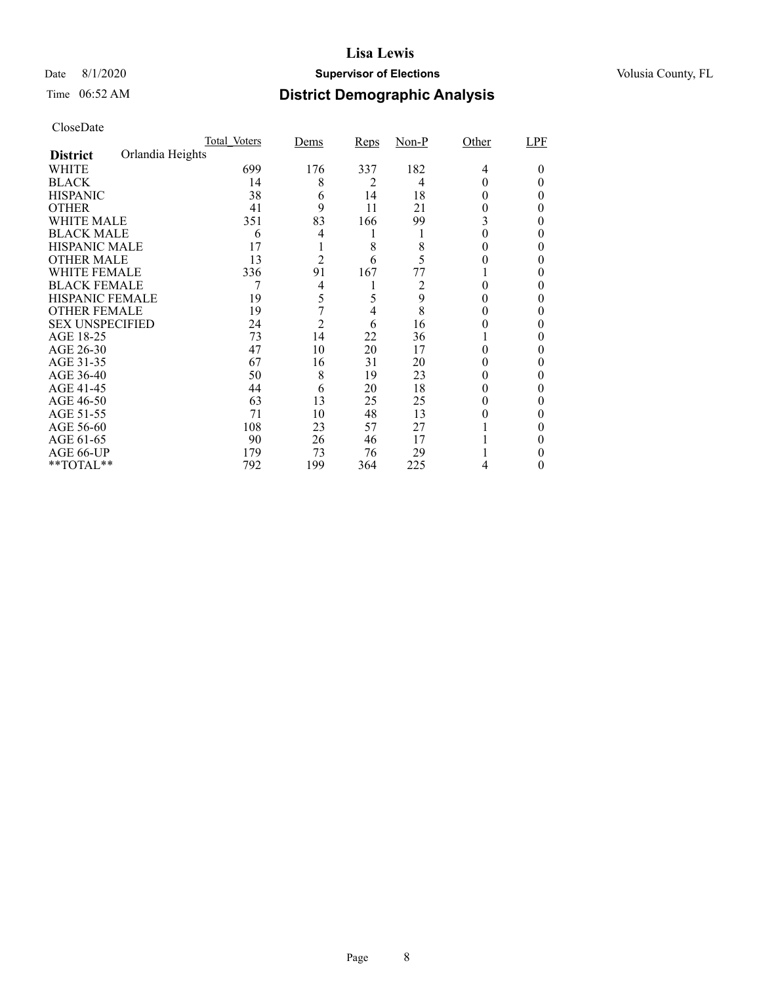## Date 8/1/2020 **Supervisor of Elections Supervisor of Elections** Volusia County, FL

## Time 06:52 AM **District Demographic Analysis**

|                        |                  | Total Voters | Dems           | <b>Reps</b> | $Non-P$ | Other | LPF    |
|------------------------|------------------|--------------|----------------|-------------|---------|-------|--------|
| <b>District</b>        | Orlandia Heights |              |                |             |         |       |        |
| WHITE                  |                  | 699          | 176            | 337         | 182     | 4     | $_{0}$ |
| <b>BLACK</b>           |                  | 14           | 8              | 2           | 4       | 0     |        |
| <b>HISPANIC</b>        |                  | 38           | 6              | 14          | 18      | 0     | 0      |
| <b>OTHER</b>           |                  | 41           | 9              | 11          | 21      | 0     | 0      |
| WHITE MALE             |                  | 351          | 83             | 166         | 99      | 3     | 0      |
| <b>BLACK MALE</b>      |                  | 6            | 4              |             | 1       | 0     | 0      |
| <b>HISPANIC MALE</b>   |                  | 17           |                | 8           | 8       |       | 0      |
| <b>OTHER MALE</b>      |                  | 13           | $\overline{2}$ | 6           | 5       |       | 0      |
| WHITE FEMALE           |                  | 336          | 91             | 167         | 77      |       |        |
| <b>BLACK FEMALE</b>    |                  |              | $\overline{4}$ |             | 2       | 0     | 0      |
| <b>HISPANIC FEMALE</b> |                  | 19           | 5              |             | 9       |       | 0      |
| <b>OTHER FEMALE</b>    |                  | 19           | 7              | 4           | 8       | 0     | 0      |
| <b>SEX UNSPECIFIED</b> |                  | 24           | $\overline{2}$ | 6           | 16      |       |        |
| AGE 18-25              |                  | 73           | 14             | 22          | 36      |       |        |
| AGE 26-30              |                  | 47           | 10             | 20          | 17      | 0     | 0      |
| AGE 31-35              |                  | 67           | 16             | 31          | 20      |       |        |
| AGE 36-40              |                  | 50           | 8              | 19          | 23      |       |        |
| AGE 41-45              |                  | 44           | 6              | 20          | 18      |       | 0      |
| AGE 46-50              |                  | 63           | 13             | 25          | 25      | 0     | 0      |
| AGE 51-55              |                  | 71           | 10             | 48          | 13      |       |        |
| AGE 56-60              |                  | 108          | 23             | 57          | 27      |       | 0      |
| AGE 61-65              |                  | 90           | 26             | 46          | 17      |       | 0      |
| AGE 66-UP              |                  | 179          | 73             | 76          | 29      |       |        |
| **TOTAL**              |                  | 792          | 199            | 364         | 225     | 4     | 0      |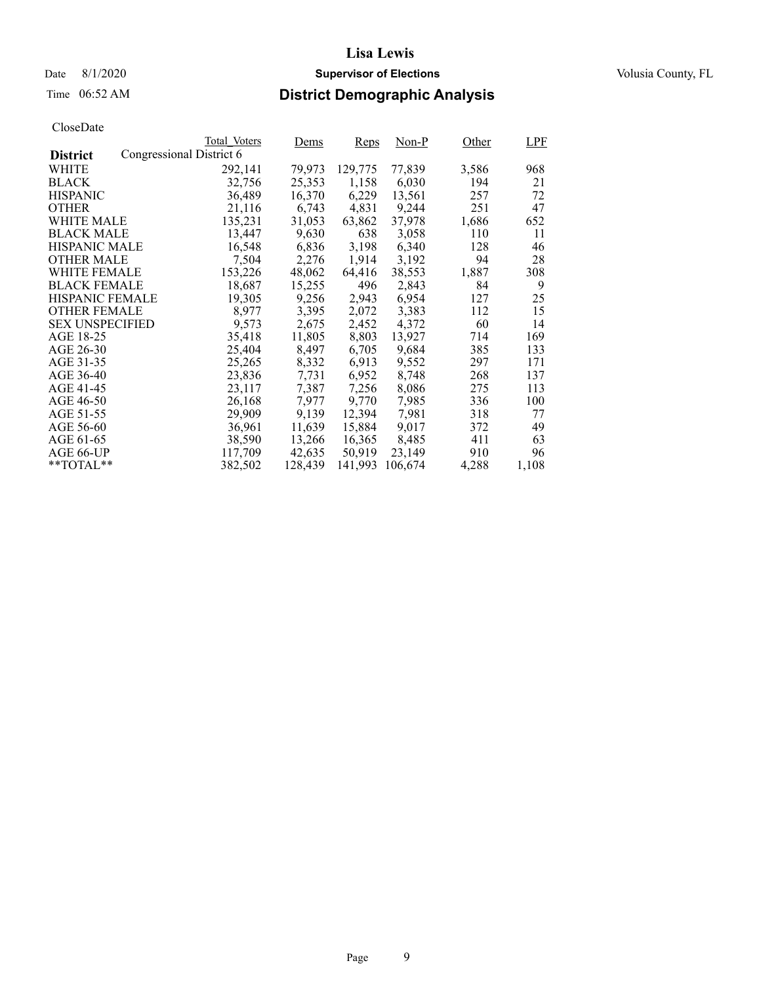## Date 8/1/2020 **Supervisor of Elections Supervisor of Elections** Volusia County, FL

## Time 06:52 AM **District Demographic Analysis**

|                        |                          | Total Voters | Dems    | Reps    | $Non-P$ | Other | LPF   |
|------------------------|--------------------------|--------------|---------|---------|---------|-------|-------|
| <b>District</b>        | Congressional District 6 |              |         |         |         |       |       |
| WHITE                  |                          | 292,141      | 79,973  | 129,775 | 77,839  | 3,586 | 968   |
| <b>BLACK</b>           |                          | 32,756       | 25,353  | 1,158   | 6,030   | 194   | 21    |
| <b>HISPANIC</b>        |                          | 36,489       | 16,370  | 6,229   | 13,561  | 257   | 72    |
| <b>OTHER</b>           |                          | 21,116       | 6,743   | 4,831   | 9,244   | 251   | 47    |
| WHITE MALE             |                          | 135.231      | 31,053  | 63,862  | 37,978  | 1,686 | 652   |
| <b>BLACK MALE</b>      |                          | 13,447       | 9,630   | 638     | 3,058   | 110   | 11    |
| <b>HISPANIC MALE</b>   |                          | 16,548       | 6,836   | 3,198   | 6,340   | 128   | 46    |
| <b>OTHER MALE</b>      |                          | 7,504        | 2,276   | 1,914   | 3,192   | 94    | 28    |
| <b>WHITE FEMALE</b>    |                          | 153,226      | 48,062  | 64,416  | 38,553  | 1,887 | 308   |
| <b>BLACK FEMALE</b>    |                          | 18,687       | 15,255  | 496     | 2,843   | 84    | 9     |
| <b>HISPANIC FEMALE</b> |                          | 19,305       | 9,256   | 2,943   | 6,954   | 127   | 25    |
| <b>OTHER FEMALE</b>    |                          | 8.977        | 3,395   | 2,072   | 3.383   | 112   | 15    |
| <b>SEX UNSPECIFIED</b> |                          | 9,573        | 2,675   | 2,452   | 4,372   | 60    | 14    |
| AGE 18-25              |                          | 35,418       | 11,805  | 8,803   | 13,927  | 714   | 169   |
| AGE 26-30              |                          | 25,404       | 8,497   | 6,705   | 9.684   | 385   | 133   |
| AGE 31-35              |                          | 25,265       | 8,332   | 6,913   | 9,552   | 297   | 171   |
| AGE 36-40              |                          | 23,836       | 7.731   | 6,952   | 8,748   | 268   | 137   |
| AGE 41-45              |                          | 23,117       | 7,387   | 7,256   | 8,086   | 275   | 113   |
| AGE 46-50              |                          | 26,168       | 7,977   | 9,770   | 7,985   | 336   | 100   |
| AGE 51-55              |                          | 29,909       | 9,139   | 12,394  | 7,981   | 318   | 77    |
| AGE 56-60              |                          | 36,961       | 11,639  | 15,884  | 9,017   | 372   | 49    |
| AGE 61-65              |                          | 38,590       | 13,266  | 16,365  | 8,485   | 411   | 63    |
| AGE 66-UP              |                          | 117,709      | 42,635  | 50,919  | 23,149  | 910   | 96    |
| $*$ $TOTAL**$          |                          | 382,502      | 128,439 | 141,993 | 106,674 | 4,288 | 1,108 |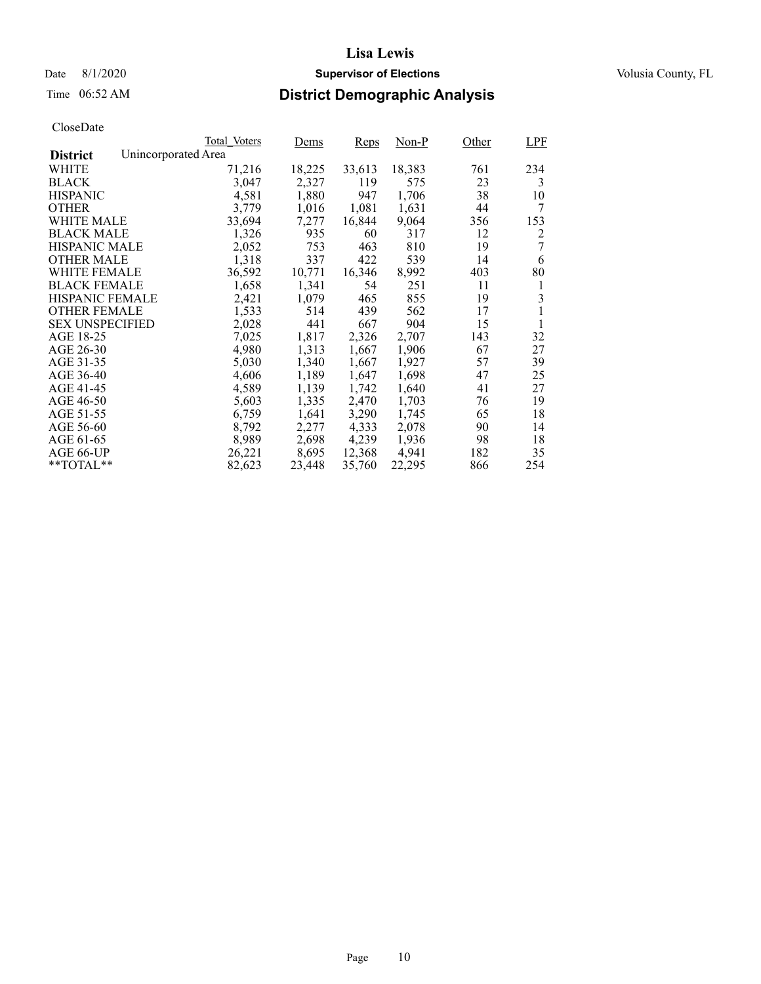## Time 06:52 AM **District Demographic Analysis**

|                        |                     | Total Voters | Dems   | Reps   | Non-P  | Other | <b>LPF</b> |
|------------------------|---------------------|--------------|--------|--------|--------|-------|------------|
| <b>District</b>        | Unincorporated Area |              |        |        |        |       |            |
| WHITE                  |                     | 71,216       | 18,225 | 33,613 | 18,383 | 761   | 234        |
| <b>BLACK</b>           |                     | 3,047        | 2,327  | 119    | 575    | 23    | 3          |
| <b>HISPANIC</b>        |                     | 4,581        | 1,880  | 947    | 1,706  | 38    | 10         |
| <b>OTHER</b>           |                     | 3,779        | 1,016  | 1,081  | 1,631  | 44    | 7          |
| WHITE MALE             |                     | 33,694       | 7,277  | 16,844 | 9,064  | 356   | 153        |
| <b>BLACK MALE</b>      |                     | 1,326        | 935    | 60     | 317    | 12    | 2          |
| <b>HISPANIC MALE</b>   |                     | 2,052        | 753    | 463    | 810    | 19    | 7          |
| <b>OTHER MALE</b>      |                     | 1,318        | 337    | 422    | 539    | 14    | 6          |
| <b>WHITE FEMALE</b>    |                     | 36,592       | 10,771 | 16,346 | 8,992  | 403   | 80         |
| <b>BLACK FEMALE</b>    |                     | 1,658        | 1,341  | 54     | 251    | 11    | 1          |
| HISPANIC FEMALE        |                     | 2,421        | 1,079  | 465    | 855    | 19    | 3          |
| <b>OTHER FEMALE</b>    |                     | 1,533        | 514    | 439    | 562    | 17    | 1          |
| <b>SEX UNSPECIFIED</b> |                     | 2,028        | 441    | 667    | 904    | 15    | 1          |
| AGE 18-25              |                     | 7,025        | 1,817  | 2,326  | 2,707  | 143   | 32         |
| AGE 26-30              |                     | 4,980        | 1,313  | 1,667  | 1,906  | 67    | 27         |
| AGE 31-35              |                     | 5,030        | 1,340  | 1,667  | 1,927  | 57    | 39         |
| AGE 36-40              |                     | 4,606        | 1,189  | 1,647  | 1,698  | 47    | 25         |
| AGE 41-45              |                     | 4,589        | 1,139  | 1,742  | 1,640  | 41    | 27         |
| AGE 46-50              |                     | 5,603        | 1,335  | 2,470  | 1,703  | 76    | 19         |
| AGE 51-55              |                     | 6,759        | 1,641  | 3,290  | 1,745  | 65    | 18         |
| AGE 56-60              |                     | 8,792        | 2,277  | 4,333  | 2,078  | 90    | 14         |
| AGE 61-65              |                     | 8,989        | 2,698  | 4,239  | 1,936  | 98    | 18         |
| AGE 66-UP              |                     | 26,221       | 8,695  | 12,368 | 4,941  | 182   | 35         |
| $*$ $TOTAL**$          |                     | 82,623       | 23,448 | 35,760 | 22,295 | 866   | 254        |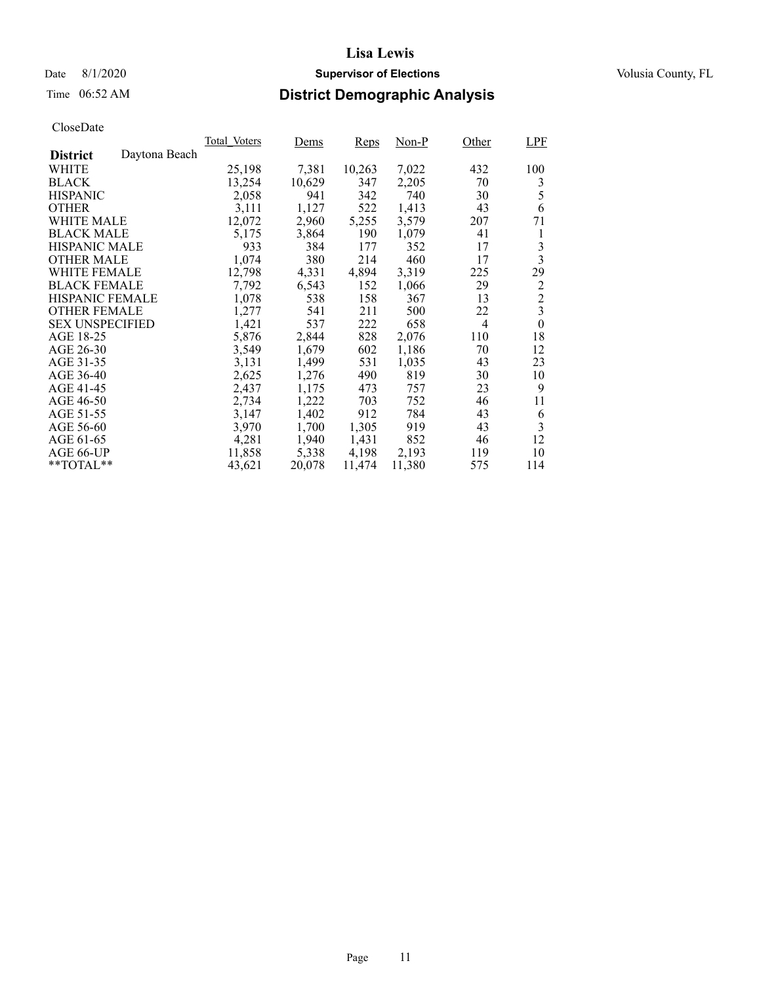## Time 06:52 AM **District Demographic Analysis**

|                        |               | Total Voters | Dems   | Reps   | Non-P  | Other | <b>LPF</b>              |
|------------------------|---------------|--------------|--------|--------|--------|-------|-------------------------|
| <b>District</b>        | Daytona Beach |              |        |        |        |       |                         |
| WHITE                  |               | 25,198       | 7,381  | 10,263 | 7,022  | 432   | 100                     |
| <b>BLACK</b>           |               | 13,254       | 10,629 | 347    | 2,205  | 70    | 3                       |
| <b>HISPANIC</b>        |               | 2,058        | 941    | 342    | 740    | 30    | 5                       |
| <b>OTHER</b>           |               | 3,111        | 1,127  | 522    | 1,413  | 43    | 6                       |
| WHITE MALE             |               | 12,072       | 2,960  | 5,255  | 3,579  | 207   | 71                      |
| <b>BLACK MALE</b>      |               | 5,175        | 3,864  | 190    | 1,079  | 41    | 1                       |
| <b>HISPANIC MALE</b>   |               | 933          | 384    | 177    | 352    | 17    | 3                       |
| <b>OTHER MALE</b>      |               | 1,074        | 380    | 214    | 460    | 17    | 3                       |
| <b>WHITE FEMALE</b>    |               | 12,798       | 4,331  | 4,894  | 3,319  | 225   | 29                      |
| <b>BLACK FEMALE</b>    |               | 7,792        | 6,543  | 152    | 1,066  | 29    | $\overline{c}$          |
| <b>HISPANIC FEMALE</b> |               | 1,078        | 538    | 158    | 367    | 13    | $\overline{c}$          |
| <b>OTHER FEMALE</b>    |               | 1,277        | 541    | 211    | 500    | 22    | $\overline{\mathbf{3}}$ |
| <b>SEX UNSPECIFIED</b> |               | 1,421        | 537    | 222    | 658    | 4     | $\mathbf{0}$            |
| AGE 18-25              |               | 5,876        | 2,844  | 828    | 2,076  | 110   | 18                      |
| AGE 26-30              |               | 3,549        | 1,679  | 602    | 1,186  | 70    | 12                      |
| AGE 31-35              |               | 3,131        | 1,499  | 531    | 1,035  | 43    | 23                      |
| AGE 36-40              |               | 2,625        | 1,276  | 490    | 819    | 30    | 10                      |
| AGE 41-45              |               | 2,437        | 1,175  | 473    | 757    | 23    | 9                       |
| AGE 46-50              |               | 2,734        | 1,222  | 703    | 752    | 46    | 11                      |
| AGE 51-55              |               | 3,147        | 1,402  | 912    | 784    | 43    | 6                       |
| AGE 56-60              |               | 3,970        | 1,700  | 1,305  | 919    | 43    | 3                       |
| AGE 61-65              |               | 4,281        | 1,940  | 1,431  | 852    | 46    | 12                      |
| AGE 66-UP              |               | 11,858       | 5,338  | 4,198  | 2,193  | 119   | 10                      |
| $*$ $TOTAL**$          |               | 43,621       | 20,078 | 11,474 | 11,380 | 575   | 114                     |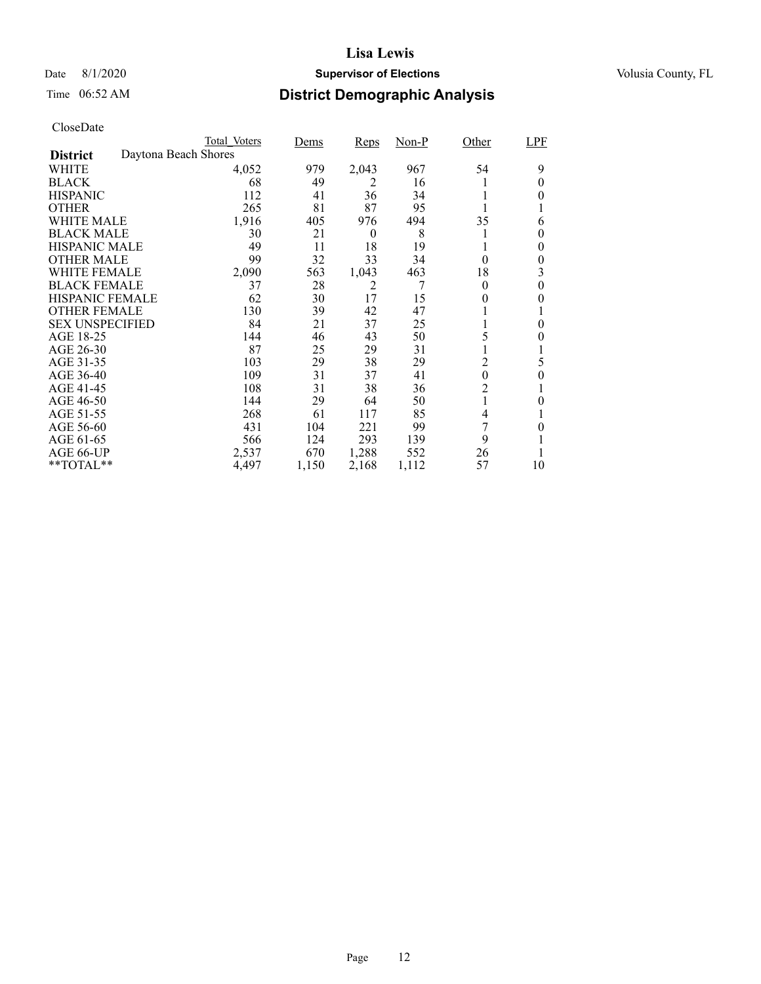## Date 8/1/2020 **Supervisor of Elections Supervisor of Elections** Volusia County, FL

## Time 06:52 AM **District Demographic Analysis**

|                        |                      | Total Voters | Dems  | Reps     | <u>Non-P</u> | Other            | LPF      |
|------------------------|----------------------|--------------|-------|----------|--------------|------------------|----------|
| <b>District</b>        | Daytona Beach Shores |              |       |          |              |                  |          |
| WHITE                  |                      | 4,052        | 979   | 2,043    | 967          | 54               | 9        |
| <b>BLACK</b>           |                      | 68           | 49    | 2        | 16           |                  | 0        |
| <b>HISPANIC</b>        |                      | 112          | 41    | 36       | 34           |                  | 0        |
| <b>OTHER</b>           |                      | 265          | 81    | 87       | 95           |                  |          |
| WHITE MALE             |                      | 1,916        | 405   | 976      | 494          | 35               | 6        |
| <b>BLACK MALE</b>      |                      | 30           | 21    | $\theta$ | 8            |                  | 0        |
| <b>HISPANIC MALE</b>   |                      | 49           | 11    | 18       | 19           |                  | $\theta$ |
| <b>OTHER MALE</b>      |                      | 99           | 32    | 33       | 34           | $\theta$         | 0        |
| WHITE FEMALE           |                      | 2,090        | 563   | 1,043    | 463          | 18               | 3        |
| <b>BLACK FEMALE</b>    |                      | 37           | 28    | 2        |              | $\theta$         | $\theta$ |
| <b>HISPANIC FEMALE</b> |                      | 62           | 30    | 17       | 15           | 0                | 0        |
| <b>OTHER FEMALE</b>    |                      | 130          | 39    | 42       | 47           |                  |          |
| <b>SEX UNSPECIFIED</b> |                      | 84           | 21    | 37       | 25           |                  | $\theta$ |
| AGE 18-25              |                      | 144          | 46    | 43       | 50           | 5                | 0        |
| AGE 26-30              |                      | 87           | 25    | 29       | 31           |                  |          |
| AGE 31-35              |                      | 103          | 29    | 38       | 29           | 2                | 5        |
| AGE 36-40              |                      | 109          | 31    | 37       | 41           | $\boldsymbol{0}$ | 0        |
| AGE 41-45              |                      | 108          | 31    | 38       | 36           | $\overline{2}$   |          |
| AGE 46-50              |                      | 144          | 29    | 64       | 50           |                  | 0        |
| AGE 51-55              |                      | 268          | 61    | 117      | 85           | 4                |          |
| AGE 56-60              |                      | 431          | 104   | 221      | 99           | 7                | 0        |
| AGE 61-65              |                      | 566          | 124   | 293      | 139          | 9                |          |
| AGE 66-UP              |                      | 2,537        | 670   | 1,288    | 552          | 26               |          |
| **TOTAL**              |                      | 4,497        | 1,150 | 2,168    | 1,112        | 57               | 10       |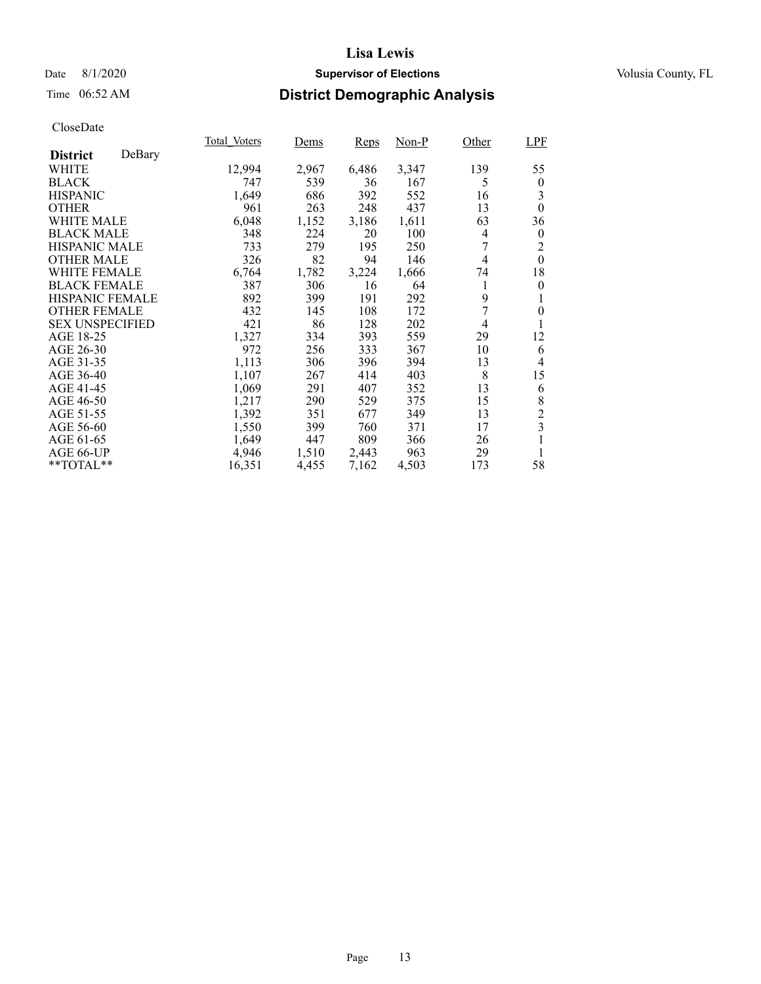## Date 8/1/2020 **Supervisor of Elections Supervisor of Elections** Volusia County, FL

## Time 06:52 AM **District Demographic Analysis**

|                        |        | Total Voters | Dems  | Reps  | Non-P | Other | <b>LPF</b>       |
|------------------------|--------|--------------|-------|-------|-------|-------|------------------|
| <b>District</b>        | DeBary |              |       |       |       |       |                  |
| WHITE                  |        | 12,994       | 2,967 | 6,486 | 3,347 | 139   | 55               |
| <b>BLACK</b>           |        | 747          | 539   | 36    | 167   | 5     | $\boldsymbol{0}$ |
| <b>HISPANIC</b>        |        | 1,649        | 686   | 392   | 552   | 16    | 3                |
| <b>OTHER</b>           |        | 961          | 263   | 248   | 437   | 13    | $\theta$         |
| WHITE MALE             |        | 6,048        | 1,152 | 3,186 | 1,611 | 63    | 36               |
| <b>BLACK MALE</b>      |        | 348          | 224   | 20    | 100   | 4     | $\boldsymbol{0}$ |
| <b>HISPANIC MALE</b>   |        | 733          | 279   | 195   | 250   |       | 2                |
| <b>OTHER MALE</b>      |        | 326          | 82    | 94    | 146   | 4     | $\theta$         |
| <b>WHITE FEMALE</b>    |        | 6,764        | 1,782 | 3,224 | 1,666 | 74    | 18               |
| <b>BLACK FEMALE</b>    |        | 387          | 306   | 16    | 64    |       | $\theta$         |
| <b>HISPANIC FEMALE</b> |        | 892          | 399   | 191   | 292   | 9     | 1                |
| <b>OTHER FEMALE</b>    |        | 432          | 145   | 108   | 172   | 7     | $\theta$         |
| <b>SEX UNSPECIFIED</b> |        | 421          | 86    | 128   | 202   | 4     | 1                |
| AGE 18-25              |        | 1,327        | 334   | 393   | 559   | 29    | 12               |
| AGE 26-30              |        | 972          | 256   | 333   | 367   | 10    | 6                |
| AGE 31-35              |        | 1,113        | 306   | 396   | 394   | 13    | 4                |
| AGE 36-40              |        | 1,107        | 267   | 414   | 403   | 8     | 15               |
| AGE 41-45              |        | 1,069        | 291   | 407   | 352   | 13    | 6                |
| AGE 46-50              |        | 1,217        | 290   | 529   | 375   | 15    | 8                |
| AGE 51-55              |        | 1,392        | 351   | 677   | 349   | 13    | $\overline{c}$   |
| AGE 56-60              |        | 1,550        | 399   | 760   | 371   | 17    | 3                |
| AGE 61-65              |        | 1,649        | 447   | 809   | 366   | 26    | 1                |
| AGE 66-UP              |        | 4,946        | 1,510 | 2,443 | 963   | 29    | 1                |
| **TOTAL**              |        | 16,351       | 4,455 | 7,162 | 4,503 | 173   | 58               |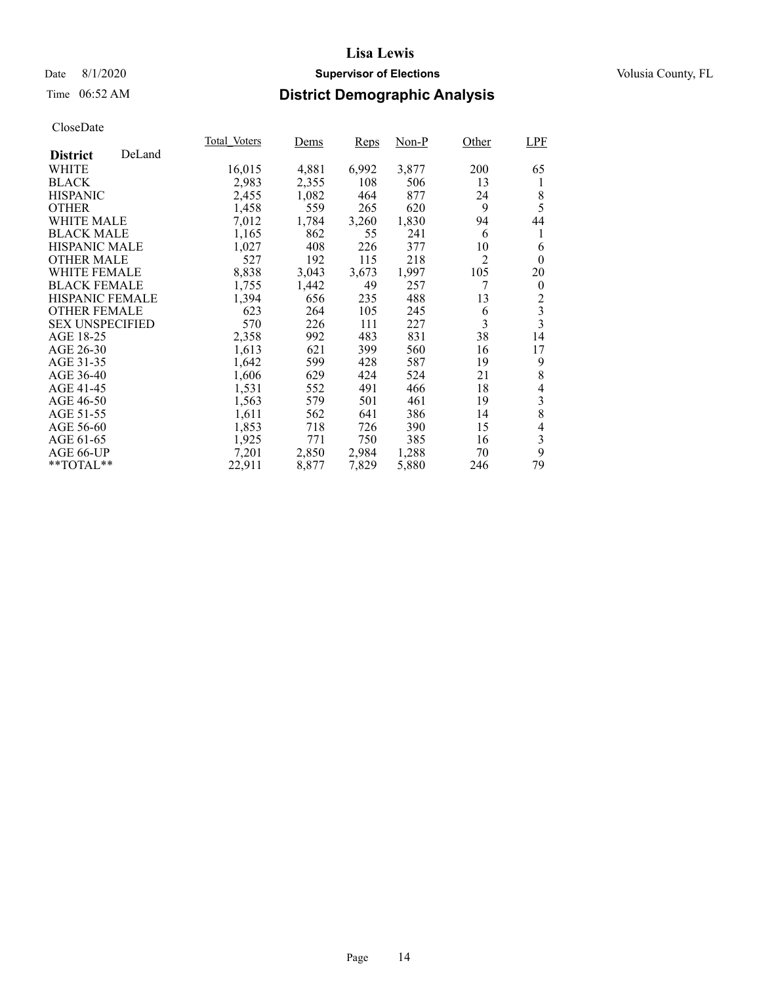## Date 8/1/2020 **Supervisor of Elections Supervisor of Elections** Volusia County, FL

## Time 06:52 AM **District Demographic Analysis**

|                        |        | Total Voters | Dems  | Reps  | Non-P | Other | LPF            |
|------------------------|--------|--------------|-------|-------|-------|-------|----------------|
| <b>District</b>        | DeLand |              |       |       |       |       |                |
| WHITE                  |        | 16,015       | 4,881 | 6,992 | 3,877 | 200   | 65             |
| <b>BLACK</b>           |        | 2,983        | 2,355 | 108   | 506   | 13    | 1              |
| <b>HISPANIC</b>        |        | 2,455        | 1,082 | 464   | 877   | 24    | 8              |
| <b>OTHER</b>           |        | 1,458        | 559   | 265   | 620   | 9     | 5              |
| <b>WHITE MALE</b>      |        | 7,012        | 1,784 | 3,260 | 1,830 | 94    | 44             |
| <b>BLACK MALE</b>      |        | 1,165        | 862   | 55    | 241   | 6     | 1              |
| <b>HISPANIC MALE</b>   |        | 1,027        | 408   | 226   | 377   | 10    | 6              |
| <b>OTHER MALE</b>      |        | 527          | 192   | 115   | 218   | 2     | $\theta$       |
| <b>WHITE FEMALE</b>    |        | 8,838        | 3,043 | 3,673 | 1,997 | 105   | 20             |
| <b>BLACK FEMALE</b>    |        | 1,755        | 1,442 | 49    | 257   |       | $\theta$       |
| HISPANIC FEMALE        |        | 1,394        | 656   | 235   | 488   | 13    | $\overline{c}$ |
| <b>OTHER FEMALE</b>    |        | 623          | 264   | 105   | 245   | 6     | $\frac{3}{3}$  |
| <b>SEX UNSPECIFIED</b> |        | 570          | 226   | 111   | 227   | 3     |                |
| AGE 18-25              |        | 2,358        | 992   | 483   | 831   | 38    | 14             |
| AGE 26-30              |        | 1,613        | 621   | 399   | 560   | 16    | 17             |
| AGE 31-35              |        | 1,642        | 599   | 428   | 587   | 19    | 9              |
| AGE 36-40              |        | 1,606        | 629   | 424   | 524   | 21    | 8              |
| AGE 41-45              |        | 1,531        | 552   | 491   | 466   | 18    | 4              |
| AGE 46-50              |        | 1,563        | 579   | 501   | 461   | 19    | 3              |
| AGE 51-55              |        | 1,611        | 562   | 641   | 386   | 14    | 8              |
| AGE 56-60              |        | 1,853        | 718   | 726   | 390   | 15    | $\overline{4}$ |
| AGE 61-65              |        | 1,925        | 771   | 750   | 385   | 16    | 3              |
| AGE 66-UP              |        | 7,201        | 2,850 | 2,984 | 1,288 | 70    | 9              |
| **TOTAL**              |        | 22,911       | 8,877 | 7,829 | 5,880 | 246   | 79             |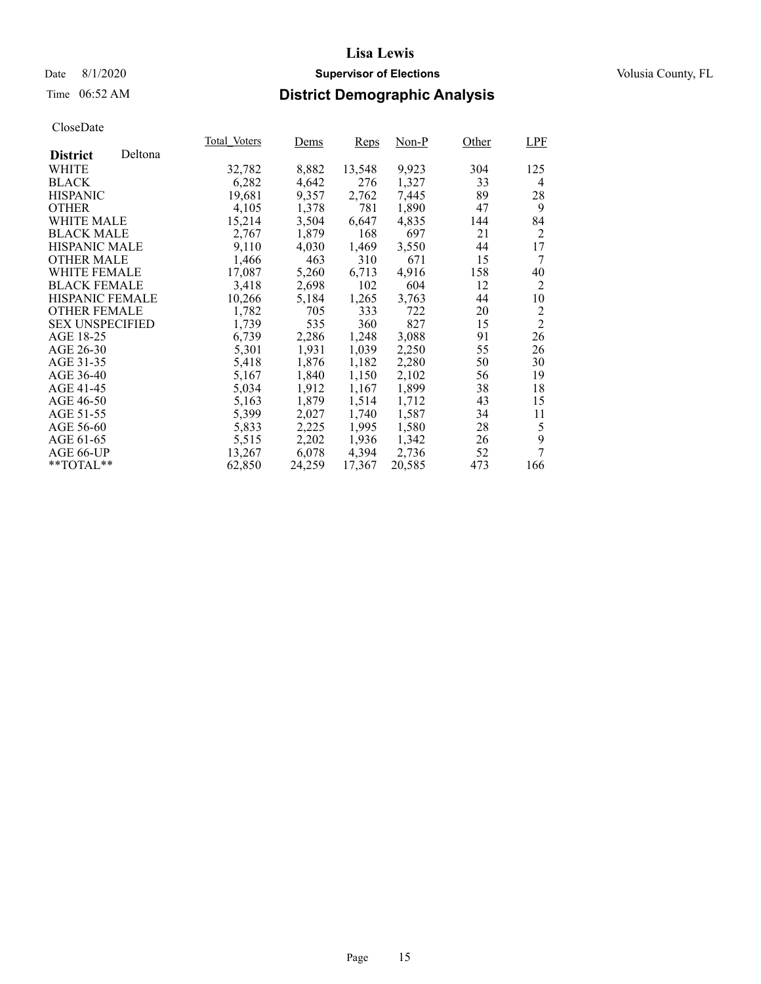## Date 8/1/2020 **Supervisor of Elections Supervisor of Elections** Volusia County, FL

## Time 06:52 AM **District Demographic Analysis**

|                        |         | Total Voters | Dems   | Reps   | Non-P  | Other | <b>LPF</b>     |
|------------------------|---------|--------------|--------|--------|--------|-------|----------------|
| <b>District</b>        | Deltona |              |        |        |        |       |                |
| WHITE                  |         | 32,782       | 8,882  | 13,548 | 9,923  | 304   | 125            |
| <b>BLACK</b>           |         | 6,282        | 4,642  | 276    | 1,327  | 33    | $\overline{4}$ |
| <b>HISPANIC</b>        |         | 19,681       | 9,357  | 2,762  | 7,445  | 89    | 28             |
| <b>OTHER</b>           |         | 4,105        | 1,378  | 781    | 1,890  | 47    | 9              |
| WHITE MALE             |         | 15,214       | 3,504  | 6,647  | 4,835  | 144   | 84             |
| <b>BLACK MALE</b>      |         | 2,767        | 1,879  | 168    | 697    | 21    | 2              |
| <b>HISPANIC MALE</b>   |         | 9,110        | 4,030  | 1,469  | 3,550  | 44    | 17             |
| <b>OTHER MALE</b>      |         | 1,466        | 463    | 310    | 671    | 15    | 7              |
| <b>WHITE FEMALE</b>    |         | 17,087       | 5,260  | 6,713  | 4,916  | 158   | 40             |
| <b>BLACK FEMALE</b>    |         | 3,418        | 2,698  | 102    | 604    | 12    | $\overline{2}$ |
| HISPANIC FEMALE        |         | 10,266       | 5,184  | 1,265  | 3,763  | 44    | 10             |
| <b>OTHER FEMALE</b>    |         | 1,782        | 705    | 333    | 722    | 20    | $\overline{2}$ |
| <b>SEX UNSPECIFIED</b> |         | 1,739        | 535    | 360    | 827    | 15    | $\overline{2}$ |
| AGE 18-25              |         | 6,739        | 2,286  | 1,248  | 3,088  | 91    | 26             |
| AGE 26-30              |         | 5,301        | 1,931  | 1,039  | 2,250  | 55    | 26             |
| AGE 31-35              |         | 5,418        | 1,876  | 1,182  | 2,280  | 50    | 30             |
| AGE 36-40              |         | 5,167        | 1,840  | 1,150  | 2,102  | 56    | 19             |
| AGE 41-45              |         | 5,034        | 1,912  | 1,167  | 1,899  | 38    | 18             |
| AGE 46-50              |         | 5,163        | 1,879  | 1,514  | 1,712  | 43    | 15             |
| AGE 51-55              |         | 5,399        | 2,027  | 1,740  | 1,587  | 34    | 11             |
| AGE 56-60              |         | 5,833        | 2,225  | 1,995  | 1,580  | 28    | 5              |
| AGE 61-65              |         | 5,515        | 2,202  | 1,936  | 1,342  | 26    | 9              |
| AGE 66-UP              |         | 13,267       | 6,078  | 4,394  | 2,736  | 52    | 7              |
| **TOTAL**              |         | 62,850       | 24,259 | 17,367 | 20,585 | 473   | 166            |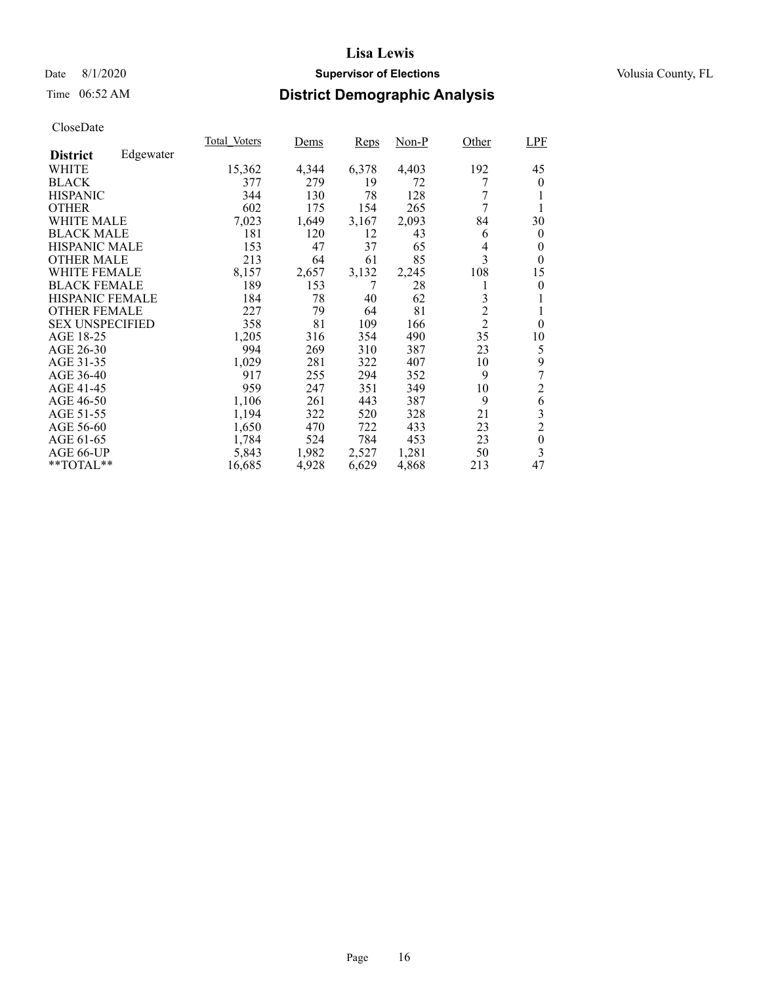## Date 8/1/2020 **Supervisor of Elections Supervisor of Elections** Volusia County, FL

## Time 06:52 AM **District Demographic Analysis**

|                        |           | Total Voters | Dems  | Reps  | Non-P | Other          | <b>LPF</b>       |
|------------------------|-----------|--------------|-------|-------|-------|----------------|------------------|
| <b>District</b>        | Edgewater |              |       |       |       |                |                  |
| WHITE                  |           | 15,362       | 4,344 | 6,378 | 4,403 | 192            | 45               |
| <b>BLACK</b>           |           | 377          | 279   | 19    | 72    | 7              | $\theta$         |
| <b>HISPANIC</b>        |           | 344          | 130   | 78    | 128   | 7              |                  |
| <b>OTHER</b>           |           | 602          | 175   | 154   | 265   | 7              | 1                |
| WHITE MALE             |           | 7,023        | 1,649 | 3,167 | 2,093 | 84             | 30               |
| <b>BLACK MALE</b>      |           | 181          | 120   | 12    | 43    | 6              | $\bf{0}$         |
| <b>HISPANIC MALE</b>   |           | 153          | 47    | 37    | 65    | 4              | $\boldsymbol{0}$ |
| <b>OTHER MALE</b>      |           | 213          | 64    | 61    | 85    | 3              | $\Omega$         |
| <b>WHITE FEMALE</b>    |           | 8,157        | 2,657 | 3,132 | 2,245 | 108            | 15               |
| <b>BLACK FEMALE</b>    |           | 189          | 153   | 7     | 28    |                | $\theta$         |
| HISPANIC FEMALE        |           | 184          | 78    | 40    | 62    | 3              |                  |
| <b>OTHER FEMALE</b>    |           | 227          | 79    | 64    | 81    | $\overline{2}$ |                  |
| <b>SEX UNSPECIFIED</b> |           | 358          | 81    | 109   | 166   | $\overline{2}$ | $\theta$         |
| AGE 18-25              |           | 1,205        | 316   | 354   | 490   | 35             | 10               |
| AGE 26-30              |           | 994          | 269   | 310   | 387   | 23             | 5                |
| AGE 31-35              |           | 1,029        | 281   | 322   | 407   | 10             | 9                |
| AGE 36-40              |           | 917          | 255   | 294   | 352   | 9              | 7                |
| AGE 41-45              |           | 959          | 247   | 351   | 349   | 10             | $\overline{c}$   |
| AGE 46-50              |           | 1,106        | 261   | 443   | 387   | 9              | 6                |
| AGE 51-55              |           | 1,194        | 322   | 520   | 328   | 21             | 3                |
| AGE 56-60              |           | 1,650        | 470   | 722   | 433   | 23             | $\overline{2}$   |
| AGE 61-65              |           | 1,784        | 524   | 784   | 453   | 23             | $\boldsymbol{0}$ |
| AGE 66-UP              |           | 5,843        | 1,982 | 2,527 | 1,281 | 50             | 3                |
| **TOTAL**              |           | 16,685       | 4,928 | 6,629 | 4,868 | 213            | 47               |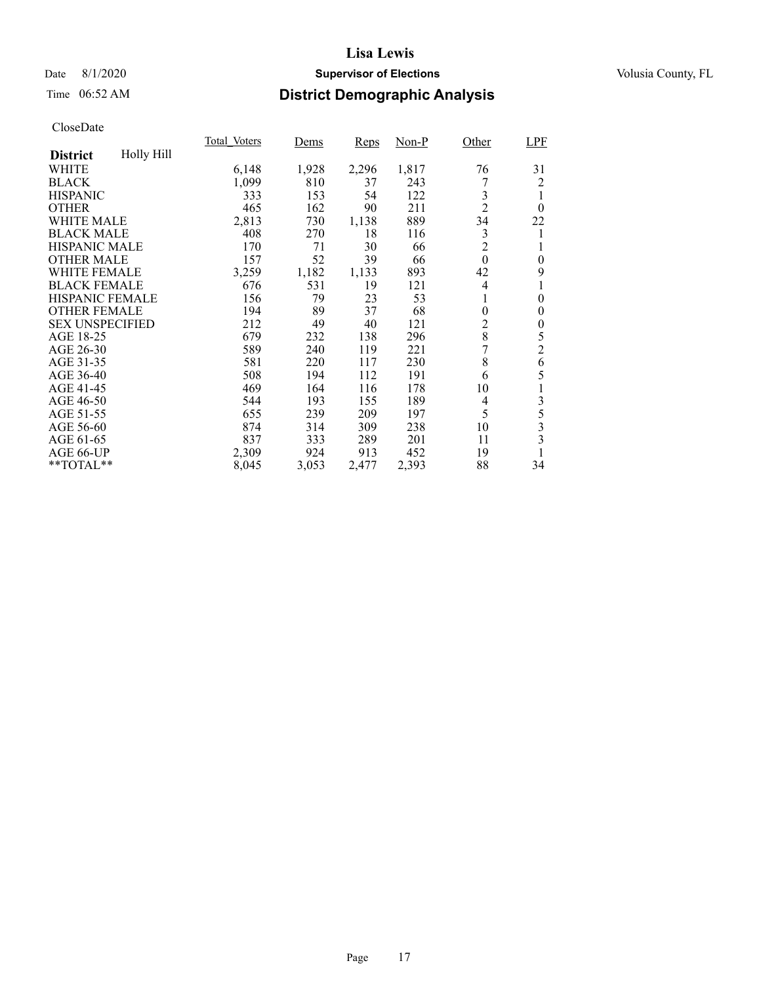## Date 8/1/2020 **Supervisor of Elections Supervisor of Elections** Volusia County, FL

## Time 06:52 AM **District Demographic Analysis**

|                        |            | Total Voters | Dems  | Reps  | Non-P | Other          | <b>LPF</b>              |
|------------------------|------------|--------------|-------|-------|-------|----------------|-------------------------|
| <b>District</b>        | Holly Hill |              |       |       |       |                |                         |
| WHITE                  |            | 6,148        | 1,928 | 2,296 | 1,817 | 76             | 31                      |
| <b>BLACK</b>           |            | 1,099        | 810   | 37    | 243   |                | 2                       |
| <b>HISPANIC</b>        |            | 333          | 153   | 54    | 122   | 3              | 1                       |
| <b>OTHER</b>           |            | 465          | 162   | 90    | 211   | $\overline{2}$ | $\theta$                |
| WHITE MALE             |            | 2,813        | 730   | 1,138 | 889   | 34             | 22                      |
| <b>BLACK MALE</b>      |            | 408          | 270   | 18    | 116   | 3              | 1                       |
| <b>HISPANIC MALE</b>   |            | 170          | 71    | 30    | 66    | $\overline{c}$ | 1                       |
| <b>OTHER MALE</b>      |            | 157          | 52    | 39    | 66    | $\overline{0}$ | $\theta$                |
| <b>WHITE FEMALE</b>    |            | 3,259        | 1,182 | 1,133 | 893   | 42             | 9                       |
| <b>BLACK FEMALE</b>    |            | 676          | 531   | 19    | 121   | 4              | 1                       |
| <b>HISPANIC FEMALE</b> |            | 156          | 79    | 23    | 53    | 1              | $\overline{0}$          |
| <b>OTHER FEMALE</b>    |            | 194          | 89    | 37    | 68    | $\overline{0}$ | $\boldsymbol{0}$        |
| <b>SEX UNSPECIFIED</b> |            | 212          | 49    | 40    | 121   | 2              | $\boldsymbol{0}$        |
| AGE 18-25              |            | 679          | 232   | 138   | 296   | 8              | 5                       |
| AGE 26-30              |            | 589          | 240   | 119   | 221   | 7              | $\overline{c}$          |
| AGE 31-35              |            | 581          | 220   | 117   | 230   | 8              | 6                       |
| AGE 36-40              |            | 508          | 194   | 112   | 191   | 6              | 5                       |
| AGE 41-45              |            | 469          | 164   | 116   | 178   | 10             | $\mathbf{1}$            |
| AGE 46-50              |            | 544          | 193   | 155   | 189   | 4              | 3                       |
| AGE 51-55              |            | 655          | 239   | 209   | 197   | 5              | 5                       |
| AGE 56-60              |            | 874          | 314   | 309   | 238   | 10             | 3                       |
| AGE 61-65              |            | 837          | 333   | 289   | 201   | 11             | $\overline{\mathbf{3}}$ |
| AGE 66-UP              |            | 2,309        | 924   | 913   | 452   | 19             | 1                       |
| $*$ $TOTAL**$          |            | 8,045        | 3,053 | 2,477 | 2,393 | 88             | 34                      |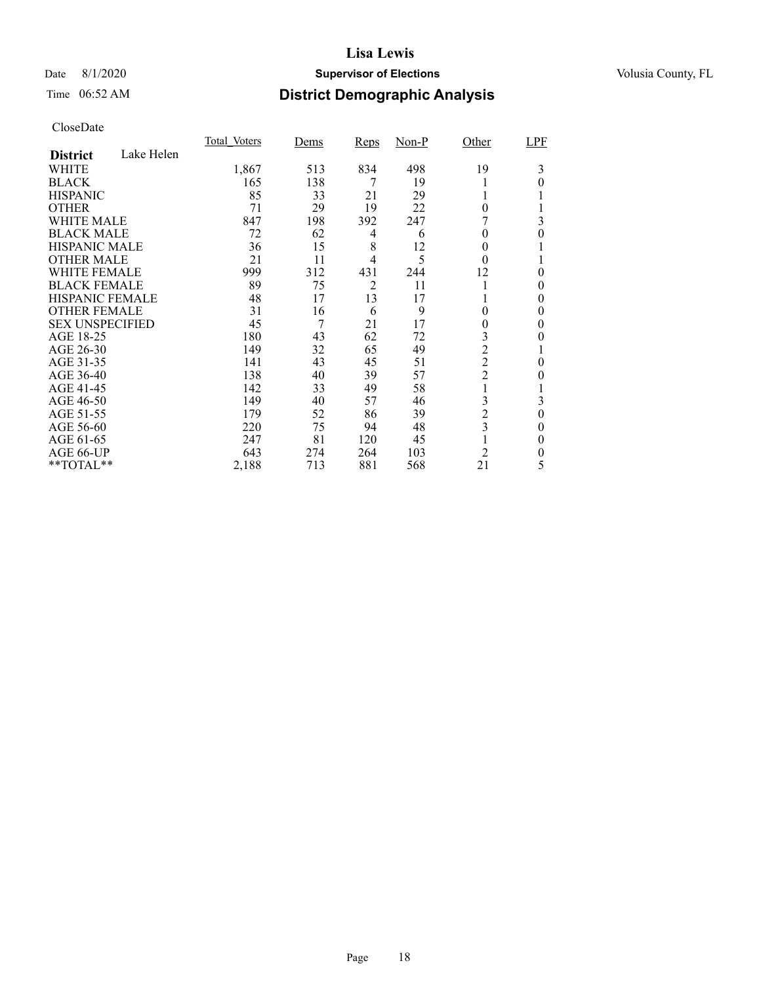## Date 8/1/2020 **Supervisor of Elections Supervisor of Elections** Volusia County, FL

## Time 06:52 AM **District Demographic Analysis**

|                        |            | Total Voters | Dems | <b>Reps</b>    | $Non-P$ | Other                   | LPF      |
|------------------------|------------|--------------|------|----------------|---------|-------------------------|----------|
| <b>District</b>        | Lake Helen |              |      |                |         |                         |          |
| WHITE                  |            | 1,867        | 513  | 834            | 498     | 19                      | 3        |
| <b>BLACK</b>           |            | 165          | 138  | 7              | 19      |                         | 0        |
| <b>HISPANIC</b>        |            | 85           | 33   | 21             | 29      |                         |          |
| <b>OTHER</b>           |            | 71           | 29   | 19             | 22      | $\theta$                |          |
| WHITE MALE             |            | 847          | 198  | 392            | 247     |                         | 3        |
| <b>BLACK MALE</b>      |            | 72           | 62   | 4              | 6       | 0                       | 0        |
| <b>HISPANIC MALE</b>   |            | 36           | 15   | 8              | 12      | 0                       |          |
| <b>OTHER MALE</b>      |            | 21           | 11   | 4              | 5       | $\theta$                |          |
| <b>WHITE FEMALE</b>    |            | 999          | 312  | 431            | 244     | 12                      | 0        |
| <b>BLACK FEMALE</b>    |            | 89           | 75   | $\overline{2}$ | 11      |                         | 0        |
| HISPANIC FEMALE        |            | 48           | 17   | 13             | 17      |                         | 0        |
| <b>OTHER FEMALE</b>    |            | 31           | 16   | 6              | 9       | 0                       | 0        |
| <b>SEX UNSPECIFIED</b> |            | 45           | 7    | 21             | 17      | 0                       | 0        |
| AGE 18-25              |            | 180          | 43   | 62             | 72      | 3                       | 0        |
| AGE 26-30              |            | 149          | 32   | 65             | 49      | $\overline{2}$          |          |
| AGE 31-35              |            | 141          | 43   | 45             | 51      | $\overline{2}$          | 0        |
| AGE 36-40              |            | 138          | 40   | 39             | 57      | $\overline{c}$          | 0        |
| AGE 41-45              |            | 142          | 33   | 49             | 58      |                         |          |
| AGE 46-50              |            | 149          | 40   | 57             | 46      | 3                       | 3        |
| AGE 51-55              |            | 179          | 52   | 86             | 39      | $\overline{c}$          | $\theta$ |
| AGE 56-60              |            | 220          | 75   | 94             | 48      | $\overline{\mathbf{3}}$ | 0        |
| AGE 61-65              |            | 247          | 81   | 120            | 45      |                         | $\theta$ |
| AGE 66-UP              |            | 643          | 274  | 264            | 103     | $\overline{2}$          | 0        |
| **TOTAL**              |            | 2,188        | 713  | 881            | 568     | 21                      | 5        |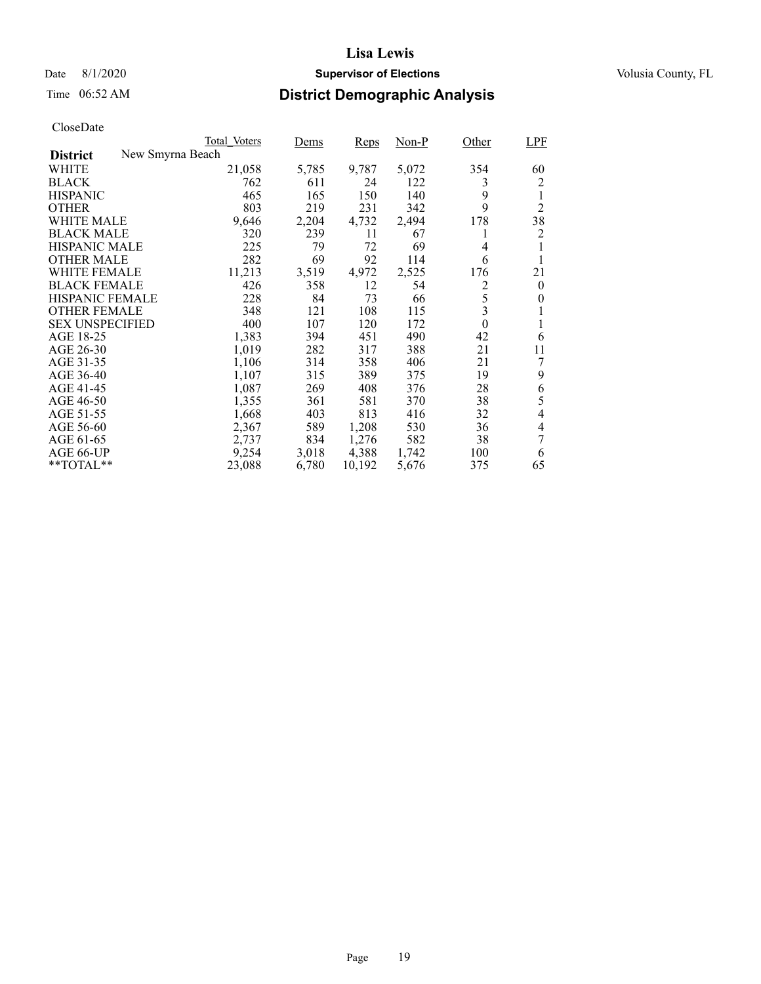## Date 8/1/2020 **Supervisor of Elections Supervisor of Elections** Volusia County, FL

## Time 06:52 AM **District Demographic Analysis**

|                                     | Total Voters | Dems  | Reps   | Non-P | Other    | <b>LPF</b>     |
|-------------------------------------|--------------|-------|--------|-------|----------|----------------|
| New Smyrna Beach<br><b>District</b> |              |       |        |       |          |                |
| WHITE                               | 21,058       | 5,785 | 9,787  | 5,072 | 354      | 60             |
| <b>BLACK</b>                        | 762          | 611   | 24     | 122   | 3        | $\overline{2}$ |
| <b>HISPANIC</b>                     | 465          | 165   | 150    | 140   | 9        | 1              |
| <b>OTHER</b>                        | 803          | 219   | 231    | 342   | 9        | $\overline{2}$ |
| WHITE MALE                          | 9,646        | 2,204 | 4,732  | 2,494 | 178      | 38             |
| <b>BLACK MALE</b>                   | 320          | 239   | 11     | 67    | l        | 2              |
| <b>HISPANIC MALE</b>                | 225          | 79    | 72     | 69    | 4        |                |
| <b>OTHER MALE</b>                   | 282          | 69    | 92     | 114   | 6        |                |
| WHITE FEMALE                        | 11,213       | 3,519 | 4,972  | 2,525 | 176      | 21             |
| <b>BLACK FEMALE</b>                 | 426          | 358   | 12     | 54    | 2        | $\theta$       |
| <b>HISPANIC FEMALE</b>              | 228          | 84    | 73     | 66    | 5        | 0              |
| <b>OTHER FEMALE</b>                 | 348          | 121   | 108    | 115   | 3        |                |
| <b>SEX UNSPECIFIED</b>              | 400          | 107   | 120    | 172   | $\theta$ |                |
| AGE 18-25                           | 1,383        | 394   | 451    | 490   | 42       | 6              |
| AGE 26-30                           | 1,019        | 282   | 317    | 388   | 21       | 11             |
| AGE 31-35                           | 1,106        | 314   | 358    | 406   | 21       | 7              |
| AGE 36-40                           | 1,107        | 315   | 389    | 375   | 19       | 9              |
| AGE 41-45                           | 1,087        | 269   | 408    | 376   | 28       | 6              |
| AGE 46-50                           | 1,355        | 361   | 581    | 370   | 38       | 5              |
| AGE 51-55                           | 1,668        | 403   | 813    | 416   | 32       | 4              |
| AGE 56-60                           | 2,367        | 589   | 1,208  | 530   | 36       | 4              |
| AGE 61-65                           | 2,737        | 834   | 1,276  | 582   | 38       | 7              |
| AGE 66-UP                           | 9,254        | 3,018 | 4,388  | 1,742 | 100      | 6              |
| $*$ $TOTAL**$                       | 23,088       | 6,780 | 10,192 | 5,676 | 375      | 65             |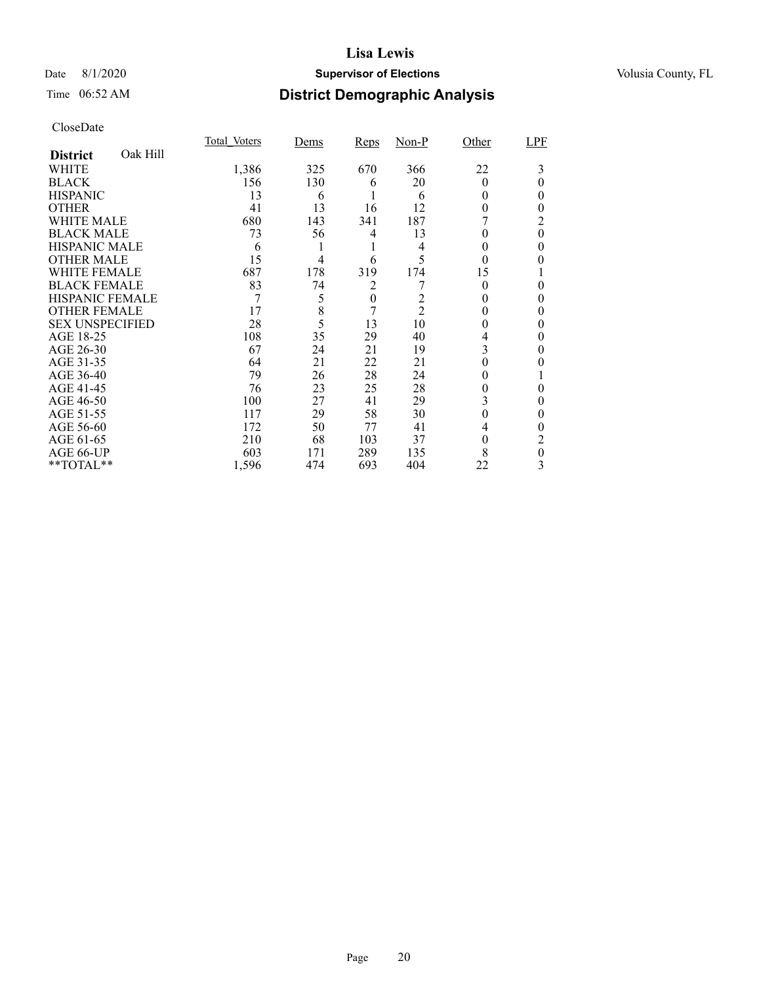## Date 8/1/2020 **Supervisor of Elections Supervisor of Elections** Volusia County, FL

## Time 06:52 AM **District Demographic Analysis**

|                        |          | Total Voters | Dems | Reps             | $Non-P$        | Other    | LPF      |
|------------------------|----------|--------------|------|------------------|----------------|----------|----------|
| <b>District</b>        | Oak Hill |              |      |                  |                |          |          |
| WHITE                  |          | 1,386        | 325  | 670              | 366            | 22       | 3        |
| <b>BLACK</b>           |          | 156          | 130  | 6                | 20             | $\theta$ | 0        |
| <b>HISPANIC</b>        |          | 13           | 6    |                  | 6              | 0        | 0        |
| <b>OTHER</b>           |          | 41           | 13   | 16               | 12             | 0        | 0        |
| WHITE MALE             |          | 680          | 143  | 341              | 187            |          | 2        |
| <b>BLACK MALE</b>      |          | 73           | 56   | 4                | 13             | 0        | $\theta$ |
| <b>HISPANIC MALE</b>   |          | 6            |      |                  | 4              | 0        | 0        |
| <b>OTHER MALE</b>      |          | 15           | 4    | 6                | 5              | $\theta$ | 0        |
| WHITE FEMALE           |          | 687          | 178  | 319              | 174            | 15       |          |
| <b>BLACK FEMALE</b>    |          | 83           | 74   | 2                |                | $\Omega$ | 0        |
| <b>HISPANIC FEMALE</b> |          | 7            | 5    | $\boldsymbol{0}$ | 2              |          | 0        |
| <b>OTHER FEMALE</b>    |          | 17           | 8    | 7                | $\overline{2}$ | 0        | 0        |
| <b>SEX UNSPECIFIED</b> |          | 28           | 5    | 13               | 10             | 0        | 0        |
| AGE 18-25              |          | 108          | 35   | 29               | 40             | 4        | 0        |
| AGE 26-30              |          | 67           | 24   | 21               | 19             | 3        | 0        |
| AGE 31-35              |          | 64           | 21   | 22               | 21             |          |          |
| AGE 36-40              |          | 79           | 26   | 28               | 24             | 0        |          |
| AGE 41-45              |          | 76           | 23   | 25               | 28             | 0        | 0        |
| AGE 46-50              |          | 100          | 27   | 41               | 29             | 3        | 0        |
| AGE 51-55              |          | 117          | 29   | 58               | 30             | $\Omega$ | 0        |
| AGE 56-60              |          | 172          | 50   | 77               | 41             | 4        | 0        |
| AGE 61-65              |          | 210          | 68   | 103              | 37             | $\theta$ | 2        |
| AGE 66-UP              |          | 603          | 171  | 289              | 135            | 8        | 0        |
| **TOTAL**              |          | 1,596        | 474  | 693              | 404            | 22       | 3        |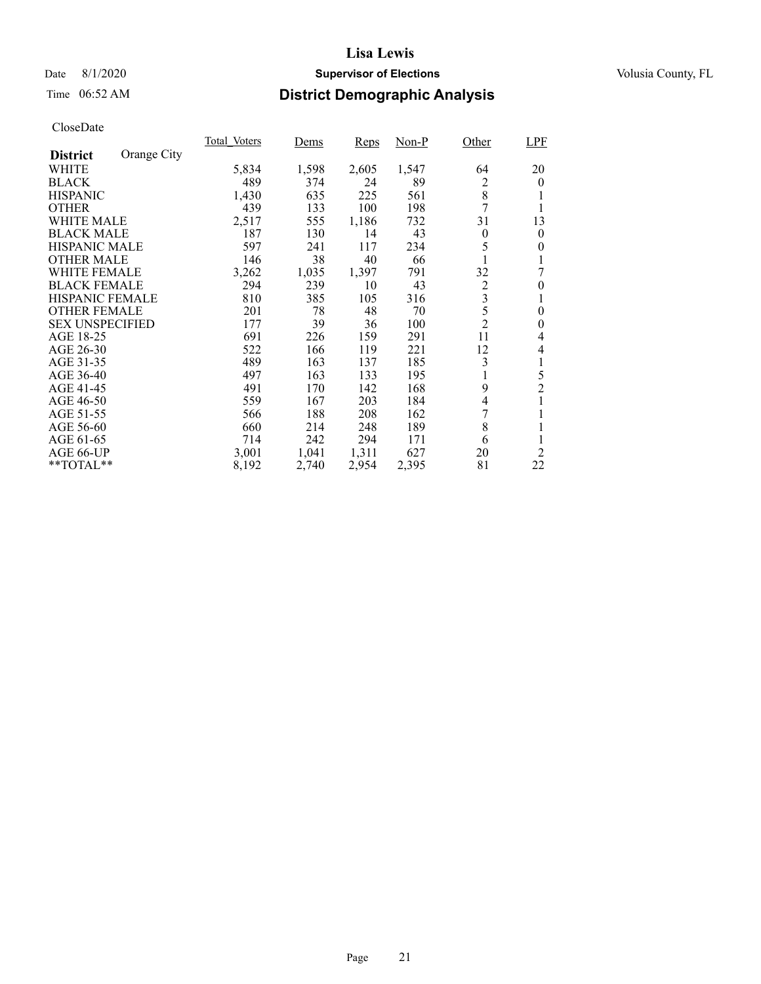## Date 8/1/2020 **Supervisor of Elections Supervisor of Elections** Volusia County, FL

## Time 06:52 AM **District Demographic Analysis**

|                        |             | Total Voters | Dems  | <b>Reps</b> | $Non-P$ | Other                   | <b>LPF</b>     |
|------------------------|-------------|--------------|-------|-------------|---------|-------------------------|----------------|
| <b>District</b>        | Orange City |              |       |             |         |                         |                |
| WHITE                  |             | 5,834        | 1,598 | 2,605       | 1,547   | 64                      | 20             |
| <b>BLACK</b>           |             | 489          | 374   | 24          | 89      | 2                       | $\theta$       |
| <b>HISPANIC</b>        |             | 1,430        | 635   | 225         | 561     | 8                       | 1              |
| <b>OTHER</b>           |             | 439          | 133   | 100         | 198     | 7                       | 1              |
| WHITE MALE             |             | 2,517        | 555   | 1,186       | 732     | 31                      | 13             |
| <b>BLACK MALE</b>      |             | 187          | 130   | 14          | 43      | $\theta$                | $\overline{0}$ |
| <b>HISPANIC MALE</b>   |             | 597          | 241   | 117         | 234     | 5                       | 0              |
| <b>OTHER MALE</b>      |             | 146          | 38    | 40          | 66      |                         |                |
| <b>WHITE FEMALE</b>    |             | 3,262        | 1,035 | 1,397       | 791     | 32                      | 7              |
| <b>BLACK FEMALE</b>    |             | 294          | 239   | 10          | 43      | $\overline{c}$          | $\theta$       |
| HISPANIC FEMALE        |             | 810          | 385   | 105         | 316     | $\overline{\mathbf{3}}$ | 1              |
| <b>OTHER FEMALE</b>    |             | 201          | 78    | 48          | 70      | 5                       | 0              |
| <b>SEX UNSPECIFIED</b> |             | 177          | 39    | 36          | 100     | $\overline{2}$          | 0              |
| AGE 18-25              |             | 691          | 226   | 159         | 291     | 11                      | 4              |
| AGE 26-30              |             | 522          | 166   | 119         | 221     | 12                      | 4              |
| AGE 31-35              |             | 489          | 163   | 137         | 185     | 3                       | 1              |
| AGE 36-40              |             | 497          | 163   | 133         | 195     | 1                       | 5              |
| AGE 41-45              |             | 491          | 170   | 142         | 168     | 9                       | $\overline{2}$ |
| AGE 46-50              |             | 559          | 167   | 203         | 184     | 4                       | 1              |
| AGE 51-55              |             | 566          | 188   | 208         | 162     | 7                       | 1              |
| AGE 56-60              |             | 660          | 214   | 248         | 189     | 8                       |                |
| AGE 61-65              |             | 714          | 242   | 294         | 171     | 6                       | 1              |
| AGE 66-UP              |             | 3,001        | 1,041 | 1,311       | 627     | 20                      | 2              |
| **TOTAL**              |             | 8,192        | 2,740 | 2,954       | 2,395   | 81                      | 22             |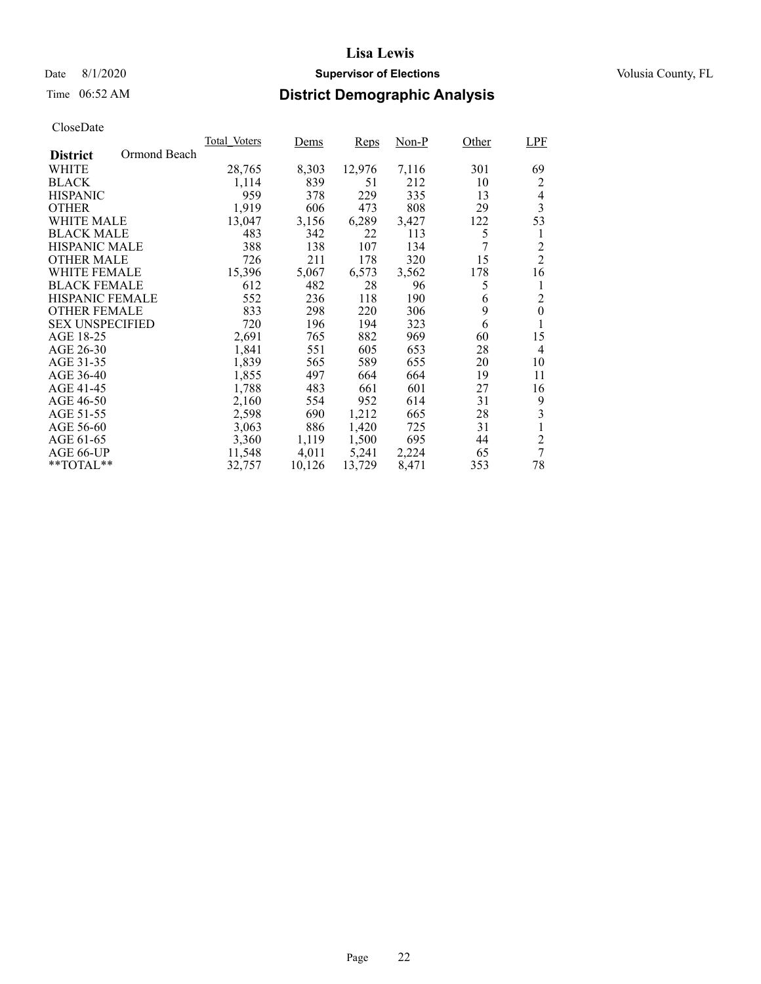## Time 06:52 AM **District Demographic Analysis**

|                                 | Total Voters | Dems   | Reps   | Non-P | Other | <b>LPF</b>       |
|---------------------------------|--------------|--------|--------|-------|-------|------------------|
| Ormond Beach<br><b>District</b> |              |        |        |       |       |                  |
| WHITE                           | 28,765       | 8,303  | 12,976 | 7,116 | 301   | 69               |
| <b>BLACK</b>                    | 1,114        | 839    | 51     | 212   | 10    | 2                |
| <b>HISPANIC</b>                 | 959          | 378    | 229    | 335   | 13    | 4                |
| <b>OTHER</b>                    | 1,919        | 606    | 473    | 808   | 29    | 3                |
| WHITE MALE                      | 13,047       | 3,156  | 6,289  | 3,427 | 122   | 53               |
| <b>BLACK MALE</b>               | 483          | 342    | 22     | 113   | 5     | 1                |
| <b>HISPANIC MALE</b>            | 388          | 138    | 107    | 134   | 7     | 2                |
| <b>OTHER MALE</b>               | 726          | 211    | 178    | 320   | 15    | $\overline{2}$   |
| WHITE FEMALE                    | 15,396       | 5,067  | 6,573  | 3,562 | 178   | 16               |
| <b>BLACK FEMALE</b>             | 612          | 482    | 28     | 96    | 5     | 1                |
| <b>HISPANIC FEMALE</b>          | 552          | 236    | 118    | 190   | 6     | $\overline{c}$   |
| <b>OTHER FEMALE</b>             | 833          | 298    | 220    | 306   | 9     | $\boldsymbol{0}$ |
| <b>SEX UNSPECIFIED</b>          | 720          | 196    | 194    | 323   | 6     | 1                |
| AGE 18-25                       | 2,691        | 765    | 882    | 969   | 60    | 15               |
| AGE 26-30                       | 1,841        | 551    | 605    | 653   | 28    | 4                |
| AGE 31-35                       | 1,839        | 565    | 589    | 655   | 20    | 10               |
| AGE 36-40                       | 1,855        | 497    | 664    | 664   | 19    | 11               |
| AGE 41-45                       | 1,788        | 483    | 661    | 601   | 27    | 16               |
| AGE 46-50                       | 2,160        | 554    | 952    | 614   | 31    | 9                |
| AGE 51-55                       | 2,598        | 690    | 1,212  | 665   | 28    | 3                |
| AGE 56-60                       | 3,063        | 886    | 1,420  | 725   | 31    |                  |
| AGE 61-65                       | 3,360        | 1,119  | 1,500  | 695   | 44    | $\overline{c}$   |
| AGE 66-UP                       | 11,548       | 4,011  | 5,241  | 2,224 | 65    | 7                |
| $*$ $TOTAL**$                   | 32,757       | 10,126 | 13,729 | 8,471 | 353   | 78               |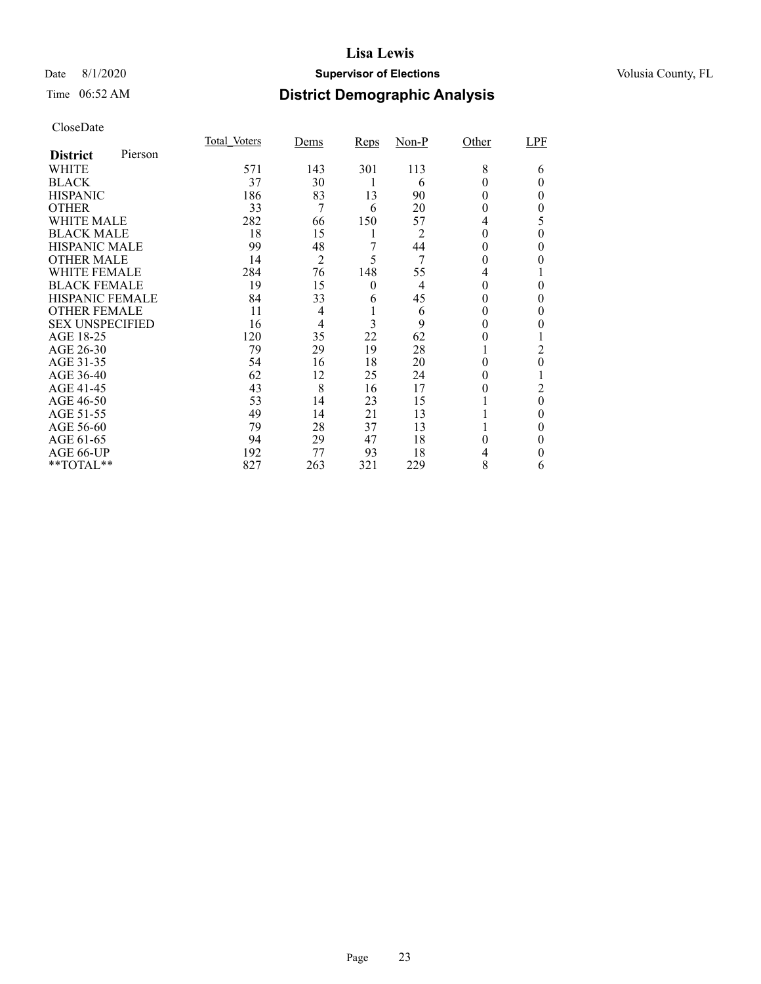## Date 8/1/2020 **Supervisor of Elections Supervisor of Elections** Volusia County, FL

## Time 06:52 AM **District Demographic Analysis**

|                        |         | Total Voters | Dems           | <b>Reps</b> | $Non-P$        | Other | LPF      |
|------------------------|---------|--------------|----------------|-------------|----------------|-------|----------|
| <b>District</b>        | Pierson |              |                |             |                |       |          |
| WHITE                  |         | 571          | 143            | 301         | 113            | 8     | 6        |
| <b>BLACK</b>           |         | 37           | 30             |             | 6              | 0     | $_{0}$   |
| <b>HISPANIC</b>        |         | 186          | 83             | 13          | 90             | 0     | 0        |
| <b>OTHER</b>           |         | 33           | 7              | 6           | 20             | 0     | 0        |
| WHITE MALE             |         | 282          | 66             | 150         | 57             | 4     | 5        |
| <b>BLACK MALE</b>      |         | 18           | 15             | 1           | 2              | 0     | 0        |
| <b>HISPANIC MALE</b>   |         | 99           | 48             | 7           | 44             | 0     | $\theta$ |
| <b>OTHER MALE</b>      |         | 14           | $\overline{2}$ | 5           | 7              | 0     | 0        |
| <b>WHITE FEMALE</b>    |         | 284          | 76             | 148         | 55             |       |          |
| <b>BLACK FEMALE</b>    |         | 19           | 15             | $\theta$    | $\overline{4}$ | 0     | $\Omega$ |
| HISPANIC FEMALE        |         | 84           | 33             | 6           | 45             | 0     | 0        |
| <b>OTHER FEMALE</b>    |         | 11           | $\overline{4}$ |             | 6              | 0     | $\theta$ |
| <b>SEX UNSPECIFIED</b> |         | 16           | $\overline{4}$ | 3           | 9              | 0     |          |
| AGE 18-25              |         | 120          | 35             | 22          | 62             | 0     |          |
| AGE 26-30              |         | 79           | 29             | 19          | 28             |       | 2        |
| AGE 31-35              |         | 54           | 16             | 18          | 20             | 0     | $\theta$ |
| AGE 36-40              |         | 62           | 12             | 25          | 24             | 0     |          |
| AGE 41-45              |         | 43           | 8              | 16          | 17             |       | 2        |
| AGE 46-50              |         | 53           | 14             | 23          | 15             |       | $\theta$ |
| AGE 51-55              |         | 49           | 14             | 21          | 13             |       | $\theta$ |
| AGE 56-60              |         | 79           | 28             | 37          | 13             |       | 0        |
| AGE 61-65              |         | 94           | 29             | 47          | 18             | 0     | $\theta$ |
| AGE 66-UP              |         | 192          | 77             | 93          | 18             |       | 0        |
| **TOTAL**              |         | 827          | 263            | 321         | 229            | 8     | 6        |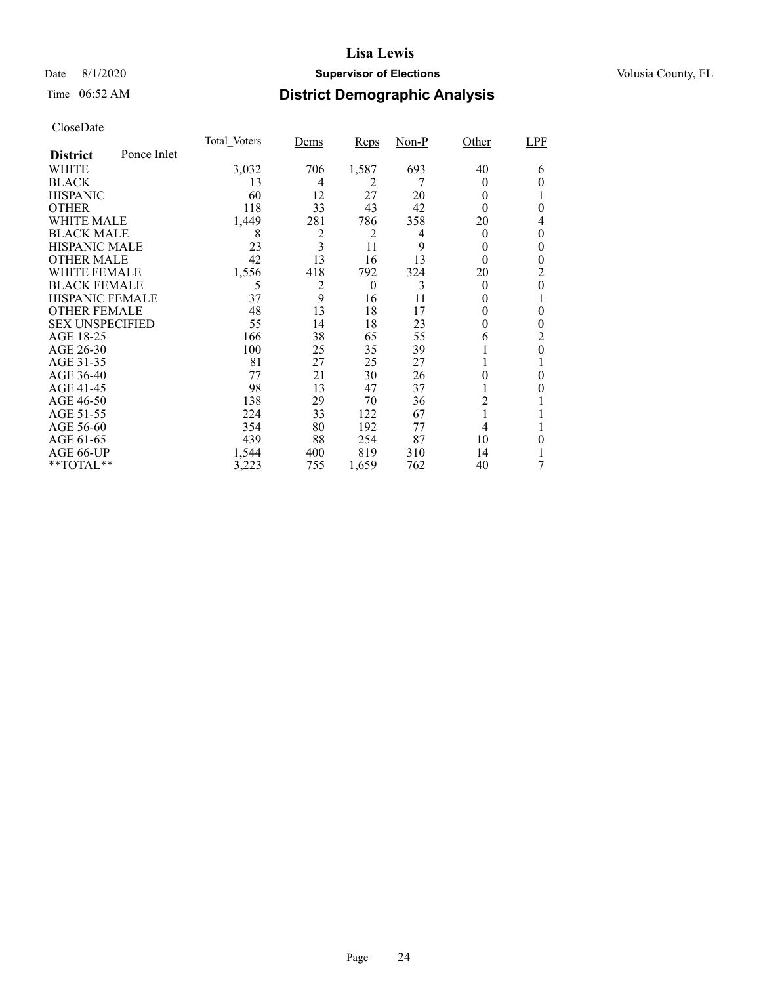## Date 8/1/2020 **Supervisor of Elections Supervisor of Elections** Volusia County, FL

# Time 06:52 AM **District Demographic Analysis**

|                        |             | Total Voters | Dems           | <b>Reps</b>    | $Non-P$ | Other    | <b>LPF</b> |
|------------------------|-------------|--------------|----------------|----------------|---------|----------|------------|
| <b>District</b>        | Ponce Inlet |              |                |                |         |          |            |
| WHITE                  |             | 3,032        | 706            | 1,587          | 693     | 40       | 6          |
| <b>BLACK</b>           |             | 13           | 4              | 2              |         | $_{0}$   | 0          |
| <b>HISPANIC</b>        |             | 60           | 12             | 27             | 20      | 0        |            |
| <b>OTHER</b>           |             | 118          | 33             | 43             | 42      | 0        | 0          |
| WHITE MALE             |             | 1,449        | 281            | 786            | 358     | 20       | 4          |
| <b>BLACK MALE</b>      |             | 8            | $\overline{c}$ | $\overline{c}$ | 4       | $\theta$ | 0          |
| <b>HISPANIC MALE</b>   |             | 23           | 3              | 11             | 9       | 0        | 0          |
| <b>OTHER MALE</b>      |             | 42           | 13             | 16             | 13      | 0        | 0          |
| <b>WHITE FEMALE</b>    |             | 1,556        | 418            | 792            | 324     | 20       | 2          |
| <b>BLACK FEMALE</b>    |             | 5            | 2              | $\theta$       | 3       | $\theta$ | 0          |
| <b>HISPANIC FEMALE</b> |             | 37           | 9              | 16             | 11      | $_{0}$   |            |
| <b>OTHER FEMALE</b>    |             | 48           | 13             | 18             | 17      | $\theta$ | 0          |
| <b>SEX UNSPECIFIED</b> |             | 55           | 14             | 18             | 23      | 0        | 0          |
| AGE 18-25              |             | 166          | 38             | 65             | 55      | 6        | 2          |
| AGE 26-30              |             | 100          | 25             | 35             | 39      | Ι.       | 0          |
| AGE 31-35              |             | 81           | 27             | 25             | 27      |          |            |
| AGE 36-40              |             | 77           | 21             | 30             | 26      |          | 0          |
| AGE 41-45              |             | 98           | 13             | 47             | 37      |          |            |
| AGE 46-50              |             | 138          | 29             | 70             | 36      | 2        |            |
| AGE 51-55              |             | 224          | 33             | 122            | 67      | 1        |            |
| AGE 56-60              |             | 354          | 80             | 192            | 77      | 4        |            |
| AGE 61-65              |             | 439          | 88             | 254            | 87      | 10       | 0          |
| AGE 66-UP              |             | 1,544        | 400            | 819            | 310     | 14       |            |
| **TOTAL**              |             | 3,223        | 755            | 1,659          | 762     | 40       | 7          |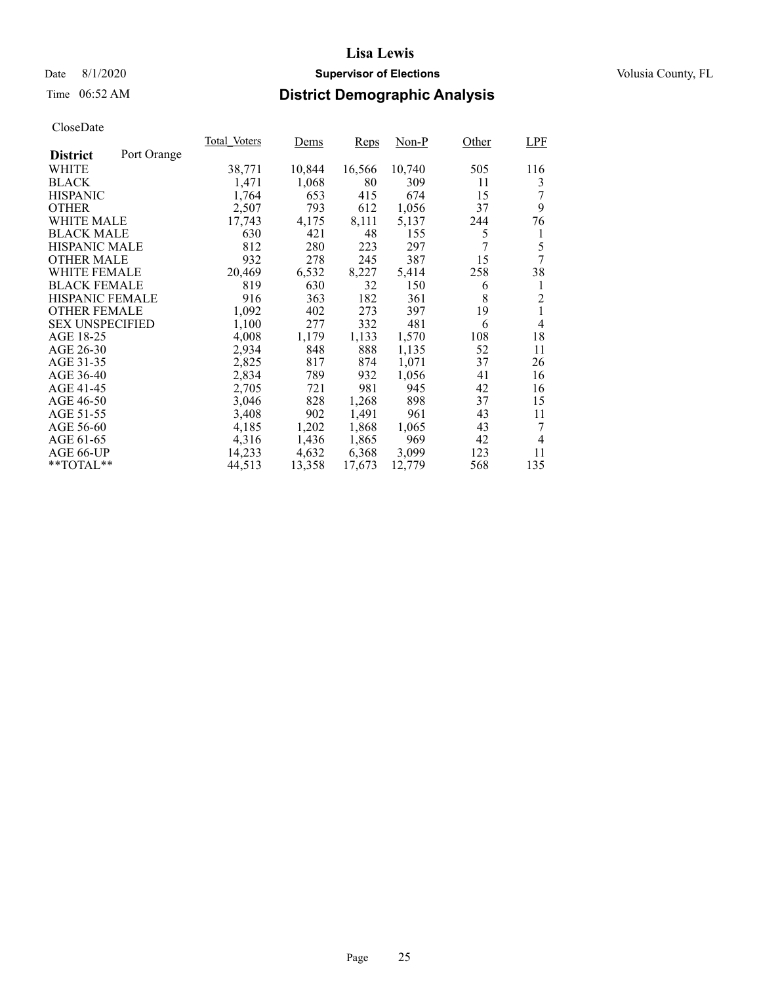## Date 8/1/2020 **Supervisor of Elections Supervisor of Elections** Volusia County, FL

## Time 06:52 AM **District Demographic Analysis**

|                        |             | Total Voters | Dems   | Reps   | Non-P  | Other | <b>LPF</b>     |
|------------------------|-------------|--------------|--------|--------|--------|-------|----------------|
| <b>District</b>        | Port Orange |              |        |        |        |       |                |
| WHITE                  |             | 38,771       | 10,844 | 16,566 | 10,740 | 505   | 116            |
| <b>BLACK</b>           |             | 1,471        | 1,068  | 80     | 309    | 11    | 3              |
| <b>HISPANIC</b>        |             | 1,764        | 653    | 415    | 674    | 15    |                |
| <b>OTHER</b>           |             | 2,507        | 793    | 612    | 1,056  | 37    | 9              |
| WHITE MALE             |             | 17,743       | 4,175  | 8,111  | 5,137  | 244   | 76             |
| <b>BLACK MALE</b>      |             | 630          | 421    | 48     | 155    | 5     | 1              |
| <b>HISPANIC MALE</b>   |             | 812          | 280    | 223    | 297    | 7     | 5              |
| <b>OTHER MALE</b>      |             | 932          | 278    | 245    | 387    | 15    | 7              |
| <b>WHITE FEMALE</b>    |             | 20,469       | 6,532  | 8,227  | 5,414  | 258   | 38             |
| <b>BLACK FEMALE</b>    |             | 819          | 630    | 32     | 150    | 6     | 1              |
| HISPANIC FEMALE        |             | 916          | 363    | 182    | 361    | 8     | $\overline{c}$ |
| <b>OTHER FEMALE</b>    |             | 1,092        | 402    | 273    | 397    | 19    | 1              |
| <b>SEX UNSPECIFIED</b> |             | 1,100        | 277    | 332    | 481    | 6     | 4              |
| AGE 18-25              |             | 4,008        | 1,179  | 1,133  | 1,570  | 108   | 18             |
| AGE 26-30              |             | 2,934        | 848    | 888    | 1,135  | 52    | 11             |
| AGE 31-35              |             | 2,825        | 817    | 874    | 1,071  | 37    | 26             |
| AGE 36-40              |             | 2,834        | 789    | 932    | 1,056  | 41    | 16             |
| AGE 41-45              |             | 2,705        | 721    | 981    | 945    | 42    | 16             |
| AGE 46-50              |             | 3,046        | 828    | 1,268  | 898    | 37    | 15             |
| AGE 51-55              |             | 3,408        | 902    | 1,491  | 961    | 43    | 11             |
| AGE 56-60              |             | 4,185        | 1,202  | 1,868  | 1,065  | 43    | 7              |
| AGE 61-65              |             | 4,316        | 1,436  | 1,865  | 969    | 42    | 4              |
| AGE 66-UP              |             | 14,233       | 4,632  | 6,368  | 3,099  | 123   | 11             |
| $*$ TOTAL $*$          |             | 44,513       | 13,358 | 17,673 | 12,779 | 568   | 135            |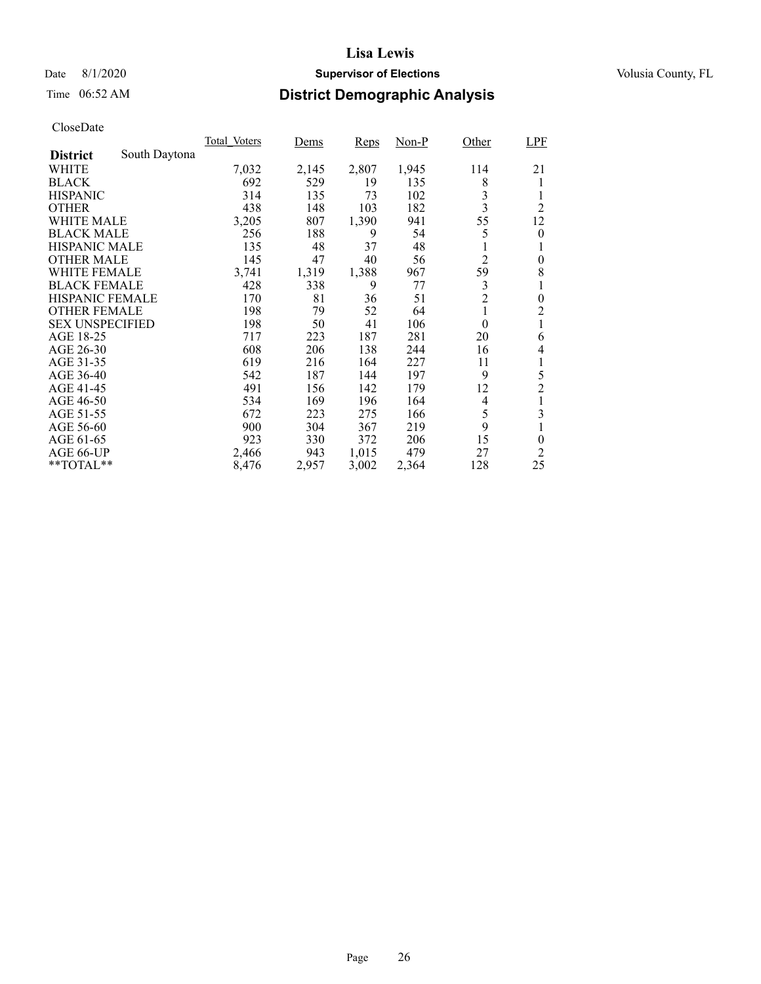## Time 06:52 AM **District Demographic Analysis**

|                        |               | Total Voters | Dems  | Reps  | $Non-P$ | Other          | LPF            |
|------------------------|---------------|--------------|-------|-------|---------|----------------|----------------|
| <b>District</b>        | South Daytona |              |       |       |         |                |                |
| WHITE                  |               | 7,032        | 2,145 | 2,807 | 1,945   | 114            | 21             |
| <b>BLACK</b>           |               | 692          | 529   | 19    | 135     | 8              | 1              |
| <b>HISPANIC</b>        |               | 314          | 135   | 73    | 102     | 3              |                |
| <b>OTHER</b>           |               | 438          | 148   | 103   | 182     | 3              | $\overline{2}$ |
| WHITE MALE             |               | 3,205        | 807   | 1,390 | 941     | 55             | 12             |
| <b>BLACK MALE</b>      |               | 256          | 188   | 9     | 54      | 5              | $\theta$       |
| <b>HISPANIC MALE</b>   |               | 135          | 48    | 37    | 48      | 1              |                |
| <b>OTHER MALE</b>      |               | 145          | 47    | 40    | 56      | $\overline{2}$ | $\overline{0}$ |
| WHITE FEMALE           |               | 3,741        | 1,319 | 1,388 | 967     | 59             | 8              |
| <b>BLACK FEMALE</b>    |               | 428          | 338   | 9     | 77      | 3              | 1              |
| <b>HISPANIC FEMALE</b> |               | 170          | 81    | 36    | 51      | $\overline{c}$ | $\overline{0}$ |
| <b>OTHER FEMALE</b>    |               | 198          | 79    | 52    | 64      | 1              | $\overline{c}$ |
| <b>SEX UNSPECIFIED</b> |               | 198          | 50    | 41    | 106     | $\theta$       | 1              |
| AGE 18-25              |               | 717          | 223   | 187   | 281     | 20             | 6              |
| AGE 26-30              |               | 608          | 206   | 138   | 244     | 16             | 4              |
| AGE 31-35              |               | 619          | 216   | 164   | 227     | 11             |                |
| AGE 36-40              |               | 542          | 187   | 144   | 197     | 9              | 5              |
| AGE 41-45              |               | 491          | 156   | 142   | 179     | 12             | $\overline{2}$ |
| AGE 46-50              |               | 534          | 169   | 196   | 164     | 4              | 1              |
| AGE 51-55              |               | 672          | 223   | 275   | 166     | 5              | 3              |
| AGE 56-60              |               | 900          | 304   | 367   | 219     | 9              |                |
| AGE 61-65              |               | 923          | 330   | 372   | 206     | 15             | 0              |
| AGE 66-UP              |               | 2,466        | 943   | 1,015 | 479     | 27             | 2              |
| $*$ TOTAL $*$          |               | 8,476        | 2,957 | 3,002 | 2,364   | 128            | 25             |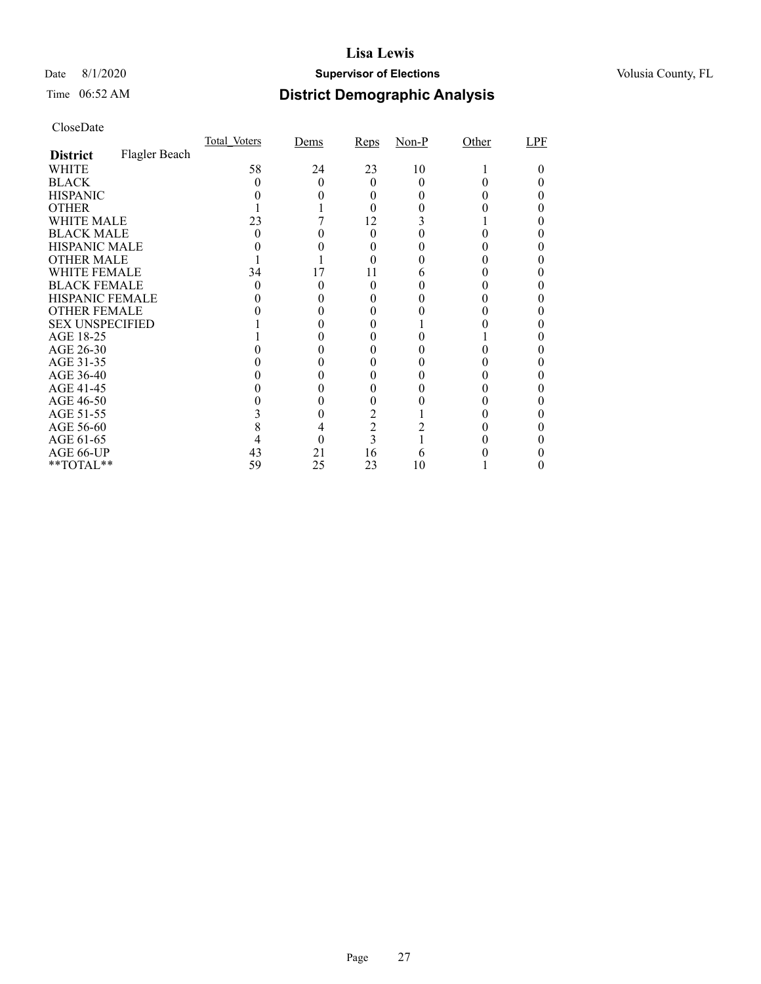## Date 8/1/2020 **Supervisor of Elections Supervisor of Elections** Volusia County, FL

# Time 06:52 AM **District Demographic Analysis**

|                        |               | Total Voters | Dems | Reps           | $Non-P$ | Other | LPF |
|------------------------|---------------|--------------|------|----------------|---------|-------|-----|
| <b>District</b>        | Flagler Beach |              |      |                |         |       |     |
| WHITE                  |               | 58           | 24   | 23             | 10      |       |     |
| <b>BLACK</b>           |               |              |      | 0              |         |       |     |
| <b>HISPANIC</b>        |               |              |      |                |         |       |     |
| <b>OTHER</b>           |               |              |      |                |         |       |     |
| WHITE MALE             |               | 23           |      | 12             |         |       |     |
| <b>BLACK MALE</b>      |               |              |      |                |         |       |     |
| <b>HISPANIC MALE</b>   |               |              |      |                |         |       |     |
| <b>OTHER MALE</b>      |               |              |      |                |         |       |     |
| WHITE FEMALE           |               | 34           | 17   | 11             |         |       |     |
| <b>BLACK FEMALE</b>    |               | 0            |      | 0              |         |       |     |
| <b>HISPANIC FEMALE</b> |               |              |      |                |         |       |     |
| <b>OTHER FEMALE</b>    |               |              |      |                |         |       |     |
| <b>SEX UNSPECIFIED</b> |               |              |      |                |         |       |     |
| AGE 18-25              |               |              |      |                |         |       |     |
| AGE 26-30              |               |              |      |                |         |       |     |
| AGE 31-35              |               |              |      |                |         |       |     |
| AGE 36-40              |               |              |      |                |         |       |     |
| AGE 41-45              |               |              |      |                |         |       |     |
| AGE 46-50              |               |              |      |                |         |       |     |
| AGE 51-55              |               |              |      | $\overline{2}$ |         |       |     |
| AGE 56-60              |               |              |      | $\overline{c}$ |         |       |     |
| AGE 61-65              |               |              |      | 3              |         |       |     |
| AGE 66-UP              |               | 43           | 21   | 16             |         |       |     |
| $*$ $TOTAL**$          |               | 59           | 25   | 23             | 10      |       |     |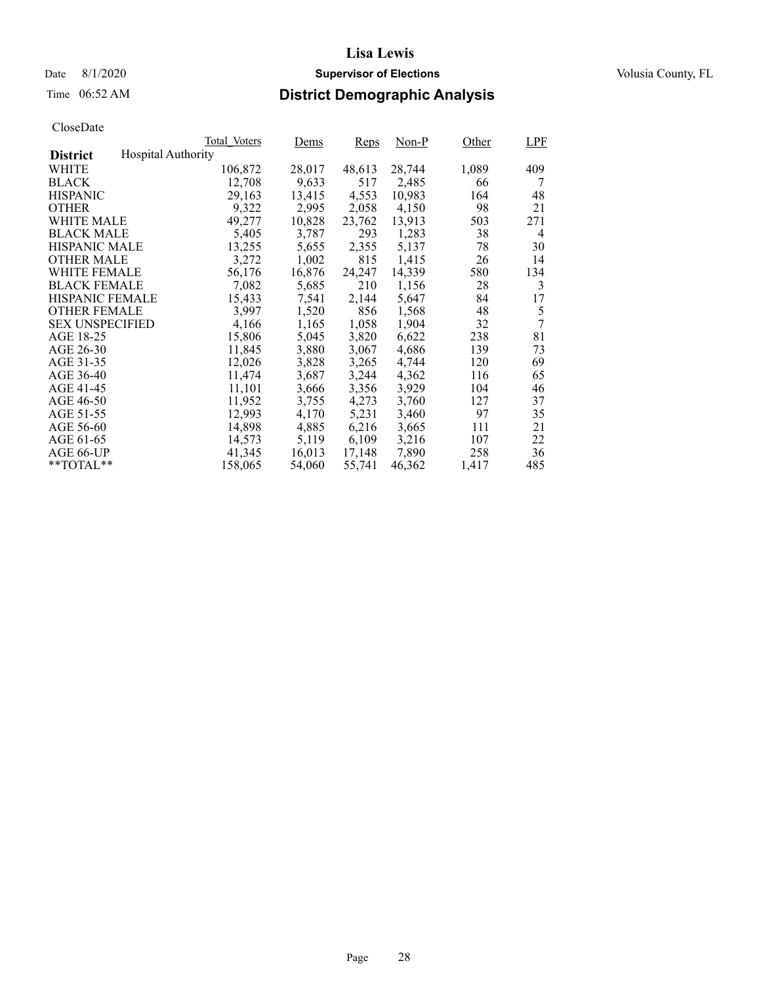Date 8/1/2020 **Supervisor of Elections Supervisor of Elections** Volusia County, FL

## Time 06:52 AM **District Demographic Analysis**

|                        |                           | Total Voters | Dems   | Reps   | Non-P  | Other | <b>LPF</b> |
|------------------------|---------------------------|--------------|--------|--------|--------|-------|------------|
| <b>District</b>        | <b>Hospital Authority</b> |              |        |        |        |       |            |
| WHITE                  |                           | 106,872      | 28,017 | 48,613 | 28,744 | 1,089 | 409        |
| <b>BLACK</b>           |                           | 12,708       | 9,633  | 517    | 2,485  | 66    | 7          |
| <b>HISPANIC</b>        |                           | 29,163       | 13,415 | 4,553  | 10,983 | 164   | 48         |
| <b>OTHER</b>           |                           | 9,322        | 2,995  | 2,058  | 4,150  | 98    | 21         |
| WHITE MALE             |                           | 49,277       | 10,828 | 23,762 | 13.913 | 503   | 271        |
| <b>BLACK MALE</b>      |                           | 5,405        | 3,787  | 293    | 1,283  | 38    | 4          |
| <b>HISPANIC MALE</b>   |                           | 13,255       | 5,655  | 2,355  | 5,137  | 78    | 30         |
| <b>OTHER MALE</b>      |                           | 3,272        | 1,002  | 815    | 1,415  | 26    | 14         |
| <b>WHITE FEMALE</b>    |                           | 56,176       | 16,876 | 24,247 | 14,339 | 580   | 134        |
| <b>BLACK FEMALE</b>    |                           | 7,082        | 5,685  | 210    | 1,156  | 28    | 3          |
| <b>HISPANIC FEMALE</b> |                           | 15,433       | 7,541  | 2,144  | 5,647  | 84    | 17         |
| <b>OTHER FEMALE</b>    |                           | 3.997        | 1,520  | 856    | 1,568  | 48    | 5          |
| <b>SEX UNSPECIFIED</b> |                           | 4,166        | 1,165  | 1,058  | 1,904  | 32    | 7          |
| AGE 18-25              |                           | 15,806       | 5,045  | 3,820  | 6,622  | 238   | 81         |
| AGE 26-30              |                           | 11,845       | 3,880  | 3,067  | 4,686  | 139   | 73         |
| AGE 31-35              |                           | 12,026       | 3,828  | 3,265  | 4,744  | 120   | 69         |
| AGE 36-40              |                           | 11,474       | 3,687  | 3,244  | 4,362  | 116   | 65         |
| AGE 41-45              |                           | 11,101       | 3,666  | 3,356  | 3,929  | 104   | 46         |
| AGE 46-50              |                           | 11,952       | 3,755  | 4,273  | 3,760  | 127   | 37         |
| AGE 51-55              |                           | 12,993       | 4,170  | 5,231  | 3,460  | 97    | 35         |
| AGE 56-60              |                           | 14,898       | 4,885  | 6,216  | 3,665  | 111   | 21         |
| AGE 61-65              |                           | 14,573       | 5,119  | 6,109  | 3,216  | 107   | 22         |
| AGE 66-UP              |                           | 41,345       | 16,013 | 17,148 | 7,890  | 258   | 36         |
| $*$ $TOTAL**$          |                           | 158,065      | 54,060 | 55,741 | 46,362 | 1,417 | 485        |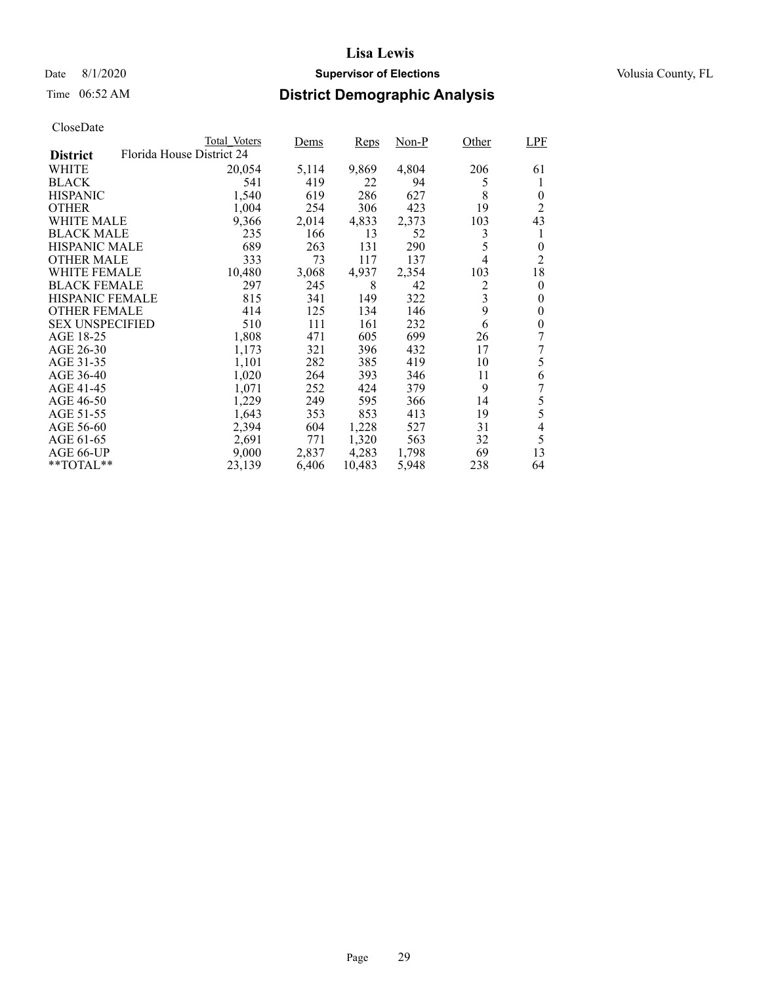## Date 8/1/2020 **Supervisor of Elections Supervisor of Elections** Volusia County, FL

## Time 06:52 AM **District Demographic Analysis**

|                        |                           | Total Voters | Dems  | Reps   | Non-P | Other | <b>LPF</b>               |
|------------------------|---------------------------|--------------|-------|--------|-------|-------|--------------------------|
| <b>District</b>        | Florida House District 24 |              |       |        |       |       |                          |
| WHITE                  |                           | 20,054       | 5,114 | 9,869  | 4,804 | 206   | 61                       |
| <b>BLACK</b>           |                           | 541          | 419   | 22     | 94    | 5     | 1                        |
| <b>HISPANIC</b>        |                           | 1,540        | 619   | 286    | 627   | 8     | $\theta$                 |
| <b>OTHER</b>           |                           | 1,004        | 254   | 306    | 423   | 19    | 2                        |
| WHITE MALE             |                           | 9,366        | 2,014 | 4,833  | 2,373 | 103   | 43                       |
| <b>BLACK MALE</b>      |                           | 235          | 166   | 13     | 52    | 3     | 1                        |
| <b>HISPANIC MALE</b>   |                           | 689          | 263   | 131    | 290   | 5     | 0                        |
| <b>OTHER MALE</b>      |                           | 333          | 73    | 117    | 137   | 4     | 2                        |
| <b>WHITE FEMALE</b>    |                           | 10,480       | 3,068 | 4,937  | 2,354 | 103   | 18                       |
| BLACK FEMALE           |                           | 297          | 245   | 8      | 42    | 2     | $\theta$                 |
| <b>HISPANIC FEMALE</b> |                           | 815          | 341   | 149    | 322   | 3     | 0                        |
| <b>OTHER FEMALE</b>    |                           | 414          | 125   | 134    | 146   | 9     | $\theta$                 |
| <b>SEX UNSPECIFIED</b> |                           | 510          | 111   | 161    | 232   | 6     | 0                        |
| AGE 18-25              |                           | 1,808        | 471   | 605    | 699   | 26    | 7                        |
| AGE 26-30              |                           | 1,173        | 321   | 396    | 432   | 17    | 7                        |
| AGE 31-35              |                           | 1,101        | 282   | 385    | 419   | 10    | 5                        |
| AGE 36-40              |                           | 1,020        | 264   | 393    | 346   | 11    | 6                        |
| AGE 41-45              |                           | 1,071        | 252   | 424    | 379   | 9     | 7                        |
| AGE 46-50              |                           | 1,229        | 249   | 595    | 366   | 14    | 5                        |
| AGE 51-55              |                           | 1,643        | 353   | 853    | 413   | 19    | 5                        |
| AGE 56-60              |                           | 2,394        | 604   | 1,228  | 527   | 31    | $\overline{\mathcal{L}}$ |
| AGE 61-65              |                           | 2,691        | 771   | 1,320  | 563   | 32    | 5                        |
| AGE 66-UP              |                           | 9,000        | 2,837 | 4,283  | 1,798 | 69    | 13                       |
| $*$ $TOTAL**$          |                           | 23,139       | 6,406 | 10,483 | 5,948 | 238   | 64                       |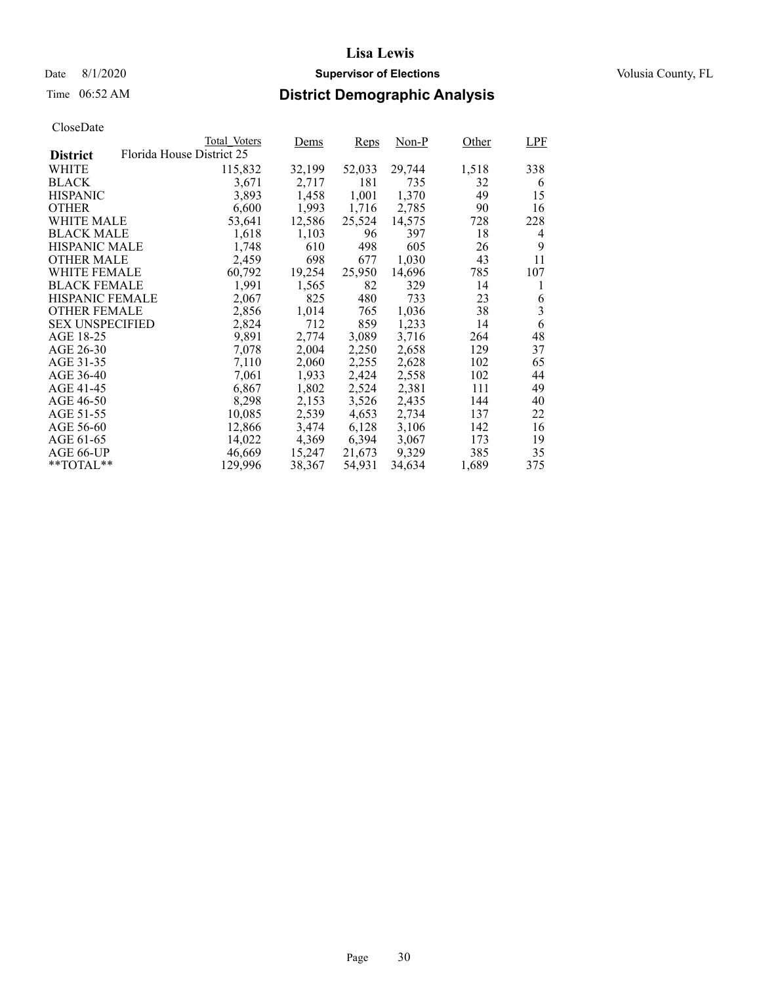# Time 06:52 AM **District Demographic Analysis**

|                        |                           | Total Voters | Dems   | Reps   | $Non-P$ | Other | LPF            |
|------------------------|---------------------------|--------------|--------|--------|---------|-------|----------------|
| <b>District</b>        | Florida House District 25 |              |        |        |         |       |                |
| WHITE                  |                           | 115,832      | 32,199 | 52,033 | 29,744  | 1,518 | 338            |
| <b>BLACK</b>           |                           | 3,671        | 2,717  | 181    | 735     | 32    | 6              |
| <b>HISPANIC</b>        |                           | 3,893        | 1,458  | 1,001  | 1,370   | 49    | 15             |
| <b>OTHER</b>           |                           | 6,600        | 1,993  | 1,716  | 2,785   | 90    | 16             |
| WHITE MALE             |                           | 53,641       | 12,586 | 25,524 | 14.575  | 728   | 228            |
| <b>BLACK MALE</b>      |                           | 1,618        | 1,103  | 96     | 397     | 18    | 4              |
| <b>HISPANIC MALE</b>   |                           | 1,748        | 610    | 498    | 605     | 26    | 9              |
| <b>OTHER MALE</b>      |                           | 2,459        | 698    | 677    | 1,030   | 43    | 11             |
| WHITE FEMALE           |                           | 60,792       | 19,254 | 25,950 | 14,696  | 785   | 107            |
| <b>BLACK FEMALE</b>    |                           | 1,991        | 1,565  | 82     | 329     | 14    | 1              |
| <b>HISPANIC FEMALE</b> |                           | 2,067        | 825    | 480    | 733     | 23    | 6              |
| <b>OTHER FEMALE</b>    |                           | 2,856        | 1,014  | 765    | 1.036   | 38    | $\overline{3}$ |
| <b>SEX UNSPECIFIED</b> |                           | 2,824        | 712    | 859    | 1,233   | 14    | 6              |
| AGE 18-25              |                           | 9,891        | 2,774  | 3,089  | 3,716   | 264   | 48             |
| AGE 26-30              |                           | 7,078        | 2,004  | 2,250  | 2,658   | 129   | 37             |
| AGE 31-35              |                           | 7,110        | 2,060  | 2,255  | 2,628   | 102   | 65             |
| AGE 36-40              |                           | 7,061        | 1,933  | 2,424  | 2,558   | 102   | 44             |
| AGE 41-45              |                           | 6,867        | 1,802  | 2,524  | 2,381   | 111   | 49             |
| AGE 46-50              |                           | 8,298        | 2,153  | 3,526  | 2,435   | 144   | 40             |
| AGE 51-55              |                           | 10,085       | 2,539  | 4,653  | 2,734   | 137   | 22             |
| AGE 56-60              |                           | 12,866       | 3,474  | 6,128  | 3,106   | 142   | 16             |
| AGE 61-65              |                           | 14,022       | 4,369  | 6,394  | 3,067   | 173   | 19             |
| AGE 66-UP              |                           | 46,669       | 15,247 | 21,673 | 9,329   | 385   | 35             |
| $*$ $TOTAL**$          |                           | 129,996      | 38,367 | 54,931 | 34,634  | 1,689 | 375            |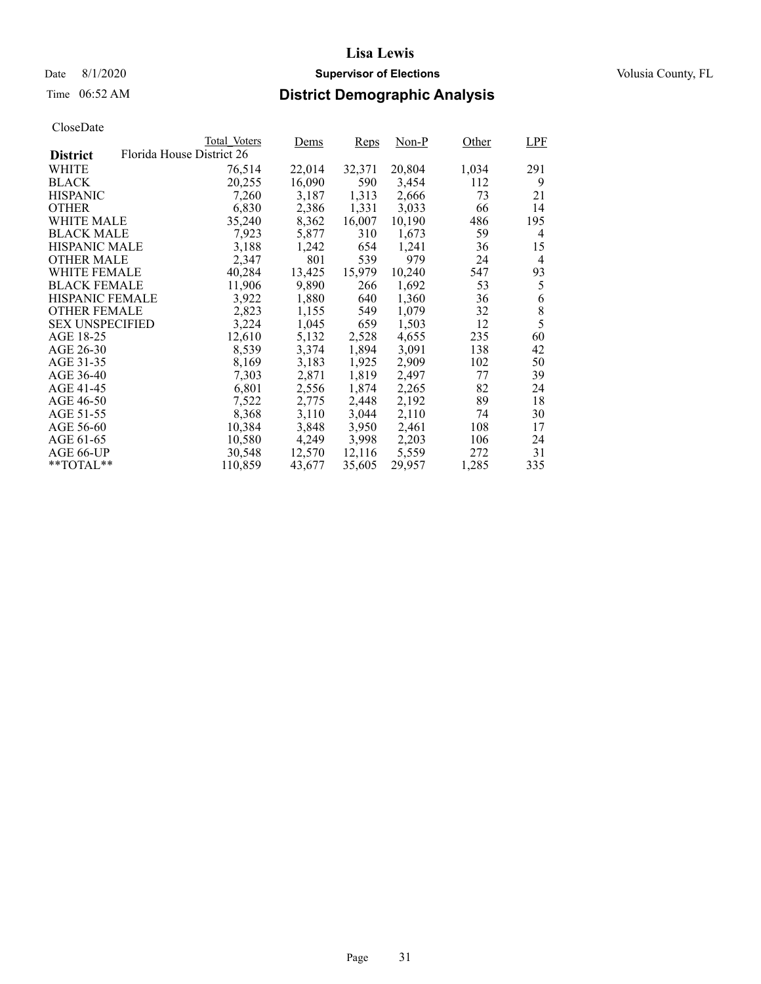## Date 8/1/2020 **Supervisor of Elections Supervisor of Elections** Volusia County, FL

## Time 06:52 AM **District Demographic Analysis**

|                        |                           | Total Voters | Dems   | Reps   | Non-P  | Other | <b>LPF</b> |
|------------------------|---------------------------|--------------|--------|--------|--------|-------|------------|
| <b>District</b>        | Florida House District 26 |              |        |        |        |       |            |
| WHITE                  |                           | 76,514       | 22,014 | 32,371 | 20,804 | 1,034 | 291        |
| <b>BLACK</b>           |                           | 20,255       | 16,090 | 590    | 3,454  | 112   | 9          |
| <b>HISPANIC</b>        |                           | 7,260        | 3,187  | 1,313  | 2,666  | 73    | 21         |
| <b>OTHER</b>           |                           | 6,830        | 2,386  | 1,331  | 3,033  | 66    | 14         |
| WHITE MALE             |                           | 35,240       | 8,362  | 16,007 | 10,190 | 486   | 195        |
| <b>BLACK MALE</b>      |                           | 7,923        | 5,877  | 310    | 1,673  | 59    | 4          |
| <b>HISPANIC MALE</b>   |                           | 3,188        | 1,242  | 654    | 1,241  | 36    | 15         |
| <b>OTHER MALE</b>      |                           | 2,347        | 801    | 539    | 979    | 24    | 4          |
| <b>WHITE FEMALE</b>    |                           | 40,284       | 13,425 | 15,979 | 10,240 | 547   | 93         |
| <b>BLACK FEMALE</b>    |                           | 11,906       | 9,890  | 266    | 1,692  | 53    | 5          |
| <b>HISPANIC FEMALE</b> |                           | 3,922        | 1,880  | 640    | 1,360  | 36    | 6          |
| <b>OTHER FEMALE</b>    |                           | 2,823        | 1,155  | 549    | 1,079  | 32    | 8          |
| <b>SEX UNSPECIFIED</b> |                           | 3,224        | 1,045  | 659    | 1,503  | 12    | 5          |
| AGE 18-25              |                           | 12,610       | 5,132  | 2,528  | 4,655  | 235   | 60         |
| AGE 26-30              |                           | 8,539        | 3,374  | 1,894  | 3,091  | 138   | 42         |
| AGE 31-35              |                           | 8,169        | 3,183  | 1,925  | 2,909  | 102   | 50         |
| AGE 36-40              |                           | 7,303        | 2,871  | 1,819  | 2,497  | 77    | 39         |
| AGE 41-45              |                           | 6,801        | 2,556  | 1,874  | 2,265  | 82    | 24         |
| AGE 46-50              |                           | 7.522        | 2,775  | 2,448  | 2,192  | 89    | 18         |
| AGE 51-55              |                           | 8,368        | 3,110  | 3,044  | 2,110  | 74    | 30         |
| AGE 56-60              |                           | 10,384       | 3,848  | 3,950  | 2,461  | 108   | 17         |
| AGE 61-65              |                           | 10,580       | 4,249  | 3,998  | 2,203  | 106   | 24         |
| AGE 66-UP              |                           | 30,548       | 12,570 | 12,116 | 5,559  | 272   | 31         |
| $*$ $TOTAL**$          |                           | 110,859      | 43,677 | 35,605 | 29,957 | 1,285 | 335        |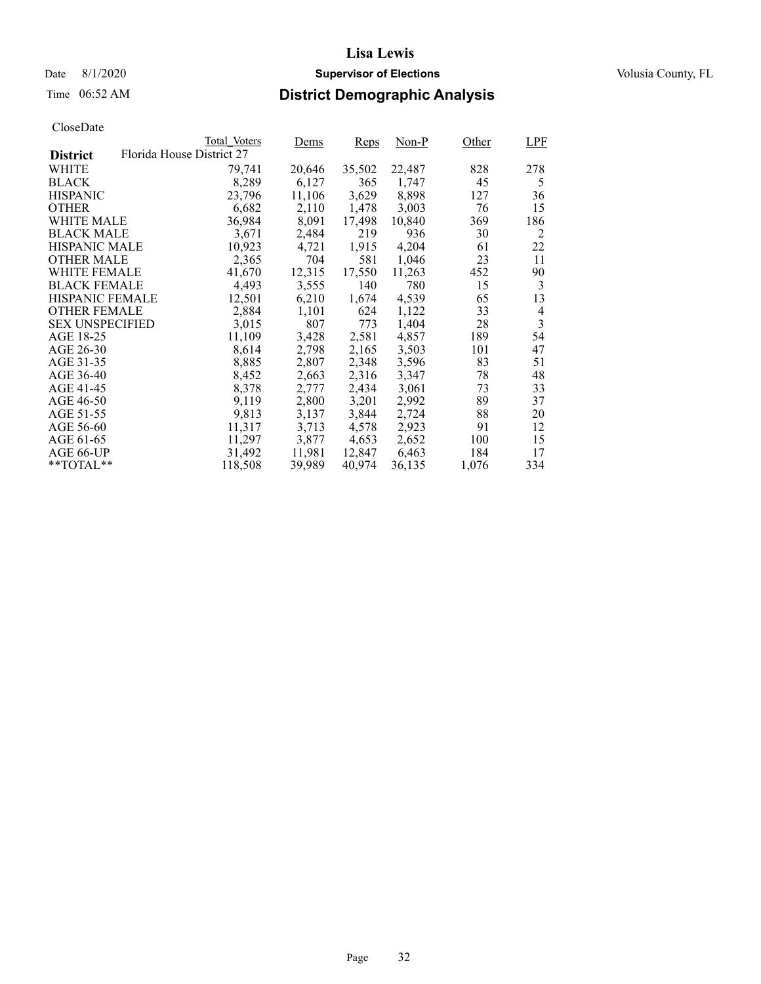## Date 8/1/2020 **Supervisor of Elections Supervisor of Elections** Volusia County, FL

## Time 06:52 AM **District Demographic Analysis**

|                        |                           | Total Voters | Dems   | Reps   | $Non-P$ | Other | <b>LPF</b>     |
|------------------------|---------------------------|--------------|--------|--------|---------|-------|----------------|
| <b>District</b>        | Florida House District 27 |              |        |        |         |       |                |
| WHITE                  |                           | 79,741       | 20,646 | 35,502 | 22,487  | 828   | 278            |
| <b>BLACK</b>           |                           | 8,289        | 6,127  | 365    | 1,747   | 45    | 5              |
| <b>HISPANIC</b>        |                           | 23,796       | 11,106 | 3,629  | 8,898   | 127   | 36             |
| <b>OTHER</b>           |                           | 6,682        | 2,110  | 1,478  | 3,003   | 76    | 15             |
| WHITE MALE             |                           | 36,984       | 8,091  | 17,498 | 10,840  | 369   | 186            |
| <b>BLACK MALE</b>      |                           | 3,671        | 2,484  | 219    | 936     | 30    | 2              |
| <b>HISPANIC MALE</b>   |                           | 10,923       | 4,721  | 1,915  | 4,204   | 61    | 22             |
| <b>OTHER MALE</b>      |                           | 2,365        | 704    | 581    | 1,046   | 23    | 11             |
| <b>WHITE FEMALE</b>    |                           | 41,670       | 12,315 | 17,550 | 11,263  | 452   | 90             |
| <b>BLACK FEMALE</b>    |                           | 4,493        | 3,555  | 140    | 780     | 15    | 3              |
| <b>HISPANIC FEMALE</b> |                           | 12,501       | 6,210  | 1,674  | 4,539   | 65    | 13             |
| <b>OTHER FEMALE</b>    |                           | 2,884        | 1,101  | 624    | 1,122   | 33    | 4              |
| <b>SEX UNSPECIFIED</b> |                           | 3,015        | 807    | 773    | 1,404   | 28    | $\overline{3}$ |
| AGE 18-25              |                           | 11,109       | 3,428  | 2,581  | 4,857   | 189   | 54             |
| AGE 26-30              |                           | 8,614        | 2,798  | 2,165  | 3,503   | 101   | 47             |
| AGE 31-35              |                           | 8,885        | 2,807  | 2,348  | 3,596   | 83    | 51             |
| AGE 36-40              |                           | 8,452        | 2,663  | 2,316  | 3,347   | 78    | 48             |
| AGE 41-45              |                           | 8,378        | 2,777  | 2,434  | 3,061   | 73    | 33             |
| AGE 46-50              |                           | 9,119        | 2,800  | 3,201  | 2,992   | 89    | 37             |
| AGE 51-55              |                           | 9,813        | 3,137  | 3,844  | 2,724   | 88    | 20             |
| AGE 56-60              |                           | 11,317       | 3,713  | 4,578  | 2,923   | 91    | 12             |
| AGE 61-65              |                           | 11,297       | 3,877  | 4,653  | 2,652   | 100   | 15             |
| AGE 66-UP              |                           | 31,492       | 11,981 | 12,847 | 6,463   | 184   | 17             |
| $*$ $TOTAL**$          |                           | 118,508      | 39,989 | 40,974 | 36,135  | 1,076 | 334            |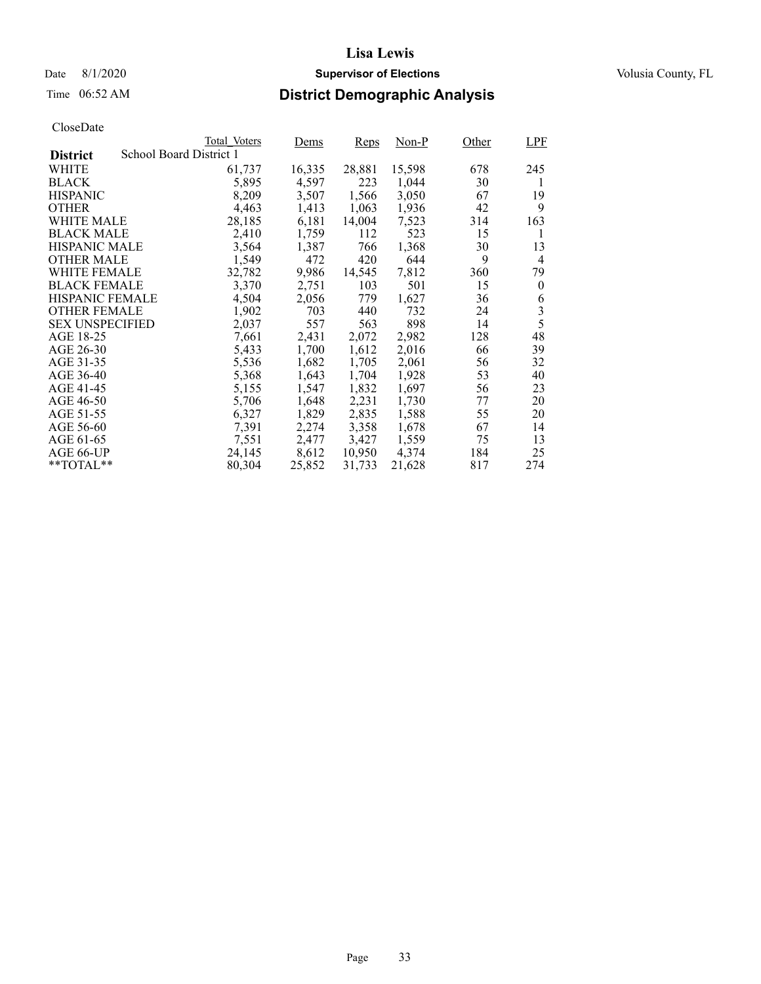## Date 8/1/2020 **Supervisor of Elections Supervisor of Elections** Volusia County, FL

## Time 06:52 AM **District Demographic Analysis**

|                        |                         | Total Voters | Dems   | Reps   | Non-P  | Other | <b>LPF</b> |
|------------------------|-------------------------|--------------|--------|--------|--------|-------|------------|
| <b>District</b>        | School Board District 1 |              |        |        |        |       |            |
| WHITE                  |                         | 61,737       | 16,335 | 28,881 | 15,598 | 678   | 245        |
| <b>BLACK</b>           |                         | 5,895        | 4,597  | 223    | 1,044  | 30    | 1          |
| <b>HISPANIC</b>        |                         | 8,209        | 3,507  | 1,566  | 3,050  | 67    | 19         |
| <b>OTHER</b>           |                         | 4,463        | 1,413  | 1,063  | 1,936  | 42    | 9          |
| WHITE MALE             |                         | 28,185       | 6,181  | 14,004 | 7,523  | 314   | 163        |
| <b>BLACK MALE</b>      |                         | 2,410        | 1,759  | 112    | 523    | 15    | 1          |
| <b>HISPANIC MALE</b>   |                         | 3,564        | 1,387  | 766    | 1,368  | 30    | 13         |
| <b>OTHER MALE</b>      |                         | 1,549        | 472    | 420    | 644    | 9     | 4          |
| WHITE FEMALE           |                         | 32,782       | 9,986  | 14,545 | 7,812  | 360   | 79         |
| <b>BLACK FEMALE</b>    |                         | 3,370        | 2,751  | 103    | 501    | 15    | $\theta$   |
| <b>HISPANIC FEMALE</b> |                         | 4,504        | 2,056  | 779    | 1,627  | 36    | 6          |
| <b>OTHER FEMALE</b>    |                         | 1,902        | 703    | 440    | 732    | 24    | 3          |
| <b>SEX UNSPECIFIED</b> |                         | 2,037        | 557    | 563    | 898    | 14    | 5          |
| AGE 18-25              |                         | 7,661        | 2,431  | 2,072  | 2,982  | 128   | 48         |
| AGE 26-30              |                         | 5,433        | 1,700  | 1,612  | 2,016  | 66    | 39         |
| AGE 31-35              |                         | 5,536        | 1,682  | 1,705  | 2,061  | 56    | 32         |
| AGE 36-40              |                         | 5,368        | 1,643  | 1,704  | 1,928  | 53    | 40         |
| AGE 41-45              |                         | 5,155        | 1,547  | 1,832  | 1,697  | 56    | 23         |
| AGE 46-50              |                         | 5,706        | 1,648  | 2,231  | 1,730  | 77    | 20         |
| AGE 51-55              |                         | 6,327        | 1,829  | 2,835  | 1,588  | 55    | 20         |
| AGE 56-60              |                         | 7,391        | 2,274  | 3,358  | 1,678  | 67    | 14         |
| AGE 61-65              |                         | 7,551        | 2,477  | 3,427  | 1,559  | 75    | 13         |
| AGE 66-UP              |                         | 24,145       | 8,612  | 10,950 | 4,374  | 184   | 25         |
| $*$ $TOTAL**$          |                         | 80,304       | 25,852 | 31,733 | 21,628 | 817   | 274        |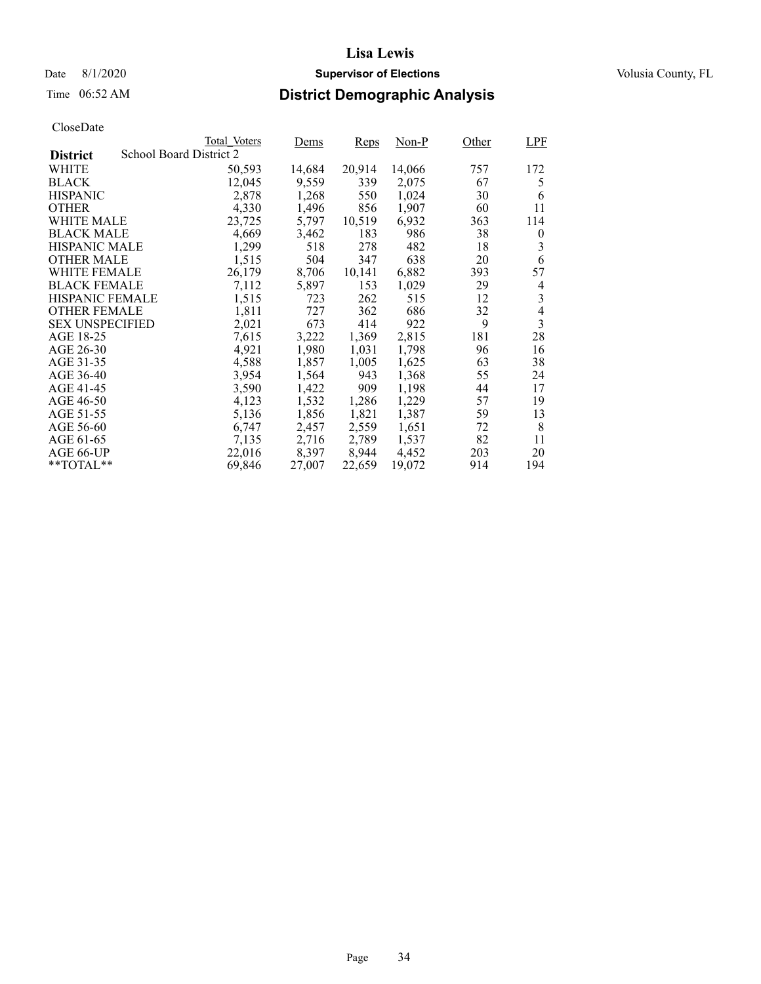## Date 8/1/2020 **Supervisor of Elections Supervisor of Elections** Volusia County, FL

## Time 06:52 AM **District Demographic Analysis**

|                        |                         | Total Voters | Dems   | Reps   | Non-P  | Other | LPF            |
|------------------------|-------------------------|--------------|--------|--------|--------|-------|----------------|
| <b>District</b>        | School Board District 2 |              |        |        |        |       |                |
| WHITE                  |                         | 50,593       | 14,684 | 20,914 | 14,066 | 757   | 172            |
| <b>BLACK</b>           |                         | 12,045       | 9,559  | 339    | 2,075  | 67    | 5              |
| <b>HISPANIC</b>        |                         | 2,878        | 1,268  | 550    | 1,024  | 30    | 6              |
| <b>OTHER</b>           |                         | 4,330        | 1,496  | 856    | 1,907  | 60    | 11             |
| WHITE MALE             |                         | 23,725       | 5,797  | 10,519 | 6,932  | 363   | 114            |
| <b>BLACK MALE</b>      |                         | 4,669        | 3,462  | 183    | 986    | 38    | $\theta$       |
| <b>HISPANIC MALE</b>   |                         | 1,299        | 518    | 278    | 482    | 18    | 3              |
| <b>OTHER MALE</b>      |                         | 1,515        | 504    | 347    | 638    | 20    | 6              |
| <b>WHITE FEMALE</b>    |                         | 26,179       | 8,706  | 10,141 | 6,882  | 393   | 57             |
| <b>BLACK FEMALE</b>    |                         | 7,112        | 5,897  | 153    | 1,029  | 29    | 4              |
| HISPANIC FEMALE        |                         | 1,515        | 723    | 262    | 515    | 12    | 3              |
| <b>OTHER FEMALE</b>    |                         | 1,811        | 727    | 362    | 686    | 32    | $\overline{4}$ |
| <b>SEX UNSPECIFIED</b> |                         | 2,021        | 673    | 414    | 922    | 9     | 3              |
| AGE 18-25              |                         | 7,615        | 3,222  | 1,369  | 2,815  | 181   | 28             |
| AGE 26-30              |                         | 4,921        | 1,980  | 1,031  | 1,798  | 96    | 16             |
| AGE 31-35              |                         | 4,588        | 1,857  | 1,005  | 1,625  | 63    | 38             |
| AGE 36-40              |                         | 3,954        | 1,564  | 943    | 1,368  | 55    | 24             |
| AGE 41-45              |                         | 3,590        | 1,422  | 909    | 1,198  | 44    | 17             |
| AGE 46-50              |                         | 4,123        | 1,532  | 1,286  | 1,229  | 57    | 19             |
| AGE 51-55              |                         | 5,136        | 1,856  | 1,821  | 1,387  | 59    | 13             |
| AGE 56-60              |                         | 6,747        | 2,457  | 2,559  | 1,651  | 72    | 8              |
| AGE 61-65              |                         | 7,135        | 2,716  | 2,789  | 1,537  | 82    | 11             |
| AGE 66-UP              |                         | 22,016       | 8,397  | 8,944  | 4,452  | 203   | 20             |
| $*$ $TOTAL**$          |                         | 69,846       | 27,007 | 22,659 | 19,072 | 914   | 194            |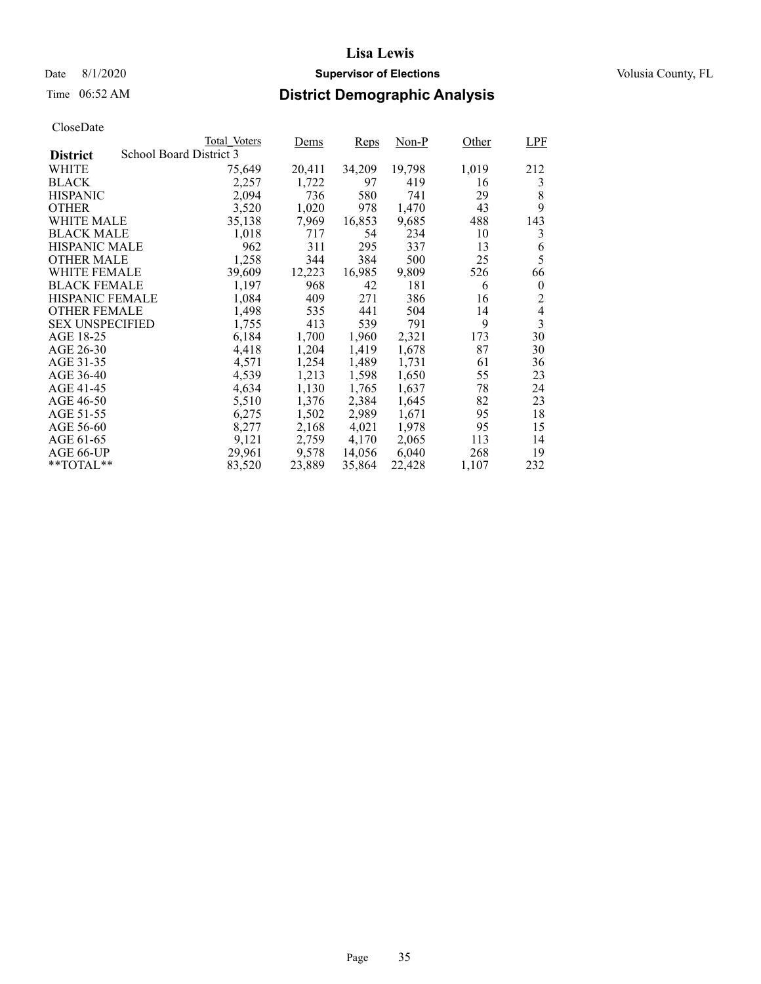## Date 8/1/2020 **Supervisor of Elections Supervisor of Elections** Volusia County, FL

## Time 06:52 AM **District Demographic Analysis**

|                        |                         | Total Voters | Dems   | Reps   | Non-P  | Other | LPF            |
|------------------------|-------------------------|--------------|--------|--------|--------|-------|----------------|
| <b>District</b>        | School Board District 3 |              |        |        |        |       |                |
| WHITE                  |                         | 75,649       | 20,411 | 34,209 | 19,798 | 1,019 | 212            |
| <b>BLACK</b>           |                         | 2,257        | 1,722  | 97     | 419    | 16    | 3              |
| <b>HISPANIC</b>        |                         | 2,094        | 736    | 580    | 741    | 29    | 8              |
| <b>OTHER</b>           |                         | 3,520        | 1,020  | 978    | 1,470  | 43    | 9              |
| WHITE MALE             |                         | 35,138       | 7,969  | 16,853 | 9,685  | 488   | 143            |
| <b>BLACK MALE</b>      |                         | 1,018        | 717    | 54     | 234    | 10    | 3              |
| <b>HISPANIC MALE</b>   |                         | 962          | 311    | 295    | 337    | 13    | 6              |
| <b>OTHER MALE</b>      |                         | 1,258        | 344    | 384    | 500    | 25    | 5              |
| <b>WHITE FEMALE</b>    |                         | 39,609       | 12,223 | 16,985 | 9,809  | 526   | 66             |
| <b>BLACK FEMALE</b>    |                         | 1,197        | 968    | 42     | 181    | 6     | $\theta$       |
| HISPANIC FEMALE        |                         | 1,084        | 409    | 271    | 386    | 16    | 2              |
| <b>OTHER FEMALE</b>    |                         | 1,498        | 535    | 441    | 504    | 14    | $\overline{4}$ |
| <b>SEX UNSPECIFIED</b> |                         | 1,755        | 413    | 539    | 791    | 9     | 3              |
| AGE 18-25              |                         | 6,184        | 1,700  | 1,960  | 2,321  | 173   | 30             |
| AGE 26-30              |                         | 4,418        | 1,204  | 1,419  | 1,678  | 87    | 30             |
| AGE 31-35              |                         | 4,571        | 1,254  | 1,489  | 1,731  | 61    | 36             |
| AGE 36-40              |                         | 4,539        | 1,213  | 1,598  | 1,650  | 55    | 23             |
| AGE 41-45              |                         | 4,634        | 1,130  | 1,765  | 1,637  | 78    | 24             |
| AGE 46-50              |                         | 5,510        | 1,376  | 2,384  | 1,645  | 82    | 23             |
| AGE 51-55              |                         | 6,275        | 1,502  | 2,989  | 1,671  | 95    | 18             |
| AGE 56-60              |                         | 8,277        | 2,168  | 4,021  | 1,978  | 95    | 15             |
| AGE 61-65              |                         | 9,121        | 2,759  | 4,170  | 2,065  | 113   | 14             |
| AGE 66-UP              |                         | 29,961       | 9,578  | 14,056 | 6,040  | 268   | 19             |
| $*$ $TOTAL**$          |                         | 83,520       | 23,889 | 35,864 | 22,428 | 1,107 | 232            |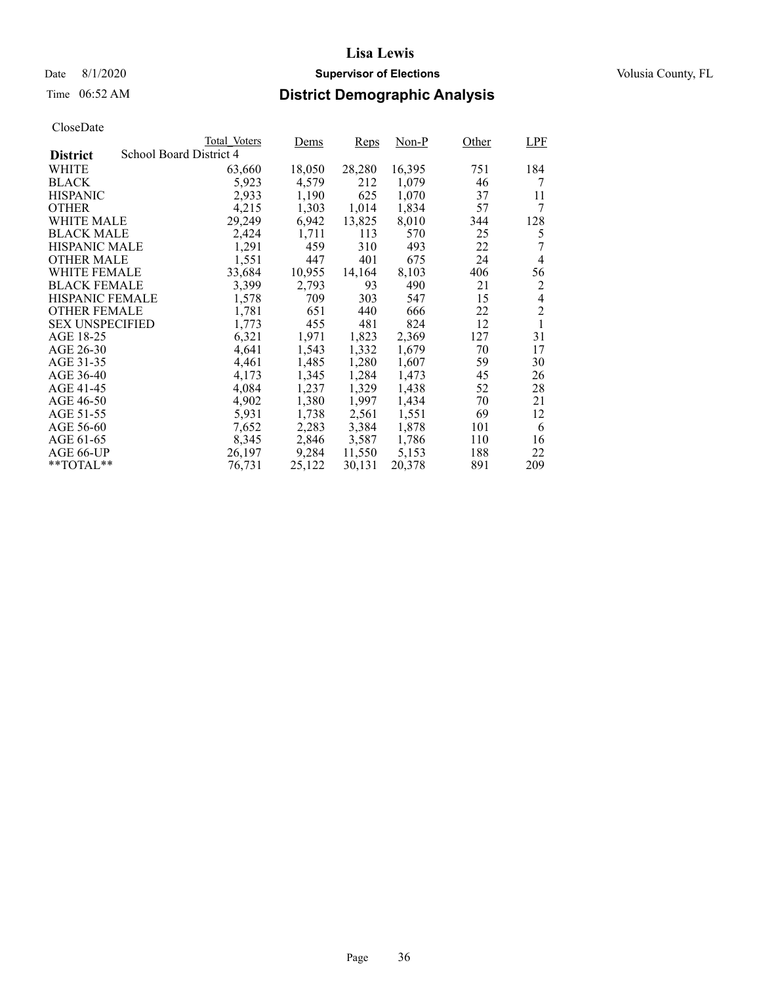# Time 06:52 AM **District Demographic Analysis**

|                        |                         | Total Voters | Dems   | Reps   | Non-P  | Other | <b>LPF</b>     |
|------------------------|-------------------------|--------------|--------|--------|--------|-------|----------------|
| <b>District</b>        | School Board District 4 |              |        |        |        |       |                |
| WHITE                  |                         | 63,660       | 18,050 | 28,280 | 16,395 | 751   | 184            |
| <b>BLACK</b>           |                         | 5,923        | 4,579  | 212    | 1,079  | 46    | 7              |
| <b>HISPANIC</b>        |                         | 2,933        | 1,190  | 625    | 1,070  | 37    | 11             |
| <b>OTHER</b>           |                         | 4,215        | 1,303  | 1,014  | 1,834  | 57    | 7              |
| WHITE MALE             |                         | 29,249       | 6,942  | 13,825 | 8,010  | 344   | 128            |
| <b>BLACK MALE</b>      |                         | 2,424        | 1,711  | 113    | 570    | 25    | 5              |
| <b>HISPANIC MALE</b>   |                         | 1,291        | 459    | 310    | 493    | 22    | 7              |
| <b>OTHER MALE</b>      |                         | 1,551        | 447    | 401    | 675    | 24    | 4              |
| <b>WHITE FEMALE</b>    |                         | 33,684       | 10,955 | 14,164 | 8,103  | 406   | 56             |
| <b>BLACK FEMALE</b>    |                         | 3,399        | 2,793  | 93     | 490    | 21    | 2              |
| <b>HISPANIC FEMALE</b> |                         | 1,578        | 709    | 303    | 547    | 15    | $\overline{4}$ |
| <b>OTHER FEMALE</b>    |                         | 1,781        | 651    | 440    | 666    | 22    | $\overline{2}$ |
| <b>SEX UNSPECIFIED</b> |                         | 1,773        | 455    | 481    | 824    | 12    | 1              |
| AGE 18-25              |                         | 6,321        | 1,971  | 1,823  | 2,369  | 127   | 31             |
| AGE 26-30              |                         | 4,641        | 1,543  | 1,332  | 1,679  | 70    | 17             |
| AGE 31-35              |                         | 4,461        | 1,485  | 1,280  | 1,607  | 59    | 30             |
| AGE 36-40              |                         | 4,173        | 1,345  | 1,284  | 1,473  | 45    | 26             |
| AGE 41-45              |                         | 4,084        | 1,237  | 1,329  | 1,438  | 52    | 28             |
| AGE 46-50              |                         | 4,902        | 1,380  | 1,997  | 1,434  | 70    | 21             |
| AGE 51-55              |                         | 5,931        | 1,738  | 2,561  | 1,551  | 69    | 12             |
| AGE 56-60              |                         | 7,652        | 2,283  | 3,384  | 1,878  | 101   | 6              |
| AGE 61-65              |                         | 8,345        | 2,846  | 3,587  | 1,786  | 110   | 16             |
| AGE 66-UP              |                         | 26,197       | 9,284  | 11,550 | 5,153  | 188   | 22             |
| $*$ $TOTAL**$          |                         | 76,731       | 25,122 | 30,131 | 20,378 | 891   | 209            |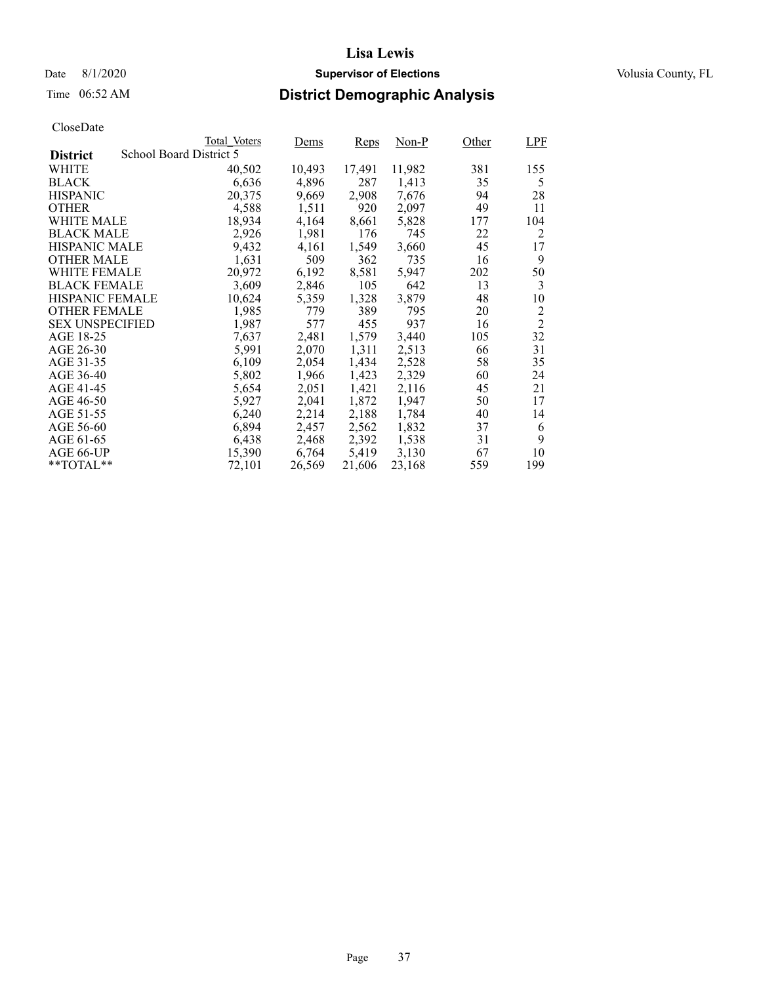# Time 06:52 AM **District Demographic Analysis**

|                        |                         | Total Voters | Dems   | Reps   | Non-P  | Other | LPF            |
|------------------------|-------------------------|--------------|--------|--------|--------|-------|----------------|
| <b>District</b>        | School Board District 5 |              |        |        |        |       |                |
| WHITE                  |                         | 40,502       | 10,493 | 17,491 | 11,982 | 381   | 155            |
| <b>BLACK</b>           |                         | 6,636        | 4,896  | 287    | 1,413  | 35    | 5              |
| <b>HISPANIC</b>        |                         | 20,375       | 9,669  | 2,908  | 7,676  | 94    | 28             |
| <b>OTHER</b>           |                         | 4,588        | 1,511  | 920    | 2,097  | 49    | 11             |
| WHITE MALE             |                         | 18,934       | 4,164  | 8,661  | 5,828  | 177   | 104            |
| <b>BLACK MALE</b>      |                         | 2,926        | 1,981  | 176    | 745    | 22    | 2              |
| <b>HISPANIC MALE</b>   |                         | 9,432        | 4,161  | 1,549  | 3,660  | 45    | 17             |
| <b>OTHER MALE</b>      |                         | 1,631        | 509    | 362    | 735    | 16    | 9              |
| <b>WHITE FEMALE</b>    |                         | 20,972       | 6,192  | 8,581  | 5,947  | 202   | 50             |
| <b>BLACK FEMALE</b>    |                         | 3,609        | 2,846  | 105    | 642    | 13    | 3              |
| HISPANIC FEMALE        |                         | 10,624       | 5,359  | 1,328  | 3,879  | 48    | 10             |
| <b>OTHER FEMALE</b>    |                         | 1.985        | 779    | 389    | 795    | 20    | $\overline{c}$ |
| <b>SEX UNSPECIFIED</b> |                         | 1,987        | 577    | 455    | 937    | 16    | $\overline{2}$ |
| AGE 18-25              |                         | 7,637        | 2,481  | 1,579  | 3,440  | 105   | 32             |
| AGE 26-30              |                         | 5,991        | 2,070  | 1,311  | 2,513  | 66    | 31             |
| AGE 31-35              |                         | 6,109        | 2,054  | 1,434  | 2,528  | 58    | 35             |
| AGE 36-40              |                         | 5,802        | 1,966  | 1,423  | 2,329  | 60    | 24             |
| AGE 41-45              |                         | 5,654        | 2,051  | 1,421  | 2,116  | 45    | 21             |
| AGE 46-50              |                         | 5,927        | 2,041  | 1,872  | 1,947  | 50    | 17             |
| AGE 51-55              |                         | 6,240        | 2,214  | 2,188  | 1,784  | 40    | 14             |
| AGE 56-60              |                         | 6,894        | 2,457  | 2.562  | 1,832  | 37    | 6              |
| AGE 61-65              |                         | 6,438        | 2,468  | 2,392  | 1,538  | 31    | 9              |
| AGE 66-UP              |                         | 15,390       | 6,764  | 5,419  | 3,130  | 67    | 10             |
| $*$ $TOTAL**$          |                         | 72,101       | 26,569 | 21,606 | 23,168 | 559   | 199            |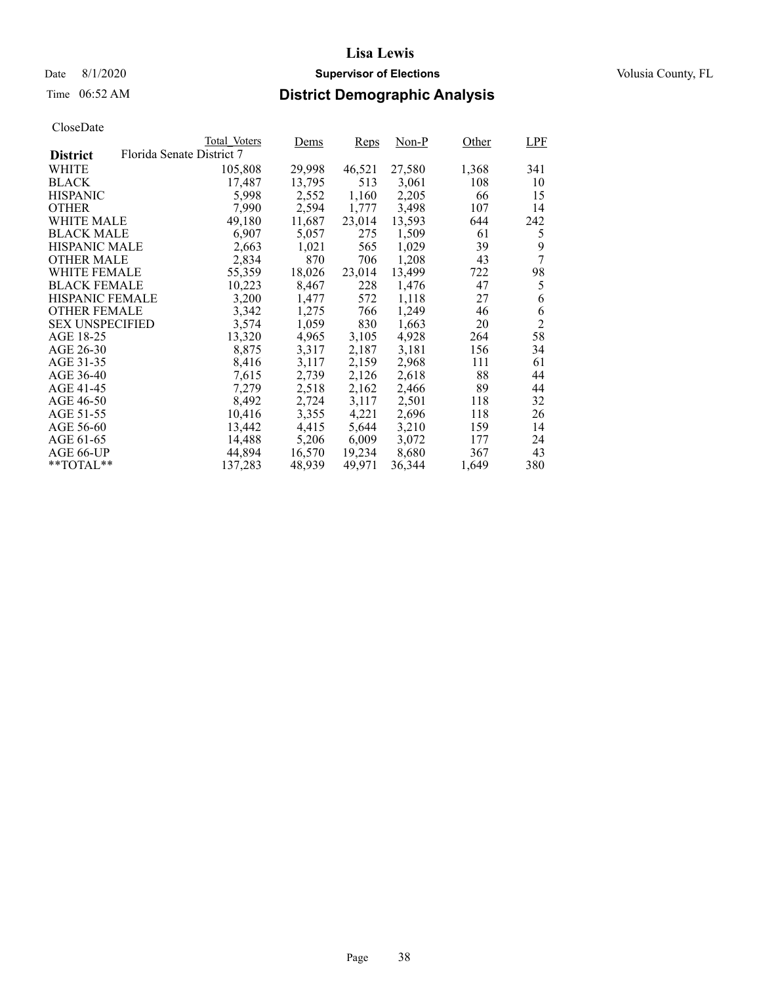# Time 06:52 AM **District Demographic Analysis**

|                        |                           | Total Voters | Dems   | <b>Reps</b> | Non-P  | Other | <b>LPF</b>     |
|------------------------|---------------------------|--------------|--------|-------------|--------|-------|----------------|
| <b>District</b>        | Florida Senate District 7 |              |        |             |        |       |                |
| WHITE                  |                           | 105,808      | 29,998 | 46,521      | 27,580 | 1,368 | 341            |
| <b>BLACK</b>           |                           | 17,487       | 13,795 | 513         | 3,061  | 108   | 10             |
| <b>HISPANIC</b>        |                           | 5,998        | 2,552  | 1,160       | 2,205  | 66    | 15             |
| <b>OTHER</b>           |                           | 7,990        | 2,594  | 1,777       | 3,498  | 107   | 14             |
| WHITE MALE             |                           | 49.180       | 11,687 | 23,014      | 13,593 | 644   | 242            |
| <b>BLACK MALE</b>      |                           | 6,907        | 5,057  | 275         | 1,509  | 61    | 5              |
| <b>HISPANIC MALE</b>   |                           | 2,663        | 1,021  | 565         | 1,029  | 39    | 9              |
| <b>OTHER MALE</b>      |                           | 2,834        | 870    | 706         | 1,208  | 43    | 7              |
| WHITE FEMALE           |                           | 55,359       | 18,026 | 23,014      | 13,499 | 722   | 98             |
| <b>BLACK FEMALE</b>    |                           | 10,223       | 8,467  | 228         | 1,476  | 47    | 5              |
| <b>HISPANIC FEMALE</b> |                           | 3,200        | 1,477  | 572         | 1,118  | 27    | 6              |
| <b>OTHER FEMALE</b>    |                           | 3,342        | 1,275  | 766         | 1,249  | 46    | 6              |
| <b>SEX UNSPECIFIED</b> |                           | 3,574        | 1,059  | 830         | 1,663  | 20    | $\overline{2}$ |
| AGE 18-25              |                           | 13,320       | 4,965  | 3,105       | 4,928  | 264   | 58             |
| AGE 26-30              |                           | 8,875        | 3,317  | 2,187       | 3,181  | 156   | 34             |
| AGE 31-35              |                           | 8,416        | 3,117  | 2,159       | 2,968  | 111   | 61             |
| AGE 36-40              |                           | 7,615        | 2,739  | 2,126       | 2,618  | 88    | 44             |
| AGE 41-45              |                           | 7,279        | 2,518  | 2,162       | 2,466  | 89    | 44             |
| AGE 46-50              |                           | 8,492        | 2,724  | 3,117       | 2,501  | 118   | 32             |
| AGE 51-55              |                           | 10,416       | 3,355  | 4,221       | 2,696  | 118   | 26             |
| AGE 56-60              |                           | 13,442       | 4,415  | 5,644       | 3,210  | 159   | 14             |
| AGE 61-65              |                           | 14,488       | 5,206  | 6,009       | 3,072  | 177   | 24             |
| AGE 66-UP              |                           | 44,894       | 16,570 | 19,234      | 8,680  | 367   | 43             |
| $*$ $TOTAL**$          |                           | 137,283      | 48,939 | 49,971      | 36,344 | 1,649 | 380            |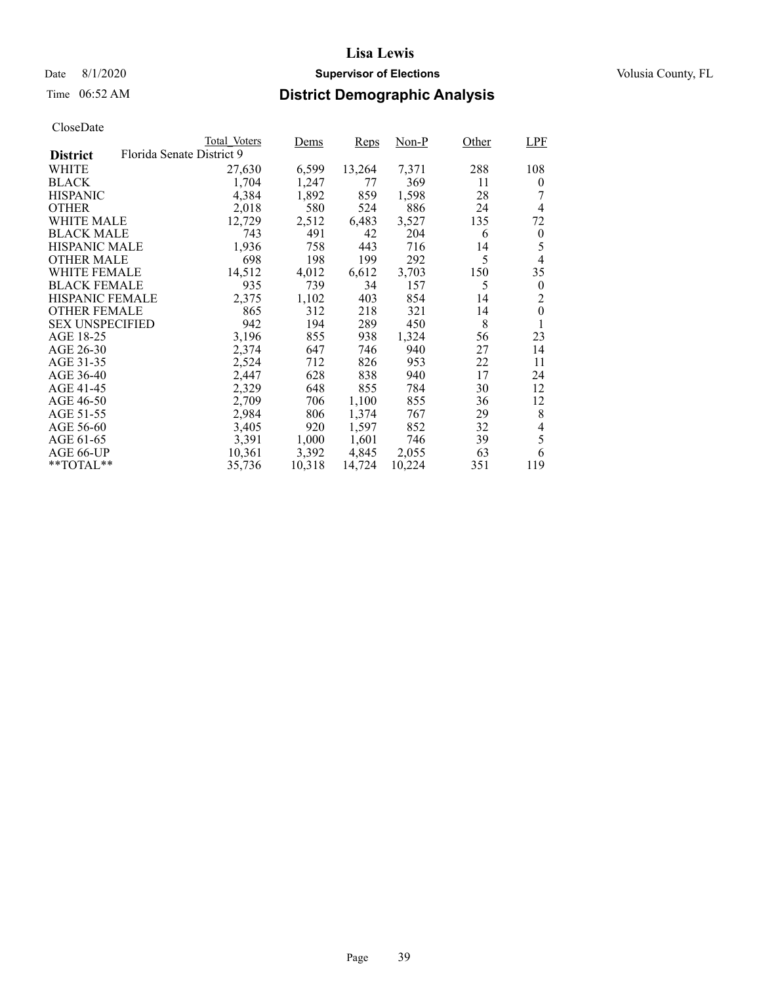### Date 8/1/2020 **Supervisor of Elections Supervisor of Elections** Volusia County, FL

# Time 06:52 AM **District Demographic Analysis**

|                        |                           | Total Voters | Dems   | Reps   | Non-P  | Other | <b>LPF</b>     |
|------------------------|---------------------------|--------------|--------|--------|--------|-------|----------------|
| <b>District</b>        | Florida Senate District 9 |              |        |        |        |       |                |
| WHITE                  |                           | 27,630       | 6,599  | 13,264 | 7,371  | 288   | 108            |
| <b>BLACK</b>           |                           | 1,704        | 1,247  | 77     | 369    | 11    | $\overline{0}$ |
| <b>HISPANIC</b>        |                           | 4,384        | 1,892  | 859    | 1,598  | 28    |                |
| <b>OTHER</b>           |                           | 2,018        | 580    | 524    | 886    | 24    | $\overline{4}$ |
| WHITE MALE             |                           | 12,729       | 2,512  | 6,483  | 3,527  | 135   | 72             |
| <b>BLACK MALE</b>      |                           | 743          | 491    | 42     | 204    | 6     | $\theta$       |
| <b>HISPANIC MALE</b>   |                           | 1,936        | 758    | 443    | 716    | 14    | 5              |
| <b>OTHER MALE</b>      |                           | 698          | 198    | 199    | 292    | 5     | $\overline{4}$ |
| <b>WHITE FEMALE</b>    |                           | 14,512       | 4,012  | 6,612  | 3,703  | 150   | 35             |
| <b>BLACK FEMALE</b>    |                           | 935          | 739    | 34     | 157    | 5     | $\theta$       |
| HISPANIC FEMALE        |                           | 2,375        | 1,102  | 403    | 854    | 14    | 2              |
| <b>OTHER FEMALE</b>    |                           | 865          | 312    | 218    | 321    | 14    | $\theta$       |
| <b>SEX UNSPECIFIED</b> |                           | 942          | 194    | 289    | 450    | 8     | 1              |
| AGE 18-25              |                           | 3,196        | 855    | 938    | 1,324  | 56    | 23             |
| AGE 26-30              |                           | 2,374        | 647    | 746    | 940    | 27    | 14             |
| AGE 31-35              |                           | 2,524        | 712    | 826    | 953    | 22    | 11             |
| AGE 36-40              |                           | 2,447        | 628    | 838    | 940    | 17    | 24             |
| AGE 41-45              |                           | 2,329        | 648    | 855    | 784    | 30    | 12             |
| AGE 46-50              |                           | 2,709        | 706    | 1,100  | 855    | 36    | 12             |
| AGE 51-55              |                           | 2,984        | 806    | 1,374  | 767    | 29    | 8              |
| AGE 56-60              |                           | 3,405        | 920    | 1,597  | 852    | 32    | 4              |
| AGE 61-65              |                           | 3,391        | 1,000  | 1,601  | 746    | 39    | 5              |
| AGE 66-UP              |                           | 10,361       | 3,392  | 4,845  | 2,055  | 63    | 6              |
| $*$ $TOTAL**$          |                           | 35,736       | 10,318 | 14,724 | 10,224 | 351   | 119            |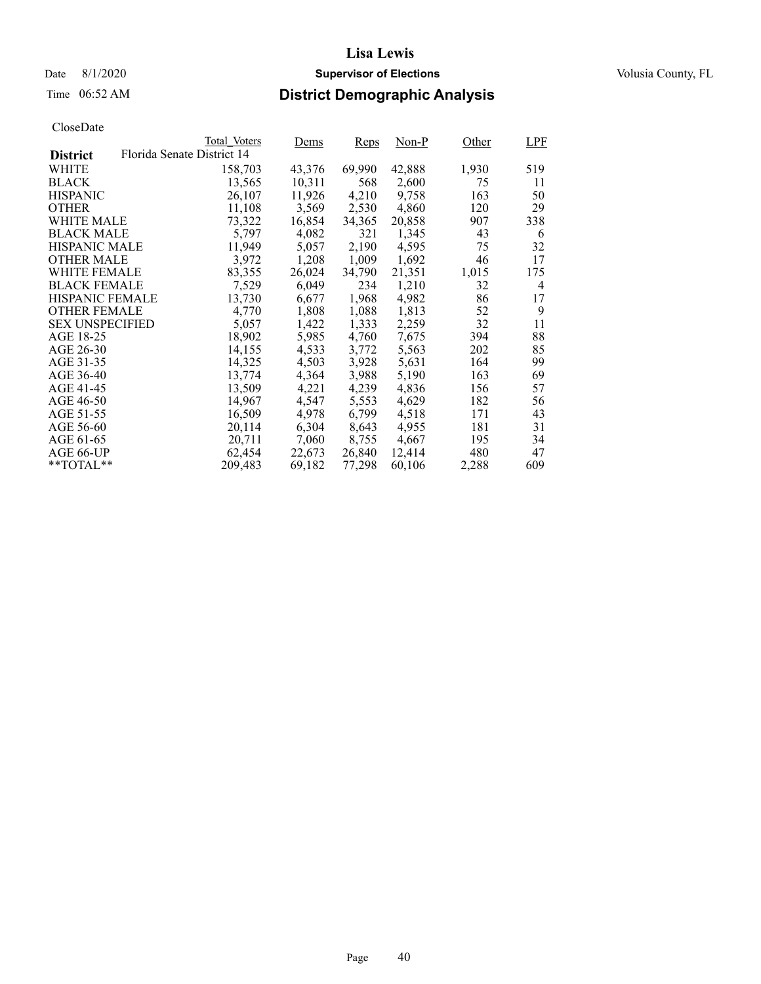### Date 8/1/2020 **Supervisor of Elections Supervisor of Elections** Volusia County, FL

# Time 06:52 AM **District Demographic Analysis**

|                        |                            | Total Voters | Dems   | Reps   | Non-P  | Other | LPF            |
|------------------------|----------------------------|--------------|--------|--------|--------|-------|----------------|
| <b>District</b>        | Florida Senate District 14 |              |        |        |        |       |                |
| WHITE                  |                            | 158,703      | 43,376 | 69,990 | 42,888 | 1,930 | 519            |
| <b>BLACK</b>           |                            | 13,565       | 10,311 | 568    | 2,600  | 75    | 11             |
| <b>HISPANIC</b>        |                            | 26,107       | 11,926 | 4,210  | 9,758  | 163   | 50             |
| <b>OTHER</b>           |                            | 11,108       | 3,569  | 2,530  | 4,860  | 120   | 29             |
| WHITE MALE             |                            | 73,322       | 16,854 | 34,365 | 20,858 | 907   | 338            |
| <b>BLACK MALE</b>      |                            | 5,797        | 4,082  | 321    | 1,345  | 43    | 6              |
| <b>HISPANIC MALE</b>   |                            | 11,949       | 5,057  | 2,190  | 4,595  | 75    | 32             |
| <b>OTHER MALE</b>      |                            | 3,972        | 1,208  | 1,009  | 1,692  | 46    | 17             |
| <b>WHITE FEMALE</b>    |                            | 83,355       | 26,024 | 34,790 | 21,351 | 1,015 | 175            |
| <b>BLACK FEMALE</b>    |                            | 7,529        | 6,049  | 234    | 1,210  | 32    | $\overline{4}$ |
| <b>HISPANIC FEMALE</b> |                            | 13,730       | 6,677  | 1,968  | 4,982  | 86    | 17             |
| <b>OTHER FEMALE</b>    |                            | 4.770        | 1,808  | 1,088  | 1.813  | 52    | 9              |
| <b>SEX UNSPECIFIED</b> |                            | 5,057        | 1,422  | 1,333  | 2,259  | 32    | 11             |
| AGE 18-25              |                            | 18,902       | 5,985  | 4,760  | 7,675  | 394   | 88             |
| AGE 26-30              |                            | 14,155       | 4,533  | 3,772  | 5,563  | 202   | 85             |
| AGE 31-35              |                            | 14,325       | 4,503  | 3,928  | 5,631  | 164   | 99             |
| AGE 36-40              |                            | 13,774       | 4,364  | 3,988  | 5,190  | 163   | 69             |
| AGE 41-45              |                            | 13,509       | 4,221  | 4,239  | 4,836  | 156   | 57             |
| AGE 46-50              |                            | 14,967       | 4,547  | 5,553  | 4,629  | 182   | 56             |
| AGE 51-55              |                            | 16,509       | 4,978  | 6,799  | 4,518  | 171   | 43             |
| AGE 56-60              |                            | 20,114       | 6,304  | 8,643  | 4.955  | 181   | 31             |
| AGE 61-65              |                            | 20,711       | 7,060  | 8,755  | 4,667  | 195   | 34             |
| AGE 66-UP              |                            | 62,454       | 22,673 | 26,840 | 12,414 | 480   | 47             |
| $*$ $TOTAL**$          |                            | 209,483      | 69,182 | 77,298 | 60,106 | 2,288 | 609            |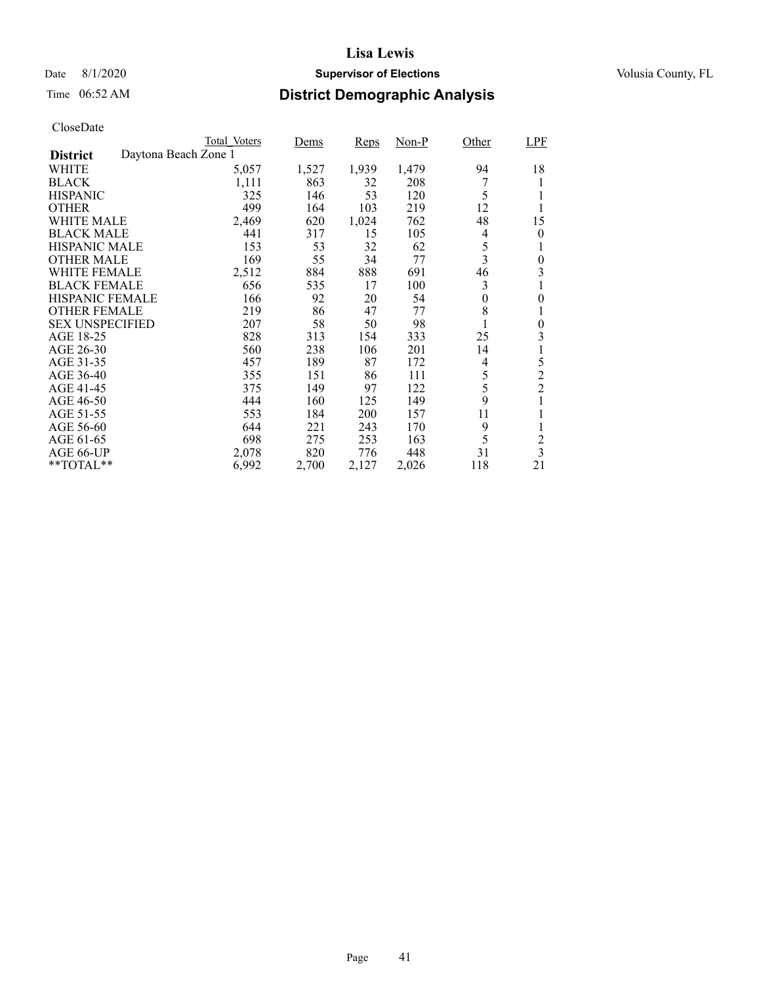### Date 8/1/2020 **Supervisor of Elections Supervisor of Elections** Volusia County, FL

# Time 06:52 AM **District Demographic Analysis**

|                        |                      | Total Voters | Dems  | Reps  | Non-P | Other    | LPF                     |
|------------------------|----------------------|--------------|-------|-------|-------|----------|-------------------------|
| <b>District</b>        | Daytona Beach Zone 1 |              |       |       |       |          |                         |
| WHITE                  |                      | 5,057        | 1,527 | 1,939 | 1,479 | 94       | 18                      |
| <b>BLACK</b>           |                      | 1,111        | 863   | 32    | 208   |          |                         |
| <b>HISPANIC</b>        |                      | 325          | 146   | 53    | 120   | 5        | 1                       |
| <b>OTHER</b>           |                      | 499          | 164   | 103   | 219   | 12       | 1                       |
| WHITE MALE             |                      | 2,469        | 620   | 1,024 | 762   | 48       | 15                      |
| <b>BLACK MALE</b>      |                      | 441          | 317   | 15    | 105   | 4        | 0                       |
| <b>HISPANIC MALE</b>   |                      | 153          | 53    | 32    | 62    | 5        | 1                       |
| <b>OTHER MALE</b>      |                      | 169          | 55    | 34    | 77    | 3        | 0                       |
| <b>WHITE FEMALE</b>    |                      | 2,512        | 884   | 888   | 691   | 46       | 3                       |
| <b>BLACK FEMALE</b>    |                      | 656          | 535   | 17    | 100   | 3        | 1                       |
| <b>HISPANIC FEMALE</b> |                      | 166          | 92    | 20    | 54    | $\theta$ | 0                       |
| <b>OTHER FEMALE</b>    |                      | 219          | 86    | 47    | 77    | 8        | 1                       |
| <b>SEX UNSPECIFIED</b> |                      | 207          | 58    | 50    | 98    |          | 0                       |
| AGE 18-25              |                      | 828          | 313   | 154   | 333   | 25       | 3                       |
| AGE 26-30              |                      | 560          | 238   | 106   | 201   | 14       | 1                       |
| AGE 31-35              |                      | 457          | 189   | 87    | 172   | 4        | 5                       |
| AGE 36-40              |                      | 355          | 151   | 86    | 111   | 5        | $\overline{c}$          |
| AGE 41-45              |                      | 375          | 149   | 97    | 122   | 5        | $\overline{2}$          |
| AGE 46-50              |                      | 444          | 160   | 125   | 149   | 9        |                         |
| AGE 51-55              |                      | 553          | 184   | 200   | 157   | 11       |                         |
| AGE 56-60              |                      | 644          | 221   | 243   | 170   | 9        | 1                       |
| AGE 61-65              |                      | 698          | 275   | 253   | 163   | 5        | $\overline{c}$          |
| AGE 66-UP              |                      | 2,078        | 820   | 776   | 448   | 31       | $\overline{\mathbf{3}}$ |
| $*$ $TOTAL**$          |                      | 6,992        | 2,700 | 2,127 | 2,026 | 118      | 21                      |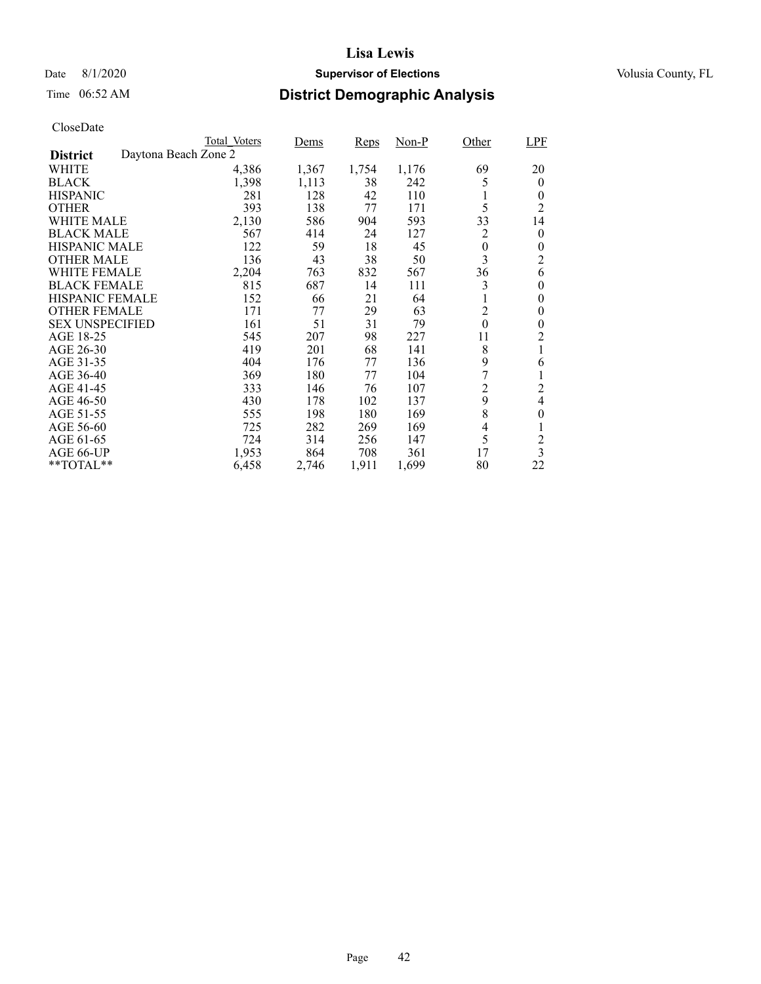### Date 8/1/2020 **Supervisor of Elections Supervisor of Elections** Volusia County, FL

# Time 06:52 AM **District Demographic Analysis**

|                        |                      | Total Voters | Dems  | Reps  | Non-P | Other            | LPF                     |
|------------------------|----------------------|--------------|-------|-------|-------|------------------|-------------------------|
| <b>District</b>        | Daytona Beach Zone 2 |              |       |       |       |                  |                         |
| WHITE                  |                      | 4,386        | 1,367 | 1,754 | 1,176 | 69               | 20                      |
| <b>BLACK</b>           |                      | 1,398        | 1,113 | 38    | 242   | 5                | $\overline{0}$          |
| <b>HISPANIC</b>        |                      | 281          | 128   | 42    | 110   |                  | 0                       |
| <b>OTHER</b>           |                      | 393          | 138   | 77    | 171   | 5                | $\overline{2}$          |
| WHITE MALE             |                      | 2,130        | 586   | 904   | 593   | 33               | 14                      |
| <b>BLACK MALE</b>      |                      | 567          | 414   | 24    | 127   | 2                | $\theta$                |
| <b>HISPANIC MALE</b>   |                      | 122          | 59    | 18    | 45    | $\boldsymbol{0}$ | 0                       |
| <b>OTHER MALE</b>      |                      | 136          | 43    | 38    | 50    | 3                | 2                       |
| <b>WHITE FEMALE</b>    |                      | 2,204        | 763   | 832   | 567   | 36               | 6                       |
| <b>BLACK FEMALE</b>    |                      | 815          | 687   | 14    | 111   | 3                | 0                       |
| <b>HISPANIC FEMALE</b> |                      | 152          | 66    | 21    | 64    | 1                | 0                       |
| <b>OTHER FEMALE</b>    |                      | 171          | 77    | 29    | 63    | 2                | 0                       |
| <b>SEX UNSPECIFIED</b> |                      | 161          | 51    | 31    | 79    | $\mathbf{0}$     | 0                       |
| AGE 18-25              |                      | 545          | 207   | 98    | 227   | 11               | 2                       |
| AGE 26-30              |                      | 419          | 201   | 68    | 141   | 8                | 1                       |
| AGE 31-35              |                      | 404          | 176   | 77    | 136   | 9                | 6                       |
| AGE 36-40              |                      | 369          | 180   | 77    | 104   | 7                |                         |
| AGE 41-45              |                      | 333          | 146   | 76    | 107   | $\overline{2}$   | $\overline{2}$          |
| AGE 46-50              |                      | 430          | 178   | 102   | 137   | 9                | 4                       |
| AGE 51-55              |                      | 555          | 198   | 180   | 169   | 8                | $\overline{0}$          |
| AGE 56-60              |                      | 725          | 282   | 269   | 169   | 4                |                         |
| AGE 61-65              |                      | 724          | 314   | 256   | 147   | 5                | $\overline{c}$          |
| AGE 66-UP              |                      | 1,953        | 864   | 708   | 361   | 17               | $\overline{\mathbf{3}}$ |
| $*$ $TOTAL**$          |                      | 6,458        | 2,746 | 1,911 | 1,699 | 80               | 22                      |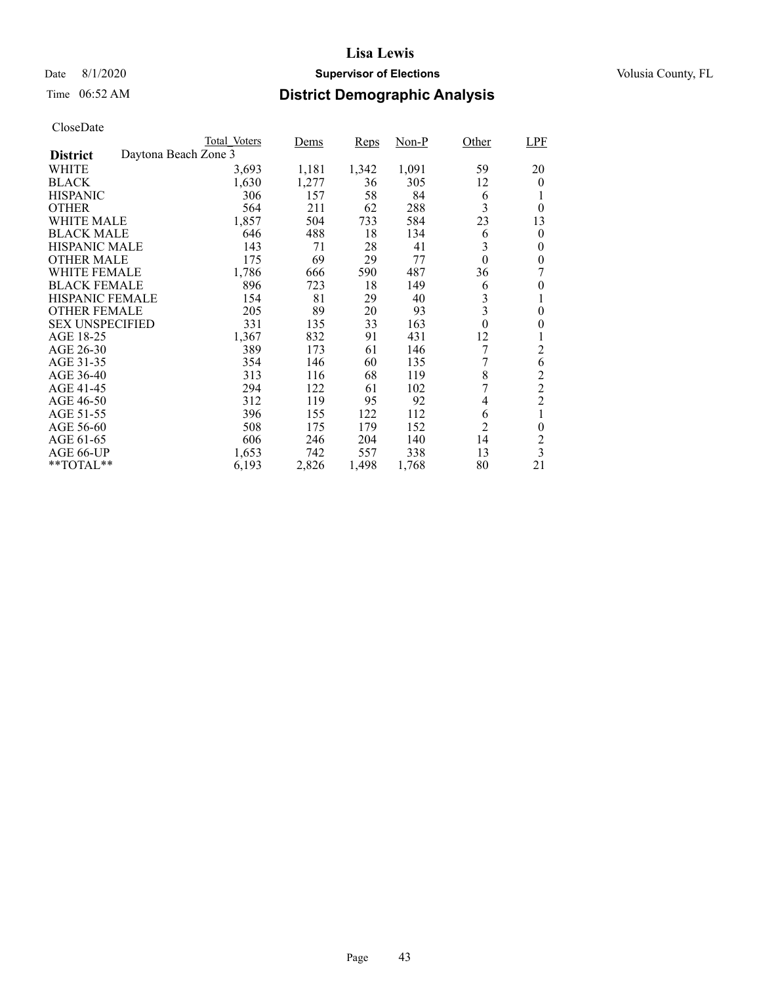### Date 8/1/2020 **Supervisor of Elections Supervisor of Elections** Volusia County, FL

# Time 06:52 AM **District Demographic Analysis**

|                        |                      | Total Voters | Dems  | Reps  | Non-P | Other            | LPF                     |
|------------------------|----------------------|--------------|-------|-------|-------|------------------|-------------------------|
| <b>District</b>        | Daytona Beach Zone 3 |              |       |       |       |                  |                         |
| WHITE                  |                      | 3,693        | 1,181 | 1,342 | 1,091 | 59               | 20                      |
| <b>BLACK</b>           |                      | 1,630        | 1,277 | 36    | 305   | 12               | $\theta$                |
| <b>HISPANIC</b>        |                      | 306          | 157   | 58    | 84    | 6                |                         |
| <b>OTHER</b>           |                      | 564          | 211   | 62    | 288   | 3                | $\theta$                |
| WHITE MALE             |                      | 1,857        | 504   | 733   | 584   | 23               | 13                      |
| <b>BLACK MALE</b>      |                      | 646          | 488   | 18    | 134   | 6                | 0                       |
| <b>HISPANIC MALE</b>   |                      | 143          | 71    | 28    | 41    | 3                | $\theta$                |
| <b>OTHER MALE</b>      |                      | 175          | 69    | 29    | 77    | $\theta$         | $\theta$                |
| WHITE FEMALE           |                      | 1,786        | 666   | 590   | 487   | 36               |                         |
| <b>BLACK FEMALE</b>    |                      | 896          | 723   | 18    | 149   | 6                | 0                       |
| <b>HISPANIC FEMALE</b> |                      | 154          | 81    | 29    | 40    | $\mathfrak{Z}$   | 1                       |
| <b>OTHER FEMALE</b>    |                      | 205          | 89    | 20    | 93    | 3                | 0                       |
| <b>SEX UNSPECIFIED</b> |                      | 331          | 135   | 33    | 163   | $\boldsymbol{0}$ | 0                       |
| AGE 18-25              |                      | 1,367        | 832   | 91    | 431   | 12               |                         |
| AGE 26-30              |                      | 389          | 173   | 61    | 146   | 7                | 2                       |
| AGE 31-35              |                      | 354          | 146   | 60    | 135   | 7                | 6                       |
| AGE 36-40              |                      | 313          | 116   | 68    | 119   | 8                | $\overline{c}$          |
| AGE 41-45              |                      | 294          | 122   | 61    | 102   | 7                | $\overline{c}$          |
| AGE 46-50              |                      | 312          | 119   | 95    | 92    | 4                | $\overline{c}$          |
| AGE 51-55              |                      | 396          | 155   | 122   | 112   | 6                |                         |
| AGE 56-60              |                      | 508          | 175   | 179   | 152   | $\overline{2}$   | $\overline{0}$          |
| AGE 61-65              |                      | 606          | 246   | 204   | 140   | 14               | $\overline{c}$          |
| AGE 66-UP              |                      | 1,653        | 742   | 557   | 338   | 13               | $\overline{\mathbf{3}}$ |
| $*$ $TOTAL**$          |                      | 6,193        | 2,826 | 1,498 | 1,768 | 80               | 21                      |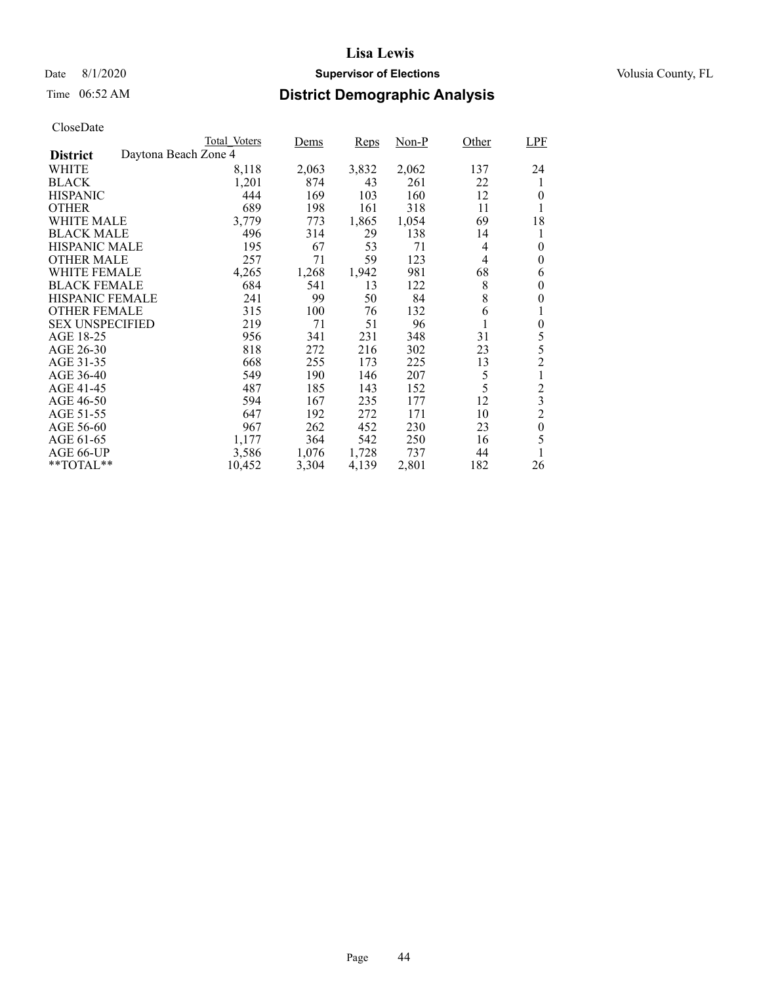### Date 8/1/2020 **Supervisor of Elections Supervisor of Elections** Volusia County, FL

# Time 06:52 AM **District Demographic Analysis**

|                        |                      | Total Voters | Dems  | Reps  | $Non-P$ | Other          | <b>LPF</b>              |
|------------------------|----------------------|--------------|-------|-------|---------|----------------|-------------------------|
| <b>District</b>        | Daytona Beach Zone 4 |              |       |       |         |                |                         |
| WHITE                  |                      | 8,118        | 2,063 | 3,832 | 2,062   | 137            | 24                      |
| <b>BLACK</b>           |                      | 1,201        | 874   | 43    | 261     | 22             | 1                       |
| <b>HISPANIC</b>        |                      | 444          | 169   | 103   | 160     | 12             | 0                       |
| <b>OTHER</b>           |                      | 689          | 198   | 161   | 318     | 11             | 1                       |
| WHITE MALE             |                      | 3,779        | 773   | 1,865 | 1,054   | 69             | 18                      |
| <b>BLACK MALE</b>      |                      | 496          | 314   | 29    | 138     | 14             | 1                       |
| <b>HISPANIC MALE</b>   |                      | 195          | 67    | 53    | 71      | 4              | $\theta$                |
| <b>OTHER MALE</b>      |                      | 257          | 71    | 59    | 123     | $\overline{4}$ | 0                       |
| WHITE FEMALE           |                      | 4,265        | 1,268 | 1,942 | 981     | 68             | 6                       |
| <b>BLACK FEMALE</b>    |                      | 684          | 541   | 13    | 122     | 8              | $\theta$                |
| HISPANIC FEMALE        |                      | 241          | 99    | 50    | 84      | 8              | 0                       |
| <b>OTHER FEMALE</b>    |                      | 315          | 100   | 76    | 132     | 6              | 1                       |
| <b>SEX UNSPECIFIED</b> |                      | 219          | 71    | 51    | 96      | 1              | $\overline{0}$          |
| AGE 18-25              |                      | 956          | 341   | 231   | 348     | 31             | 5                       |
| AGE 26-30              |                      | 818          | 272   | 216   | 302     | 23             | 5                       |
| AGE 31-35              |                      | 668          | 255   | 173   | 225     | 13             | $\overline{2}$          |
| AGE 36-40              |                      | 549          | 190   | 146   | 207     | 5              | 1                       |
| AGE 41-45              |                      | 487          | 185   | 143   | 152     | 5              | $\overline{c}$          |
| AGE 46-50              |                      | 594          | 167   | 235   | 177     | 12             | $\overline{\mathbf{3}}$ |
| AGE 51-55              |                      | 647          | 192   | 272   | 171     | 10             | $\overline{c}$          |
| AGE 56-60              |                      | 967          | 262   | 452   | 230     | 23             | $\boldsymbol{0}$        |
| AGE 61-65              |                      | 1,177        | 364   | 542   | 250     | 16             | 5                       |
| AGE 66-UP              |                      | 3,586        | 1,076 | 1,728 | 737     | 44             | 1                       |
| **TOTAL**              |                      | 10,452       | 3,304 | 4,139 | 2,801   | 182            | 26                      |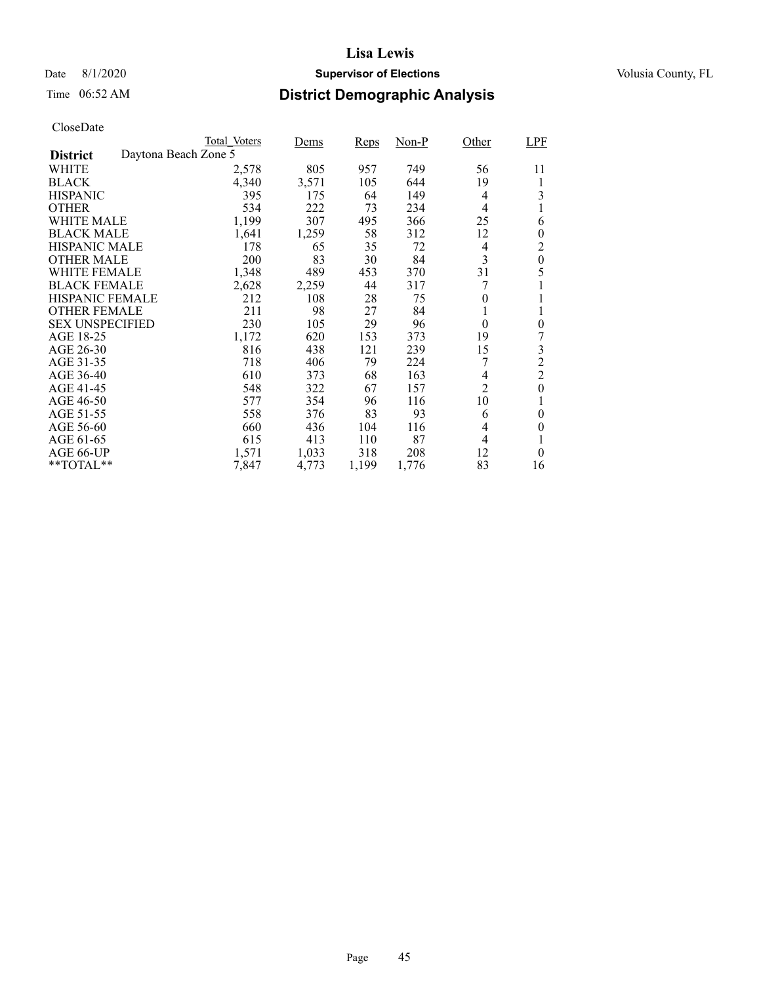### Date 8/1/2020 **Supervisor of Elections Supervisor of Elections** Volusia County, FL

# Time 06:52 AM **District Demographic Analysis**

|                        |                      | Total Voters | Dems  | Reps  | Non-P | Other          | LPF            |
|------------------------|----------------------|--------------|-------|-------|-------|----------------|----------------|
| <b>District</b>        | Daytona Beach Zone 5 |              |       |       |       |                |                |
| WHITE                  |                      | 2,578        | 805   | 957   | 749   | 56             | 11             |
| <b>BLACK</b>           |                      | 4,340        | 3,571 | 105   | 644   | 19             | 1              |
| <b>HISPANIC</b>        |                      | 395          | 175   | 64    | 149   | 4              | 3              |
| <b>OTHER</b>           |                      | 534          | 222   | 73    | 234   | 4              | 1              |
| <b>WHITE MALE</b>      |                      | 1,199        | 307   | 495   | 366   | 25             | 6              |
| <b>BLACK MALE</b>      |                      | 1,641        | 1,259 | 58    | 312   | 12             | 0              |
| <b>HISPANIC MALE</b>   |                      | 178          | 65    | 35    | 72    | 4              | 2              |
| <b>OTHER MALE</b>      |                      | 200          | 83    | 30    | 84    | 3              | $\mathbf{0}$   |
| WHITE FEMALE           |                      | 1,348        | 489   | 453   | 370   | 31             | 5              |
| <b>BLACK FEMALE</b>    |                      | 2,628        | 2,259 | 44    | 317   |                |                |
| <b>HISPANIC FEMALE</b> |                      | 212          | 108   | 28    | 75    | 0              |                |
| <b>OTHER FEMALE</b>    |                      | 211          | 98    | 27    | 84    | 1              |                |
| <b>SEX UNSPECIFIED</b> |                      | 230          | 105   | 29    | 96    | $\overline{0}$ | $\overline{0}$ |
| AGE 18-25              |                      | 1,172        | 620   | 153   | 373   | 19             |                |
| AGE 26-30              |                      | 816          | 438   | 121   | 239   | 15             | 3              |
| AGE 31-35              |                      | 718          | 406   | 79    | 224   |                | $\overline{c}$ |
| AGE 36-40              |                      | 610          | 373   | 68    | 163   | 4              | $\overline{c}$ |
| AGE 41-45              |                      | 548          | 322   | 67    | 157   | $\overline{c}$ | $\overline{0}$ |
| AGE 46-50              |                      | 577          | 354   | 96    | 116   | 10             |                |
| AGE 51-55              |                      | 558          | 376   | 83    | 93    | 6              | 0              |
| AGE 56-60              |                      | 660          | 436   | 104   | 116   | 4              | $\theta$       |
| AGE 61-65              |                      | 615          | 413   | 110   | 87    | 4              | 1              |
| AGE 66-UP              |                      | 1,571        | 1,033 | 318   | 208   | 12             | $\theta$       |
| **TOTAL**              |                      | 7,847        | 4,773 | 1,199 | 1,776 | 83             | 16             |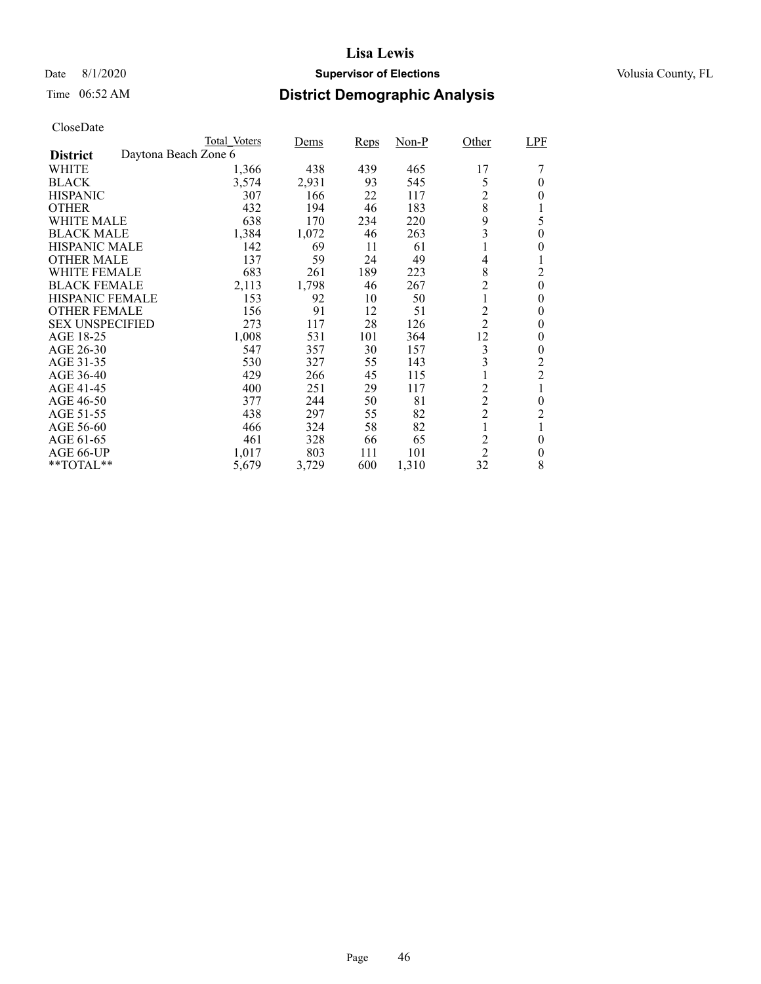### Date 8/1/2020 **Supervisor of Elections Supervisor of Elections** Volusia County, FL

# Time 06:52 AM **District Demographic Analysis**

|                        |                      | Total Voters | Dems  | <b>Reps</b> | Non-P | Other                   | LPF            |
|------------------------|----------------------|--------------|-------|-------------|-------|-------------------------|----------------|
| <b>District</b>        | Daytona Beach Zone 6 |              |       |             |       |                         |                |
| WHITE                  |                      | 1,366        | 438   | 439         | 465   | 17                      |                |
| <b>BLACK</b>           |                      | 3,574        | 2,931 | 93          | 545   | 5                       | $\theta$       |
| <b>HISPANIC</b>        |                      | 307          | 166   | 22          | 117   | $\overline{c}$          | 0              |
| <b>OTHER</b>           |                      | 432          | 194   | 46          | 183   | 8                       | 1              |
| WHITE MALE             |                      | 638          | 170   | 234         | 220   | 9                       | 5              |
| <b>BLACK MALE</b>      |                      | 1,384        | 1,072 | 46          | 263   | 3                       | $\theta$       |
| <b>HISPANIC MALE</b>   |                      | 142          | 69    | 11          | 61    |                         | 0              |
| <b>OTHER MALE</b>      |                      | 137          | 59    | 24          | 49    | 4                       | 1              |
| WHITE FEMALE           |                      | 683          | 261   | 189         | 223   | 8                       | $\overline{2}$ |
| <b>BLACK FEMALE</b>    |                      | 2,113        | 1,798 | 46          | 267   | $\overline{c}$          | $\theta$       |
| <b>HISPANIC FEMALE</b> |                      | 153          | 92    | 10          | 50    | 1                       | $\overline{0}$ |
| <b>OTHER FEMALE</b>    |                      | 156          | 91    | 12          | 51    | $\overline{2}$          | 0              |
| <b>SEX UNSPECIFIED</b> |                      | 273          | 117   | 28          | 126   | $\overline{2}$          | $\theta$       |
| AGE 18-25              |                      | 1,008        | 531   | 101         | 364   | 12                      | $\theta$       |
| AGE 26-30              |                      | 547          | 357   | 30          | 157   | 3                       | $\theta$       |
| AGE 31-35              |                      | 530          | 327   | 55          | 143   | 3                       | $\overline{c}$ |
| AGE 36-40              |                      | 429          | 266   | 45          | 115   |                         | $\overline{2}$ |
| AGE 41-45              |                      | 400          | 251   | 29          | 117   | $\overline{2}$          | 1              |
| AGE 46-50              |                      | 377          | 244   | 50          | 81    | $\overline{c}$          | $\theta$       |
| AGE 51-55              |                      | 438          | 297   | 55          | 82    | $\overline{2}$          | 2              |
| AGE 56-60              |                      | 466          | 324   | 58          | 82    | 1                       | 1              |
| AGE 61-65              |                      | 461          | 328   | 66          | 65    | $\overline{\mathbf{c}}$ | $\theta$       |
| AGE 66-UP              |                      | 1,017        | 803   | 111         | 101   | $\overline{2}$          | $\theta$       |
| $*$ $TOTAL**$          |                      | 5,679        | 3,729 | 600         | 1,310 | 32                      | 8              |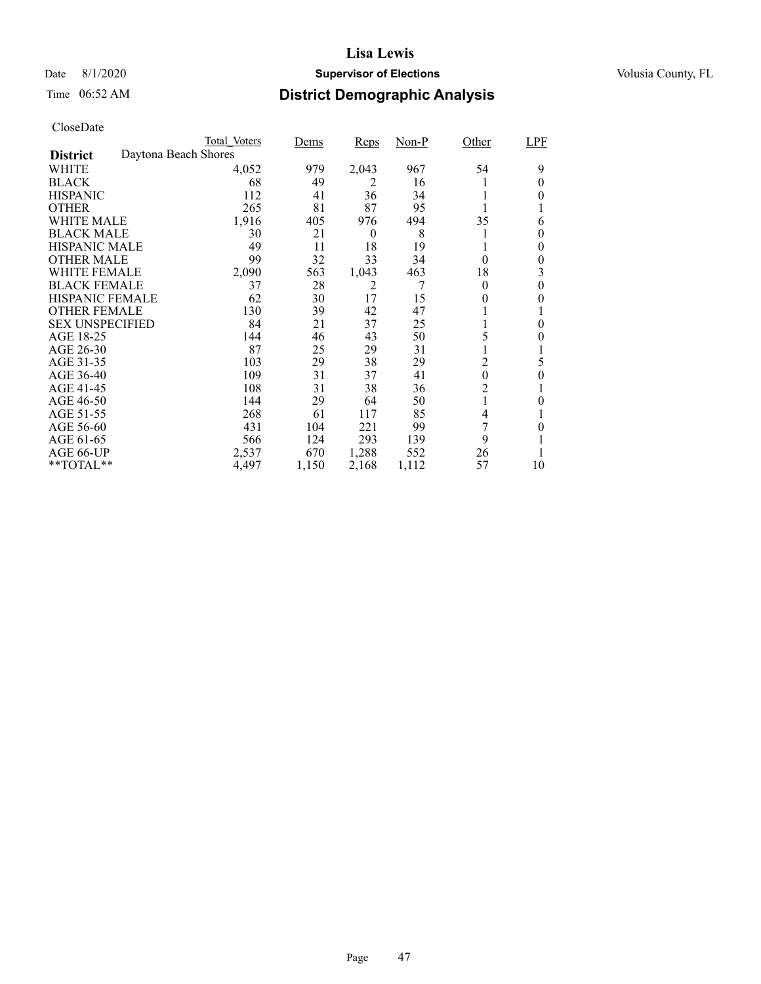### Date 8/1/2020 **Supervisor of Elections Supervisor of Elections** Volusia County, FL

# Time 06:52 AM **District Demographic Analysis**

|                        |                      | Total Voters | Dems  | Reps     | $Non-P$ | Other            | LPF      |
|------------------------|----------------------|--------------|-------|----------|---------|------------------|----------|
| <b>District</b>        | Daytona Beach Shores |              |       |          |         |                  |          |
| WHITE                  |                      | 4,052        | 979   | 2,043    | 967     | 54               | 9        |
| <b>BLACK</b>           |                      | 68           | 49    | 2        | 16      |                  | 0        |
| <b>HISPANIC</b>        |                      | 112          | 41    | 36       | 34      |                  | $_{0}$   |
| <b>OTHER</b>           |                      | 265          | 81    | 87       | 95      |                  |          |
| WHITE MALE             |                      | 1,916        | 405   | 976      | 494     | 35               | 6        |
| <b>BLACK MALE</b>      |                      | 30           | 21    | $\theta$ | 8       |                  | 0        |
| <b>HISPANIC MALE</b>   |                      | 49           | 11    | 18       | 19      |                  | $\theta$ |
| <b>OTHER MALE</b>      |                      | 99           | 32    | 33       | 34      | $\theta$         | 0        |
| <b>WHITE FEMALE</b>    |                      | 2,090        | 563   | 1,043    | 463     | 18               | 3        |
| <b>BLACK FEMALE</b>    |                      | 37           | 28    | 2        |         | $\theta$         | $\theta$ |
| <b>HISPANIC FEMALE</b> |                      | 62           | 30    | 17       | 15      | 0                | 0        |
| <b>OTHER FEMALE</b>    |                      | 130          | 39    | 42       | 47      |                  |          |
| <b>SEX UNSPECIFIED</b> |                      | 84           | 21    | 37       | 25      |                  | $\Omega$ |
| AGE 18-25              |                      | 144          | 46    | 43       | 50      | 5                | 0        |
| AGE 26-30              |                      | 87           | 25    | 29       | 31      |                  | T        |
| AGE 31-35              |                      | 103          | 29    | 38       | 29      | 2                | 5        |
| AGE 36-40              |                      | 109          | 31    | 37       | 41      | $\boldsymbol{0}$ | $\theta$ |
| AGE 41-45              |                      | 108          | 31    | 38       | 36      | $\overline{c}$   |          |
| AGE 46-50              |                      | 144          | 29    | 64       | 50      |                  | 0        |
| AGE 51-55              |                      | 268          | 61    | 117      | 85      | 4                |          |
| AGE 56-60              |                      | 431          | 104   | 221      | 99      | 7                | $_{0}$   |
| AGE 61-65              |                      | 566          | 124   | 293      | 139     | 9                |          |
| AGE 66-UP              |                      | 2,537        | 670   | 1,288    | 552     | 26               |          |
| $*$ $TOTAL**$          |                      | 4,497        | 1,150 | 2,168    | 1,112   | 57               | 10       |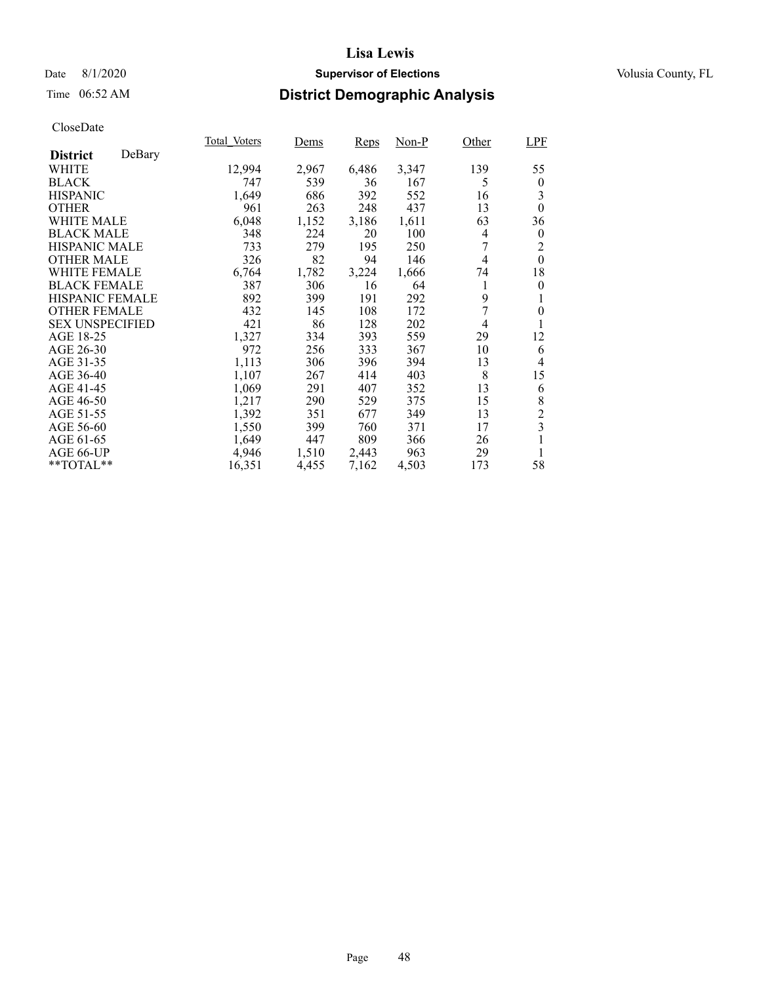### Date 8/1/2020 **Supervisor of Elections Supervisor of Elections** Volusia County, FL

# Time 06:52 AM **District Demographic Analysis**

|                        |        | Total Voters | Dems  | Reps  | Non-P | Other | <b>LPF</b>       |
|------------------------|--------|--------------|-------|-------|-------|-------|------------------|
| <b>District</b>        | DeBary |              |       |       |       |       |                  |
| WHITE                  |        | 12,994       | 2,967 | 6,486 | 3,347 | 139   | 55               |
| <b>BLACK</b>           |        | 747          | 539   | 36    | 167   | 5     | $\boldsymbol{0}$ |
| <b>HISPANIC</b>        |        | 1,649        | 686   | 392   | 552   | 16    | 3                |
| <b>OTHER</b>           |        | 961          | 263   | 248   | 437   | 13    | $\theta$         |
| WHITE MALE             |        | 6,048        | 1,152 | 3,186 | 1,611 | 63    | 36               |
| <b>BLACK MALE</b>      |        | 348          | 224   | 20    | 100   | 4     | $\boldsymbol{0}$ |
| <b>HISPANIC MALE</b>   |        | 733          | 279   | 195   | 250   |       | 2                |
| <b>OTHER MALE</b>      |        | 326          | 82    | 94    | 146   | 4     | $\theta$         |
| <b>WHITE FEMALE</b>    |        | 6,764        | 1,782 | 3,224 | 1,666 | 74    | 18               |
| <b>BLACK FEMALE</b>    |        | 387          | 306   | 16    | 64    |       | $\theta$         |
| <b>HISPANIC FEMALE</b> |        | 892          | 399   | 191   | 292   | 9     | 1                |
| <b>OTHER FEMALE</b>    |        | 432          | 145   | 108   | 172   | 7     | $\theta$         |
| <b>SEX UNSPECIFIED</b> |        | 421          | 86    | 128   | 202   | 4     | 1                |
| AGE 18-25              |        | 1,327        | 334   | 393   | 559   | 29    | 12               |
| AGE 26-30              |        | 972          | 256   | 333   | 367   | 10    | 6                |
| AGE 31-35              |        | 1,113        | 306   | 396   | 394   | 13    | 4                |
| AGE 36-40              |        | 1,107        | 267   | 414   | 403   | 8     | 15               |
| AGE 41-45              |        | 1,069        | 291   | 407   | 352   | 13    | 6                |
| AGE 46-50              |        | 1,217        | 290   | 529   | 375   | 15    | 8                |
| AGE 51-55              |        | 1,392        | 351   | 677   | 349   | 13    | $\overline{c}$   |
| AGE 56-60              |        | 1,550        | 399   | 760   | 371   | 17    | 3                |
| AGE 61-65              |        | 1,649        | 447   | 809   | 366   | 26    | 1                |
| AGE 66-UP              |        | 4,946        | 1,510 | 2,443 | 963   | 29    | 1                |
| **TOTAL**              |        | 16,351       | 4,455 | 7,162 | 4,503 | 173   | 58               |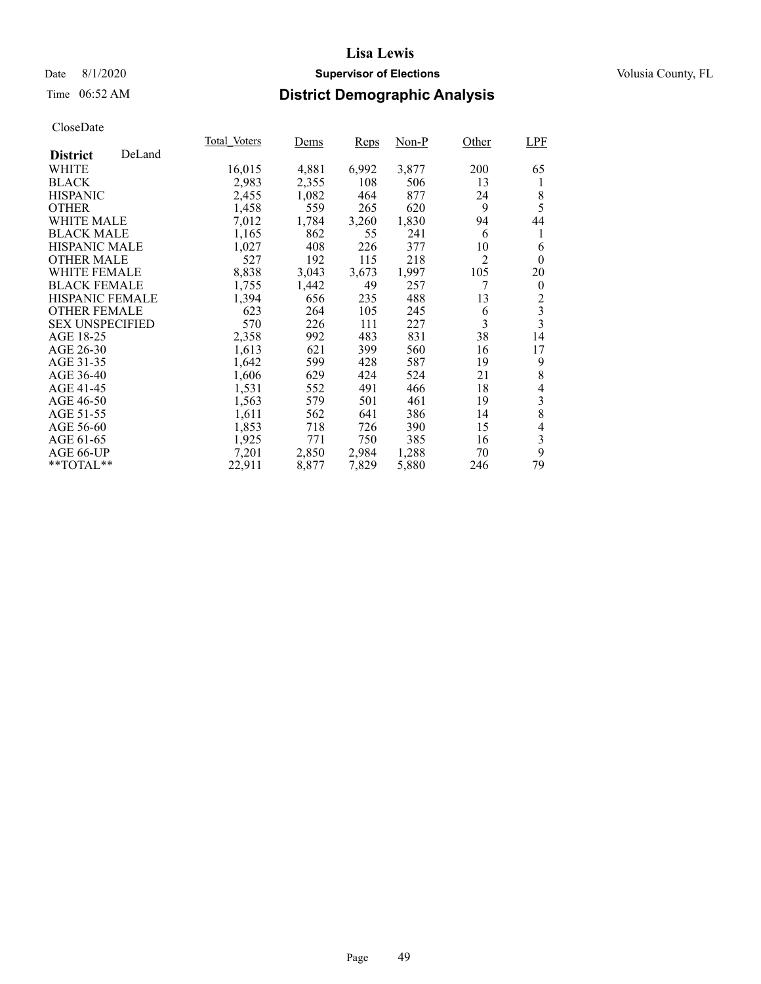### Date 8/1/2020 **Supervisor of Elections Supervisor of Elections** Volusia County, FL

# Time 06:52 AM **District Demographic Analysis**

|                        |        | Total Voters | Dems  | Reps  | Non-P | Other | <b>LPF</b>     |
|------------------------|--------|--------------|-------|-------|-------|-------|----------------|
| <b>District</b>        | DeLand |              |       |       |       |       |                |
| WHITE                  |        | 16,015       | 4,881 | 6,992 | 3,877 | 200   | 65             |
| <b>BLACK</b>           |        | 2,983        | 2,355 | 108   | 506   | 13    | 1              |
| <b>HISPANIC</b>        |        | 2,455        | 1,082 | 464   | 877   | 24    | 8              |
| <b>OTHER</b>           |        | 1,458        | 559   | 265   | 620   | 9     | 5              |
| <b>WHITE MALE</b>      |        | 7,012        | 1,784 | 3,260 | 1,830 | 94    | 44             |
| <b>BLACK MALE</b>      |        | 1,165        | 862   | 55    | 241   | 6     | 1              |
| <b>HISPANIC MALE</b>   |        | 1,027        | 408   | 226   | 377   | 10    | 6              |
| <b>OTHER MALE</b>      |        | 527          | 192   | 115   | 218   | 2     | $\theta$       |
| <b>WHITE FEMALE</b>    |        | 8,838        | 3,043 | 3,673 | 1,997 | 105   | 20             |
| <b>BLACK FEMALE</b>    |        | 1,755        | 1,442 | 49    | 257   |       | $\theta$       |
| HISPANIC FEMALE        |        | 1,394        | 656   | 235   | 488   | 13    | $\overline{c}$ |
| <b>OTHER FEMALE</b>    |        | 623          | 264   | 105   | 245   | 6     | $\frac{3}{3}$  |
| <b>SEX UNSPECIFIED</b> |        | 570          | 226   | 111   | 227   | 3     |                |
| AGE 18-25              |        | 2,358        | 992   | 483   | 831   | 38    | 14             |
| AGE 26-30              |        | 1,613        | 621   | 399   | 560   | 16    | 17             |
| AGE 31-35              |        | 1,642        | 599   | 428   | 587   | 19    | 9              |
| AGE 36-40              |        | 1,606        | 629   | 424   | 524   | 21    | 8              |
| AGE 41-45              |        | 1,531        | 552   | 491   | 466   | 18    | 4              |
| AGE 46-50              |        | 1,563        | 579   | 501   | 461   | 19    | 3              |
| AGE 51-55              |        | 1,611        | 562   | 641   | 386   | 14    | 8              |
| AGE 56-60              |        | 1,853        | 718   | 726   | 390   | 15    | $\overline{4}$ |
| AGE 61-65              |        | 1,925        | 771   | 750   | 385   | 16    | 3              |
| AGE 66-UP              |        | 7,201        | 2,850 | 2,984 | 1,288 | 70    | 9              |
| **TOTAL**              |        | 22,911       | 8,877 | 7,829 | 5,880 | 246   | 79             |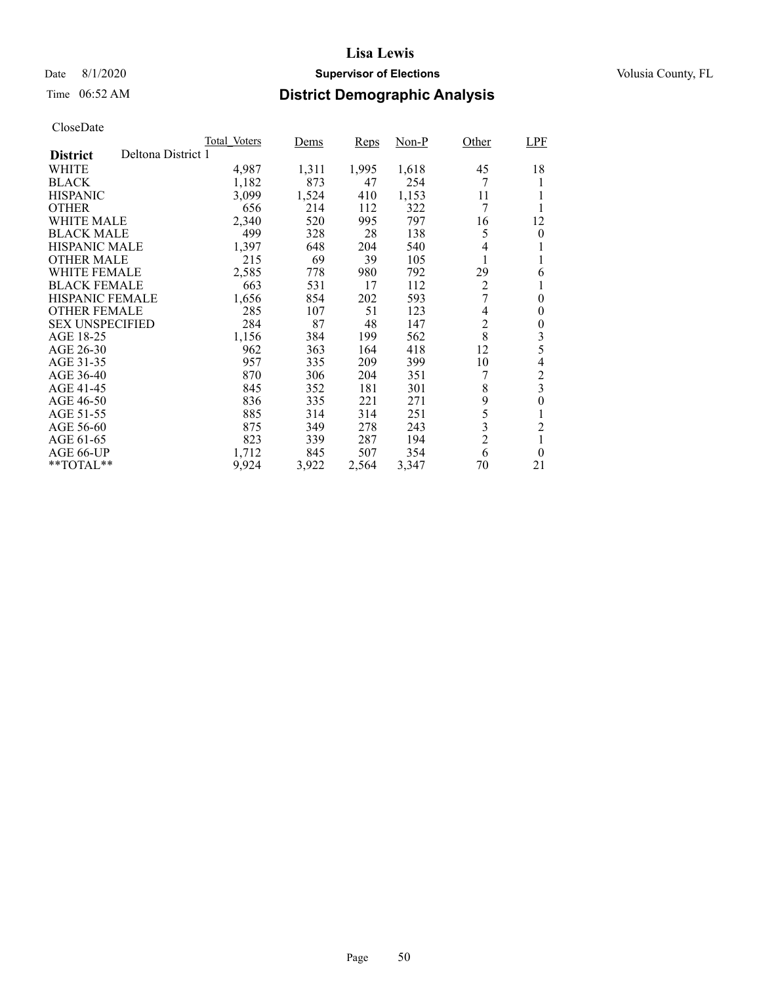### Date 8/1/2020 **Supervisor of Elections Supervisor of Elections** Volusia County, FL

# Time 06:52 AM **District Demographic Analysis**

|                        |                    | Total Voters | Dems  | Reps  | Non-P | Other          | <b>LPF</b>     |
|------------------------|--------------------|--------------|-------|-------|-------|----------------|----------------|
| <b>District</b>        | Deltona District 1 |              |       |       |       |                |                |
| WHITE                  |                    | 4,987        | 1,311 | 1,995 | 1,618 | 45             | 18             |
| <b>BLACK</b>           |                    | 1,182        | 873   | 47    | 254   | 7              |                |
| <b>HISPANIC</b>        |                    | 3,099        | 1,524 | 410   | 1,153 | 11             |                |
| <b>OTHER</b>           |                    | 656          | 214   | 112   | 322   | 7              |                |
| <b>WHITE MALE</b>      |                    | 2,340        | 520   | 995   | 797   | 16             | 12             |
| <b>BLACK MALE</b>      |                    | 499          | 328   | 28    | 138   | 5              | $\theta$       |
| <b>HISPANIC MALE</b>   |                    | 1,397        | 648   | 204   | 540   | 4              |                |
| <b>OTHER MALE</b>      |                    | 215          | 69    | 39    | 105   |                |                |
| WHITE FEMALE           |                    | 2,585        | 778   | 980   | 792   | 29             | 6              |
| <b>BLACK FEMALE</b>    |                    | 663          | 531   | 17    | 112   | $\overline{2}$ |                |
| <b>HISPANIC FEMALE</b> |                    | 1,656        | 854   | 202   | 593   | 7              | $\theta$       |
| <b>OTHER FEMALE</b>    |                    | 285          | 107   | 51    | 123   | 4              | $\theta$       |
| <b>SEX UNSPECIFIED</b> |                    | 284          | 87    | 48    | 147   | $\overline{2}$ | 0              |
| AGE 18-25              |                    | 1,156        | 384   | 199   | 562   | 8              | 3              |
| AGE 26-30              |                    | 962          | 363   | 164   | 418   | 12             | 5              |
| AGE 31-35              |                    | 957          | 335   | 209   | 399   | 10             | 4              |
| AGE 36-40              |                    | 870          | 306   | 204   | 351   | 7              | $\overline{c}$ |
| AGE 41-45              |                    | 845          | 352   | 181   | 301   | 8              | $\overline{3}$ |
| AGE 46-50              |                    | 836          | 335   | 221   | 271   | 9              | 0              |
| AGE 51-55              |                    | 885          | 314   | 314   | 251   | 5              | 1              |
| AGE 56-60              |                    | 875          | 349   | 278   | 243   | 3              | $\overline{c}$ |
| AGE 61-65              |                    | 823          | 339   | 287   | 194   | $\overline{2}$ |                |
| AGE 66-UP              |                    | 1,712        | 845   | 507   | 354   | 6              | $\theta$       |
| $*$ $TOTAL**$          |                    | 9,924        | 3,922 | 2,564 | 3,347 | 70             | 21             |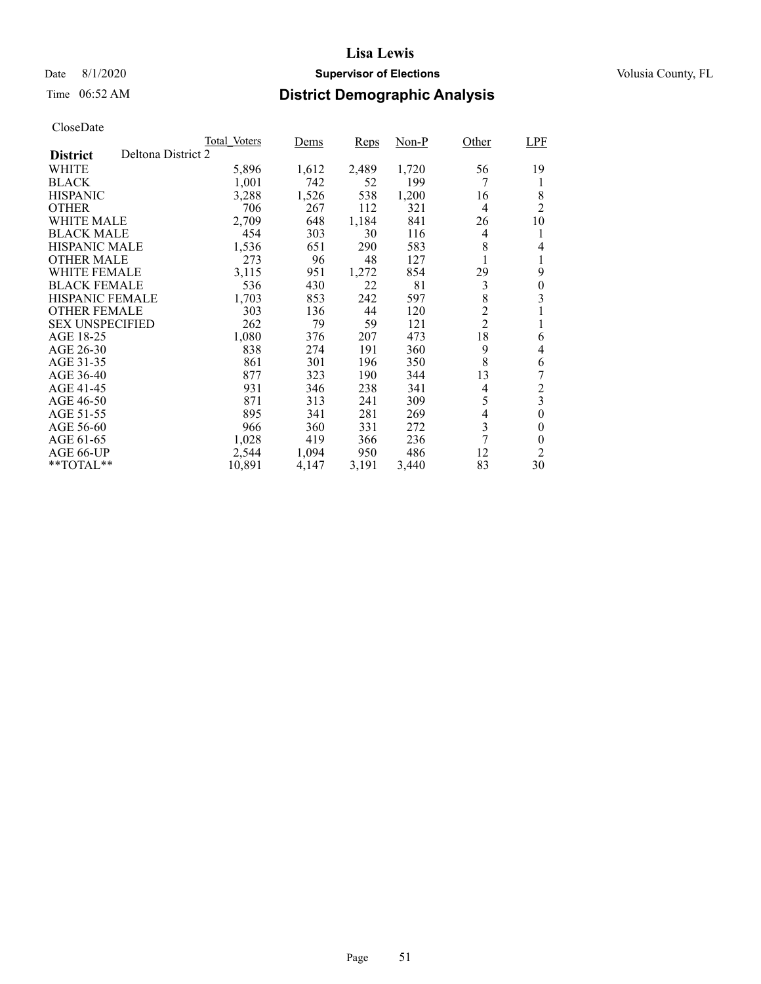### Date 8/1/2020 **Supervisor of Elections Supervisor of Elections** Volusia County, FL

# Time 06:52 AM **District Demographic Analysis**

|                        |                    | Total Voters | Dems  | Reps  | Non-P | Other          | <b>LPF</b>              |
|------------------------|--------------------|--------------|-------|-------|-------|----------------|-------------------------|
| <b>District</b>        | Deltona District 2 |              |       |       |       |                |                         |
| WHITE                  |                    | 5,896        | 1,612 | 2,489 | 1,720 | 56             | 19                      |
| <b>BLACK</b>           |                    | 1,001        | 742   | 52    | 199   | 7              | 1                       |
| <b>HISPANIC</b>        |                    | 3,288        | 1,526 | 538   | 1,200 | 16             | 8                       |
| <b>OTHER</b>           |                    | 706          | 267   | 112   | 321   | $\overline{4}$ | 2                       |
| WHITE MALE             |                    | 2,709        | 648   | 1,184 | 841   | 26             | 10                      |
| <b>BLACK MALE</b>      |                    | 454          | 303   | 30    | 116   | 4              | 1                       |
| <b>HISPANIC MALE</b>   |                    | 1,536        | 651   | 290   | 583   | 8              | 4                       |
| <b>OTHER MALE</b>      |                    | 273          | 96    | 48    | 127   |                |                         |
| WHITE FEMALE           |                    | 3,115        | 951   | 1,272 | 854   | 29             | 9                       |
| <b>BLACK FEMALE</b>    |                    | 536          | 430   | 22    | 81    | 3              | 0                       |
| HISPANIC FEMALE        |                    | 1,703        | 853   | 242   | 597   | 8              | 3                       |
| <b>OTHER FEMALE</b>    |                    | 303          | 136   | 44    | 120   | $\overline{c}$ |                         |
| <b>SEX UNSPECIFIED</b> |                    | 262          | 79    | 59    | 121   | $\overline{2}$ | 1                       |
| AGE 18-25              |                    | 1,080        | 376   | 207   | 473   | 18             | 6                       |
| AGE 26-30              |                    | 838          | 274   | 191   | 360   | 9              | 4                       |
| AGE 31-35              |                    | 861          | 301   | 196   | 350   | 8              | 6                       |
| AGE 36-40              |                    | 877          | 323   | 190   | 344   | 13             |                         |
| AGE 41-45              |                    | 931          | 346   | 238   | 341   | 4              | $\overline{c}$          |
| AGE 46-50              |                    | 871          | 313   | 241   | 309   | 5              | $\overline{\mathbf{3}}$ |
| AGE 51-55              |                    | 895          | 341   | 281   | 269   | 4              | $\overline{0}$          |
| AGE 56-60              |                    | 966          | 360   | 331   | 272   | 3              | 0                       |
| AGE 61-65              |                    | 1,028        | 419   | 366   | 236   | 7              | $\theta$                |
| AGE 66-UP              |                    | 2,544        | 1,094 | 950   | 486   | 12             | 2                       |
| $*$ TOTAL $*$          |                    | 10,891       | 4,147 | 3,191 | 3,440 | 83             | 30                      |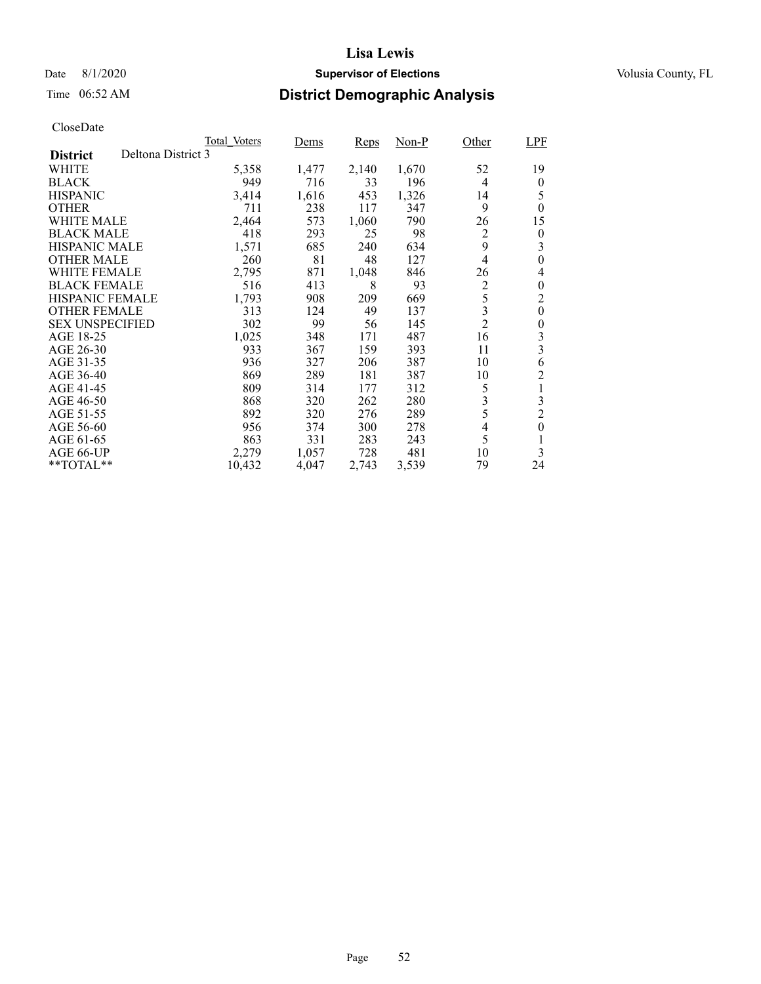### Date 8/1/2020 **Supervisor of Elections Supervisor of Elections** Volusia County, FL

# Time 06:52 AM **District Demographic Analysis**

|                                       | Total Voters | Dems  | Reps  | Non-P | Other                    | <b>LPF</b>       |
|---------------------------------------|--------------|-------|-------|-------|--------------------------|------------------|
| Deltona District 3<br><b>District</b> |              |       |       |       |                          |                  |
| WHITE                                 | 5,358        | 1,477 | 2,140 | 1,670 | 52                       | 19               |
| <b>BLACK</b>                          | 949          | 716   | 33    | 196   | $\overline{4}$           | $\theta$         |
| <b>HISPANIC</b>                       | 3,414        | 1,616 | 453   | 1,326 | 14                       | 5                |
| <b>OTHER</b>                          | 711          | 238   | 117   | 347   | 9                        | $\theta$         |
| WHITE MALE                            | 2,464        | 573   | 1,060 | 790   | 26                       | 15               |
| <b>BLACK MALE</b>                     | 418          | 293   | 25    | 98    | $\overline{c}$           | $\boldsymbol{0}$ |
| <b>HISPANIC MALE</b>                  | 1,571        | 685   | 240   | 634   | 9                        | 3                |
| <b>OTHER MALE</b>                     | 260          | 81    | 48    | 127   | 4                        | $\overline{0}$   |
| WHITE FEMALE                          | 2,795        | 871   | 1,048 | 846   | 26                       | 4                |
| <b>BLACK FEMALE</b>                   | 516          | 413   | 8     | 93    | $\overline{2}$           | 0                |
| HISPANIC FEMALE                       | 1,793        | 908   | 209   | 669   | 5                        | $\overline{c}$   |
| <b>OTHER FEMALE</b>                   | 313          | 124   | 49    | 137   | 3                        | $\theta$         |
| <b>SEX UNSPECIFIED</b>                | 302          | 99    | 56    | 145   | $\overline{2}$           | 0                |
| AGE 18-25                             | 1,025        | 348   | 171   | 487   | 16                       | 3                |
| AGE 26-30                             | 933          | 367   | 159   | 393   | 11                       | 3                |
| AGE 31-35                             | 936          | 327   | 206   | 387   | 10                       | 6                |
| AGE 36-40                             | 869          | 289   | 181   | 387   | 10                       | $\overline{c}$   |
| AGE 41-45                             | 809          | 314   | 177   | 312   | 5                        | 1                |
| AGE 46-50                             | 868          | 320   | 262   | 280   | 3                        | 3                |
| AGE 51-55                             | 892          | 320   | 276   | 289   | 5                        | $\overline{c}$   |
| AGE 56-60                             | 956          | 374   | 300   | 278   | $\overline{\mathcal{L}}$ | $\boldsymbol{0}$ |
| AGE 61-65                             | 863          | 331   | 283   | 243   | 5                        | 1                |
| AGE 66-UP                             | 2,279        | 1,057 | 728   | 481   | 10                       | 3                |
| $*$ TOTAL $*$                         | 10,432       | 4,047 | 2,743 | 3,539 | 79                       | 24               |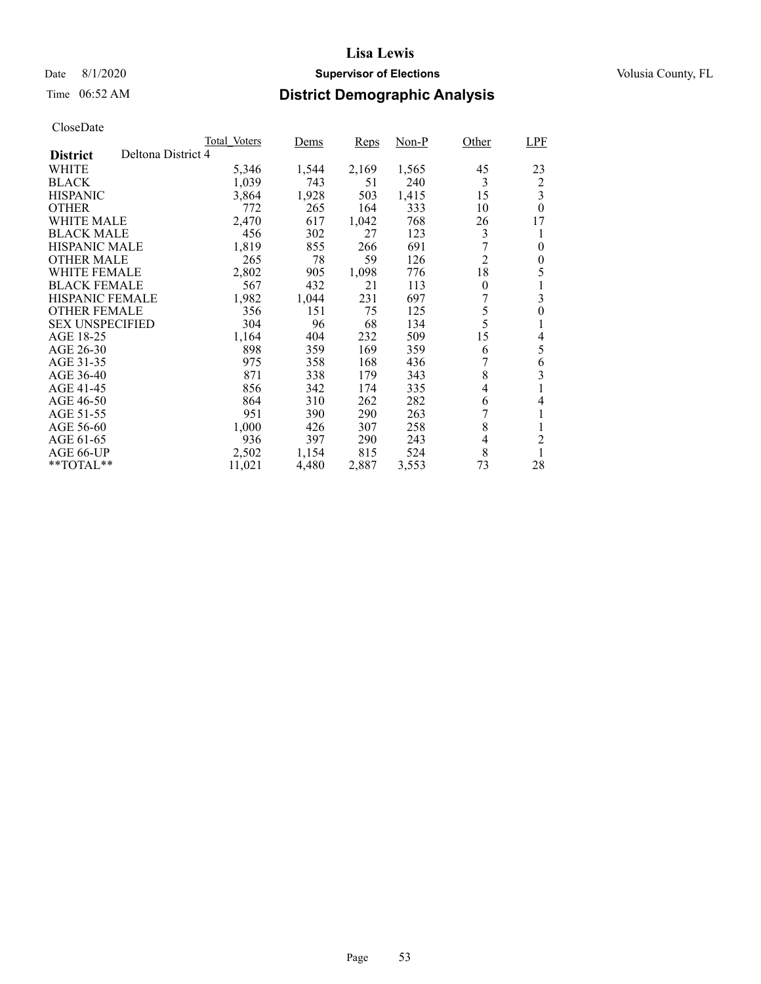### Date 8/1/2020 **Supervisor of Elections Supervisor of Elections** Volusia County, FL

# Time 06:52 AM **District Demographic Analysis**

|                        |                    | Total Voters | Dems  | Reps  | Non-P | Other          | LPF            |
|------------------------|--------------------|--------------|-------|-------|-------|----------------|----------------|
| <b>District</b>        | Deltona District 4 |              |       |       |       |                |                |
| WHITE                  |                    | 5,346        | 1,544 | 2,169 | 1,565 | 45             | 23             |
| <b>BLACK</b>           |                    | 1,039        | 743   | 51    | 240   | 3              | $\overline{c}$ |
| <b>HISPANIC</b>        |                    | 3,864        | 1,928 | 503   | 1,415 | 15             | 3              |
| <b>OTHER</b>           |                    | 772          | 265   | 164   | 333   | 10             | $\theta$       |
| WHITE MALE             |                    | 2,470        | 617   | 1,042 | 768   | 26             | 17             |
| <b>BLACK MALE</b>      |                    | 456          | 302   | 27    | 123   | 3              | 1              |
| <b>HISPANIC MALE</b>   |                    | 1,819        | 855   | 266   | 691   |                | $\theta$       |
| <b>OTHER MALE</b>      |                    | 265          | 78    | 59    | 126   | $\overline{2}$ | 0              |
| WHITE FEMALE           |                    | 2,802        | 905   | 1,098 | 776   | 18             | 5              |
| <b>BLACK FEMALE</b>    |                    | 567          | 432   | 21    | 113   | $\theta$       |                |
| <b>HISPANIC FEMALE</b> |                    | 1,982        | 1,044 | 231   | 697   | 7              | 3              |
| <b>OTHER FEMALE</b>    |                    | 356          | 151   | 75    | 125   | 5              | $\overline{0}$ |
| <b>SEX UNSPECIFIED</b> |                    | 304          | 96    | 68    | 134   | 5              | 1              |
| AGE 18-25              |                    | 1,164        | 404   | 232   | 509   | 15             | 4              |
| AGE 26-30              |                    | 898          | 359   | 169   | 359   | 6              | 5              |
| AGE 31-35              |                    | 975          | 358   | 168   | 436   |                | 6              |
| AGE 36-40              |                    | 871          | 338   | 179   | 343   | 8              | 3              |
| AGE 41-45              |                    | 856          | 342   | 174   | 335   | 4              | 1              |
| AGE 46-50              |                    | 864          | 310   | 262   | 282   | 6              | 4              |
| AGE 51-55              |                    | 951          | 390   | 290   | 263   |                | 1              |
| AGE 56-60              |                    | 1,000        | 426   | 307   | 258   | 8              | 1              |
| AGE 61-65              |                    | 936          | 397   | 290   | 243   | 4              | $\overline{c}$ |
| AGE 66-UP              |                    | 2,502        | 1,154 | 815   | 524   | 8              | 1              |
| $*$ $TOTAL**$          |                    | 11,021       | 4,480 | 2,887 | 3,553 | 73             | 28             |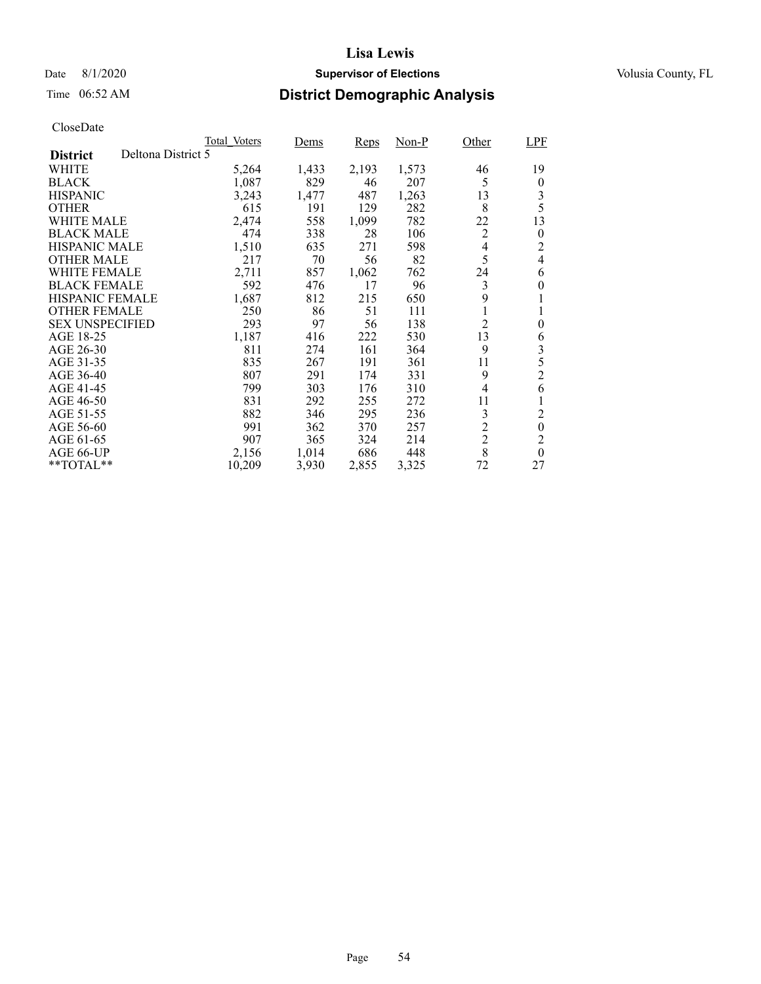### Date 8/1/2020 **Supervisor of Elections Supervisor of Elections** Volusia County, FL

# Time 06:52 AM **District Demographic Analysis**

|                        |                    | Total Voters | Dems  | Reps  | Non-P | Other          | LPF            |
|------------------------|--------------------|--------------|-------|-------|-------|----------------|----------------|
| <b>District</b>        | Deltona District 5 |              |       |       |       |                |                |
| WHITE                  |                    | 5,264        | 1,433 | 2,193 | 1,573 | 46             | 19             |
| <b>BLACK</b>           |                    | 1,087        | 829   | 46    | 207   | 5              | $\theta$       |
| <b>HISPANIC</b>        |                    | 3,243        | 1,477 | 487   | 1,263 | 13             | 3              |
| <b>OTHER</b>           |                    | 615          | 191   | 129   | 282   | 8              | 5              |
| WHITE MALE             |                    | 2,474        | 558   | 1,099 | 782   | 22             | 13             |
| <b>BLACK MALE</b>      |                    | 474          | 338   | 28    | 106   | 2              | 0              |
| <b>HISPANIC MALE</b>   |                    | 1,510        | 635   | 271   | 598   | 4              | 2              |
| <b>OTHER MALE</b>      |                    | 217          | 70    | 56    | 82    | 5              | $\overline{4}$ |
| <b>WHITE FEMALE</b>    |                    | 2,711        | 857   | 1,062 | 762   | 24             | 6              |
| <b>BLACK FEMALE</b>    |                    | 592          | 476   | 17    | 96    | 3              | $\theta$       |
| <b>HISPANIC FEMALE</b> |                    | 1,687        | 812   | 215   | 650   | 9              | 1              |
| <b>OTHER FEMALE</b>    |                    | 250          | 86    | 51    | 111   | 1              | 1              |
| <b>SEX UNSPECIFIED</b> |                    | 293          | 97    | 56    | 138   | $\overline{2}$ | 0              |
| AGE 18-25              |                    | 1,187        | 416   | 222   | 530   | 13             | 6              |
| AGE 26-30              |                    | 811          | 274   | 161   | 364   | 9              | 3              |
| AGE 31-35              |                    | 835          | 267   | 191   | 361   | 11             | 5              |
| AGE 36-40              |                    | 807          | 291   | 174   | 331   | 9              | $\overline{c}$ |
| AGE 41-45              |                    | 799          | 303   | 176   | 310   | $\overline{4}$ | 6              |
| AGE 46-50              |                    | 831          | 292   | 255   | 272   | 11             |                |
| AGE 51-55              |                    | 882          | 346   | 295   | 236   | 3              | $\overline{c}$ |
| AGE 56-60              |                    | 991          | 362   | 370   | 257   | $\overline{c}$ | $\overline{0}$ |
| AGE 61-65              |                    | 907          | 365   | 324   | 214   | $\overline{c}$ | 2              |
| AGE 66-UP              |                    | 2,156        | 1,014 | 686   | 448   | 8              | $\theta$       |
| **TOTAL**              |                    | 10,209       | 3,930 | 2,855 | 3,325 | 72             | 27             |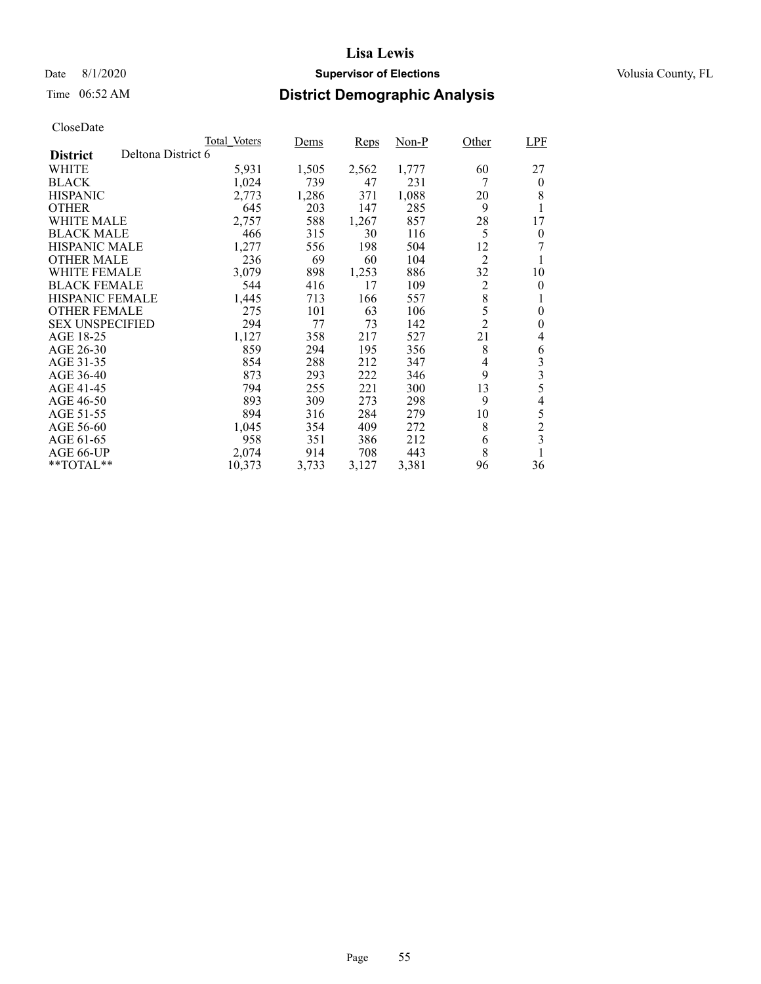### Date 8/1/2020 **Supervisor of Elections Supervisor of Elections** Volusia County, FL

# Time 06:52 AM **District Demographic Analysis**

|                        |                    | Total Voters | Dems  | Reps  | Non-P | Other          | <b>LPF</b>     |
|------------------------|--------------------|--------------|-------|-------|-------|----------------|----------------|
| <b>District</b>        | Deltona District 6 |              |       |       |       |                |                |
| WHITE                  |                    | 5,931        | 1,505 | 2,562 | 1,777 | 60             | 27             |
| <b>BLACK</b>           |                    | 1,024        | 739   | 47    | 231   | 7              | $\theta$       |
| <b>HISPANIC</b>        |                    | 2,773        | 1,286 | 371   | 1,088 | 20             | 8              |
| <b>OTHER</b>           |                    | 645          | 203   | 147   | 285   | 9              | 1              |
| WHITE MALE             |                    | 2,757        | 588   | 1,267 | 857   | 28             | 17             |
| <b>BLACK MALE</b>      |                    | 466          | 315   | 30    | 116   | 5              | $\theta$       |
| <b>HISPANIC MALE</b>   |                    | 1,277        | 556   | 198   | 504   | 12             | 7              |
| <b>OTHER MALE</b>      |                    | 236          | 69    | 60    | 104   | $\overline{2}$ |                |
| <b>WHITE FEMALE</b>    |                    | 3,079        | 898   | 1,253 | 886   | 32             | 10             |
| <b>BLACK FEMALE</b>    |                    | 544          | 416   | 17    | 109   | 2              | $\theta$       |
| <b>HISPANIC FEMALE</b> |                    | 1,445        | 713   | 166   | 557   | 8              |                |
| <b>OTHER FEMALE</b>    |                    | 275          | 101   | 63    | 106   | 5              | 0              |
| <b>SEX UNSPECIFIED</b> |                    | 294          | 77    | 73    | 142   | $\overline{2}$ | 0              |
| AGE 18-25              |                    | 1,127        | 358   | 217   | 527   | 21             | 4              |
| AGE 26-30              |                    | 859          | 294   | 195   | 356   | 8              | 6              |
| AGE 31-35              |                    | 854          | 288   | 212   | 347   | 4              | 3              |
| AGE 36-40              |                    | 873          | 293   | 222   | 346   | 9              | 3              |
| AGE 41-45              |                    | 794          | 255   | 221   | 300   | 13             | 5              |
| AGE 46-50              |                    | 893          | 309   | 273   | 298   | 9              | $\overline{4}$ |
| AGE 51-55              |                    | 894          | 316   | 284   | 279   | 10             | 5              |
| AGE 56-60              |                    | 1,045        | 354   | 409   | 272   | 8              | $\overline{c}$ |
| AGE 61-65              |                    | 958          | 351   | 386   | 212   | 6              | 3              |
| AGE 66-UP              |                    | 2,074        | 914   | 708   | 443   | 8              |                |
| **TOTAL**              |                    | 10,373       | 3,733 | 3,127 | 3,381 | 96             | 36             |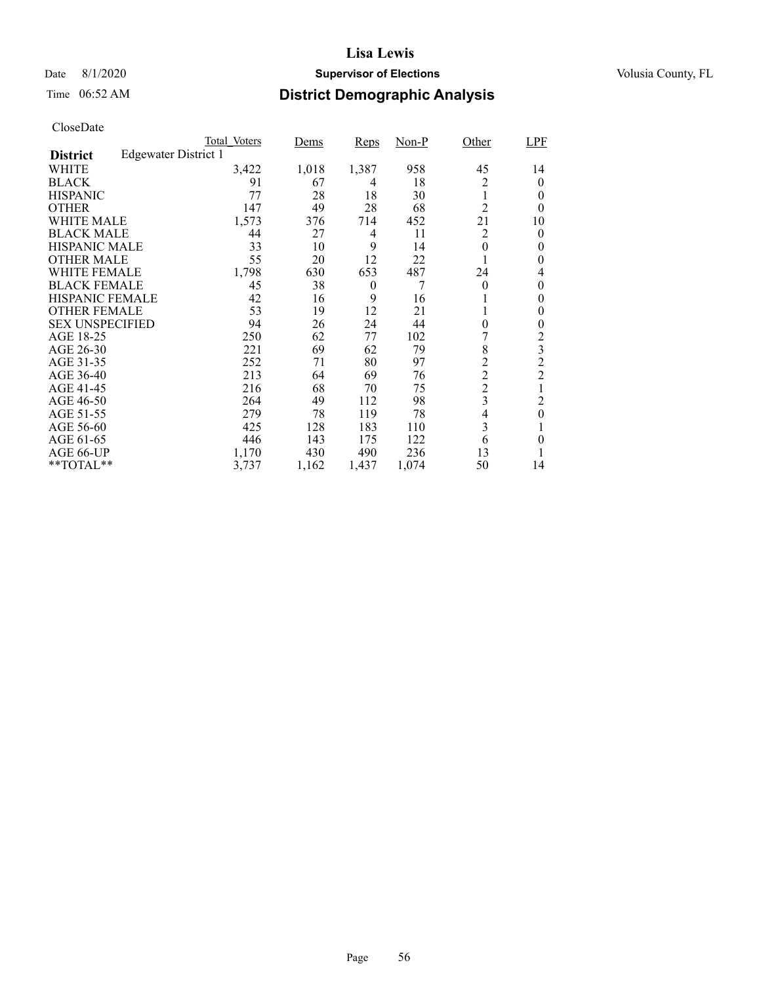### Date 8/1/2020 **Supervisor of Elections Supervisor of Elections** Volusia County, FL

# Time 06:52 AM **District Demographic Analysis**

|                        |                      | Total Voters | <u>Dems</u> | Reps     | $Non-P$ | Other          | <b>LPF</b>              |
|------------------------|----------------------|--------------|-------------|----------|---------|----------------|-------------------------|
| <b>District</b>        | Edgewater District 1 |              |             |          |         |                |                         |
| WHITE                  |                      | 3,422        | 1,018       | 1,387    | 958     | 45             | 14                      |
| <b>BLACK</b>           |                      | 91           | 67          | 4        | 18      | 2              | 0                       |
| <b>HISPANIC</b>        |                      | 77           | 28          | 18       | 30      | 1              | 0                       |
| <b>OTHER</b>           |                      | 147          | 49          | 28       | 68      | $\overline{2}$ | 0                       |
| WHITE MALE             |                      | 1,573        | 376         | 714      | 452     | 21             | 10                      |
| <b>BLACK MALE</b>      |                      | 44           | 27          | 4        | 11      | $\overline{2}$ | 0                       |
| <b>HISPANIC MALE</b>   |                      | 33           | 10          | 9        | 14      | 0              | 0                       |
| <b>OTHER MALE</b>      |                      | 55           | 20          | 12       | 22      | 1              | 0                       |
| WHITE FEMALE           |                      | 1,798        | 630         | 653      | 487     | 24             | 4                       |
| <b>BLACK FEMALE</b>    |                      | 45           | 38          | $\theta$ | 7       | $\theta$       | 0                       |
| <b>HISPANIC FEMALE</b> |                      | 42           | 16          | 9        | 16      |                | 0                       |
| <b>OTHER FEMALE</b>    |                      | 53           | 19          | 12       | 21      | 1              | 0                       |
| <b>SEX UNSPECIFIED</b> |                      | 94           | 26          | 24       | 44      | 0              | 0                       |
| AGE 18-25              |                      | 250          | 62          | 77       | 102     | 7              | 2                       |
| AGE 26-30              |                      | 221          | 69          | 62       | 79      | 8              | $\overline{\mathbf{3}}$ |
| AGE 31-35              |                      | 252          | 71          | 80       | 97      | $\overline{2}$ | $\overline{c}$          |
| AGE 36-40              |                      | 213          | 64          | 69       | 76      | $\overline{c}$ | $\overline{c}$          |
| AGE 41-45              |                      | 216          | 68          | 70       | 75      | $\overline{c}$ | $\mathbf{1}$            |
| AGE 46-50              |                      | 264          | 49          | 112      | 98      | $\mathfrak{Z}$ | $\overline{c}$          |
| AGE 51-55              |                      | 279          | 78          | 119      | 78      | 4              | $\theta$                |
| AGE 56-60              |                      | 425          | 128         | 183      | 110     | 3              |                         |
| AGE 61-65              |                      | 446          | 143         | 175      | 122     | 6              | 0                       |
| AGE 66-UP              |                      | 1,170        | 430         | 490      | 236     | 13             |                         |
| **TOTAL**              |                      | 3,737        | 1,162       | 1,437    | 1,074   | 50             | 14                      |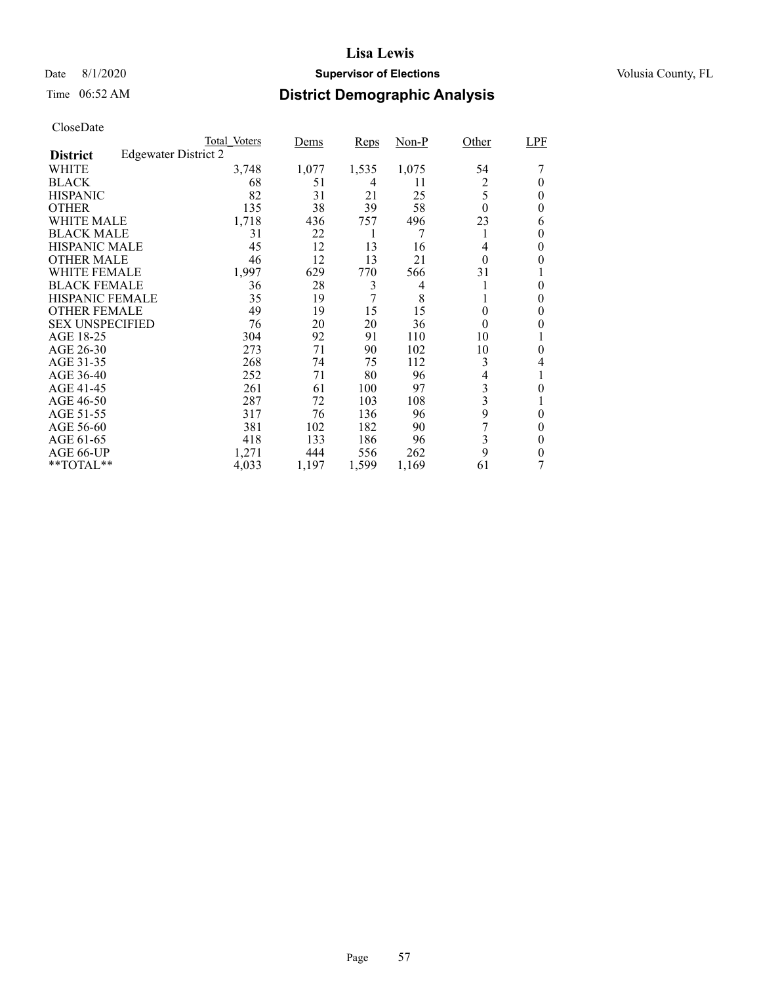### Date 8/1/2020 **Supervisor of Elections Supervisor of Elections** Volusia County, FL

# Time 06:52 AM **District Demographic Analysis**

|                        |                             | Total Voters | Dems  | Reps  | $Non-P$ | Other    | LPF      |
|------------------------|-----------------------------|--------------|-------|-------|---------|----------|----------|
| <b>District</b>        | <b>Edgewater District 2</b> |              |       |       |         |          |          |
| WHITE                  |                             | 3,748        | 1,077 | 1,535 | 1,075   | 54       |          |
| <b>BLACK</b>           |                             | 68           | 51    | 4     | 11      | 2        | 0        |
| <b>HISPANIC</b>        |                             | 82           | 31    | 21    | 25      | 5        | 0        |
| <b>OTHER</b>           |                             | 135          | 38    | 39    | 58      | $\theta$ | 0        |
| WHITE MALE             |                             | 1,718        | 436   | 757   | 496     | 23       | 6        |
| <b>BLACK MALE</b>      |                             | 31           | 22    | 1     | 7       |          | 0        |
| <b>HISPANIC MALE</b>   |                             | 45           | 12    | 13    | 16      | 4        | 0        |
| <b>OTHER MALE</b>      |                             | 46           | 12    | 13    | 21      | $\theta$ | 0        |
| WHITE FEMALE           |                             | 1,997        | 629   | 770   | 566     | 31       |          |
| <b>BLACK FEMALE</b>    |                             | 36           | 28    | 3     | 4       |          | 0        |
| <b>HISPANIC FEMALE</b> |                             | 35           | 19    | 7     | 8       |          | 0        |
| <b>OTHER FEMALE</b>    |                             | 49           | 19    | 15    | 15      | $\theta$ | 0        |
| <b>SEX UNSPECIFIED</b> |                             | 76           | 20    | 20    | 36      | $\theta$ | 0        |
| AGE 18-25              |                             | 304          | 92    | 91    | 110     | 10       |          |
| AGE 26-30              |                             | 273          | 71    | 90    | 102     | 10       | 0        |
| AGE 31-35              |                             | 268          | 74    | 75    | 112     | 3        | 4        |
| AGE 36-40              |                             | 252          | 71    | 80    | 96      | 4        |          |
| AGE 41-45              |                             | 261          | 61    | 100   | 97      | 3        | 0        |
| AGE 46-50              |                             | 287          | 72    | 103   | 108     | 3        |          |
| AGE 51-55              |                             | 317          | 76    | 136   | 96      | 9        | 0        |
| AGE 56-60              |                             | 381          | 102   | 182   | 90      |          | 0        |
| AGE 61-65              |                             | 418          | 133   | 186   | 96      | 3        | $\theta$ |
| AGE 66-UP              |                             | 1,271        | 444   | 556   | 262     | 9        | 0        |
| **TOTAL**              |                             | 4,033        | 1,197 | 1,599 | 1,169   | 61       |          |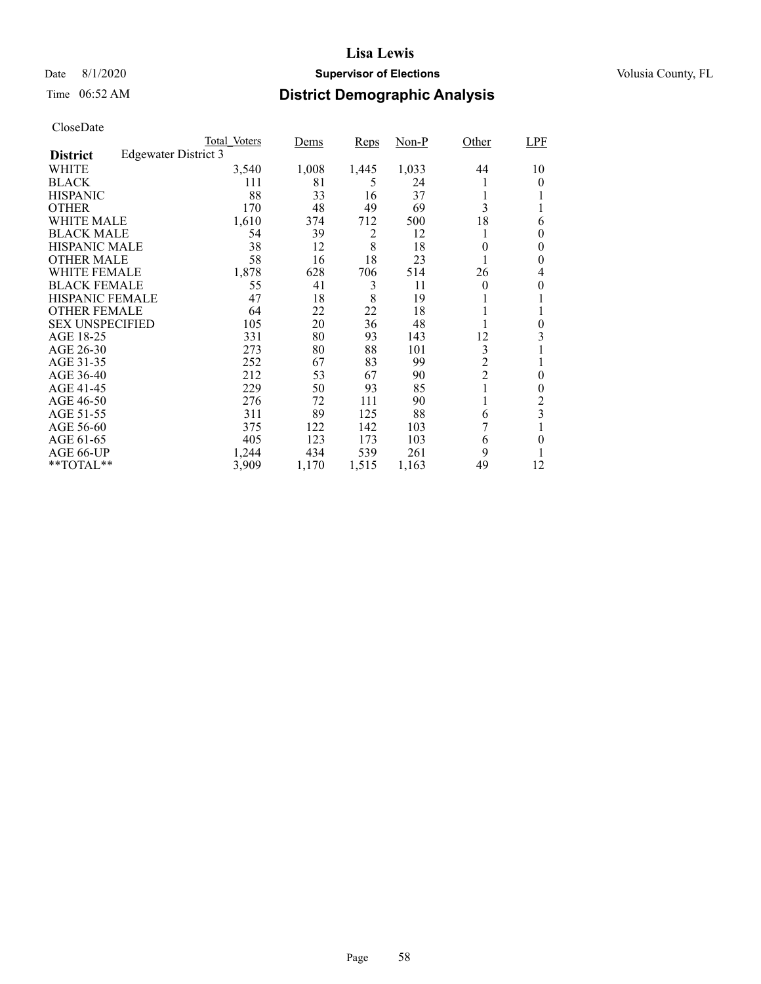### Date 8/1/2020 **Supervisor of Elections Supervisor of Elections** Volusia County, FL

# Time 06:52 AM **District Demographic Analysis**

|                        |                      | Total Voters | Dems  | Reps           | $Non-P$ | Other          | LPF                     |
|------------------------|----------------------|--------------|-------|----------------|---------|----------------|-------------------------|
| <b>District</b>        | Edgewater District 3 |              |       |                |         |                |                         |
| WHITE                  |                      | 3,540        | 1,008 | 1,445          | 1,033   | 44             | 10                      |
| <b>BLACK</b>           |                      | 111          | 81    | 5              | 24      |                | 0                       |
| <b>HISPANIC</b>        |                      | 88           | 33    | 16             | 37      |                |                         |
| <b>OTHER</b>           |                      | 170          | 48    | 49             | 69      | 3              |                         |
| WHITE MALE             |                      | 1,610        | 374   | 712            | 500     | 18             | 6                       |
| <b>BLACK MALE</b>      |                      | 54           | 39    | $\overline{c}$ | 12      |                | 0                       |
| <b>HISPANIC MALE</b>   |                      | 38           | 12    | 8              | 18      | 0              | 0                       |
| <b>OTHER MALE</b>      |                      | 58           | 16    | 18             | 23      |                | 0                       |
| WHITE FEMALE           |                      | 1,878        | 628   | 706            | 514     | 26             | 4                       |
| <b>BLACK FEMALE</b>    |                      | 55           | 41    | 3              | 11      | $\theta$       | 0                       |
| <b>HISPANIC FEMALE</b> |                      | 47           | 18    | 8              | 19      |                |                         |
| <b>OTHER FEMALE</b>    |                      | 64           | 22    | 22             | 18      |                |                         |
| <b>SEX UNSPECIFIED</b> |                      | 105          | 20    | 36             | 48      |                | $\theta$                |
| AGE 18-25              |                      | 331          | 80    | 93             | 143     | 12             | 3                       |
| AGE 26-30              |                      | 273          | 80    | 88             | 101     | 3              |                         |
| AGE 31-35              |                      | 252          | 67    | 83             | 99      | $\overline{c}$ |                         |
| AGE 36-40              |                      | 212          | 53    | 67             | 90      | $\overline{c}$ | 0                       |
| AGE 41-45              |                      | 229          | 50    | 93             | 85      |                | $\theta$                |
| AGE 46-50              |                      | 276          | 72    | 111            | 90      |                | 2                       |
| AGE 51-55              |                      | 311          | 89    | 125            | 88      | 6              | $\overline{\mathbf{3}}$ |
| AGE 56-60              |                      | 375          | 122   | 142            | 103     | 7              |                         |
| AGE 61-65              |                      | 405          | 123   | 173            | 103     | 6              | 0                       |
| AGE 66-UP              |                      | 1,244        | 434   | 539            | 261     | 9              |                         |
| **TOTAL**              |                      | 3,909        | 1,170 | 1,515          | 1,163   | 49             | 12                      |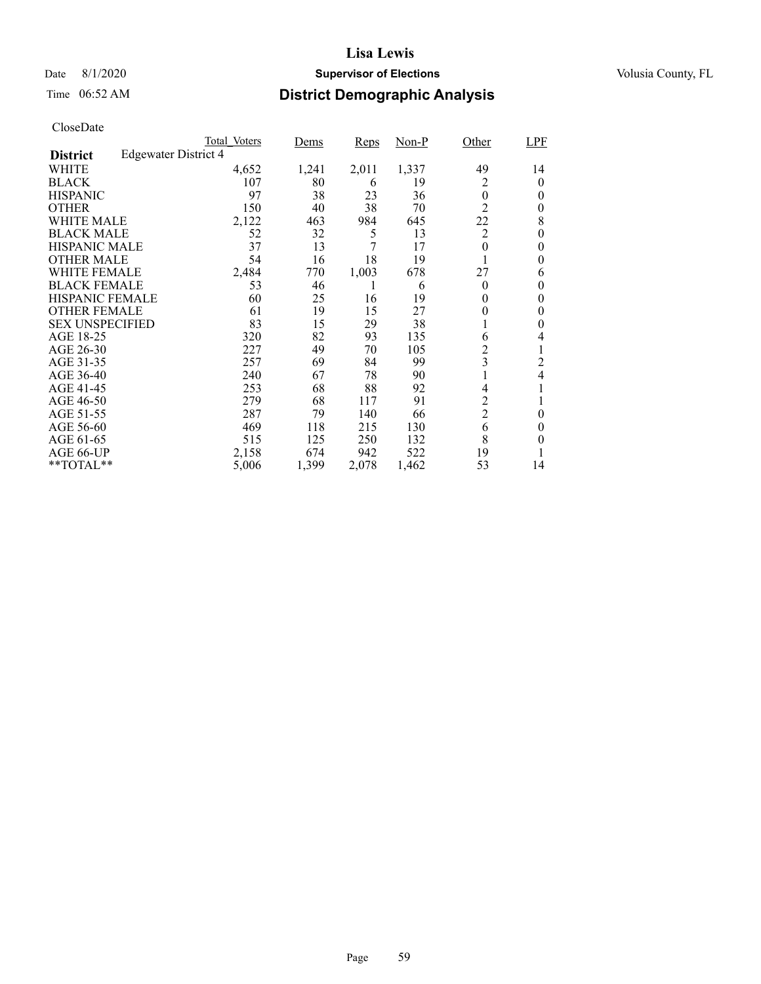### Date 8/1/2020 **Supervisor of Elections Supervisor of Elections** Volusia County, FL

# Time 06:52 AM **District Demographic Analysis**

|                        |                             | Total Voters | Dems  | Reps  | $Non-P$ | Other          | LPF                      |
|------------------------|-----------------------------|--------------|-------|-------|---------|----------------|--------------------------|
| <b>District</b>        | <b>Edgewater District 4</b> |              |       |       |         |                |                          |
| WHITE                  |                             | 4,652        | 1,241 | 2,011 | 1,337   | 49             | 14                       |
| <b>BLACK</b>           |                             | 107          | 80    | 6     | 19      | 2              | 0                        |
| <b>HISPANIC</b>        |                             | 97           | 38    | 23    | 36      | $\overline{0}$ | 0                        |
| <b>OTHER</b>           |                             | 150          | 40    | 38    | 70      | $\overline{2}$ | 0                        |
| WHITE MALE             |                             | 2,122        | 463   | 984   | 645     | 22             | 8                        |
| <b>BLACK MALE</b>      |                             | 52           | 32    | 5     | 13      | $\overline{2}$ | 0                        |
| <b>HISPANIC MALE</b>   |                             | 37           | 13    | 7     | 17      | $\theta$       | 0                        |
| <b>OTHER MALE</b>      |                             | 54           | 16    | 18    | 19      |                | 0                        |
| WHITE FEMALE           |                             | 2,484        | 770   | 1,003 | 678     | 27             | 6                        |
| <b>BLACK FEMALE</b>    |                             | 53           | 46    |       | 6       | $\theta$       | 0                        |
| <b>HISPANIC FEMALE</b> |                             | 60           | 25    | 16    | 19      | 0              | 0                        |
| <b>OTHER FEMALE</b>    |                             | 61           | 19    | 15    | 27      | 0              | 0                        |
| <b>SEX UNSPECIFIED</b> |                             | 83           | 15    | 29    | 38      |                | 0                        |
| AGE 18-25              |                             | 320          | 82    | 93    | 135     | 6              | 4                        |
| AGE 26-30              |                             | 227          | 49    | 70    | 105     | $\overline{c}$ | 1                        |
| AGE 31-35              |                             | 257          | 69    | 84    | 99      | 3              | 2                        |
| AGE 36-40              |                             | 240          | 67    | 78    | 90      |                | $\overline{\mathcal{L}}$ |
| AGE 41-45              |                             | 253          | 68    | 88    | 92      | 4              |                          |
| AGE 46-50              |                             | 279          | 68    | 117   | 91      | 2              |                          |
| AGE 51-55              |                             | 287          | 79    | 140   | 66      | $\overline{c}$ | $\theta$                 |
| AGE 56-60              |                             | 469          | 118   | 215   | 130     | 6              | 0                        |
| AGE 61-65              |                             | 515          | 125   | 250   | 132     | 8              | 0                        |
| AGE 66-UP              |                             | 2,158        | 674   | 942   | 522     | 19             |                          |
| **TOTAL**              |                             | 5,006        | 1,399 | 2,078 | 1,462   | 53             | 14                       |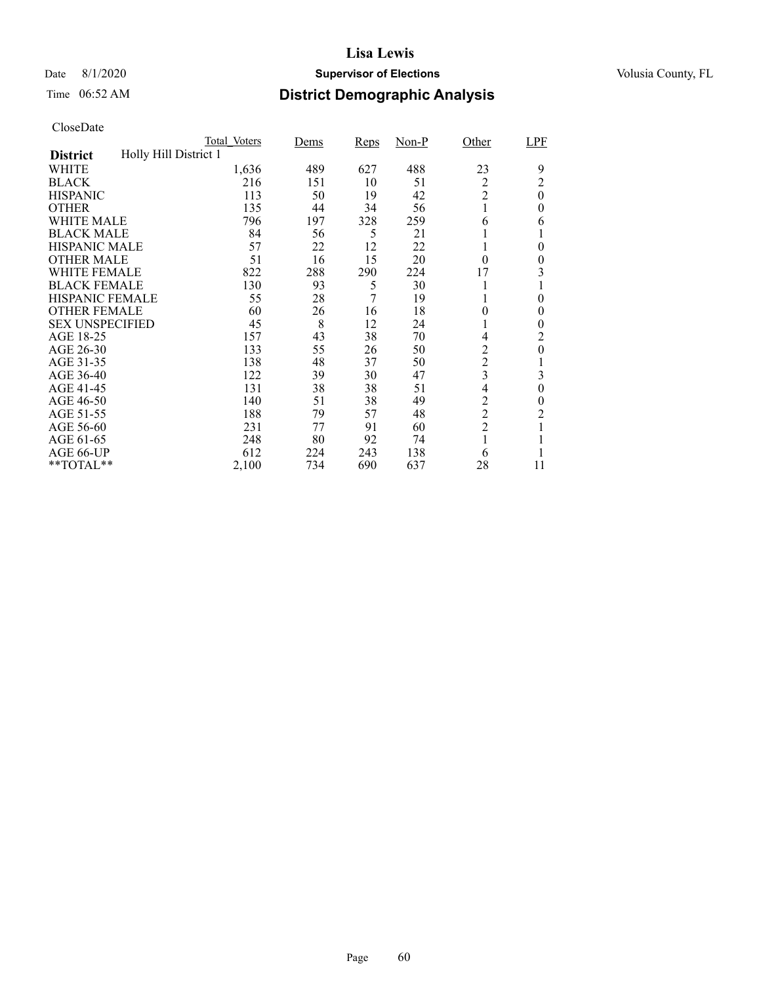### Date 8/1/2020 **Supervisor of Elections Supervisor of Elections** Volusia County, FL

# Time 06:52 AM **District Demographic Analysis**

|                        |                       | Total Voters | <u>Dems</u> | <b>Reps</b> | $Non-P$ | Other          | LPF              |
|------------------------|-----------------------|--------------|-------------|-------------|---------|----------------|------------------|
| <b>District</b>        | Holly Hill District 1 |              |             |             |         |                |                  |
| WHITE                  |                       | 1,636        | 489         | 627         | 488     | 23             | 9                |
| <b>BLACK</b>           |                       | 216          | 151         | 10          | 51      | 2              | $\overline{c}$   |
| <b>HISPANIC</b>        |                       | 113          | 50          | 19          | 42      | $\overline{2}$ | $\boldsymbol{0}$ |
| <b>OTHER</b>           |                       | 135          | 44          | 34          | 56      |                | $\theta$         |
| WHITE MALE             |                       | 796          | 197         | 328         | 259     | 6              | 6                |
| <b>BLACK MALE</b>      |                       | 84           | 56          | 5           | 21      |                |                  |
| <b>HISPANIC MALE</b>   |                       | 57           | 22          | 12          | 22      |                | $\theta$         |
| <b>OTHER MALE</b>      |                       | 51           | 16          | 15          | 20      | $\theta$       | $\overline{0}$   |
| WHITE FEMALE           |                       | 822          | 288         | 290         | 224     | 17             | 3                |
| <b>BLACK FEMALE</b>    |                       | 130          | 93          | 5           | 30      |                |                  |
| <b>HISPANIC FEMALE</b> |                       | 55           | 28          | 7           | 19      |                | $\theta$         |
| <b>OTHER FEMALE</b>    |                       | 60           | 26          | 16          | 18      | $\theta$       | $\theta$         |
| <b>SEX UNSPECIFIED</b> |                       | 45           | 8           | 12          | 24      |                | $\theta$         |
| AGE 18-25              |                       | 157          | 43          | 38          | 70      | 4              | 2                |
| AGE 26-30              |                       | 133          | 55          | 26          | 50      | 2              | $\overline{0}$   |
| AGE 31-35              |                       | 138          | 48          | 37          | 50      | $\overline{c}$ |                  |
| AGE 36-40              |                       | 122          | 39          | 30          | 47      | 3              | 3                |
| AGE 41-45              |                       | 131          | 38          | 38          | 51      | 4              | $\overline{0}$   |
| AGE 46-50              |                       | 140          | 51          | 38          | 49      | $\overline{c}$ | 0                |
| AGE 51-55              |                       | 188          | 79          | 57          | 48      | $\overline{c}$ | $\overline{c}$   |
| AGE 56-60              |                       | 231          | 77          | 91          | 60      | $\overline{2}$ |                  |
| AGE 61-65              |                       | 248          | 80          | 92          | 74      | 1              |                  |
| AGE 66-UP              |                       | 612          | 224         | 243         | 138     | 6              |                  |
| **TOTAL**              |                       | 2,100        | 734         | 690         | 637     | 28             | 11               |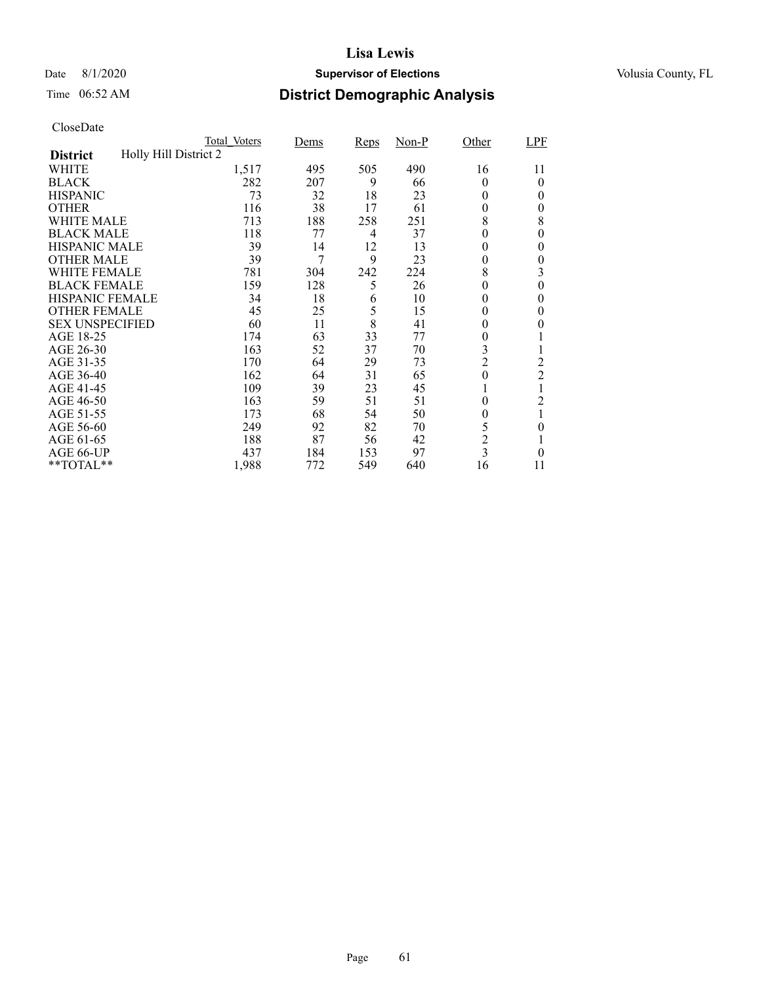### Date 8/1/2020 **Supervisor of Elections Supervisor of Elections** Volusia County, FL

# Time 06:52 AM **District Demographic Analysis**

|                        |                       | Total Voters | <u>Dems</u> | Reps | $Non-P$ | Other            | LPF            |
|------------------------|-----------------------|--------------|-------------|------|---------|------------------|----------------|
| <b>District</b>        | Holly Hill District 2 |              |             |      |         |                  |                |
| WHITE                  |                       | 1,517        | 495         | 505  | 490     | 16               | 11             |
| <b>BLACK</b>           |                       | 282          | 207         | 9    | 66      | $\theta$         | 0              |
| <b>HISPANIC</b>        |                       | 73           | 32          | 18   | 23      | $\Omega$         | $\theta$       |
| <b>OTHER</b>           |                       | 116          | 38          | 17   | 61      | 0                | 0              |
| WHITE MALE             |                       | 713          | 188         | 258  | 251     | 8                | 8              |
| <b>BLACK MALE</b>      |                       | 118          | 77          | 4    | 37      | $\theta$         | 0              |
| <b>HISPANIC MALE</b>   |                       | 39           | 14          | 12   | 13      | $^{(1)}$         | 0              |
| <b>OTHER MALE</b>      |                       | 39           | 7           | 9    | 23      | 0                | $\overline{0}$ |
| WHITE FEMALE           |                       | 781          | 304         | 242  | 224     | 8                | 3              |
| <b>BLACK FEMALE</b>    |                       | 159          | 128         | 5    | 26      | 0                | $\overline{0}$ |
| <b>HISPANIC FEMALE</b> |                       | 34           | 18          | 6    | 10      | 0                | 0              |
| <b>OTHER FEMALE</b>    |                       | 45           | 25          | 5    | 15      | 0                | 0              |
| <b>SEX UNSPECIFIED</b> |                       | 60           | 11          | 8    | 41      | $\theta$         | 0              |
| AGE 18-25              |                       | 174          | 63          | 33   | 77      | 0                |                |
| AGE 26-30              |                       | 163          | 52          | 37   | 70      | 3                |                |
| AGE 31-35              |                       | 170          | 64          | 29   | 73      | $\overline{2}$   | $\overline{c}$ |
| AGE 36-40              |                       | 162          | 64          | 31   | 65      | $\boldsymbol{0}$ | $\overline{c}$ |
| AGE 41-45              |                       | 109          | 39          | 23   | 45      |                  |                |
| AGE 46-50              |                       | 163          | 59          | 51   | 51      | $\theta$         | 2              |
| AGE 51-55              |                       | 173          | 68          | 54   | 50      | 0                | 1              |
| AGE 56-60              |                       | 249          | 92          | 82   | 70      | 5                | 0              |
| AGE 61-65              |                       | 188          | 87          | 56   | 42      | $\overline{c}$   |                |
| AGE 66-UP              |                       | 437          | 184         | 153  | 97      | $\overline{3}$   | 0              |
| **TOTAL**              |                       | 1,988        | 772         | 549  | 640     | 16               | 11             |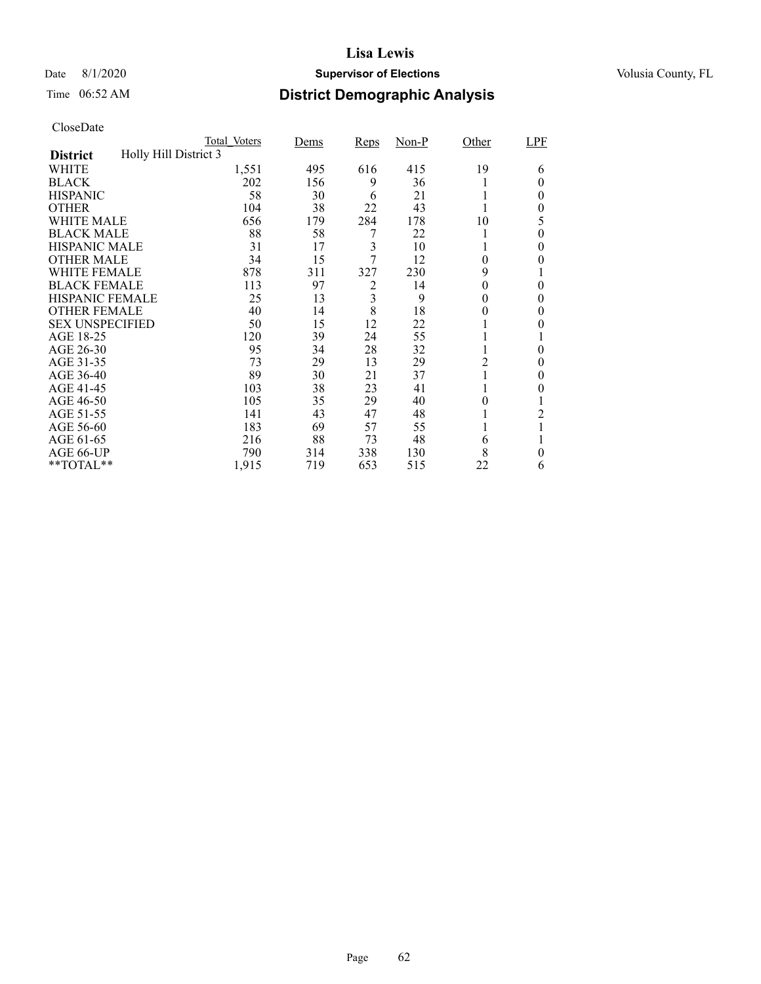### Date 8/1/2020 **Supervisor of Elections Supervisor of Elections** Volusia County, FL

# Time 06:52 AM **District Demographic Analysis**

|                        |                       | Total Voters | Dems | <b>Reps</b> | $Non-P$ | Other    | LPF      |
|------------------------|-----------------------|--------------|------|-------------|---------|----------|----------|
| <b>District</b>        | Holly Hill District 3 |              |      |             |         |          |          |
| WHITE                  |                       | 1,551        | 495  | 616         | 415     | 19       | 6        |
| <b>BLACK</b>           |                       | 202          | 156  | 9           | 36      |          | 0        |
| <b>HISPANIC</b>        |                       | 58           | 30   | 6           | 21      |          | 0        |
| <b>OTHER</b>           |                       | 104          | 38   | 22          | 43      |          | 0        |
| WHITE MALE             |                       | 656          | 179  | 284         | 178     | 10       | 5        |
| <b>BLACK MALE</b>      |                       | 88           | 58   | 7           | 22      |          | 0        |
| <b>HISPANIC MALE</b>   |                       | 31           | 17   | 3           | 10      |          | 0        |
| <b>OTHER MALE</b>      |                       | 34           | 15   | 7           | 12      | $\theta$ | 0        |
| WHITE FEMALE           |                       | 878          | 311  | 327         | 230     | 9        |          |
| <b>BLACK FEMALE</b>    |                       | 113          | 97   | 2           | 14      | 0        | $\theta$ |
| <b>HISPANIC FEMALE</b> |                       | 25           | 13   | 3           | 9       | 0        | 0        |
| <b>OTHER FEMALE</b>    |                       | 40           | 14   | 8           | 18      | 0        | 0        |
| <b>SEX UNSPECIFIED</b> |                       | 50           | 15   | 12          | 22      |          | 0        |
| AGE 18-25              |                       | 120          | 39   | 24          | 55      |          |          |
| AGE 26-30              |                       | 95           | 34   | 28          | 32      |          | 0        |
| AGE 31-35              |                       | 73           | 29   | 13          | 29      | 2        | 0        |
| AGE 36-40              |                       | 89           | 30   | 21          | 37      |          | 0        |
| AGE 41-45              |                       | 103          | 38   | 23          | 41      |          | 0        |
| AGE 46-50              |                       | 105          | 35   | 29          | 40      | 0        |          |
| AGE 51-55              |                       | 141          | 43   | 47          | 48      |          | 2        |
| AGE 56-60              |                       | 183          | 69   | 57          | 55      |          |          |
| AGE 61-65              |                       | 216          | 88   | 73          | 48      | 6        |          |
| AGE 66-UP              |                       | 790          | 314  | 338         | 130     | 8        | 0        |
| **TOTAL**              |                       | 1,915        | 719  | 653         | 515     | 22       | 6        |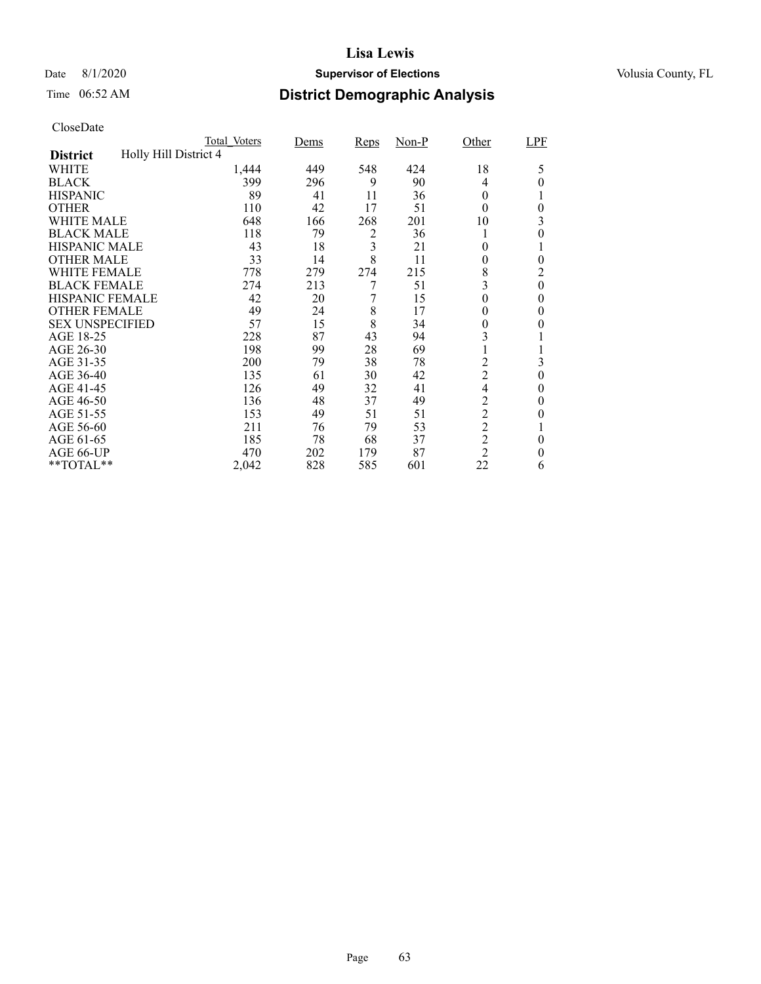### Date 8/1/2020 **Supervisor of Elections Supervisor of Elections** Volusia County, FL

# Time 06:52 AM **District Demographic Analysis**

|                        |                       | Total Voters | Dems | <b>Reps</b> | $Non-P$ | Other          | LPF              |
|------------------------|-----------------------|--------------|------|-------------|---------|----------------|------------------|
| <b>District</b>        | Holly Hill District 4 |              |      |             |         |                |                  |
| WHITE                  |                       | 1,444        | 449  | 548         | 424     | 18             | 5                |
| <b>BLACK</b>           |                       | 399          | 296  | 9           | 90      | 4              | 0                |
| <b>HISPANIC</b>        |                       | 89           | 41   | 11          | 36      | $\theta$       |                  |
| <b>OTHER</b>           |                       | 110          | 42   | 17          | 51      | $\theta$       | $\theta$         |
| WHITE MALE             |                       | 648          | 166  | 268         | 201     | 10             | 3                |
| <b>BLACK MALE</b>      |                       | 118          | 79   | 2           | 36      |                | 0                |
| <b>HISPANIC MALE</b>   |                       | 43           | 18   | 3           | 21      | 0              |                  |
| <b>OTHER MALE</b>      |                       | 33           | 14   | 8           | 11      | 0              | $\theta$         |
| WHITE FEMALE           |                       | 778          | 279  | 274         | 215     | 8              | 2                |
| <b>BLACK FEMALE</b>    |                       | 274          | 213  | 7           | 51      | 3              | $\theta$         |
| <b>HISPANIC FEMALE</b> |                       | 42           | 20   | 7           | 15      | $\theta$       | 0                |
| <b>OTHER FEMALE</b>    |                       | 49           | 24   | 8           | 17      | $\theta$       | 0                |
| <b>SEX UNSPECIFIED</b> |                       | 57           | 15   | 8           | 34      | 0              | $_{0}$           |
| AGE 18-25              |                       | 228          | 87   | 43          | 94      | 3              |                  |
| AGE 26-30              |                       | 198          | 99   | 28          | 69      |                | T                |
| AGE 31-35              |                       | 200          | 79   | 38          | 78      | $\overline{c}$ | 3                |
| AGE 36-40              |                       | 135          | 61   | 30          | 42      | $\overline{c}$ | $\boldsymbol{0}$ |
| AGE 41-45              |                       | 126          | 49   | 32          | 41      | $\overline{4}$ | 0                |
| AGE 46-50              |                       | 136          | 48   | 37          | 49      | $\overline{c}$ | $\theta$         |
| AGE 51-55              |                       | 153          | 49   | 51          | 51      | $\overline{c}$ | $_{0}$           |
| AGE 56-60              |                       | 211          | 76   | 79          | 53      | $\overline{c}$ |                  |
| AGE 61-65              |                       | 185          | 78   | 68          | 37      | $\overline{c}$ | $\theta$         |
| AGE 66-UP              |                       | 470          | 202  | 179         | 87      | $\overline{2}$ | 0                |
| **TOTAL**              |                       | 2,042        | 828  | 585         | 601     | 22             | 6                |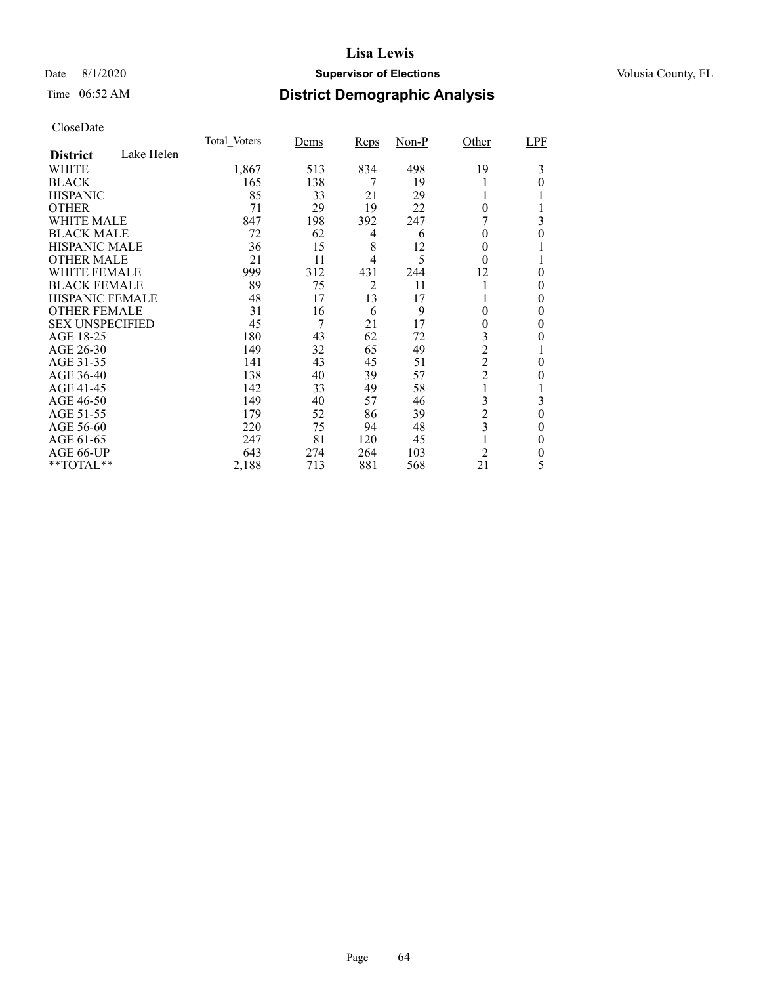### Date 8/1/2020 **Supervisor of Elections Supervisor of Elections** Volusia County, FL

# Time 06:52 AM **District Demographic Analysis**

|                        |            | Total Voters | Dems | <b>Reps</b>    | $Non-P$ | Other                   | LPF      |
|------------------------|------------|--------------|------|----------------|---------|-------------------------|----------|
| <b>District</b>        | Lake Helen |              |      |                |         |                         |          |
| WHITE                  |            | 1,867        | 513  | 834            | 498     | 19                      | 3        |
| <b>BLACK</b>           |            | 165          | 138  | 7              | 19      |                         | 0        |
| <b>HISPANIC</b>        |            | 85           | 33   | 21             | 29      |                         |          |
| <b>OTHER</b>           |            | 71           | 29   | 19             | 22      | $\theta$                |          |
| WHITE MALE             |            | 847          | 198  | 392            | 247     |                         | 3        |
| <b>BLACK MALE</b>      |            | 72           | 62   | 4              | 6       | 0                       | 0        |
| <b>HISPANIC MALE</b>   |            | 36           | 15   | 8              | 12      | 0                       |          |
| <b>OTHER MALE</b>      |            | 21           | 11   | 4              | 5       | $\theta$                |          |
| <b>WHITE FEMALE</b>    |            | 999          | 312  | 431            | 244     | 12                      | 0        |
| <b>BLACK FEMALE</b>    |            | 89           | 75   | $\overline{2}$ | 11      |                         | 0        |
| HISPANIC FEMALE        |            | 48           | 17   | 13             | 17      |                         | 0        |
| <b>OTHER FEMALE</b>    |            | 31           | 16   | 6              | 9       | 0                       | 0        |
| <b>SEX UNSPECIFIED</b> |            | 45           | 7    | 21             | 17      | 0                       | 0        |
| AGE 18-25              |            | 180          | 43   | 62             | 72      | 3                       | 0        |
| AGE 26-30              |            | 149          | 32   | 65             | 49      | $\overline{2}$          |          |
| AGE 31-35              |            | 141          | 43   | 45             | 51      | $\overline{2}$          | 0        |
| AGE 36-40              |            | 138          | 40   | 39             | 57      | $\overline{c}$          | 0        |
| AGE 41-45              |            | 142          | 33   | 49             | 58      |                         |          |
| AGE 46-50              |            | 149          | 40   | 57             | 46      | 3                       | 3        |
| AGE 51-55              |            | 179          | 52   | 86             | 39      | $\overline{c}$          | $\theta$ |
| AGE 56-60              |            | 220          | 75   | 94             | 48      | $\overline{\mathbf{3}}$ | 0        |
| AGE 61-65              |            | 247          | 81   | 120            | 45      |                         | $\theta$ |
| AGE 66-UP              |            | 643          | 274  | 264            | 103     | $\overline{2}$          | 0        |
| **TOTAL**              |            | 2,188        | 713  | 881            | 568     | 21                      | 5        |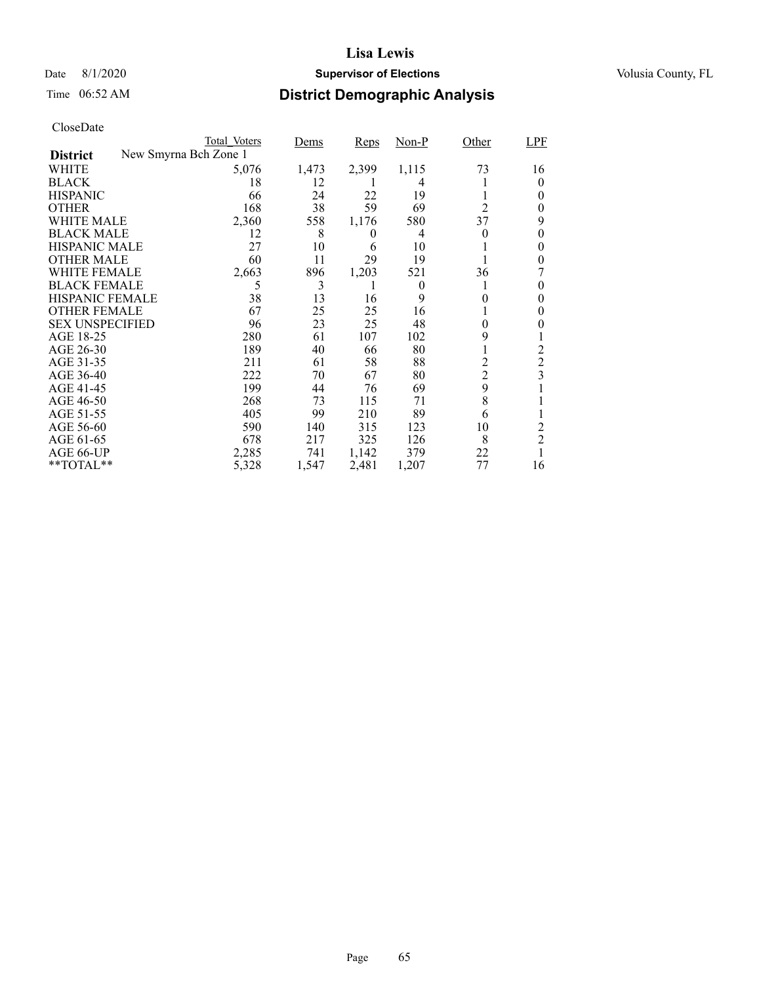### Date 8/1/2020 **Supervisor of Elections Supervisor of Elections** Volusia County, FL

# Time 06:52 AM **District Demographic Analysis**

|                        | Total Voters          | Dems  | Reps     | Non-P    | Other          | LPF            |
|------------------------|-----------------------|-------|----------|----------|----------------|----------------|
| <b>District</b>        | New Smyrna Bch Zone 1 |       |          |          |                |                |
| WHITE                  | 5,076                 | 1,473 | 2,399    | 1,115    | 73             | 16             |
| <b>BLACK</b>           | 18                    | 12    |          | 4        |                | 0              |
| <b>HISPANIC</b>        | 66                    | 24    | 22       | 19       |                | 0              |
| <b>OTHER</b>           | 168                   | 38    | 59       | 69       | $\overline{2}$ | 0              |
| WHITE MALE             | 2,360                 | 558   | 1,176    | 580      | 37             | 9              |
| <b>BLACK MALE</b>      | 12                    | 8     | $\theta$ | 4        | 0              | 0              |
| <b>HISPANIC MALE</b>   | 27                    | 10    | 6        | 10       |                | 0              |
| <b>OTHER MALE</b>      | 60                    | 11    | 29       | 19       |                | 0              |
| WHITE FEMALE           | 2,663                 | 896   | 1,203    | 521      | 36             |                |
| <b>BLACK FEMALE</b>    | 5                     | 3     |          | $\Omega$ |                | 0              |
| <b>HISPANIC FEMALE</b> | 38                    | 13    | 16       | 9        | $_{0}$         | 0              |
| <b>OTHER FEMALE</b>    | 67                    | 25    | 25       | 16       |                | 0              |
| <b>SEX UNSPECIFIED</b> | 96                    | 23    | 25       | 48       | 0              | 0              |
| AGE 18-25              | 280                   | 61    | 107      | 102      | 9              |                |
| AGE 26-30              | 189                   | 40    | 66       | 80       |                | 2              |
| AGE 31-35              | 211                   | 61    | 58       | 88       | $\overline{c}$ | $\overline{2}$ |
| AGE 36-40              | 222                   | 70    | 67       | 80       | $\overline{c}$ | 3              |
| AGE 41-45              | 199                   | 44    | 76       | 69       | 9              |                |
| AGE 46-50              | 268                   | 73    | 115      | 71       | 8              |                |
| AGE 51-55              | 405                   | 99    | 210      | 89       | 6              |                |
| AGE 56-60              | 590                   | 140   | 315      | 123      | 10             | 2              |
| AGE 61-65              | 678                   | 217   | 325      | 126      | 8              | $\overline{2}$ |
| AGE 66-UP              | 2,285                 | 741   | 1,142    | 379      | 22             |                |
| **TOTAL**              | 5,328                 | 1,547 | 2,481    | 1,207    | 77             | 16             |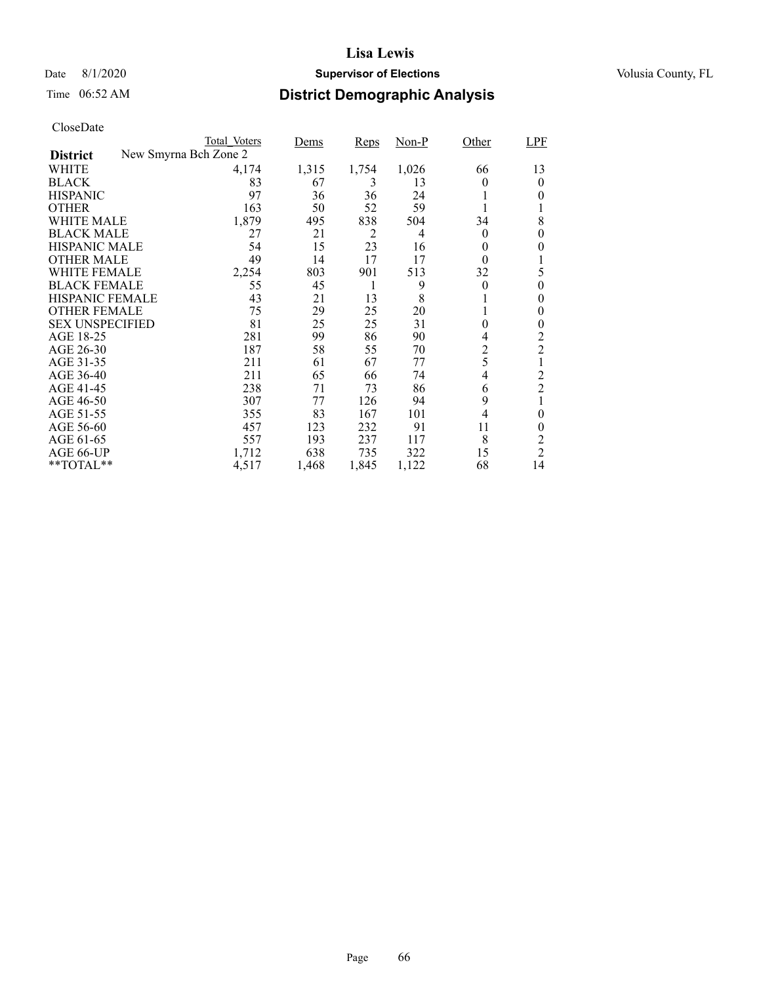### Date 8/1/2020 **Supervisor of Elections Supervisor of Elections** Volusia County, FL

# Time 06:52 AM **District Demographic Analysis**

|                        | Total Voters          | Dems  | Reps  | Non-P | Other          | LPF            |
|------------------------|-----------------------|-------|-------|-------|----------------|----------------|
| <b>District</b>        | New Smyrna Bch Zone 2 |       |       |       |                |                |
| WHITE                  | 4,174                 | 1,315 | 1,754 | 1,026 | 66             | 13             |
| <b>BLACK</b>           | 83                    | 67    | 3     | 13    | 0              | $\theta$       |
| <b>HISPANIC</b>        | 97                    | 36    | 36    | 24    |                | 0              |
| <b>OTHER</b>           | 163                   | 50    | 52    | 59    |                |                |
| WHITE MALE             | 1,879                 | 495   | 838   | 504   | 34             | 8              |
| <b>BLACK MALE</b>      | 27                    | 21    | 2     | 4     | $\theta$       | $\theta$       |
| <b>HISPANIC MALE</b>   | 54                    | 15    | 23    | 16    | 0              | 0              |
| <b>OTHER MALE</b>      | 49                    | 14    | 17    | 17    | $\theta$       |                |
| WHITE FEMALE           | 2,254                 | 803   | 901   | 513   | 32             | 5              |
| <b>BLACK FEMALE</b>    | 55                    | 45    | 1     | 9     | $\theta$       | $\theta$       |
| HISPANIC FEMALE        | 43                    | 21    | 13    | 8     |                | 0              |
| <b>OTHER FEMALE</b>    | 75                    | 29    | 25    | 20    |                | 0              |
| <b>SEX UNSPECIFIED</b> | 81                    | 25    | 25    | 31    | $\overline{0}$ | 0              |
| AGE 18-25              | 281                   | 99    | 86    | 90    | 4              | 2              |
| AGE 26-30              | 187                   | 58    | 55    | 70    | 2              | $\overline{c}$ |
| AGE 31-35              | 211                   | 61    | 67    | 77    | 5              | 1              |
| AGE 36-40              | 211                   | 65    | 66    | 74    | 4              | $\overline{c}$ |
| AGE 41-45              | 238                   | 71    | 73    | 86    | 6              | $\overline{2}$ |
| AGE 46-50              | 307                   | 77    | 126   | 94    | 9              |                |
| AGE 51-55              | 355                   | 83    | 167   | 101   | $\overline{4}$ | 0              |
| AGE 56-60              | 457                   | 123   | 232   | 91    | 11             | $\theta$       |
| AGE 61-65              | 557                   | 193   | 237   | 117   | 8              | 2              |
| AGE 66-UP              | 1,712                 | 638   | 735   | 322   | 15             | $\overline{c}$ |
| **TOTAL**              | 4,517                 | 1,468 | 1,845 | 1,122 | 68             | 14             |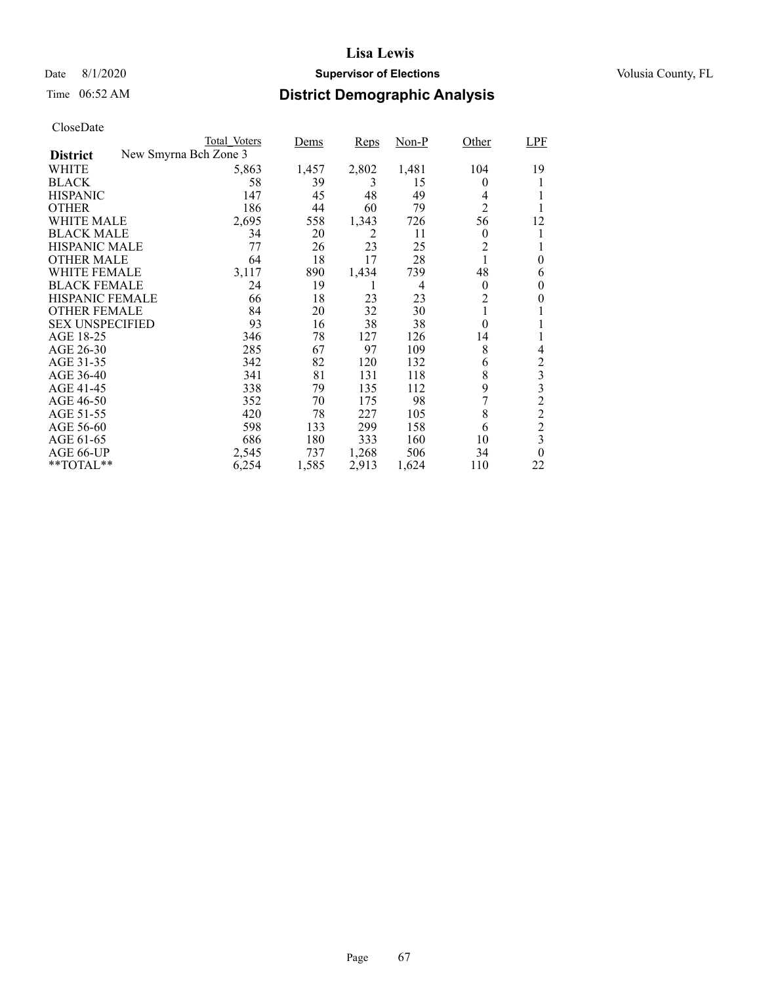### Date 8/1/2020 **Supervisor of Elections Supervisor of Elections** Volusia County, FL

# Time 06:52 AM **District Demographic Analysis**

|                        | Total Voters          | Dems  | Reps  | $Non-P$ | Other            | LPF            |
|------------------------|-----------------------|-------|-------|---------|------------------|----------------|
| <b>District</b>        | New Smyrna Bch Zone 3 |       |       |         |                  |                |
| WHITE                  | 5,863                 | 1,457 | 2,802 | 1,481   | 104              | 19             |
| <b>BLACK</b>           | 58                    | 39    | 3     | 15      | 0                |                |
| <b>HISPANIC</b>        | 147                   | 45    | 48    | 49      | 4                |                |
| <b>OTHER</b>           | 186                   | 44    | 60    | 79      | $\overline{2}$   |                |
| WHITE MALE             | 2,695                 | 558   | 1,343 | 726     | 56               | 12             |
| <b>BLACK MALE</b>      | 34                    | 20    | 2     | 11      | $\theta$         |                |
| <b>HISPANIC MALE</b>   | 77                    | 26    | 23    | 25      | $\overline{c}$   |                |
| <b>OTHER MALE</b>      | 64                    | 18    | 17    | 28      |                  | $\theta$       |
| WHITE FEMALE           | 3,117                 | 890   | 1,434 | 739     | 48               | 6              |
| <b>BLACK FEMALE</b>    | 24                    | 19    | L     | 4       | $\theta$         | 0              |
| <b>HISPANIC FEMALE</b> | 66                    | 18    | 23    | 23      | $\overline{c}$   | 0              |
| <b>OTHER FEMALE</b>    | 84                    | 20    | 32    | 30      | 1                |                |
| <b>SEX UNSPECIFIED</b> | 93                    | 16    | 38    | 38      | $\boldsymbol{0}$ | 1              |
| AGE 18-25              | 346                   | 78    | 127   | 126     | 14               |                |
| AGE 26-30              | 285                   | 67    | 97    | 109     | 8                | 4              |
| AGE 31-35              | 342                   | 82    | 120   | 132     | 6                | $\overline{c}$ |
| AGE 36-40              | 341                   | 81    | 131   | 118     | 8                | $\mathfrak{Z}$ |
| AGE 41-45              | 338                   | 79    | 135   | 112     | 9                | 3              |
| AGE 46-50              | 352                   | 70    | 175   | 98      |                  | $\overline{c}$ |
| AGE 51-55              | 420                   | 78    | 227   | 105     | 8                | $\overline{c}$ |
| AGE 56-60              | 598                   | 133   | 299   | 158     | 6                | $\overline{c}$ |
| AGE 61-65              | 686                   | 180   | 333   | 160     | 10               | 3              |
| AGE 66-UP              | 2,545                 | 737   | 1,268 | 506     | 34               | $\theta$       |
| **TOTAL**              | 6,254                 | 1,585 | 2,913 | 1,624   | 110              | 22             |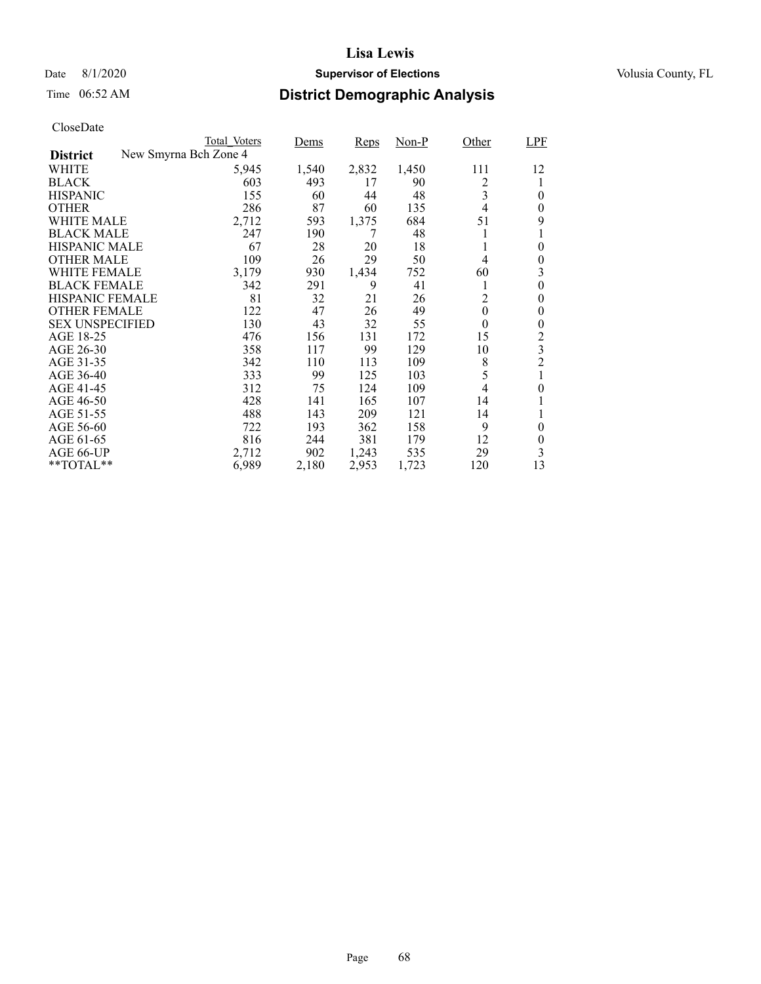### Date 8/1/2020 **Supervisor of Elections Supervisor of Elections** Volusia County, FL

# Time 06:52 AM **District Demographic Analysis**

| CloseDate |
|-----------|
|-----------|

|                        |                       | Total Voters | Dems  | Reps  | Non-P | Other            | LPF            |
|------------------------|-----------------------|--------------|-------|-------|-------|------------------|----------------|
| <b>District</b>        | New Smyrna Bch Zone 4 |              |       |       |       |                  |                |
| WHITE                  |                       | 5,945        | 1,540 | 2,832 | 1,450 | 111              | 12             |
| <b>BLACK</b>           |                       | 603          | 493   | 17    | 90    | 2                |                |
| <b>HISPANIC</b>        |                       | 155          | 60    | 44    | 48    | 3                | 0              |
| <b>OTHER</b>           |                       | 286          | 87    | 60    | 135   | 4                | 0              |
| <b>WHITE MALE</b>      |                       | 2,712        | 593   | 1,375 | 684   | 51               | 9              |
| <b>BLACK MALE</b>      |                       | 247          | 190   | 7     | 48    |                  | 1              |
| <b>HISPANIC MALE</b>   |                       | 67           | 28    | 20    | 18    |                  | $\theta$       |
| <b>OTHER MALE</b>      |                       | 109          | 26    | 29    | 50    | 4                | $\theta$       |
| <b>WHITE FEMALE</b>    |                       | 3,179        | 930   | 1,434 | 752   | 60               | 3              |
| <b>BLACK FEMALE</b>    |                       | 342          | 291   | 9     | 41    | 1                | 0              |
| <b>HISPANIC FEMALE</b> |                       | 81           | 32    | 21    | 26    | 2                | 0              |
| <b>OTHER FEMALE</b>    |                       | 122          | 47    | 26    | 49    | $\boldsymbol{0}$ | 0              |
| <b>SEX UNSPECIFIED</b> |                       | 130          | 43    | 32    | 55    | $\overline{0}$   | 0              |
| AGE 18-25              |                       | 476          | 156   | 131   | 172   | 15               | 2              |
| AGE 26-30              |                       | 358          | 117   | 99    | 129   | 10               | 3              |
| AGE 31-35              |                       | 342          | 110   | 113   | 109   | 8                | $\overline{c}$ |
| AGE 36-40              |                       | 333          | 99    | 125   | 103   | 5                |                |
| AGE 41-45              |                       | 312          | 75    | 124   | 109   | 4                | 0              |
| AGE 46-50              |                       | 428          | 141   | 165   | 107   | 14               |                |
| AGE 51-55              |                       | 488          | 143   | 209   | 121   | 14               |                |
| AGE 56-60              |                       | 722          | 193   | 362   | 158   | 9                | 0              |
| AGE 61-65              |                       | 816          | 244   | 381   | 179   | 12               | $\theta$       |
| AGE 66-UP              |                       | 2,712        | 902   | 1,243 | 535   | 29               | 3              |
| $*$ TOTAL $*$          |                       | 6,989        | 2,180 | 2,953 | 1,723 | 120              | 13             |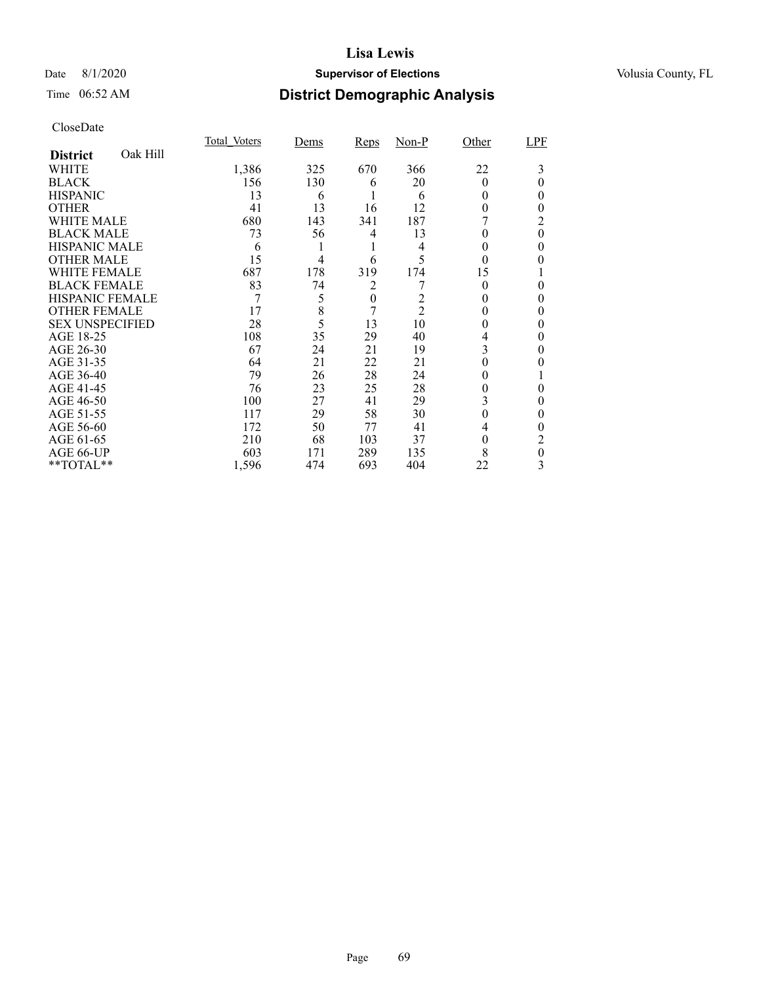### Date 8/1/2020 **Supervisor of Elections Supervisor of Elections** Volusia County, FL

# Time 06:52 AM **District Demographic Analysis**

|                        |          | Total Voters | Dems | Reps             | $Non-P$        | Other    | LPF      |
|------------------------|----------|--------------|------|------------------|----------------|----------|----------|
| <b>District</b>        | Oak Hill |              |      |                  |                |          |          |
| WHITE                  |          | 1,386        | 325  | 670              | 366            | 22       | 3        |
| <b>BLACK</b>           |          | 156          | 130  | 6                | 20             | $\theta$ | 0        |
| <b>HISPANIC</b>        |          | 13           | 6    |                  | 6              | 0        | 0        |
| <b>OTHER</b>           |          | 41           | 13   | 16               | 12             | 0        | 0        |
| WHITE MALE             |          | 680          | 143  | 341              | 187            |          | 2        |
| <b>BLACK MALE</b>      |          | 73           | 56   | 4                | 13             | 0        | $\theta$ |
| <b>HISPANIC MALE</b>   |          | 6            |      | 1                | 4              | 0        | 0        |
| <b>OTHER MALE</b>      |          | 15           | 4    | 6                | 5              | $\theta$ | 0        |
| WHITE FEMALE           |          | 687          | 178  | 319              | 174            | 15       |          |
| <b>BLACK FEMALE</b>    |          | 83           | 74   | 2                |                | $\Omega$ | 0        |
| <b>HISPANIC FEMALE</b> |          | 7            | 5    | $\boldsymbol{0}$ | 2              |          | 0        |
| <b>OTHER FEMALE</b>    |          | 17           | 8    | 7                | $\overline{2}$ | 0        | 0        |
| <b>SEX UNSPECIFIED</b> |          | 28           | 5    | 13               | 10             | 0        | 0        |
| AGE 18-25              |          | 108          | 35   | 29               | 40             | 4        | 0        |
| AGE 26-30              |          | 67           | 24   | 21               | 19             | 3        | 0        |
| AGE 31-35              |          | 64           | 21   | 22               | 21             |          |          |
| AGE 36-40              |          | 79           | 26   | 28               | 24             | 0        |          |
| AGE 41-45              |          | 76           | 23   | 25               | 28             | 0        | 0        |
| AGE 46-50              |          | 100          | 27   | 41               | 29             | 3        | 0        |
| AGE 51-55              |          | 117          | 29   | 58               | 30             | $\Omega$ | 0        |
| AGE 56-60              |          | 172          | 50   | 77               | 41             | 4        | 0        |
| AGE 61-65              |          | 210          | 68   | 103              | 37             | $\theta$ | 2        |
| AGE 66-UP              |          | 603          | 171  | 289              | 135            | 8        | 0        |
| **TOTAL**              |          | 1,596        | 474  | 693              | 404            | 22       | 3        |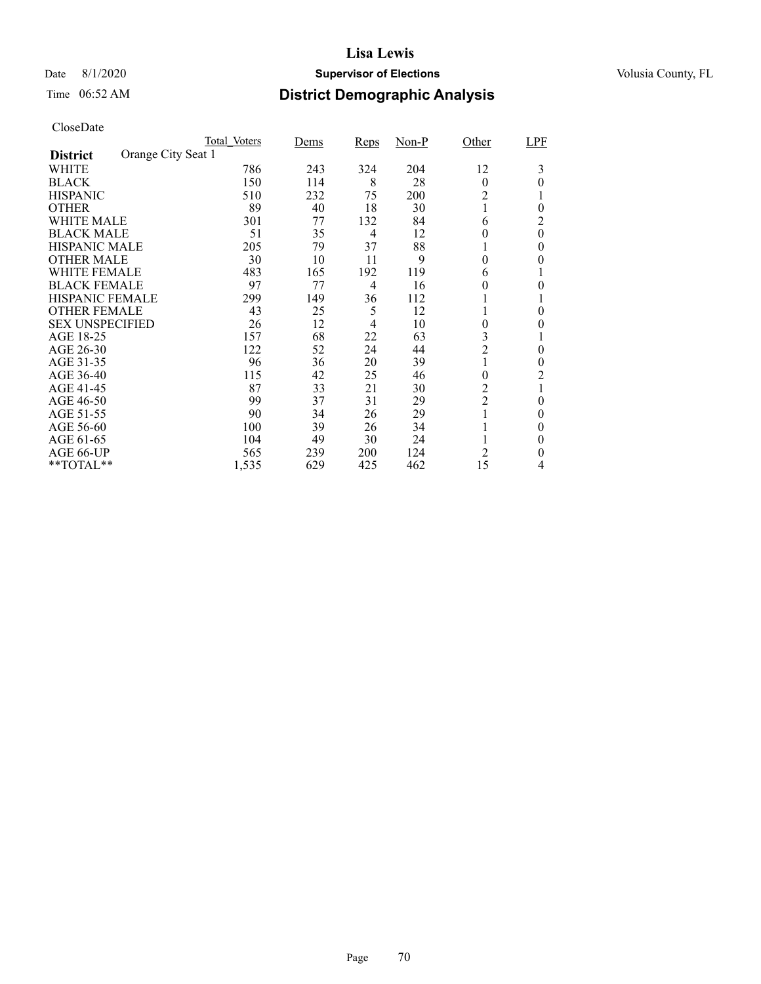### Date 8/1/2020 **Supervisor of Elections Supervisor of Elections** Volusia County, FL

# Time 06:52 AM **District Demographic Analysis**

|                        |                    | Total Voters | Dems | <b>Reps</b> | $Non-P$ | Other            | LPF          |
|------------------------|--------------------|--------------|------|-------------|---------|------------------|--------------|
| <b>District</b>        | Orange City Seat 1 |              |      |             |         |                  |              |
| WHITE                  |                    | 786          | 243  | 324         | 204     | 12               | 3            |
| <b>BLACK</b>           |                    | 150          | 114  | 8           | 28      | $\theta$         | 0            |
| <b>HISPANIC</b>        |                    | 510          | 232  | 75          | 200     | 2                |              |
| <b>OTHER</b>           |                    | 89           | 40   | 18          | 30      |                  | $\theta$     |
| WHITE MALE             |                    | 301          | 77   | 132         | 84      | 6                | 2            |
| <b>BLACK MALE</b>      |                    | 51           | 35   | 4           | 12      | 0                | $\theta$     |
| <b>HISPANIC MALE</b>   |                    | 205          | 79   | 37          | 88      |                  | 0            |
| <b>OTHER MALE</b>      |                    | 30           | 10   | 11          | 9       | 0                | 0            |
| WHITE FEMALE           |                    | 483          | 165  | 192         | 119     | 6                |              |
| <b>BLACK FEMALE</b>    |                    | 97           | 77   | 4           | 16      | 0                | 0            |
| <b>HISPANIC FEMALE</b> |                    | 299          | 149  | 36          | 112     |                  |              |
| <b>OTHER FEMALE</b>    |                    | 43           | 25   | 5           | 12      |                  | 0            |
| <b>SEX UNSPECIFIED</b> |                    | 26           | 12   | 4           | 10      | 0                | $_{0}$       |
| AGE 18-25              |                    | 157          | 68   | 22          | 63      | 3                |              |
| AGE 26-30              |                    | 122          | 52   | 24          | 44      | $\overline{2}$   | $\theta$     |
| AGE 31-35              |                    | 96           | 36   | 20          | 39      |                  | 0            |
| AGE 36-40              |                    | 115          | 42   | 25          | 46      | $\boldsymbol{0}$ | 2            |
| AGE 41-45              |                    | 87           | 33   | 21          | 30      | $\overline{c}$   | $\mathbf{1}$ |
| AGE 46-50              |                    | 99           | 37   | 31          | 29      | $\overline{c}$   | $\theta$     |
| AGE 51-55              |                    | 90           | 34   | 26          | 29      |                  | 0            |
| AGE 56-60              |                    | 100          | 39   | 26          | 34      |                  | 0            |
| AGE 61-65              |                    | 104          | 49   | 30          | 24      |                  | $\theta$     |
| AGE 66-UP              |                    | 565          | 239  | 200         | 124     | 2                | 0            |
| **TOTAL**              |                    | 1,535        | 629  | 425         | 462     | 15               | 4            |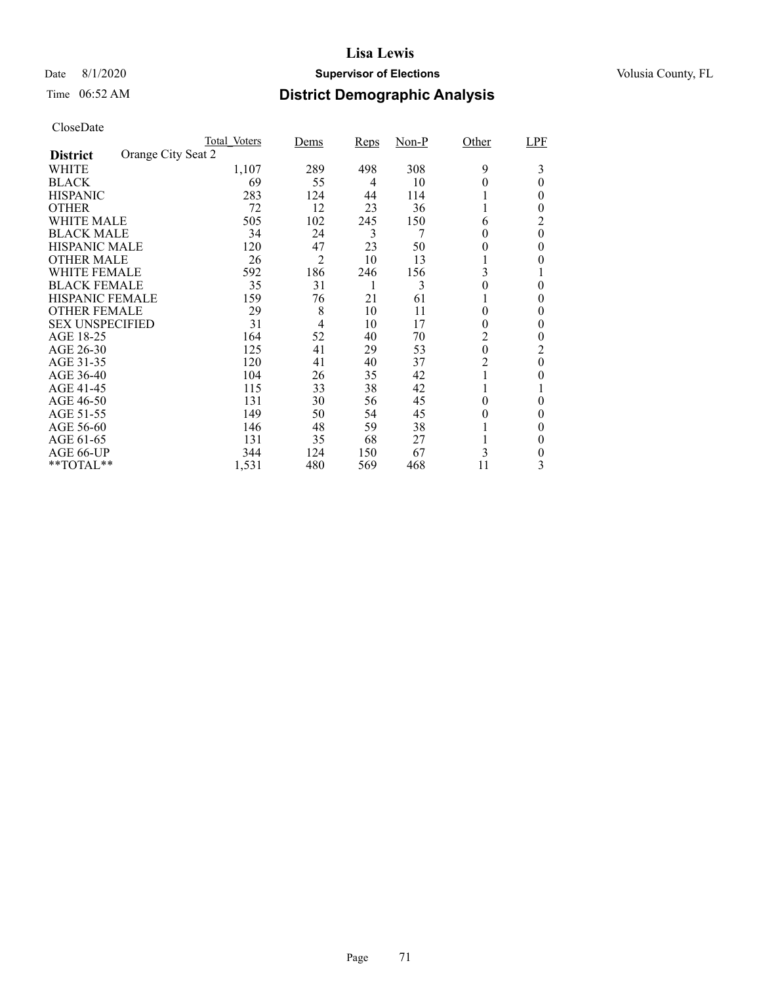### Date 8/1/2020 **Supervisor of Elections Supervisor of Elections** Volusia County, FL

# Time 06:52 AM **District Demographic Analysis**

|                        |                    | Total Voters | Dems           | <b>Reps</b> | $Non-P$ | Other            | LPF      |
|------------------------|--------------------|--------------|----------------|-------------|---------|------------------|----------|
| <b>District</b>        | Orange City Seat 2 |              |                |             |         |                  |          |
| WHITE                  |                    | 1,107        | 289            | 498         | 308     | 9                | 3        |
| <b>BLACK</b>           |                    | 69           | 55             | 4           | 10      |                  | 0        |
| <b>HISPANIC</b>        |                    | 283          | 124            | 44          | 114     |                  | 0        |
| <b>OTHER</b>           |                    | 72           | 12             | 23          | 36      |                  | $_{0}$   |
| WHITE MALE             |                    | 505          | 102            | 245         | 150     | 6                | 2        |
| <b>BLACK MALE</b>      |                    | 34           | 24             | 3           | 7       | 0                | $\theta$ |
| <b>HISPANIC MALE</b>   |                    | 120          | 47             | 23          | 50      | $^{(1)}$         | $\theta$ |
| <b>OTHER MALE</b>      |                    | 26           | 2              | 10          | 13      |                  | 0        |
| WHITE FEMALE           |                    | 592          | 186            | 246         | 156     | 3                |          |
| <b>BLACK FEMALE</b>    |                    | 35           | 31             |             | 3       | 0                | $\theta$ |
| <b>HISPANIC FEMALE</b> |                    | 159          | 76             | 21          | 61      |                  | 0        |
| <b>OTHER FEMALE</b>    |                    | 29           | 8              | 10          | 11      | $_{0}$           | $\theta$ |
| <b>SEX UNSPECIFIED</b> |                    | 31           | $\overline{4}$ | 10          | 17      | $^{(1)}$         | $\theta$ |
| AGE 18-25              |                    | 164          | 52             | 40          | 70      | 2                | 0        |
| AGE 26-30              |                    | 125          | 41             | 29          | 53      | $\boldsymbol{0}$ | 2        |
| AGE 31-35              |                    | 120          | 41             | 40          | 37      | 2                | $\theta$ |
| AGE 36-40              |                    | 104          | 26             | 35          | 42      |                  | $_{0}$   |
| AGE 41-45              |                    | 115          | 33             | 38          | 42      |                  |          |
| AGE 46-50              |                    | 131          | 30             | 56          | 45      | $\theta$         | $\theta$ |
| AGE 51-55              |                    | 149          | 50             | 54          | 45      | $_{0}$           | 0        |
| AGE 56-60              |                    | 146          | 48             | 59          | 38      |                  | $\theta$ |
| AGE 61-65              |                    | 131          | 35             | 68          | 27      |                  | $\theta$ |
| AGE 66-UP              |                    | 344          | 124            | 150         | 67      | 3                | 0        |
| **TOTAL**              |                    | 1,531        | 480            | 569         | 468     | 11               | 3        |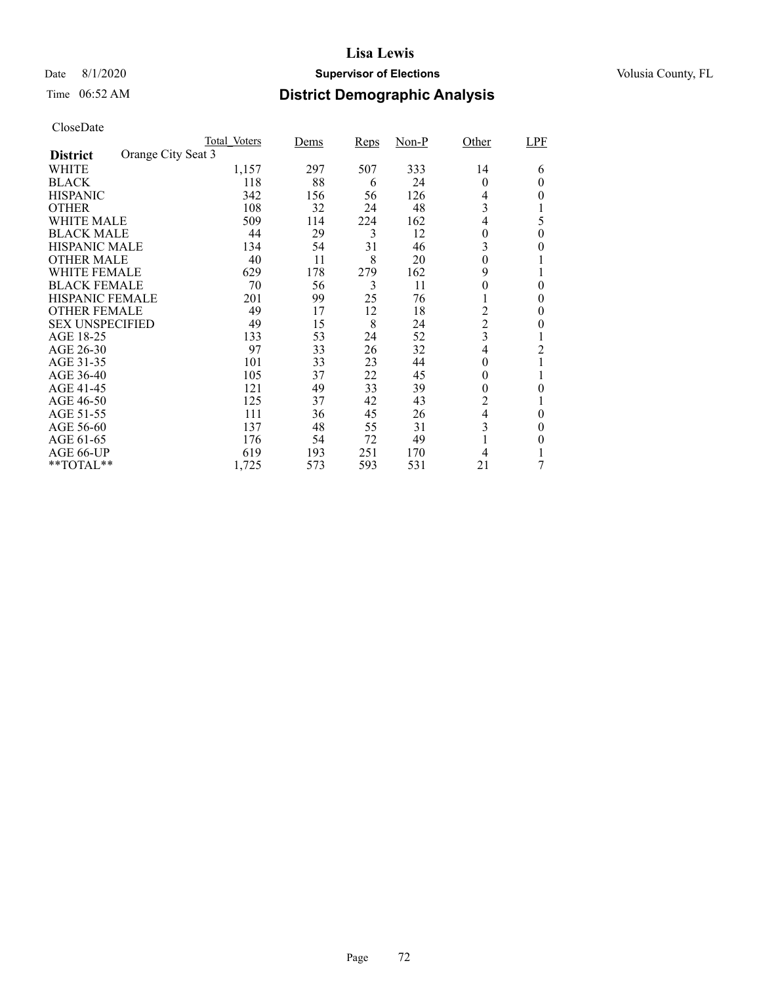### Date 8/1/2020 **Supervisor of Elections Supervisor of Elections** Volusia County, FL

# Time 06:52 AM **District Demographic Analysis**

|                        | Total Voters       |       | Dems | <b>Reps</b> | $Non-P$ | Other            | LPF      |
|------------------------|--------------------|-------|------|-------------|---------|------------------|----------|
| <b>District</b>        | Orange City Seat 3 |       |      |             |         |                  |          |
| WHITE                  |                    | 1,157 | 297  | 507         | 333     | 14               | 6        |
| <b>BLACK</b>           |                    | 118   | 88   | 6           | 24      | $\theta$         | 0        |
| <b>HISPANIC</b>        |                    | 342   | 156  | 56          | 126     | 4                | $_{0}$   |
| <b>OTHER</b>           |                    | 108   | 32   | 24          | 48      | 3                |          |
| WHITE MALE             |                    | 509   | 114  | 224         | 162     | 4                | 5        |
| <b>BLACK MALE</b>      |                    | 44    | 29   | 3           | 12      | $\boldsymbol{0}$ | 0        |
| <b>HISPANIC MALE</b>   |                    | 134   | 54   | 31          | 46      | 3                | 0        |
| <b>OTHER MALE</b>      |                    | 40    | 11   | 8           | 20      | $\boldsymbol{0}$ |          |
| WHITE FEMALE           |                    | 629   | 178  | 279         | 162     | 9                |          |
| <b>BLACK FEMALE</b>    |                    | 70    | 56   | 3           | 11      | 0                | $\theta$ |
| <b>HISPANIC FEMALE</b> |                    | 201   | 99   | 25          | 76      |                  | 0        |
| <b>OTHER FEMALE</b>    |                    | 49    | 17   | 12          | 18      | 2                | $\theta$ |
| <b>SEX UNSPECIFIED</b> |                    | 49    | 15   | 8           | 24      | $\overline{c}$   | $_{0}$   |
| AGE 18-25              |                    | 133   | 53   | 24          | 52      | 3                |          |
| AGE 26-30              |                    | 97    | 33   | 26          | 32      | 4                | 2        |
| AGE 31-35              |                    | 101   | 33   | 23          | 44      | 0                |          |
| AGE 36-40              |                    | 105   | 37   | 22          | 45      | 0                |          |
| AGE 41-45              |                    | 121   | 49   | 33          | 39      | 0                | 0        |
| AGE 46-50              |                    | 125   | 37   | 42          | 43      | $\overline{2}$   |          |
| AGE 51-55              |                    | 111   | 36   | 45          | 26      | 4                | 0        |
| AGE 56-60              |                    | 137   | 48   | 55          | 31      | 3                | 0        |
| AGE 61-65              |                    | 176   | 54   | 72          | 49      |                  | 0        |
| AGE 66-UP              |                    | 619   | 193  | 251         | 170     |                  |          |
| **TOTAL**              |                    | 1,725 | 573  | 593         | 531     | 21               | 7        |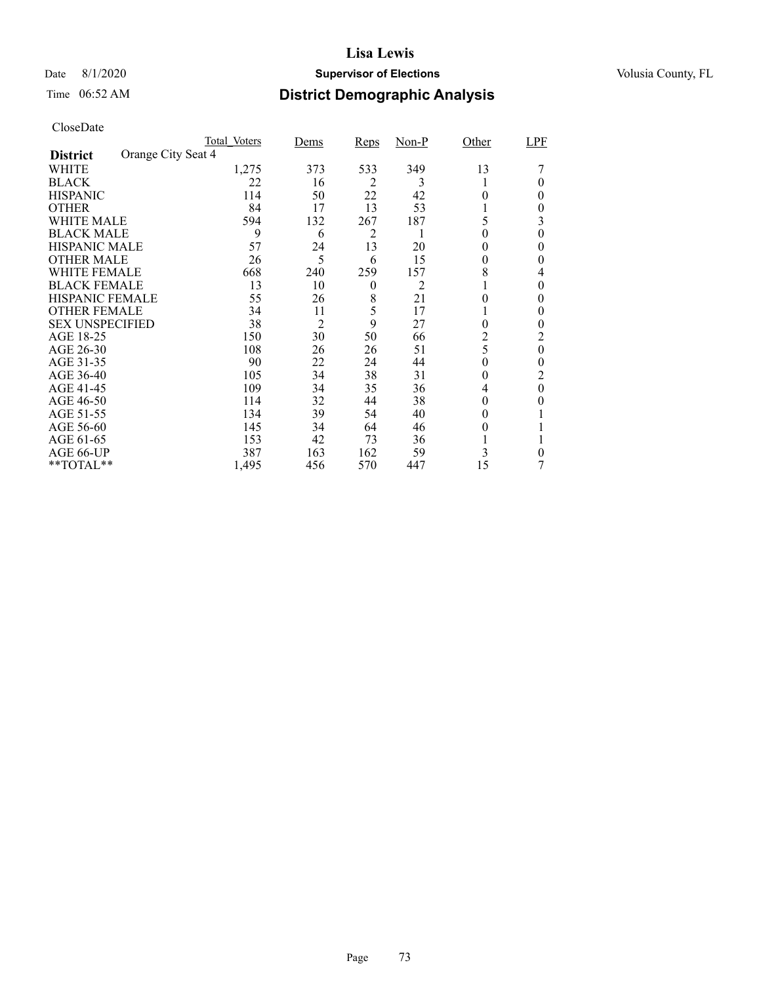## Date 8/1/2020 **Supervisor of Elections Supervisor of Elections** Volusia County, FL

# Time 06:52 AM **District Demographic Analysis**

|                        | Total Voters       | Dems | Reps | <u>Non-P</u> | Other    | LPF      |
|------------------------|--------------------|------|------|--------------|----------|----------|
| <b>District</b>        | Orange City Seat 4 |      |      |              |          |          |
| WHITE                  | 1,275              | 373  | 533  | 349          | 13       |          |
| <b>BLACK</b>           | 22                 | 16   | 2    | 3            |          | 0        |
| <b>HISPANIC</b>        | 114                | 50   | 22   | 42           | 0        | 0        |
| <b>OTHER</b>           | 84                 | 17   | 13   | 53           |          | 0        |
| WHITE MALE             | 594                | 132  | 267  | 187          | 5        | 3        |
| <b>BLACK MALE</b>      | 9                  | 6    | 2    | 1            | 0        | 0        |
| <b>HISPANIC MALE</b>   | 57                 | 24   | 13   | 20           | $^{(1)}$ | $\theta$ |
| <b>OTHER MALE</b>      | 26                 | 5    | 6    | 15           | 0        | 0        |
| WHITE FEMALE           | 668                | 240  | 259  | 157          | 8        | 4        |
| <b>BLACK FEMALE</b>    | 13                 | 10   | 0    | 2            |          | 0        |
| <b>HISPANIC FEMALE</b> | 55                 | 26   | 8    | 21           | 0        | 0        |
| <b>OTHER FEMALE</b>    | 34                 | 11   | 5    | 17           |          | 0        |
| <b>SEX UNSPECIFIED</b> | 38                 | 2    | 9    | 27           | 0        | 0        |
| AGE 18-25              | 150                | 30   | 50   | 66           | 2        | 2        |
| AGE 26-30              | 108                | 26   | 26   | 51           | 5        | $\theta$ |
| AGE 31-35              | 90                 | 22   | 24   | 44           | 0        | 0        |
| AGE 36-40              | 105                | 34   | 38   | 31           | 0        | 2        |
| AGE 41-45              | 109                | 34   | 35   | 36           | 4        | $\theta$ |
| AGE 46-50              | 114                | 32   | 44   | 38           | $^{(1)}$ | 0        |
| AGE 51-55              | 134                | 39   | 54   | 40           | $_{0}$   |          |
| AGE 56-60              | 145                | 34   | 64   | 46           | 0        |          |
| AGE 61-65              | 153                | 42   | 73   | 36           |          |          |
| AGE 66-UP              | 387                | 163  | 162  | 59           | 3        | 0        |
| **TOTAL**              | 1,495              | 456  | 570  | 447          | 15       |          |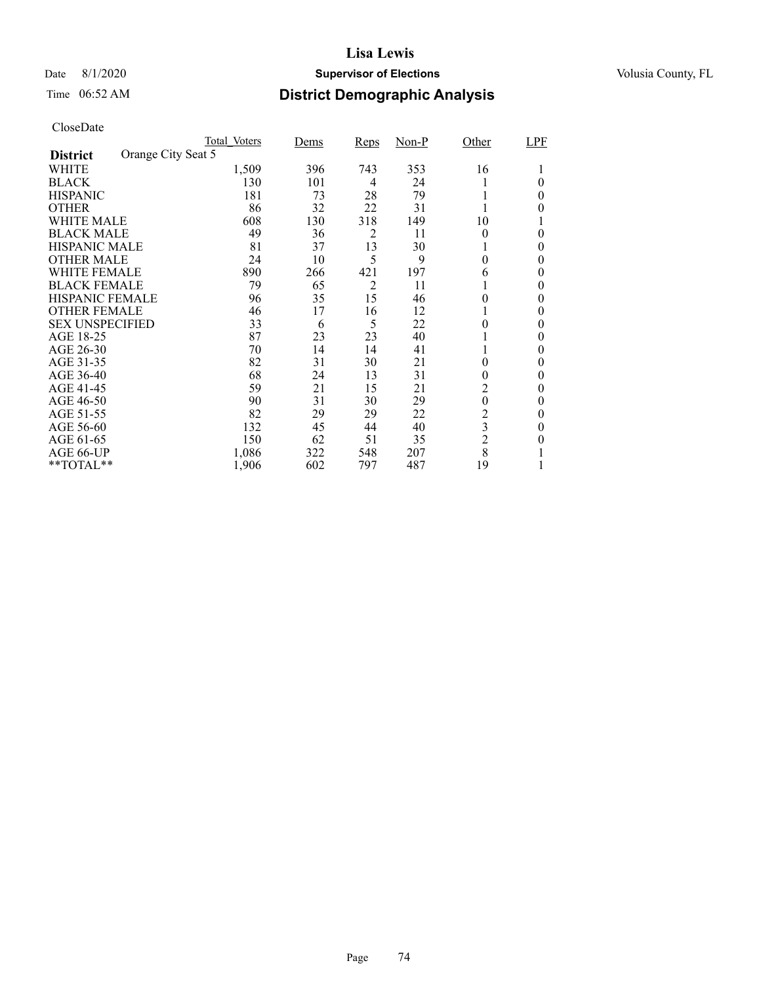## Date 8/1/2020 **Supervisor of Elections Supervisor of Elections** Volusia County, FL

# Time 06:52 AM **District Demographic Analysis**

|                        | Total Voters       | Dems | <b>Reps</b>    | $Non-P$ | Other                   | LPF      |
|------------------------|--------------------|------|----------------|---------|-------------------------|----------|
| <b>District</b>        | Orange City Seat 5 |      |                |         |                         |          |
| WHITE                  | 1,509              | 396  | 743            | 353     | 16                      |          |
| <b>BLACK</b>           | 130                | 101  | 4              | 24      |                         | 0        |
| <b>HISPANIC</b>        | 181                | 73   | 28             | 79      |                         | 0        |
| <b>OTHER</b>           | 86                 | 32   | 22             | 31      |                         | 0        |
| WHITE MALE             | 608                | 130  | 318            | 149     | 10                      |          |
| <b>BLACK MALE</b>      | 49                 | 36   | 2              | 11      | $\theta$                | 0        |
| <b>HISPANIC MALE</b>   | 81                 | 37   | 13             | 30      |                         | 0        |
| <b>OTHER MALE</b>      | 24                 | 10   | 5              | 9       | $\theta$                | 0        |
| WHITE FEMALE           | 890                | 266  | 421            | 197     | 6                       | 0        |
| <b>BLACK FEMALE</b>    | 79                 | 65   | $\overline{2}$ | 11      |                         | 0        |
| <b>HISPANIC FEMALE</b> | 96                 | 35   | 15             | 46      | 0                       | 0        |
| <b>OTHER FEMALE</b>    | 46                 | 17   | 16             | 12      |                         | $\theta$ |
| <b>SEX UNSPECIFIED</b> | 33                 | 6    | 5              | 22      | 0                       | $\theta$ |
| AGE 18-25              | 87                 | 23   | 23             | 40      |                         | $\theta$ |
| AGE 26-30              | 70                 | 14   | 14             | 41      |                         | $\theta$ |
| AGE 31-35              | 82                 | 31   | 30             | 21      | 0                       | 0        |
| AGE 36-40              | 68                 | 24   | 13             | 31      | 0                       | 0        |
| AGE 41-45              | 59                 | 21   | 15             | 21      | $\overline{c}$          | 0        |
| AGE 46-50              | 90                 | 31   | 30             | 29      | $\boldsymbol{0}$        | 0        |
| AGE 51-55              | 82                 | 29   | 29             | 22      | $\overline{c}$          | $\theta$ |
| AGE 56-60              | 132                | 45   | 44             | 40      | $\overline{\mathbf{3}}$ | 0        |
| AGE 61-65              | 150                | 62   | 51             | 35      | $\overline{2}$          | 0        |
| AGE 66-UP              | 1,086              | 322  | 548            | 207     | 8                       |          |
| **TOTAL**              | 1,906              | 602  | 797            | 487     | 19                      |          |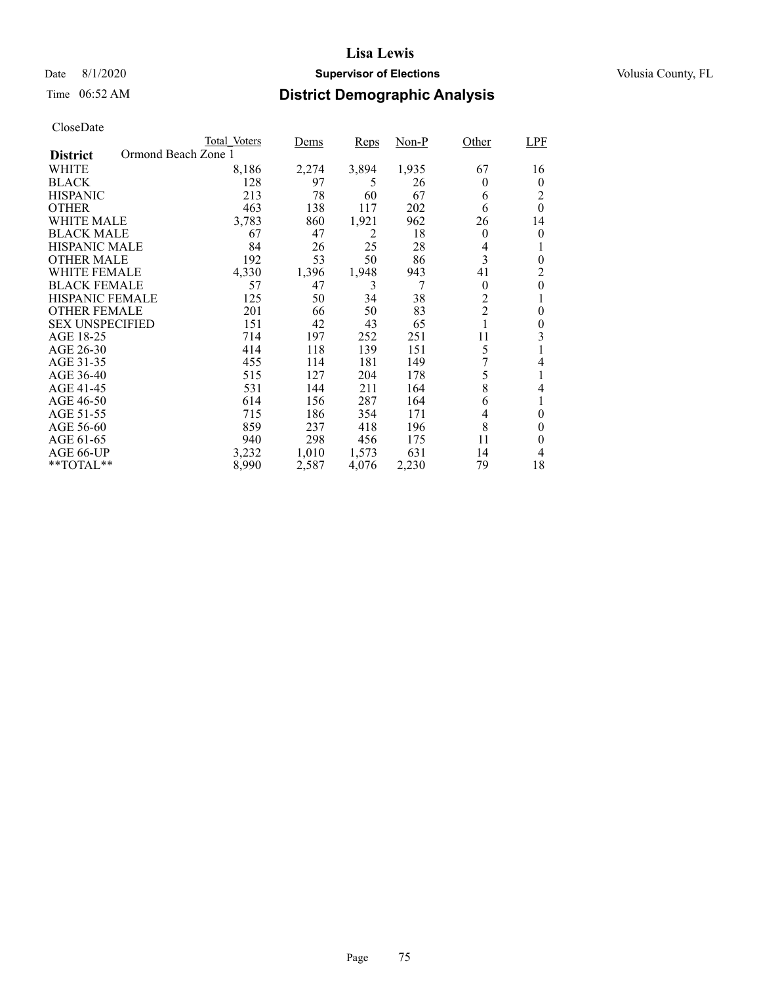## Date 8/1/2020 **Supervisor of Elections Supervisor of Elections** Volusia County, FL

# Time 06:52 AM **District Demographic Analysis**

|                        | Total Voters        | Dems  | Reps  | Non-P | Other          | <b>LPF</b> |
|------------------------|---------------------|-------|-------|-------|----------------|------------|
| <b>District</b>        | Ormond Beach Zone 1 |       |       |       |                |            |
| WHITE                  | 8,186               | 2,274 | 3,894 | 1,935 | 67             | 16         |
| <b>BLACK</b>           | 128                 | 97    | 5     | 26    | 0              | $\theta$   |
| <b>HISPANIC</b>        | 213                 | 78    | 60    | 67    | 6              | 2          |
| <b>OTHER</b>           | 463                 | 138   | 117   | 202   | 6              | $\Omega$   |
| WHITE MALE             | 3,783               | 860   | 1,921 | 962   | 26             | 14         |
| <b>BLACK MALE</b>      | 67                  | 47    | 2     | 18    | $\theta$       | 0          |
| <b>HISPANIC MALE</b>   | 84                  | 26    | 25    | 28    | 4              |            |
| <b>OTHER MALE</b>      | 192                 | 53    | 50    | 86    | 3              | $\theta$   |
| WHITE FEMALE           | 4,330               | 1,396 | 1,948 | 943   | 41             | 2          |
| <b>BLACK FEMALE</b>    | 57                  | 47    | 3     | 7     | $\theta$       | $\theta$   |
| <b>HISPANIC FEMALE</b> | 125                 | 50    | 34    | 38    | $\overline{2}$ | 1          |
| <b>OTHER FEMALE</b>    | 201                 | 66    | 50    | 83    | $\overline{2}$ | 0          |
| <b>SEX UNSPECIFIED</b> | 151                 | 42    | 43    | 65    |                | 0          |
| AGE 18-25              | 714                 | 197   | 252   | 251   | 11             | 3          |
| AGE 26-30              | 414                 | 118   | 139   | 151   | 5              |            |
| AGE 31-35              | 455                 | 114   | 181   | 149   |                | 4          |
| AGE 36-40              | 515                 | 127   | 204   | 178   | 5              |            |
| AGE 41-45              | 531                 | 144   | 211   | 164   | 8              | 4          |
| AGE 46-50              | 614                 | 156   | 287   | 164   | 6              |            |
| AGE 51-55              | 715                 | 186   | 354   | 171   | 4              | $\theta$   |
| AGE 56-60              | 859                 | 237   | 418   | 196   | 8              | 0          |
| AGE 61-65              | 940                 | 298   | 456   | 175   | 11             | 0          |
| AGE 66-UP              | 3,232               | 1,010 | 1,573 | 631   | 14             | 4          |
| $*$ $TOTAL**$          | 8,990               | 2,587 | 4,076 | 2,230 | 79             | 18         |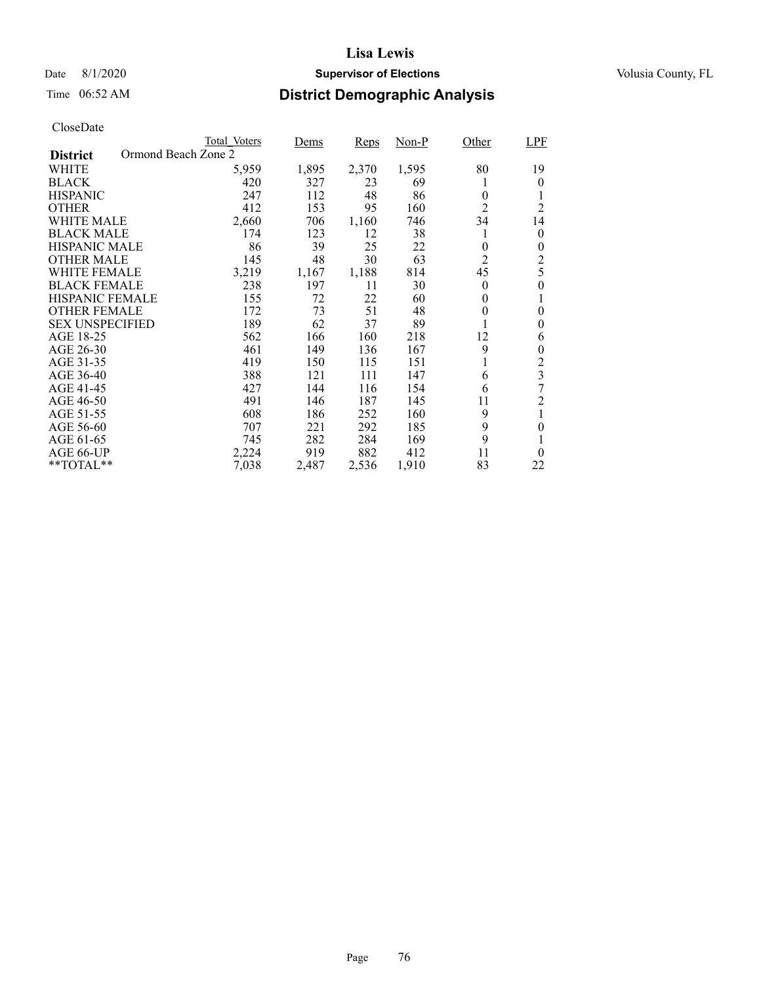## Date 8/1/2020 **Supervisor of Elections Supervisor of Elections** Volusia County, FL

# Time 06:52 AM **District Demographic Analysis**

|                                        | Total Voters | Dems  | Reps  | Non-P | Other          | LPF                     |
|----------------------------------------|--------------|-------|-------|-------|----------------|-------------------------|
| Ormond Beach Zone 2<br><b>District</b> |              |       |       |       |                |                         |
| WHITE                                  | 5,959        | 1,895 | 2,370 | 1,595 | 80             | 19                      |
| <b>BLACK</b>                           | 420          | 327   | 23    | 69    | 1              | 0                       |
| <b>HISPANIC</b>                        | 247          | 112   | 48    | 86    | $\theta$       | 1                       |
| <b>OTHER</b>                           | 412          | 153   | 95    | 160   | $\overline{2}$ | $\overline{2}$          |
| WHITE MALE                             | 2,660        | 706   | 1,160 | 746   | 34             | 14                      |
| <b>BLACK MALE</b>                      | 174          | 123   | 12    | 38    | 1              | 0                       |
| <b>HISPANIC MALE</b>                   | 86           | 39    | 25    | 22    | 0              | 0                       |
| <b>OTHER MALE</b>                      | 145          | 48    | 30    | 63    | $\overline{2}$ | $\overline{c}$          |
| WHITE FEMALE                           | 3,219        | 1,167 | 1,188 | 814   | 45             | 5                       |
| <b>BLACK FEMALE</b>                    | 238          | 197   | 11    | 30    | $\Omega$       | $\theta$                |
| <b>HISPANIC FEMALE</b>                 | 155          | 72    | 22    | 60    | $\theta$       | 1                       |
| <b>OTHER FEMALE</b>                    | 172          | 73    | 51    | 48    | 0              | 0                       |
| <b>SEX UNSPECIFIED</b>                 | 189          | 62    | 37    | 89    |                | 0                       |
| AGE 18-25                              | 562          | 166   | 160   | 218   | 12             | 6                       |
| AGE 26-30                              | 461          | 149   | 136   | 167   | 9              | 0                       |
| AGE 31-35                              | 419          | 150   | 115   | 151   | 1              | $\overline{c}$          |
| AGE 36-40                              | 388          | 121   | 111   | 147   | 6              | $\overline{\mathbf{3}}$ |
| AGE 41-45                              | 427          | 144   | 116   | 154   | 6              | 7                       |
| AGE 46-50                              | 491          | 146   | 187   | 145   | 11             | $\overline{c}$          |
| AGE 51-55                              | 608          | 186   | 252   | 160   | 9              | $\mathbf{1}$            |
| AGE 56-60                              | 707          | 221   | 292   | 185   | 9              | 0                       |
| AGE 61-65                              | 745          | 282   | 284   | 169   | 9              | 1                       |
| AGE 66-UP                              | 2,224        | 919   | 882   | 412   | 11             | $\theta$                |
| $*$ $TOTAL**$                          | 7,038        | 2,487 | 2,536 | 1,910 | 83             | 22                      |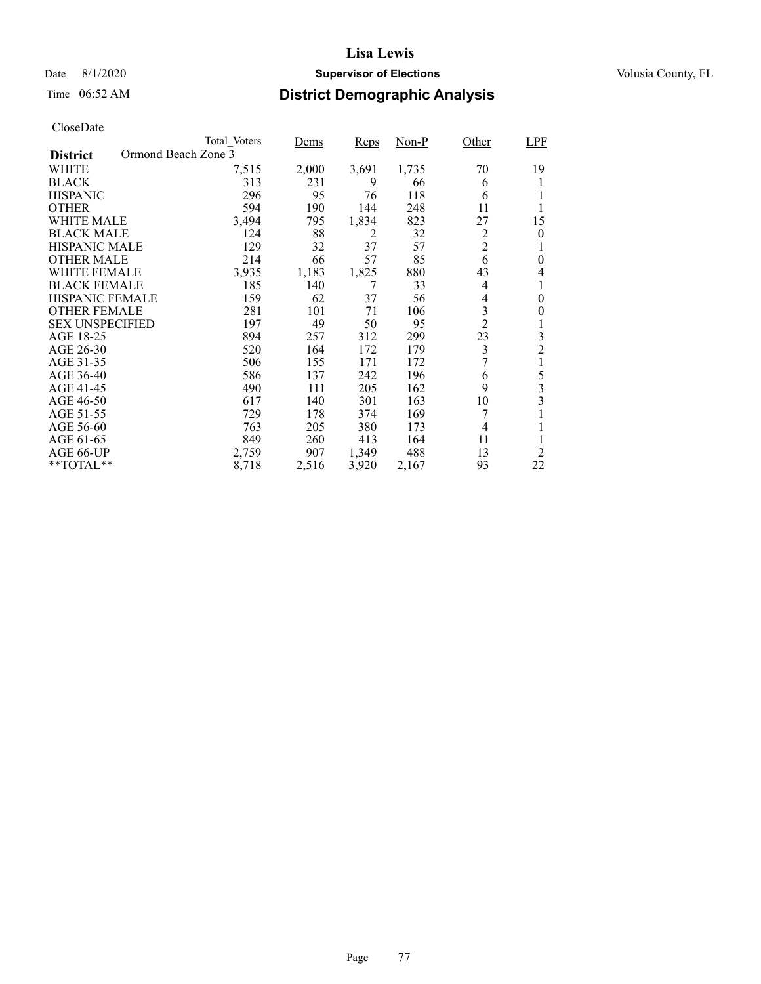## Date 8/1/2020 **Supervisor of Elections Supervisor of Elections** Volusia County, FL

# Time 06:52 AM **District Demographic Analysis**

|                        | Total Voters        | Dems  | <b>Reps</b> | Non-P | Other          | <b>LPF</b>     |
|------------------------|---------------------|-------|-------------|-------|----------------|----------------|
| <b>District</b>        | Ormond Beach Zone 3 |       |             |       |                |                |
| WHITE                  | 7,515               | 2,000 | 3,691       | 1,735 | 70             | 19             |
| <b>BLACK</b>           | 313                 | 231   | 9           | 66    | 6              | 1              |
| <b>HISPANIC</b>        | 296                 | 95    | 76          | 118   | 6              |                |
| <b>OTHER</b>           | 594                 | 190   | 144         | 248   | 11             | 1              |
| WHITE MALE             | 3,494               | 795   | 1,834       | 823   | 27             | 15             |
| <b>BLACK MALE</b>      | 124                 | 88    | 2           | 32    | $\overline{c}$ | 0              |
| <b>HISPANIC MALE</b>   | 129                 | 32    | 37          | 57    | $\overline{2}$ | 1              |
| <b>OTHER MALE</b>      | 214                 | 66    | 57          | 85    | 6              | 0              |
| WHITE FEMALE           | 3,935               | 1,183 | 1,825       | 880   | 43             | 4              |
| <b>BLACK FEMALE</b>    | 185                 | 140   | 7           | 33    | 4              | 1              |
| <b>HISPANIC FEMALE</b> | 159                 | 62    | 37          | 56    | 4              | $\theta$       |
| <b>OTHER FEMALE</b>    | 281                 | 101   | 71          | 106   | 3              | 0              |
| <b>SEX UNSPECIFIED</b> | 197                 | 49    | 50          | 95    | $\overline{2}$ | 1              |
| AGE 18-25              | 894                 | 257   | 312         | 299   | 23             | 3              |
| AGE 26-30              | 520                 | 164   | 172         | 179   | 3              | $\overline{c}$ |
| AGE 31-35              | 506                 | 155   | 171         | 172   |                | 1              |
| AGE 36-40              | 586                 | 137   | 242         | 196   | 6              | 5              |
| AGE 41-45              | 490                 | 111   | 205         | 162   | 9              | 3              |
| AGE 46-50              | 617                 | 140   | 301         | 163   | 10             | 3              |
| AGE 51-55              | 729                 | 178   | 374         | 169   | 7              | 1              |
| AGE 56-60              | 763                 | 205   | 380         | 173   | 4              |                |
| AGE 61-65              | 849                 | 260   | 413         | 164   | 11             |                |
| AGE 66-UP              | 2,759               | 907   | 1,349       | 488   | 13             | 2              |
| $*$ TOTAL $*$          | 8,718               | 2,516 | 3,920       | 2,167 | 93             | 22             |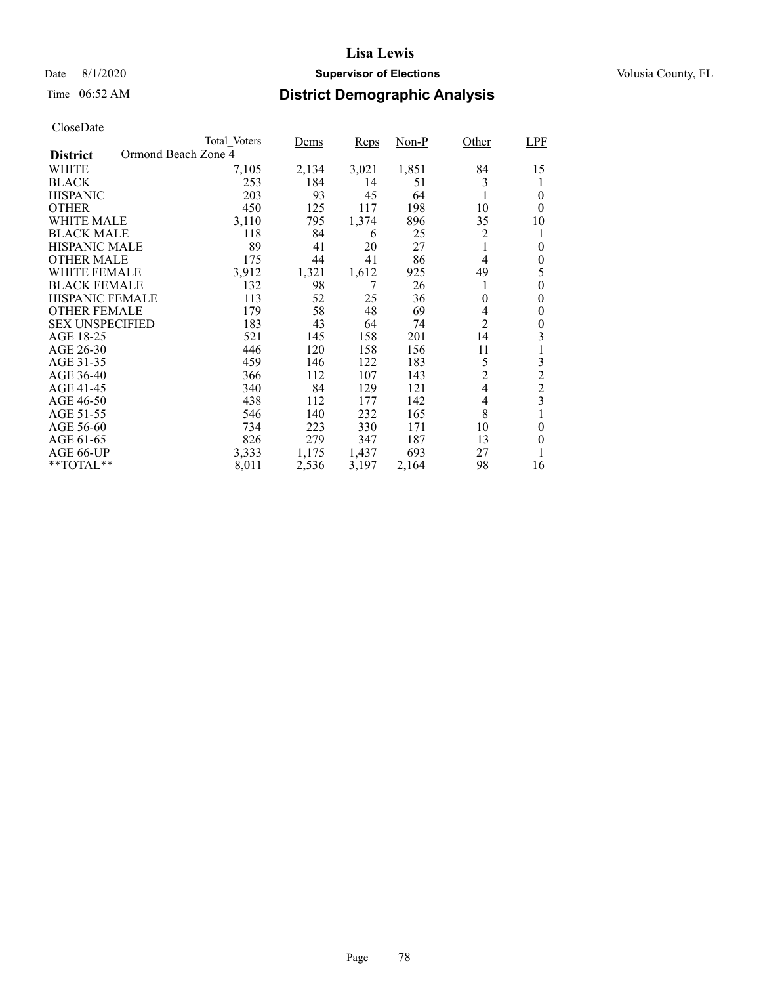## Date 8/1/2020 **Supervisor of Elections Supervisor of Elections** Volusia County, FL

# Time 06:52 AM **District Demographic Analysis**

|                                        | Total Voters | Dems  | Reps  | Non-P | Other          | <b>LPF</b>     |
|----------------------------------------|--------------|-------|-------|-------|----------------|----------------|
| Ormond Beach Zone 4<br><b>District</b> |              |       |       |       |                |                |
| WHITE                                  | 7,105        | 2,134 | 3,021 | 1,851 | 84             | 15             |
| <b>BLACK</b>                           | 253          | 184   | 14    | 51    | 3              |                |
| <b>HISPANIC</b>                        | 203          | 93    | 45    | 64    |                | 0              |
| <b>OTHER</b>                           | 450          | 125   | 117   | 198   | 10             | $\theta$       |
| WHITE MALE                             | 3,110        | 795   | 1,374 | 896   | 35             | 10             |
| <b>BLACK MALE</b>                      | 118          | 84    | 6     | 25    | 2              | 1              |
| <b>HISPANIC MALE</b>                   | 89           | 41    | 20    | 27    |                | $\theta$       |
| <b>OTHER MALE</b>                      | 175          | 44    | 41    | 86    | 4              | $\theta$       |
| WHITE FEMALE                           | 3,912        | 1,321 | 1,612 | 925   | 49             | 5              |
| <b>BLACK FEMALE</b>                    | 132          | 98    | 7     | 26    | 1              | 0              |
| <b>HISPANIC FEMALE</b>                 | 113          | 52    | 25    | 36    | $\theta$       | 0              |
| <b>OTHER FEMALE</b>                    | 179          | 58    | 48    | 69    | 4              | 0              |
| <b>SEX UNSPECIFIED</b>                 | 183          | 43    | 64    | 74    | $\overline{2}$ | 0              |
| AGE 18-25                              | 521          | 145   | 158   | 201   | 14             | 3              |
| AGE 26-30                              | 446          | 120   | 158   | 156   | 11             |                |
| AGE 31-35                              | 459          | 146   | 122   | 183   | 5              | 3              |
| AGE 36-40                              | 366          | 112   | 107   | 143   | $\overline{c}$ | $\overline{c}$ |
| AGE 41-45                              | 340          | 84    | 129   | 121   | 4              | $\overline{2}$ |
| AGE 46-50                              | 438          | 112   | 177   | 142   | 4              | 3              |
| AGE 51-55                              | 546          | 140   | 232   | 165   | 8              |                |
| AGE 56-60                              | 734          | 223   | 330   | 171   | 10             | $\theta$       |
| AGE 61-65                              | 826          | 279   | 347   | 187   | 13             | $\theta$       |
| AGE 66-UP                              | 3,333        | 1,175 | 1,437 | 693   | 27             |                |
| **TOTAL**                              | 8,011        | 2,536 | 3,197 | 2,164 | 98             | 16             |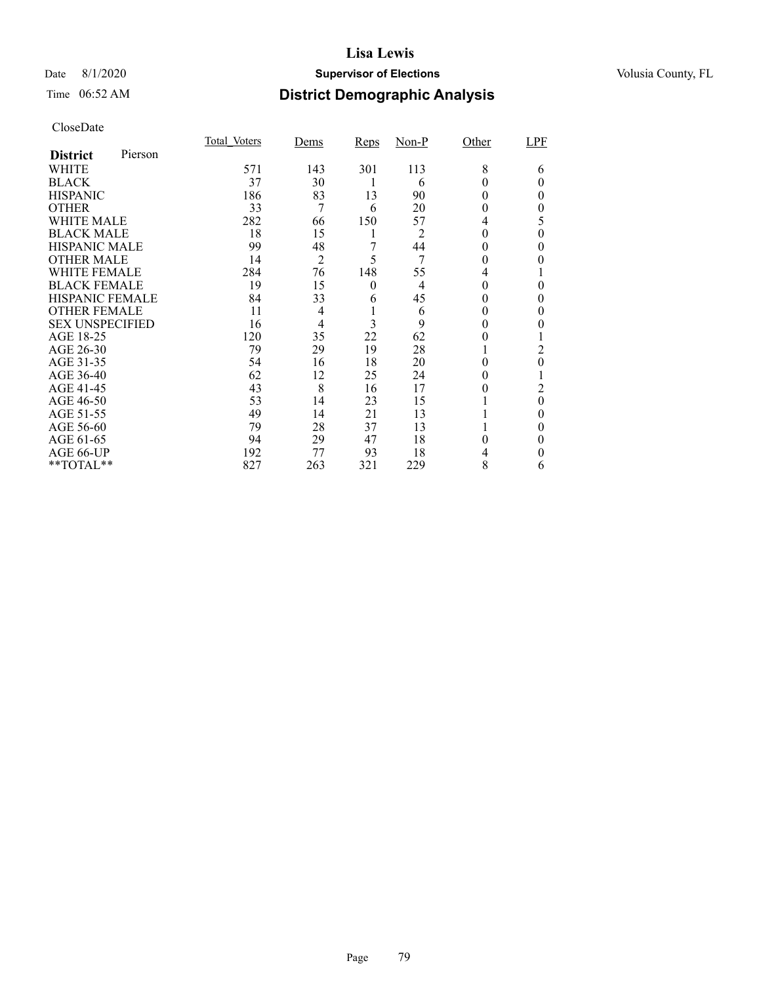## Date 8/1/2020 **Supervisor of Elections Supervisor of Elections** Volusia County, FL

# Time 06:52 AM **District Demographic Analysis**

|                        |         | Total Voters | Dems           | <b>Reps</b> | $Non-P$        | Other | LPF      |
|------------------------|---------|--------------|----------------|-------------|----------------|-------|----------|
| <b>District</b>        | Pierson |              |                |             |                |       |          |
| WHITE                  |         | 571          | 143            | 301         | 113            | 8     | 6        |
| <b>BLACK</b>           |         | 37           | 30             |             | 6              | 0     | $_{0}$   |
| <b>HISPANIC</b>        |         | 186          | 83             | 13          | 90             | 0     | 0        |
| <b>OTHER</b>           |         | 33           | 7              | 6           | 20             | 0     | 0        |
| WHITE MALE             |         | 282          | 66             | 150         | 57             | 4     | 5        |
| <b>BLACK MALE</b>      |         | 18           | 15             | 1           | 2              | 0     | 0        |
| <b>HISPANIC MALE</b>   |         | 99           | 48             | 7           | 44             | 0     | $\theta$ |
| <b>OTHER MALE</b>      |         | 14           | $\overline{2}$ | 5           | 7              | 0     | 0        |
| <b>WHITE FEMALE</b>    |         | 284          | 76             | 148         | 55             |       |          |
| <b>BLACK FEMALE</b>    |         | 19           | 15             | $\theta$    | $\overline{4}$ | 0     | $\Omega$ |
| HISPANIC FEMALE        |         | 84           | 33             | 6           | 45             | 0     | 0        |
| <b>OTHER FEMALE</b>    |         | 11           | $\overline{4}$ |             | 6              | 0     | $\theta$ |
| <b>SEX UNSPECIFIED</b> |         | 16           | $\overline{4}$ | 3           | 9              | 0     |          |
| AGE 18-25              |         | 120          | 35             | 22          | 62             | 0     |          |
| AGE 26-30              |         | 79           | 29             | 19          | 28             |       | 2        |
| AGE 31-35              |         | 54           | 16             | 18          | 20             | 0     | $\theta$ |
| AGE 36-40              |         | 62           | 12             | 25          | 24             | 0     |          |
| AGE 41-45              |         | 43           | 8              | 16          | 17             |       | 2        |
| AGE 46-50              |         | 53           | 14             | 23          | 15             |       | $\theta$ |
| AGE 51-55              |         | 49           | 14             | 21          | 13             |       | $\theta$ |
| AGE 56-60              |         | 79           | 28             | 37          | 13             |       | 0        |
| AGE 61-65              |         | 94           | 29             | 47          | 18             | 0     | $\theta$ |
| AGE 66-UP              |         | 192          | 77             | 93          | 18             |       | 0        |
| **TOTAL**              |         | 827          | 263            | 321         | 229            | 8     | 6        |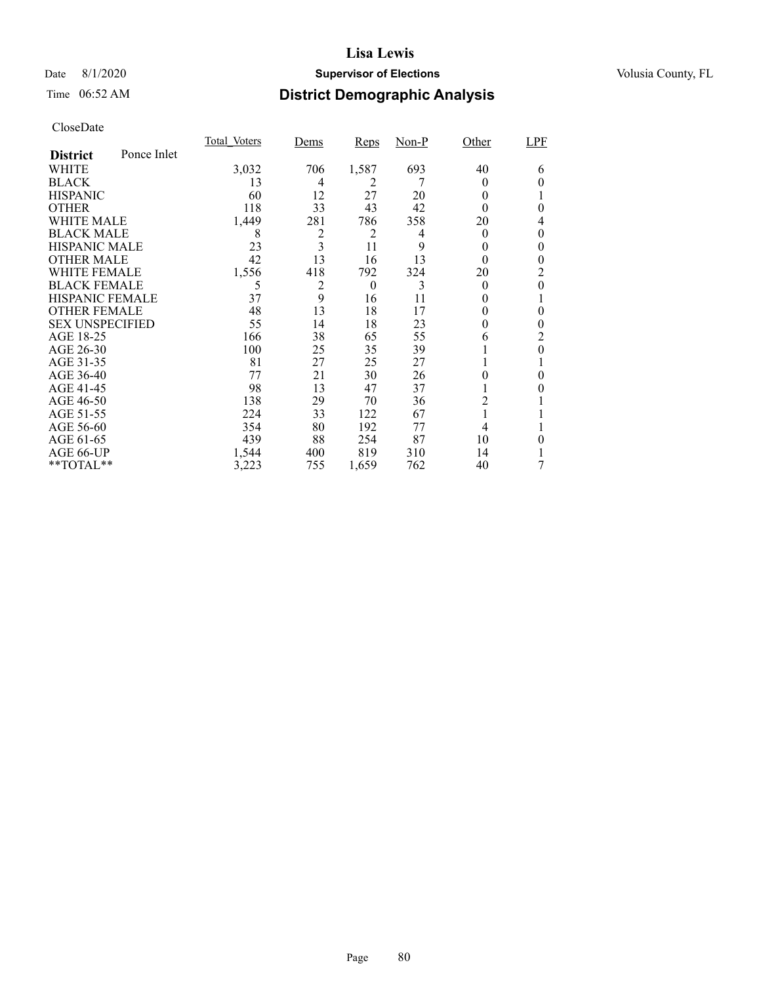## Date 8/1/2020 **Supervisor of Elections Supervisor of Elections** Volusia County, FL

# Time 06:52 AM **District Demographic Analysis**

|                        |             | Total Voters | Dems           | <b>Reps</b>    | $Non-P$ | Other    | <b>LPF</b> |
|------------------------|-------------|--------------|----------------|----------------|---------|----------|------------|
| <b>District</b>        | Ponce Inlet |              |                |                |         |          |            |
| WHITE                  |             | 3,032        | 706            | 1,587          | 693     | 40       | 6          |
| <b>BLACK</b>           |             | 13           | 4              | 2              |         | $_{0}$   | 0          |
| <b>HISPANIC</b>        |             | 60           | 12             | 27             | 20      | 0        |            |
| <b>OTHER</b>           |             | 118          | 33             | 43             | 42      | 0        | 0          |
| WHITE MALE             |             | 1,449        | 281            | 786            | 358     | 20       | 4          |
| <b>BLACK MALE</b>      |             | 8            | $\overline{c}$ | $\overline{c}$ | 4       | $\theta$ | 0          |
| <b>HISPANIC MALE</b>   |             | 23           | 3              | 11             | 9       | 0        | 0          |
| <b>OTHER MALE</b>      |             | 42           | 13             | 16             | 13      | 0        | 0          |
| <b>WHITE FEMALE</b>    |             | 1,556        | 418            | 792            | 324     | 20       | 2          |
| <b>BLACK FEMALE</b>    |             | 5            | 2              | $\theta$       | 3       | $\theta$ | 0          |
| <b>HISPANIC FEMALE</b> |             | 37           | 9              | 16             | 11      | $_{0}$   |            |
| <b>OTHER FEMALE</b>    |             | 48           | 13             | 18             | 17      | $\theta$ | 0          |
| <b>SEX UNSPECIFIED</b> |             | 55           | 14             | 18             | 23      | 0        | 0          |
| AGE 18-25              |             | 166          | 38             | 65             | 55      | 6        | 2          |
| AGE 26-30              |             | 100          | 25             | 35             | 39      | Ι.       | 0          |
| AGE 31-35              |             | 81           | 27             | 25             | 27      |          |            |
| AGE 36-40              |             | 77           | 21             | 30             | 26      |          | 0          |
| AGE 41-45              |             | 98           | 13             | 47             | 37      |          |            |
| AGE 46-50              |             | 138          | 29             | 70             | 36      | 2        |            |
| AGE 51-55              |             | 224          | 33             | 122            | 67      | 1        |            |
| AGE 56-60              |             | 354          | 80             | 192            | 77      | 4        |            |
| AGE 61-65              |             | 439          | 88             | 254            | 87      | 10       | 0          |
| AGE 66-UP              |             | 1,544        | 400            | 819            | 310     | 14       |            |
| **TOTAL**              |             | 3,223        | 755            | 1,659          | 762     | 40       | 7          |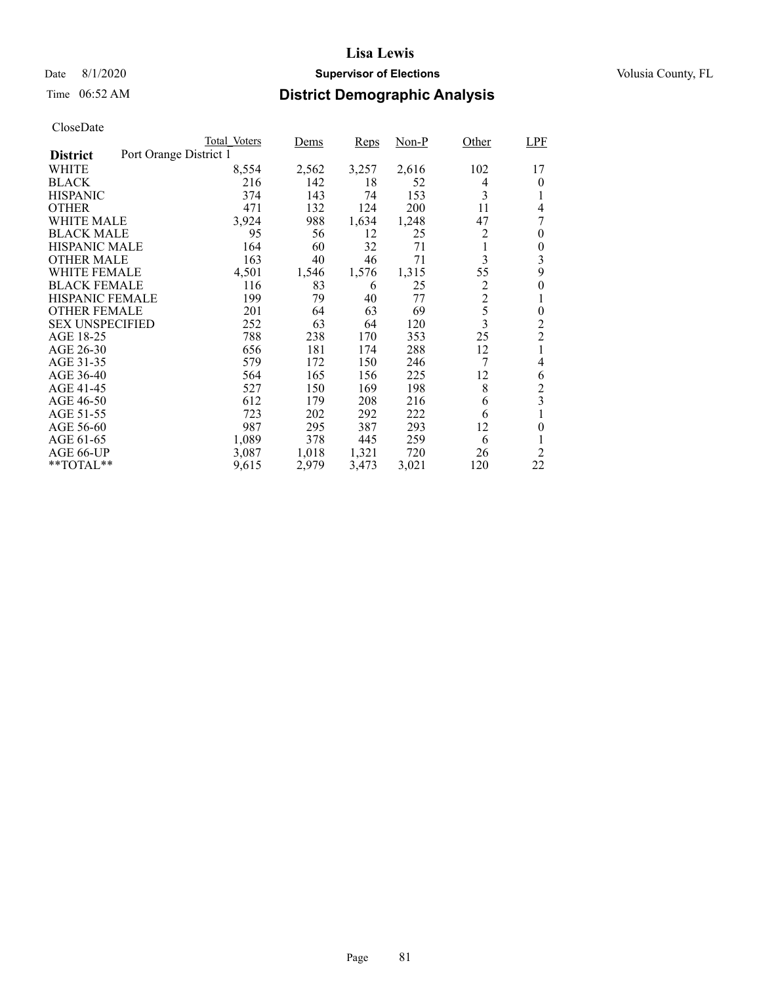## Date 8/1/2020 **Supervisor of Elections Supervisor of Elections** Volusia County, FL

# Time 06:52 AM **District Demographic Analysis**

|                                           | Total Voters | Dems  | Reps  | $Non-P$ | Other          | <b>LPF</b>       |
|-------------------------------------------|--------------|-------|-------|---------|----------------|------------------|
| Port Orange District 1<br><b>District</b> |              |       |       |         |                |                  |
| WHITE                                     | 8,554        | 2,562 | 3,257 | 2,616   | 102            | 17               |
| <b>BLACK</b>                              | 216          | 142   | 18    | 52      | 4              | 0                |
| <b>HISPANIC</b>                           | 374          | 143   | 74    | 153     | 3              | 1                |
| <b>OTHER</b>                              | 471          | 132   | 124   | 200     | 11             | 4                |
| WHITE MALE                                | 3,924        | 988   | 1,634 | 1,248   | 47             | 7                |
| <b>BLACK MALE</b>                         | 95           | 56    | 12    | 25      | 2              | 0                |
| <b>HISPANIC MALE</b>                      | 164          | 60    | 32    | 71      | 1              | 0                |
| <b>OTHER MALE</b>                         | 163          | 40    | 46    | 71      | 3              | 3                |
| WHITE FEMALE                              | 4,501        | 1,546 | 1,576 | 1,315   | 55             | 9                |
| <b>BLACK FEMALE</b>                       | 116          | 83    | 6     | 25      | 2              | 0                |
| <b>HISPANIC FEMALE</b>                    | 199          | 79    | 40    | 77      | $\overline{2}$ | 1                |
| <b>OTHER FEMALE</b>                       | 201          | 64    | 63    | 69      | 5              | $\boldsymbol{0}$ |
| <b>SEX UNSPECIFIED</b>                    | 252          | 63    | 64    | 120     | 3              | 2                |
| AGE 18-25                                 | 788          | 238   | 170   | 353     | 25             | $\overline{2}$   |
| AGE 26-30                                 | 656          | 181   | 174   | 288     | 12             | 1                |
| AGE 31-35                                 | 579          | 172   | 150   | 246     | 7              | 4                |
| AGE 36-40                                 | 564          | 165   | 156   | 225     | 12             | 6                |
| AGE 41-45                                 | 527          | 150   | 169   | 198     | 8              | $\overline{c}$   |
| AGE 46-50                                 | 612          | 179   | 208   | 216     | 6              | 3                |
| AGE 51-55                                 | 723          | 202   | 292   | 222     | 6              |                  |
| AGE 56-60                                 | 987          | 295   | 387   | 293     | 12             | 0                |
| AGE 61-65                                 | 1,089        | 378   | 445   | 259     | 6              | 1                |
| AGE 66-UP                                 | 3,087        | 1,018 | 1,321 | 720     | 26             | $\overline{2}$   |
| $*$ $TOTAL**$                             | 9,615        | 2,979 | 3,473 | 3,021   | 120            | 22               |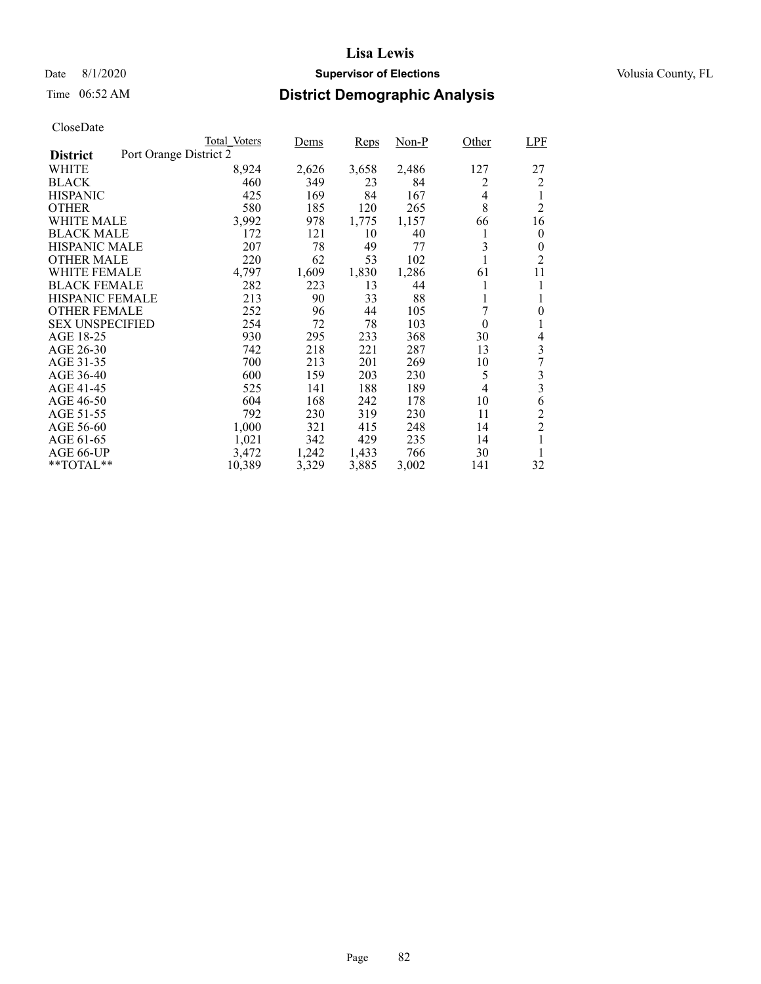## Date 8/1/2020 **Supervisor of Elections Supervisor of Elections** Volusia County, FL

# Time 06:52 AM **District Demographic Analysis**

|                                           | Total Voters | Dems  | Reps  | $Non-P$ | Other | LPF              |
|-------------------------------------------|--------------|-------|-------|---------|-------|------------------|
| Port Orange District 2<br><b>District</b> |              |       |       |         |       |                  |
| WHITE                                     | 8,924        | 2,626 | 3,658 | 2,486   | 127   | 27               |
| <b>BLACK</b>                              | 460          | 349   | 23    | 84      | 2     | 2                |
| <b>HISPANIC</b>                           | 425          | 169   | 84    | 167     | 4     | 1                |
| <b>OTHER</b>                              | 580          | 185   | 120   | 265     | 8     | $\overline{c}$   |
| WHITE MALE                                | 3,992        | 978   | 1,775 | 1,157   | 66    | 16               |
| <b>BLACK MALE</b>                         | 172          | 121   | 10    | 40      | 1     | $\boldsymbol{0}$ |
| <b>HISPANIC MALE</b>                      | 207          | 78    | 49    | 77      | 3     | $\boldsymbol{0}$ |
| <b>OTHER MALE</b>                         | 220          | 62    | 53    | 102     |       | $\overline{c}$   |
| WHITE FEMALE                              | 4,797        | 1,609 | 1,830 | 1,286   | 61    | 11               |
| <b>BLACK FEMALE</b>                       | 282          | 223   | 13    | 44      |       | 1                |
| <b>HISPANIC FEMALE</b>                    | 213          | 90    | 33    | 88      | 1     | 1                |
| <b>OTHER FEMALE</b>                       | 252          | 96    | 44    | 105     | 7     | $\overline{0}$   |
| <b>SEX UNSPECIFIED</b>                    | 254          | 72    | 78    | 103     | 0     |                  |
| AGE 18-25                                 | 930          | 295   | 233   | 368     | 30    | 4                |
| AGE 26-30                                 | 742          | 218   | 221   | 287     | 13    | 3                |
| AGE 31-35                                 | 700          | 213   | 201   | 269     | 10    | 7                |
| AGE 36-40                                 | 600          | 159   | 203   | 230     | 5     | 3                |
| AGE 41-45                                 | 525          | 141   | 188   | 189     | 4     | 3                |
| AGE 46-50                                 | 604          | 168   | 242   | 178     | 10    | 6                |
| AGE 51-55                                 | 792          | 230   | 319   | 230     | 11    | $\overline{c}$   |
| AGE 56-60                                 | 1,000        | 321   | 415   | 248     | 14    | $\overline{c}$   |
| AGE 61-65                                 | 1,021        | 342   | 429   | 235     | 14    | 1                |
| AGE 66-UP                                 | 3,472        | 1,242 | 1,433 | 766     | 30    |                  |
| $*$ $TOTAL**$                             | 10,389       | 3,329 | 3,885 | 3,002   | 141   | 32               |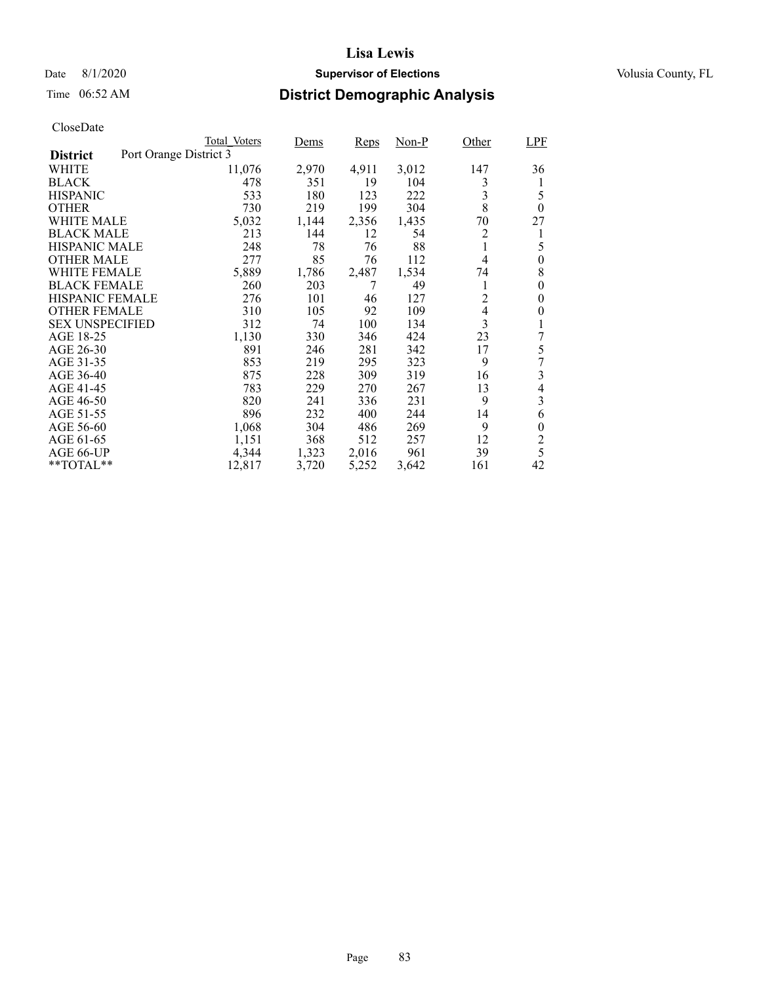## Date 8/1/2020 **Supervisor of Elections Supervisor of Elections** Volusia County, FL

# Time 06:52 AM **District Demographic Analysis**

|                        |                        | Total Voters | <u>Dems</u> | Reps  | $Non-P$ | Other          | <b>LPF</b>       |
|------------------------|------------------------|--------------|-------------|-------|---------|----------------|------------------|
| <b>District</b>        | Port Orange District 3 |              |             |       |         |                |                  |
| WHITE                  |                        | 11,076       | 2,970       | 4,911 | 3,012   | 147            | 36               |
| <b>BLACK</b>           |                        | 478          | 351         | 19    | 104     | 3              | 1                |
| <b>HISPANIC</b>        |                        | 533          | 180         | 123   | 222     | 3              | 5                |
| <b>OTHER</b>           |                        | 730          | 219         | 199   | 304     | 8              | $\theta$         |
| WHITE MALE             |                        | 5,032        | 1,144       | 2,356 | 1,435   | 70             | 27               |
| <b>BLACK MALE</b>      |                        | 213          | 144         | 12    | 54      | 2              | 1                |
| <b>HISPANIC MALE</b>   |                        | 248          | 78          | 76    | 88      | 1              | 5                |
| <b>OTHER MALE</b>      |                        | 277          | 85          | 76    | 112     | 4              | $\overline{0}$   |
| WHITE FEMALE           |                        | 5,889        | 1,786       | 2,487 | 1,534   | 74             | 8                |
| <b>BLACK FEMALE</b>    |                        | 260          | 203         | 7     | 49      | 1              | $\boldsymbol{0}$ |
| <b>HISPANIC FEMALE</b> |                        | 276          | 101         | 46    | 127     | 2              | $\theta$         |
| <b>OTHER FEMALE</b>    |                        | 310          | 105         | 92    | 109     | $\overline{4}$ | $\theta$         |
| <b>SEX UNSPECIFIED</b> |                        | 312          | 74          | 100   | 134     | 3              | 1                |
| AGE 18-25              |                        | 1,130        | 330         | 346   | 424     | 23             | 7                |
| AGE 26-30              |                        | 891          | 246         | 281   | 342     | 17             | 5                |
| AGE 31-35              |                        | 853          | 219         | 295   | 323     | 9              | 7                |
| AGE 36-40              |                        | 875          | 228         | 309   | 319     | 16             | 3                |
| AGE 41-45              |                        | 783          | 229         | 270   | 267     | 13             | 4                |
| AGE 46-50              |                        | 820          | 241         | 336   | 231     | 9              | 3                |
| AGE 51-55              |                        | 896          | 232         | 400   | 244     | 14             | 6                |
| AGE 56-60              |                        | 1,068        | 304         | 486   | 269     | 9              | $\boldsymbol{0}$ |
| AGE 61-65              |                        | 1,151        | 368         | 512   | 257     | 12             | $\overline{c}$   |
| AGE 66-UP              |                        | 4,344        | 1,323       | 2,016 | 961     | 39             | 5                |
| $*$ $TOTAL**$          |                        | 12,817       | 3,720       | 5,252 | 3,642   | 161            | 42               |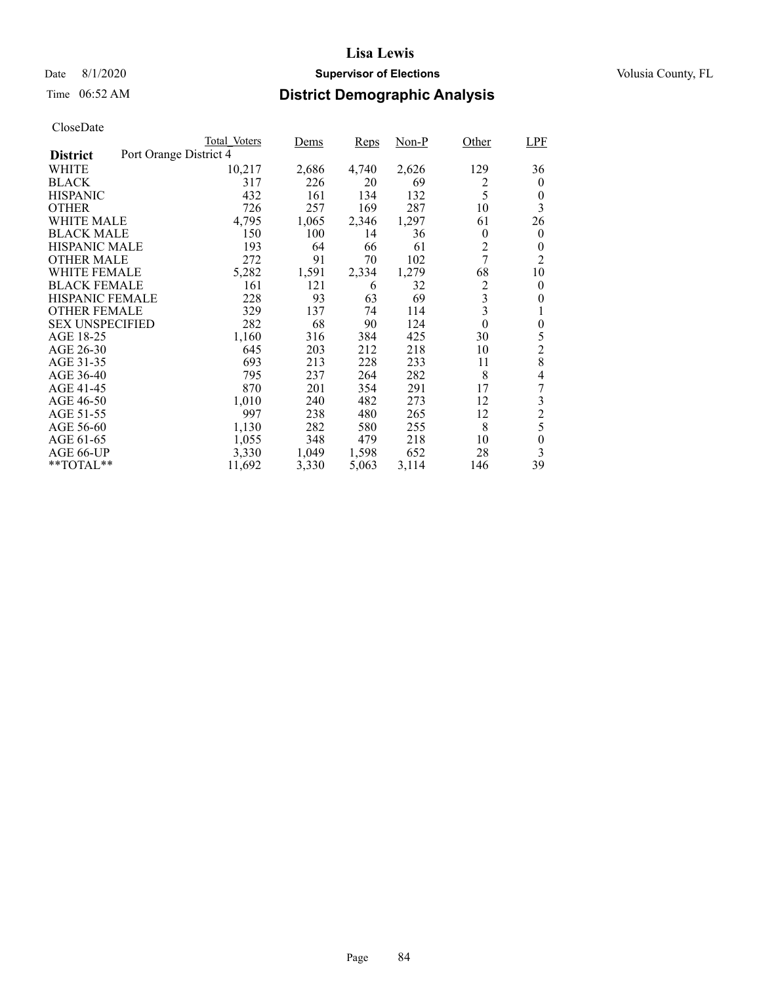## Date 8/1/2020 **Supervisor of Elections Supervisor of Elections** Volusia County, FL

# Time 06:52 AM **District Demographic Analysis**

|                        |                        | Total Voters | Dems  | Reps  | $Non-P$ | Other          | <b>LPF</b>       |
|------------------------|------------------------|--------------|-------|-------|---------|----------------|------------------|
| <b>District</b>        | Port Orange District 4 |              |       |       |         |                |                  |
| WHITE                  |                        | 10,217       | 2,686 | 4,740 | 2,626   | 129            | 36               |
| <b>BLACK</b>           |                        | 317          | 226   | 20    | 69      | 2              | $\overline{0}$   |
| <b>HISPANIC</b>        |                        | 432          | 161   | 134   | 132     | 5              | 0                |
| <b>OTHER</b>           |                        | 726          | 257   | 169   | 287     | 10             | 3                |
| WHITE MALE             |                        | 4,795        | 1,065 | 2,346 | 1,297   | 61             | 26               |
| <b>BLACK MALE</b>      |                        | 150          | 100   | 14    | 36      | $\overline{0}$ | $\overline{0}$   |
| <b>HISPANIC MALE</b>   |                        | 193          | 64    | 66    | 61      | $\overline{c}$ | 0                |
| <b>OTHER MALE</b>      |                        | 272          | 91    | 70    | 102     | 7              | $\overline{2}$   |
| WHITE FEMALE           |                        | 5,282        | 1,591 | 2,334 | 1,279   | 68             | 10               |
| <b>BLACK FEMALE</b>    |                        | 161          | 121   | 6     | 32      | 2              | 0                |
| <b>HISPANIC FEMALE</b> |                        | 228          | 93    | 63    | 69      | 3              | 0                |
| <b>OTHER FEMALE</b>    |                        | 329          | 137   | 74    | 114     | 3              | 1                |
| <b>SEX UNSPECIFIED</b> |                        | 282          | 68    | 90    | 124     | $\theta$       | $\boldsymbol{0}$ |
| AGE 18-25              |                        | 1,160        | 316   | 384   | 425     | 30             | 5                |
| AGE 26-30              |                        | 645          | 203   | 212   | 218     | 10             | $\overline{2}$   |
| AGE 31-35              |                        | 693          | 213   | 228   | 233     | 11             | 8                |
| AGE 36-40              |                        | 795          | 237   | 264   | 282     | 8              | 4                |
| AGE 41-45              |                        | 870          | 201   | 354   | 291     | 17             | 7                |
| AGE 46-50              |                        | 1,010        | 240   | 482   | 273     | 12             | 3                |
| AGE 51-55              |                        | 997          | 238   | 480   | 265     | 12             | $\overline{2}$   |
| AGE 56-60              |                        | 1,130        | 282   | 580   | 255     | 8              | 5                |
| AGE 61-65              |                        | 1,055        | 348   | 479   | 218     | 10             | $\theta$         |
| AGE 66-UP              |                        | 3,330        | 1,049 | 1,598 | 652     | 28             | 3                |
| $*$ $TOTAL**$          |                        | 11,692       | 3,330 | 5,063 | 3,114   | 146            | 39               |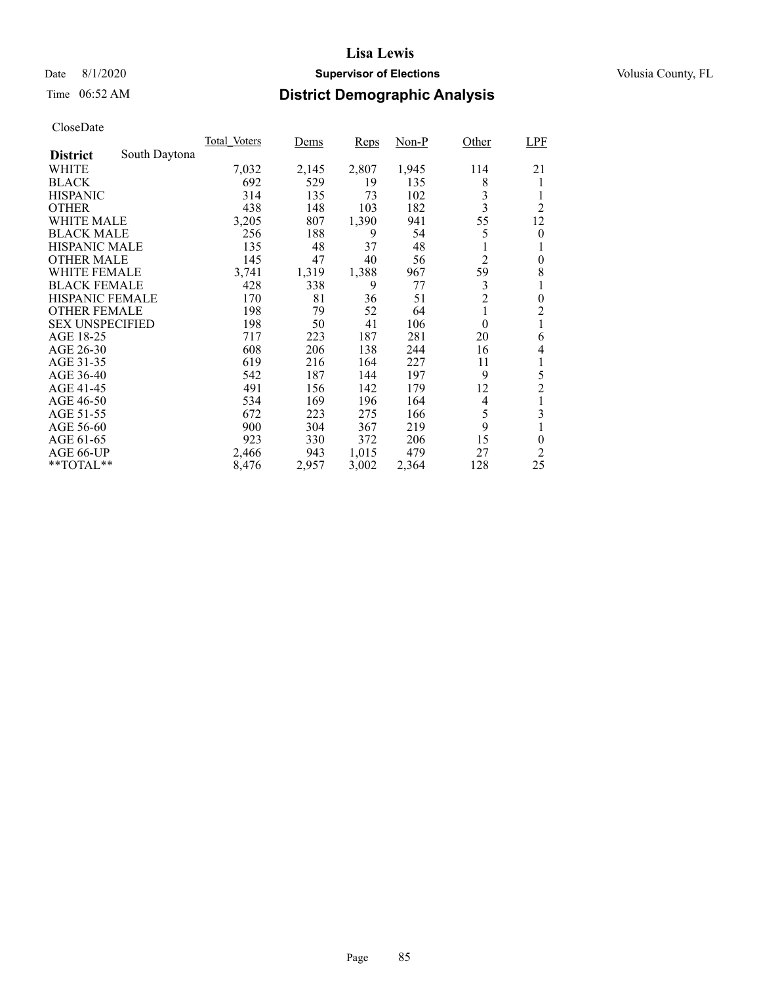## Date 8/1/2020 **Supervisor of Elections Supervisor of Elections** Volusia County, FL

# Time 06:52 AM **District Demographic Analysis**

|                        |               | Total Voters | Dems  | Reps  | Non-P | Other                   | <b>LPF</b>       |
|------------------------|---------------|--------------|-------|-------|-------|-------------------------|------------------|
| <b>District</b>        | South Daytona |              |       |       |       |                         |                  |
| WHITE                  |               | 7,032        | 2,145 | 2,807 | 1,945 | 114                     | 21               |
| <b>BLACK</b>           |               | 692          | 529   | 19    | 135   | 8                       |                  |
| <b>HISPANIC</b>        |               | 314          | 135   | 73    | 102   | 3                       |                  |
| <b>OTHER</b>           |               | 438          | 148   | 103   | 182   | $\overline{\mathbf{3}}$ | $\overline{2}$   |
| WHITE MALE             |               | 3,205        | 807   | 1,390 | 941   | 55                      | 12               |
| <b>BLACK MALE</b>      |               | 256          | 188   | 9     | 54    | 5                       | $\theta$         |
| <b>HISPANIC MALE</b>   |               | 135          | 48    | 37    | 48    |                         |                  |
| <b>OTHER MALE</b>      |               | 145          | 47    | 40    | 56    | $\overline{2}$          | $\boldsymbol{0}$ |
| WHITE FEMALE           |               | 3,741        | 1,319 | 1,388 | 967   | 59                      | 8                |
| <b>BLACK FEMALE</b>    |               | 428          | 338   | 9     | 77    | 3                       |                  |
| <b>HISPANIC FEMALE</b> |               | 170          | 81    | 36    | 51    | $\overline{2}$          | $\boldsymbol{0}$ |
| <b>OTHER FEMALE</b>    |               | 198          | 79    | 52    | 64    | 1                       | $\overline{2}$   |
| <b>SEX UNSPECIFIED</b> |               | 198          | 50    | 41    | 106   | $\theta$                |                  |
| AGE 18-25              |               | 717          | 223   | 187   | 281   | 20                      | 6                |
| AGE 26-30              |               | 608          | 206   | 138   | 244   | 16                      | 4                |
| AGE 31-35              |               | 619          | 216   | 164   | 227   | 11                      | 1                |
| AGE 36-40              |               | 542          | 187   | 144   | 197   | 9                       | 5                |
| AGE 41-45              |               | 491          | 156   | 142   | 179   | 12                      | $\overline{2}$   |
| AGE 46-50              |               | 534          | 169   | 196   | 164   | 4                       |                  |
| AGE 51-55              |               | 672          | 223   | 275   | 166   | 5                       | 3                |
| AGE 56-60              |               | 900          | 304   | 367   | 219   | 9                       |                  |
| AGE 61-65              |               | 923          | 330   | 372   | 206   | 15                      | $\boldsymbol{0}$ |
| AGE 66-UP              |               | 2,466        | 943   | 1,015 | 479   | 27                      | 2                |
| $*$ $TOTAL**$          |               | 8,476        | 2,957 | 3,002 | 2,364 | 128                     | 25               |